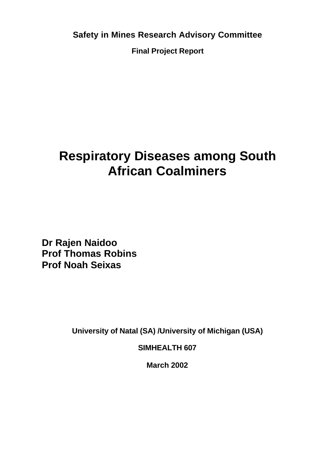**Safety in Mines Research Advisory Committee**

**Final Project Report**

# **Respiratory Diseases among South African Coalminers**

**Dr Rajen Naidoo Prof Thomas Robins Prof Noah Seixas**

**University of Natal (SA) /University of Michigan (USA)**

**SIMHEALTH 607**

**March 2002**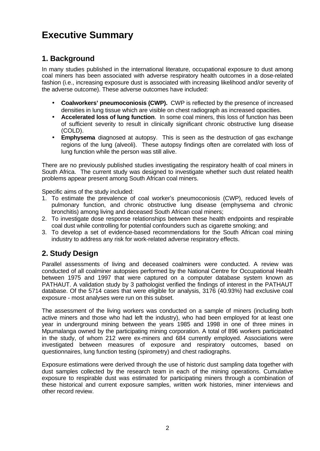# **Executive Summary**

### **1. Background**

In many studies published in the international literature, occupational exposure to dust among coal miners has been associated with adverse respiratory health outcomes in a dose-related fashion (i.e., increasing exposure dust is associated with increasing likelihood and/or severity of the adverse outcome). These adverse outcomes have included:

- **Coalworkers' pneumoconiosis (CWP).** CWP is reflected by the presence of increased densities in lung tissue which are visible on chest radiograph as increased opacities.
- **Accelerated loss of lung function**. In some coal miners, this loss of function has been of sufficient severity to result in clinically significant chronic obstructive lung disease (COLD).
- **Emphysema** diagnosed at autopsy. This is seen as the destruction of gas exchange regions of the lung (alveoli). These autopsy findings often are correlated with loss of lung function while the person was still alive.

There are no previously published studies investigating the respiratory health of coal miners in South Africa. The current study was designed to investigate whether such dust related health problems appear present among South African coal miners.

Specific aims of the study included:

- 1. To estimate the prevalence of coal worker's pneumoconiosis (CWP), reduced levels of pulmonary function, and chronic obstructive lung disease (emphysema and chronic bronchitis) among living and deceased South African coal miners;
- 2. To investigate dose response relationships between these health endpoints and respirable coal dust while controlling for potential confounders such as cigarette smoking; and
- 3. To develop a set of evidence-based recommendations for the South African coal mining industry to address any risk for work-related adverse respiratory effects.

## **2. Study Design**

Parallel assessments of living and deceased coalminers were conducted. A review was conducted of all coalminer autopsies performed by the National Centre for Occupational Health between 1975 and 1997 that were captured on a computer database system known as PATHAUT. A validation study by 3 pathologist verified the findings of interest in the PATHAUT database. Of the 5714 cases that were eligible for analysis, 3176 (40.93%) had exclusive coal exposure - most analyses were run on this subset.

The assessment of the living workers was conducted on a sample of miners (including both active miners and those who had left the industry), who had been employed for at least one year in underground mining between the years 1985 and 1998 in one of three mines in Mpumalanga owned by the participating mining corporation. A total of 896 workers participated in the study, of whom 212 were ex-miners and 684 currently employed. Associations were investigated between measures of exposure and respiratory outcomes, based on questionnaires, lung function testing (spirometry) and chest radiographs.

Exposure estimations were derived through the use of historic dust sampling data together with dust samples collected by the research team in each of the mining operations. Cumulative exposure to respirable dust was estimated for participating miners through a combination of these historical and current exposure samples, written work histories, miner interviews and other record review.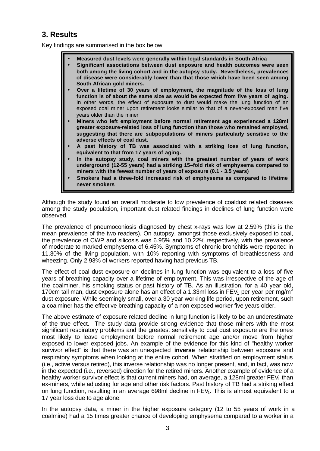### **3. Results**

Key findings are summarised in the box below:

- **Measured dust levels were generally within legal standards in South Africa**
- **Significant associations between dust exposure and health outcomes were seen both among the living cohort and in the autopsy study. Nevertheless, prevalences of disease were considerably lower than that those which have been seen among South African gold miners.**
- **Over a lifetime of 30 years of employment, the magnitude of the loss of lung function is of about the same size as would be expected from five years of aging.** In other words, the effect of exposure to dust would make the lung function of an exposed coal miner upon retirement looks similar to that of a never-exposed man five years older than the miner
- **Miners who left employment before normal retirement age experienced a 128ml greater exposure-related loss of lung function than those who remained employed, suggesting that there are subpopulations of miners particularly sensitive to the adverse effects of coal dust.**
- **A past history of TB was associated with a striking loss of lung function, equivalent to that from 17 years of aging.**
- **In the autopsy study, coal miners with the greatest number of years of work underground (12-55 years) had a striking 15–fold risk of emphysema compared to miners with the fewest number of years of exposure (0.1 - 3.5 years)**
- **Smokers had a three-fold increased risk of emphysema as compared to lifetime never smokers**

Although the study found an overall moderate to low prevalence of coaldust related diseases among the study population, important dust related findings in declines of lung function were observed.

The prevalence of pneumoconiosis diagnosed by chest x-rays was low at 2.59% (this is the mean prevalence of the two readers). On autopsy, amongst those exclusively exposed to coal, the prevalence of CWP and silicosis was 6.95% and 10.22% respectively, with the prevalence of moderate to marked emphysema of 6.45%. Symptoms of chronic bronchitis were reported in 11.30% of the living population, with 10% reporting with symptoms of breathlessness and wheezing. Only 2.93% of workers reported having had previous TB.

The effect of coal dust exposure on declines in lung function was equivalent to a loss of five years of breathing capacity over a lifetime of employment. This was irrespective of the age of the coalminer, his smoking status or past history of TB. As an illustration, for a 40 year old, 170cm tall man, dust exposure alone has an effect of a 1.33ml loss in FEV<sub>1</sub> per year per mg/m<sup>3</sup> dust exposure. While seemingly small, over a 30 year working life period, upon retirement, such a coalminer has the effective breathing capacity of a non exposed worker five years older.

The above estimate of exposure related decline in lung function is likely to be an underestimate of the true effect. The study data provide strong evidence that those miners with the most significant respiratory problems and the greatest sensitivity to coal dust exposure are the ones most likely to leave employment before normal retirement age and/or move from higher exposed to lower exposed jobs. An example of the evidence for this kind of "healthy worker survivor effect" is that there was an unexpected **inverse** relationship between exposure and respiratory symptoms when looking at the entire cohort. When stratified on employment status (i.e., active versus retired), this inverse relationship was no longer present, and, in fact, was now in the expected (i.e., reversed) direction for the retired miners. Another example of evidence of a healthy worker survivor effect is that current miners had, on average, a 128ml greater  $FEV<sub>1</sub>$  than ex-miners, while adjusting for age and other risk factors. Past history of TB had a striking effect on lung function, resulting in an average 698ml decline in  $FEV<sub>1</sub>$ . This is almost equivalent to a 17 year loss due to age alone.

In the autopsy data, a miner in the higher exposure category (12 to 55 years of work in a coalmine) had a 15 times greater chance of developing emphysema compared to a worker in a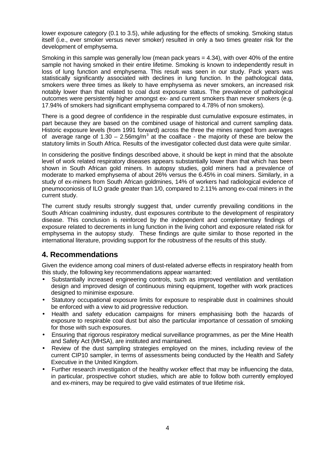lower exposure category (0.1 to 3.5), while adjusting for the effects of smoking. Smoking status itself (i.e., ever smoker versus never smoker) resulted in only a two times greater risk for the development of emphysema.

Smoking in this sample was generally low (mean pack years = 4.34), with over 40% of the entire sample not having smoked in their entire lifetime. Smoking is known to independently result in loss of lung function and emphysema. This result was seen in our study. Pack years was statistically significantly associated with declines in lung function. In the pathological data, smokers were three times as likely to have emphysema as never smokers, an increased risk notably lower than that related to coal dust exposure status. The prevalence of pathological outcomes were persistently higher amongst ex- and current smokers than never smokers (e.g. 17.94% of smokers had significant emphysema compared to 4.78% of non smokers).

There is a good degree of confidence in the respirable dust cumulative exposure estimates, in part because they are based on the combined usage of historical and current sampling data. Historic exposure levels (from 1991 forward) across the three the mines ranged from averages of average range of  $1.30 - 2.56$ mg/m<sup>3</sup> at the coalface - the majority of these are below the statutory limits in South Africa. Results of the investigator collected dust data were quite similar.

In considering the positive findings described above, it should be kept in mind that the absolute level of work related respiratory diseases appears substantially lower than that which has been shown in South African gold miners. In autopsy studies, gold miners had a prevalence of moderate to marked emphysema of about 26% versus the 6.45% in coal miners. Similarly, in a study of ex-miners from South African goldmines, 14% of workers had radiological evidence of pneumoconiosis of ILO grade greater than 1/0, compared to 2.11% among ex-coal miners in the current study.

The current study results strongly suggest that, under currently prevailing conditions in the South African coalmining industry, dust exposures contribute to the development of respiratory disease. This conclusion is reinforced by the independent and complementary findings of exposure related to decrements in lung function in the living cohort and exposure related risk for emphysema in the autopsy study. These findings are quite similar to those reported in the international literature, providing support for the robustness of the results of this study.

### **4. Recommendations**

Given the evidence among coal miners of dust-related adverse effects in respiratory health from this study, the following key recommendations appear warranted:

- Substantially increased engineering controls, such as improved ventilation and ventilation design and improved design of continuous mining equipment, together with work practices designed to minimise exposure.
- Statutory occupational exposure limits for exposure to respirable dust in coalmines should be enforced with a view to aid progressive reduction.
- Health and safety education campaigns for miners emphasising both the hazards of exposure to respirable coal dust but also the particular importance of cessation of smoking for those with such exposures.
- Ensuring that rigorous respiratory medical surveillance programmes, as per the Mine Health and Safety Act (MHSA), are instituted and maintained.
- Review of the dust sampling strategies employed on the mines, including review of the current CIP10 sampler, in terms of assessments being conducted by the Health and Safety Executive in the United Kingdom.
- Further research investigation of the healthy worker effect that may be influencing the data, in particular, prospective cohort studies, which are able to follow both currently employed and ex-miners, may be required to give valid estimates of true lifetime risk.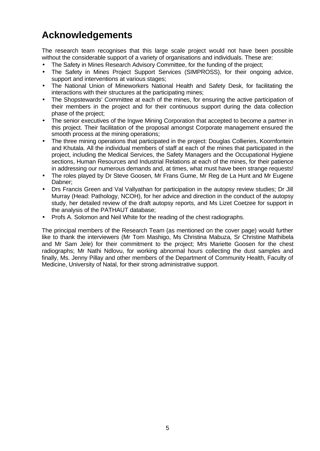# **Acknowledgements**

The research team recognises that this large scale project would not have been possible without the considerable support of a variety of organisations and individuals. These are:

- The Safety in Mines Research Advisory Committee, for the funding of the project;
- The Safety in Mines Project Support Services (SIMPROSS), for their ongoing advice, support and interventions at various stages;
- The National Union of Mineworkers National Health and Safety Desk, for facilitating the interactions with their structures at the participating mines;
- The Shopstewards' Committee at each of the mines, for ensuring the active participation of their members in the project and for their continuous support during the data collection phase of the project;
- The senior executives of the Ingwe Mining Corporation that accepted to become a partner in this project. Their facilitation of the proposal amongst Corporate management ensured the smooth process at the mining operations;
- The three mining operations that participated in the project: Douglas Collieries, Koornfontein and Khutala. All the individual members of staff at each of the mines that participated in the project, including the Medical Services, the Safety Managers and the Occupational Hygiene sections, Human Resources and Industrial Relations at each of the mines, for their patience in addressing our numerous demands and, at times, what must have been strange requests!
- The roles played by Dr Steve Goosen, Mr Frans Gume, Mr Reg de La Hunt and Mr Eugene Dabner;
- Drs Francis Green and Val Vallyathan for participation in the autopsy review studies; Dr Jill Murray (Head: Pathology, NCOH), for her advice and direction in the conduct of the autopsy study, her detailed review of the draft autopsy reports, and Ms Lizet Coetzee for support in the analysis of the PATHAUT database;
- Profs A. Solomon and Neil White for the reading of the chest radiographs.

The principal members of the Research Team (as mentioned on the cover page) would further like to thank the interviewers (Mr Tom Mashigo, Ms Christina Mabuza, Sr Christine Mathibela and Mr Sam Jele) for their commitment to the project; Mrs Mariette Goosen for the chest radiographs; Mr Nathi Ndlovu, for working abnormal hours collecting the dust samples and finally, Ms. Jenny Pillay and other members of the Department of Community Health, Faculty of Medicine, University of Natal, for their strong administrative support.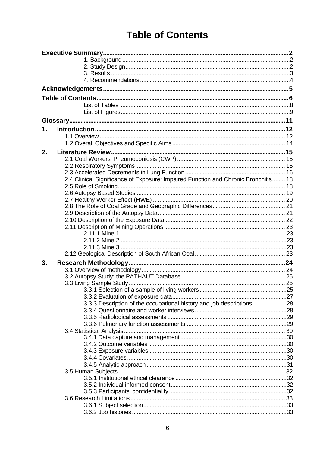# **Table of Contents**

| $\mathbf 1$ . |                                                                                    |  |
|---------------|------------------------------------------------------------------------------------|--|
|               |                                                                                    |  |
|               |                                                                                    |  |
| 2.            |                                                                                    |  |
|               |                                                                                    |  |
|               |                                                                                    |  |
|               |                                                                                    |  |
|               | 2.4 Clinical Significance of Exposure: Impaired Function and Chronic Bronchitis 18 |  |
|               |                                                                                    |  |
|               |                                                                                    |  |
|               |                                                                                    |  |
|               |                                                                                    |  |
|               |                                                                                    |  |
|               |                                                                                    |  |
|               |                                                                                    |  |
|               |                                                                                    |  |
|               |                                                                                    |  |
|               |                                                                                    |  |
|               |                                                                                    |  |
| 3.            |                                                                                    |  |
|               |                                                                                    |  |
|               |                                                                                    |  |
|               |                                                                                    |  |
|               |                                                                                    |  |
|               |                                                                                    |  |
|               | 3.3.3 Description of the occupational history and job descriptions28               |  |
|               |                                                                                    |  |
|               |                                                                                    |  |
|               |                                                                                    |  |
|               |                                                                                    |  |
|               |                                                                                    |  |
|               |                                                                                    |  |
|               |                                                                                    |  |
|               |                                                                                    |  |
|               |                                                                                    |  |
|               |                                                                                    |  |
|               |                                                                                    |  |
|               |                                                                                    |  |
|               |                                                                                    |  |
|               |                                                                                    |  |
|               |                                                                                    |  |
|               |                                                                                    |  |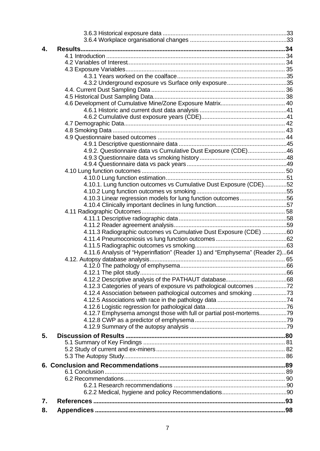| 4. |                                                                             |  |
|----|-----------------------------------------------------------------------------|--|
|    |                                                                             |  |
|    |                                                                             |  |
|    |                                                                             |  |
|    |                                                                             |  |
|    |                                                                             |  |
|    |                                                                             |  |
|    |                                                                             |  |
|    |                                                                             |  |
|    |                                                                             |  |
|    |                                                                             |  |
|    |                                                                             |  |
|    |                                                                             |  |
|    |                                                                             |  |
|    | 4.9.2. Questionnaire data vs Cumulative Dust Exposure (CDE)46               |  |
|    |                                                                             |  |
|    |                                                                             |  |
|    |                                                                             |  |
|    |                                                                             |  |
|    | 4.10.1. Lung function outcomes vs Cumulative Dust Exposure (CDE)52          |  |
|    |                                                                             |  |
|    | 4.10.3 Linear regression models for lung function outcomes56                |  |
|    |                                                                             |  |
|    |                                                                             |  |
|    |                                                                             |  |
|    | 4.11.3 Radiographic outcomes vs Cumulative Dust Exposure (CDE) 60           |  |
|    |                                                                             |  |
|    |                                                                             |  |
|    | 4.11.6 Analysis of "Hyperinflation" (Reader 1) and "Emphysema" (Reader 2)64 |  |
|    |                                                                             |  |
|    |                                                                             |  |
|    |                                                                             |  |
|    |                                                                             |  |
|    |                                                                             |  |
|    | 4.12.4 Association between pathological outcomes and smoking73              |  |
|    |                                                                             |  |
|    |                                                                             |  |
|    | 4.12.7 Emphysema amongst those with full or partial post-mortems79          |  |
|    |                                                                             |  |
|    |                                                                             |  |
| 5. |                                                                             |  |
|    |                                                                             |  |
|    |                                                                             |  |
|    |                                                                             |  |
|    |                                                                             |  |
|    |                                                                             |  |
|    |                                                                             |  |
|    |                                                                             |  |
|    |                                                                             |  |
| 7. |                                                                             |  |
| 8. |                                                                             |  |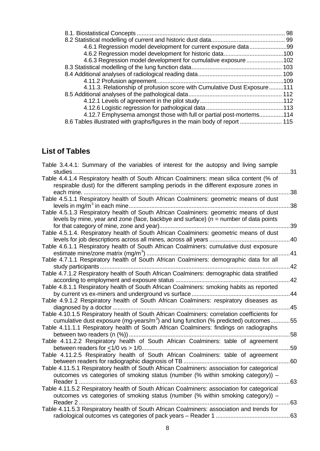|                                                                            | 98 |
|----------------------------------------------------------------------------|----|
|                                                                            |    |
|                                                                            |    |
|                                                                            |    |
| 4.6.3 Regression model development for cumulative exposure102              |    |
|                                                                            |    |
|                                                                            |    |
|                                                                            |    |
| 4.11.3. Relationship of profusion score with Cumulative Dust Exposure111   |    |
|                                                                            |    |
|                                                                            |    |
|                                                                            |    |
| 4.12.7 Emphysema amongst those with full or partial post-mortems114        |    |
| 8.6 Tables illustrated with graphs/figures in the main body of report  115 |    |

## **List of Tables**

| Table 3.4.4.1: Summary of the variables of interest for the autopsy and living sample<br>studies                                                                                                | .31 |
|-------------------------------------------------------------------------------------------------------------------------------------------------------------------------------------------------|-----|
| Table 4.4.1.4 Respiratory health of South African Coalminers: mean silica content (% of<br>respirable dust) for the different sampling periods in the different exposure zones in<br>each mine. | 38  |
| Table 4.5.1.1 Respiratory health of South African Coalminers: geometric means of dust                                                                                                           | 38  |
| Table 4.5.1.3 Respiratory health of South African Coalminers: geometric means of dust<br>levels by mine, year and zone (face, backbye and surface) ( $n =$ number of data points                | 39  |
| Table 4.5.1.4. Respiratory health of South African Coalminers: geometric means of dust                                                                                                          | 40  |
| Table 4.6.1.1 Respiratory health of South African Coalminers: cumulative dust exposure                                                                                                          | .41 |
| Table 4.7.1.1 Respiratory health of South African Coalminers: demographic data for all                                                                                                          | 42  |
| Table 4.7.1.2 Respiratory health of South African Coalminers: demographic data stratified                                                                                                       | 42  |
| Table 4.8.1.1 Respiratory health of South African Coalminers: smoking habits as reported                                                                                                        | 44  |
| Table 4.9.1.2 Respiratory health of South African Coalminers: respiratory diseases as                                                                                                           | 45  |
| Table 4.10.1.5 Respiratory health of South African Coalminers: correlation coefficients for<br>cumulative dust exposure (mg-years/ $m3$ ) and lung function (% predicted) outcomes              | 55  |
| Table 4.11.1.1 Respiratory health of South African Coalminers: findings on radiographs                                                                                                          | 58  |
| Table 4.11.2.2 Respiratory health of South African Coalminers: table of agreement                                                                                                               | .59 |
| Table 4.11.2.5 Respiratory health of South African Coalminers: table of agreement                                                                                                               | 60  |
| Table 4.11.5.1 Respiratory health of South African Coalminers: association for categorical<br>outcomes vs categories of smoking status (number (% within smoking category)) -                   | 63  |
| Table 4.11.5.2 Respiratory health of South African Coalminers: association for categorical<br>outcomes vs categories of smoking status (number (% within smoking category)) -<br>Reader 2       | 63  |
| Table 4.11.5.3 Respiratory health of South African Coalminers: association and trends for<br>radiological outcomes vs categories of pack years - Reader 1.                                      | 63  |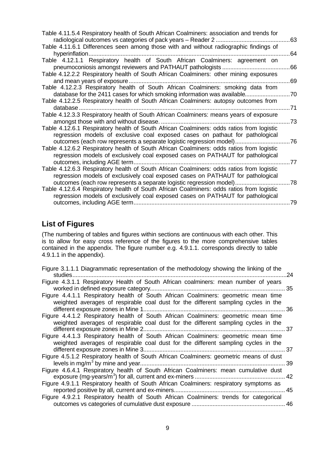| Table 4.11.5.4 Respiratory health of South African Coalminers: association and trends for<br>radiological outcomes vs categories of pack years - Reader 2.                                                                                       | 63 |
|--------------------------------------------------------------------------------------------------------------------------------------------------------------------------------------------------------------------------------------------------|----|
| Table 4.11.6.1 Differences seen among those with and without radiographic findings of<br>hyperinflation                                                                                                                                          | 64 |
| Table 4.12.1.1 Respiratory health of South African Coalminers: agreement on<br>pneumoconiosis amongst reviewers and PATHAUT pathologists                                                                                                         | 66 |
| Table 4.12.2.2 Respiratory health of South African Coalminers: other mining exposures<br>and mean years of exposure                                                                                                                              | 69 |
| Table 4.12.2.3 Respiratory health of South African Coalminers: smoking data from<br>database for the 2411 cases for which smoking information was available.                                                                                     | 70 |
| Table 4.12.2.5 Respiratory health of South African Coalminers: autopsy outcomes from<br>database                                                                                                                                                 | 71 |
| Table 4.12.3.3 Respiratory health of South African Coalminers: means years of exposure                                                                                                                                                           | 73 |
| Table 4.12.6.1 Respiratory health of South African Coalminers: odds ratios from logistic<br>regression models of exclusive coal exposed cases on pathaut for pathological<br>outcomes (each row represents a separate logistic regression model) | 76 |
| Table 4.12.6.2 Respiratory health of South African Coalminers: odds ratios from logistic<br>regression models of exclusively coal exposed cases on PATHAUT for pathological                                                                      |    |
| outcomes, including AGE term.<br>Table 4.12.6.3 Respiratory health of South African Coalminers: odds ratios from logistic<br>regression models of exclusively coal exposed cases on PATHAUT for pathological                                     | 77 |
| outcomes (each row represents a separate logistic regression model)<br>Table 4.12.6.4 Respiratory health of South African Coalminers: odds ratios from logistic                                                                                  | 78 |
| regression models of exclusively coal exposed cases on PATHAUT for pathological                                                                                                                                                                  | 79 |

## **List of Figures**

(The numbering of tables and figures within sections are continuous with each other. This is to allow for easy cross reference of the figures to the more comprehensive tables contained in the appendix. The figure number e.g. 4.9.1.1. corresponds directly to table 4.9.1.1 in the appendix).

| Figure 3.1.1.1 Diagrammatic representation of the methodology showing the linking of the |     |
|------------------------------------------------------------------------------------------|-----|
| studies.                                                                                 | .24 |
| Figure 4.3.1.1 Respiratory Health of South African coalminers: mean number of years      |     |
|                                                                                          | -35 |
| Figure 4.4.1.1 Respiratory health of South African Coalminers: geometric mean time       |     |
| weighted averages of respirable coal dust for the different sampling cycles in the       |     |
|                                                                                          |     |
|                                                                                          |     |
| Figure 4.4.1.2 Respiratory health of South African Coalminers: geometric mean time       |     |
| weighted averages of respirable coal dust for the different sampling cycles in the       |     |
|                                                                                          |     |
| Figure 4.4.1.3 Respiratory health of South African Coalminers: geometric mean time       |     |
| weighted averages of respirable coal dust for the different sampling cycles in the       |     |
| . 37                                                                                     |     |
| Figure 4.5.1.2 Respiratory health of South African Coalminers: geometric means of dust   |     |
|                                                                                          | -39 |
| Figure 4.6.4.1 Respiratory health of South African Coalminers: mean cumulative dust      |     |
|                                                                                          | 42  |
|                                                                                          |     |
| Figure 4.9.1.1 Respiratory health of South African Coalminers: respiratory symptoms as   |     |
| 45                                                                                       |     |
| Figure 4.9.2.1 Respiratory health of South African Coalminers: trends for categorical    |     |
|                                                                                          |     |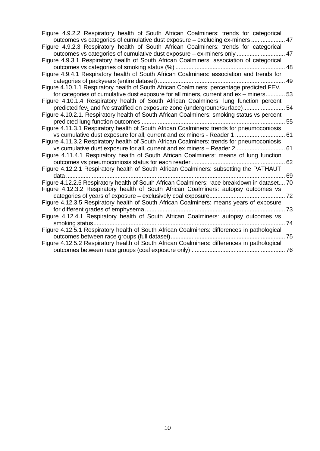| Figure 4.9.2.2 Respiratory health of South African Coalminers: trends for categorical<br>outcomes vs categories of cumulative dust exposure - excluding ex-miners  47 |  |
|-----------------------------------------------------------------------------------------------------------------------------------------------------------------------|--|
| Figure 4.9.2.3 Respiratory health of South African Coalminers: trends for categorical                                                                                 |  |
| outcomes vs categories of cumulative dust exposure - ex-miners only  47                                                                                               |  |
| Figure 4.9.3.1 Respiratory health of South African Coalminers: association of categorical                                                                             |  |
|                                                                                                                                                                       |  |
| Figure 4.9.4.1 Respiratory health of South African Coalminers: association and trends for                                                                             |  |
|                                                                                                                                                                       |  |
| Figure 4.10.1.1 Respiratory health of South African Coalminers: percentage predicted $FEV1$                                                                           |  |
| for categories of cumulative dust exposure for all miners, current and ex – miners 53                                                                                 |  |
| Figure 4.10.1.4 Respiratory health of South African Coalminers: lung function percent                                                                                 |  |
| predicted fev <sub>1</sub> and fvc stratified on exposure zone (underground/surface) 54                                                                               |  |
| Figure 4.10.2.1. Respiratory health of South African Coalminers: smoking status vs percent                                                                            |  |
|                                                                                                                                                                       |  |
| Figure 4.11.3.1 Respiratory health of South African Coalminers: trends for pneumoconiosis                                                                             |  |
| vs cumulative dust exposure for all, current and ex miners - Reader 1  61                                                                                             |  |
| Figure 4.11.3.2 Respiratory health of South African Coalminers: trends for pneumoconiosis                                                                             |  |
| vs cumulative dust exposure for all, current and ex miners – Reader 2 61                                                                                              |  |
| Figure 4.11.4.1 Respiratory health of South African Coalminers: means of lung function                                                                                |  |
|                                                                                                                                                                       |  |
| Figure 4.12.2.1 Respiratory health of South African Coalminers: subsetting the PATHAUT                                                                                |  |
| data                                                                                                                                                                  |  |
| Figure 4.12.2.5 Respiratory health of South African Coalminers: race breakdown in dataset 70                                                                          |  |
| Figure 4.12.3.2 Respiratory health of South African Coalminers: autopsy outcomes vs                                                                                   |  |
|                                                                                                                                                                       |  |
| Figure 4.12.3.5 Respiratory health of South African Coalminers: means years of exposure                                                                               |  |
|                                                                                                                                                                       |  |
| Figure 4.12.4.1 Respiratory health of South African Coalminers: autopsy outcomes vs                                                                                   |  |
| . 74                                                                                                                                                                  |  |
| Figure 4.12.5.1 Respiratory health of South African Coalminers: differences in pathological                                                                           |  |
| Figure 4.12.5.2 Respiratory health of South African Coalminers: differences in pathological                                                                           |  |
|                                                                                                                                                                       |  |
|                                                                                                                                                                       |  |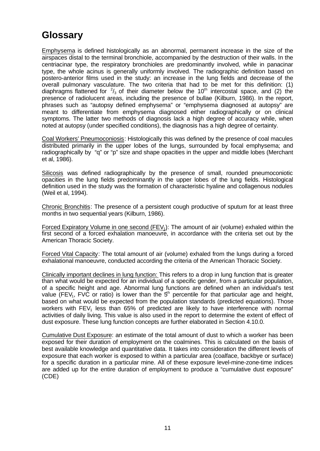# **Glossary**

Emphysema is defined histologically as an abnormal, permanent increase in the size of the airspaces distal to the terminal bronchiole, accompanied by the destruction of their walls. In the centriacinar type, the respiratory bronchioles are predominantly involved, while in panacinar type, the whole acinus is generally uniformly involved. The radiographic definition based on postero-anterior films used in the study: an increase in the lung fields and decrease of the overall pulmonary vasculature. The two criteria that had to be met for this definition: (1) diaphragms flattened for  $\frac{2}{3}$  of their diameter below the 10<sup>th</sup> intercostal space, and (2) the presence of radiolucent areas, including the presence of bullae (Kilburn, 1986). In the report, phrases such as "autopsy defined emphysema" or "emphysema diagnosed at autopsy" are meant to differentiate from emphysema diagnosed either radiographically or on clinical symptoms. The latter two methods of diagnosis lack a high degree of accuracy while, when noted at autopsy (under specified conditions), the diagnosis has a high degree of certainty.

Coal Workers' Pneumoconiosis: Histologically this was defined by the presence of coal macules distributed primarily in the upper lobes of the lungs, surrounded by focal emphysema; and radiographically by "q" or "p" size and shape opacities in the upper and middle lobes (Merchant et al, 1986).

Silicosis was defined radiographically by the presence of small, rounded pneumoconiotic opacities in the lung fields predominantly in the upper lobes of the lung fields. Histological definition used in the study was the formation of characteristic hyaline and collagenous nodules (Weil et al, 1994).

Chronic Bronchitis: The presence of a persistent cough productive of sputum for at least three months in two sequential years (Kilburn, 1986).

Forced Expiratory Volume in one second (FEV<sub>1</sub>): The amount of air (volume) exhaled within the first second of a forced exhalation manoeuvre, in accordance with the criteria set out by the American Thoracic Society.

Forced Vital Capacity: The total amount of air (volume) exhaled from the lungs during a forced exhalational manoeuvre, conducted according the criteria of the American Thoracic Society.

Clinically important declines in lung function: This refers to a drop in lung function that is greater than what would be expected for an individual of a specific gender, from a particular population, of a specific height and age. Abnormal lung functions are defined when an individual's test value (FEV<sub>1</sub>, FVC or ratio) is lower than the  $5<sup>th</sup>$  percentile for that particular age and height, based on what would be expected from the population standards (predicted equations). Those workers with  $FEV<sub>1</sub>$  less than 65% of predicted are likely to have interference with normal activities of daily living. This value is also used in the report to determine the extent of effect of dust exposure. These lung function concepts are further elaborated in Section 4.10.0.

Cumulative Dust Exposure: an estimate of the total amount of dust to which a worker has been exposed for their duration of employment on the coalmines. This is calculated on the basis of best available knowledge and quantitative data. It takes into consideration the different levels of exposure that each worker is exposed to within a particular area (coalface, backbye or surface) for a specific duration in a particular mine. All of these exposure level-mine-zone-time indices are added up for the entire duration of employment to produce a "cumulative dust exposure" (CDE)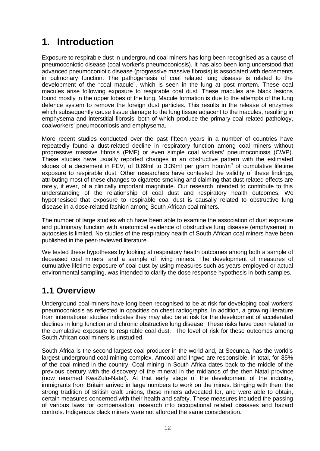# **1. Introduction**

Exposure to respirable dust in underground coal miners has long been recognised as a cause of pneumoconiotic disease (coal worker's pneumoconiosis). It has also been long understood that advanced pneumoconiotic disease (progressive massive fibrosis) is associated with decrements in pulmonary function. The pathogenesis of coal related lung disease is related to the development of the "coal macule", which is seen in the lung at post mortem. These coal macules arise following exposure to respirable coal dust. These macules are black lesions found mostly in the upper lobes of the lung. Macule formation is due to the attempts of the lung defence system to remove the foreign dust particles. This results in the release of enzymes which subsequently cause tissue damage to the lung tissue adjacent to the macules, resulting in emphysema and interstitial fibrosis, both of which produce the primary coal related pathology, coalworkers' pneumoconiosis and emphysema.

More recent studies conducted over the past fifteen years in a number of countries have repeatedly found a dust-related decline in respiratory function among coal miners without progressive massive fibrosis (PMF) or even simple coal workers' pneumoconiosis (CWP). These studies have usually reported changes in an obstructive pattern with the estimated slopes of a decrement in FEV<sub>1</sub> of 0.69ml to 3.39ml per gram hour/m<sup>3</sup> of cumulative lifetime exposure to respirable dust. Other researchers have contested the validity of these findings, attributing most of these changes to cigarette smoking and claiming that dust related effects are rarely, if ever, of a clinically important magnitude. Our research intended to contribute to this understanding of the relationship of coal dust and respiratory health outcomes. We hypothesised that exposure to respirable coal dust is causally related to obstructive lung disease in a dose-related fashion among South African coal miners.

The number of large studies which have been able to examine the association of dust exposure and pulmonary function with anatomical evidence of obstructive lung disease (emphysema) in autopsies is limited. No studies of the respiratory health of South African coal miners have been published in the peer-reviewed literature.

We tested these hypotheses by looking at respiratory health outcomes among both a sample of deceased coal miners, and a sample of living miners. The development of measures of cumulative lifetime exposure of coal dust by using measures such as years employed or actual environmental sampling, was intended to clarify the dose response hypothesis in both samples.

## **1.1 Overview**

Underground coal miners have long been recognised to be at risk for developing coal workers' pneumoconiosis as reflected in opacities on chest radiographs. In addition, a growing literature from international studies indicates they may also be at risk for the development of accelerated declines in lung function and chronic obstructive lung disease. These risks have been related to the cumulative exposure to respirable coal dust. The level of risk for these outcomes among South African coal miners is unstudied.

South Africa is the second largest coal producer in the world and, at Secunda, has the world's largest underground coal mining complex. Amcoal and Ingwe are responsible, in total, for 85% of the coal mined in the country. Coal mining in South Africa dates back to the middle of the previous century with the discovery of the mineral in the midlands of the then Natal province (now renamed KwaZulu-Natal). At that early stage of the development of the industry, immigrants from Britain arrived in large numbers to work on the mines. Bringing with them the strong tradition of British craft unions, these miners advocated for, and were able to obtain, certain measures concerned with their health and safety. These measures included the passing of various laws for compensation, research into occupational related diseases and hazard controls. Indigenous black miners were not afforded the same consideration.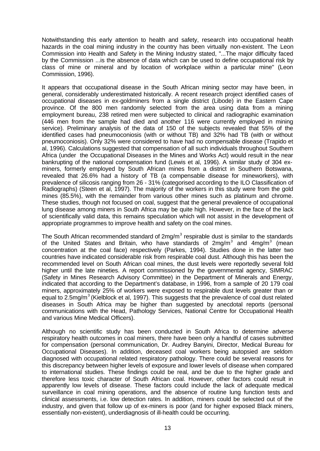Notwithstanding this early attention to health and safety, research into occupational health hazards in the coal mining industry in the country has been virtually non-existent. The Leon Commission into Health and Safety in the Mining Industry stated, "...The major difficulty faced by the Commission ...is the absence of data which can be used to define occupational risk by class of mine or mineral and by location of workplace within a particular mine" (Leon Commission, 1996).

It appears that occupational disease in the South African mining sector may have been, in general, considerably underestimated historically. A recent research project identified cases of occupational diseases in ex-goldminers from a single district (Libode) in the Eastern Cape province. Of the 800 men randomly selected from the area using data from a mining employment bureau, 238 retired men were subjected to clinical and radiographic examination (446 men from the sample had died and another 116 were currently employed in mining service). Preliminary analysis of the data of 150 of the subjects revealed that 55% of the identified cases had pneumoconiosis (with or without TB) and 32% had TB (with or without pneumoconiosis). Only 32% were considered to have had no compensable disease (Trapido et al, 1996). Calculations suggested that compensation of all such individuals throughout Southern Africa (under the Occupational Diseases in the Mines and Works Act) would result in the near bankrupting of the national compensation fund (Lewis et al, 1996). A similar study of 304 exminers, formerly employed by South African mines from a district in Southern Botswana, revealed that 26.6% had a history of TB (a compensable disease for mineworkers), with prevalence of silicosis ranging from 26 - 31% (categorised according to the ILO Classification of Radiographs) (Steen et al, 1997). The majority of the workers in this study were from the gold mines (85.5%), with the remainder from various other mines such as platinum and chrome. These studies, though not focused on coal, suggest that the general prevalence of occupational lung disease among miners in South Africa may be quite high. However, in the face of the lack of scientifically valid data, this remains speculation which will not assist in the development of appropriate programmes to improve health and safety on the coal mines.

The South African recommended standard of 2mg/m<sup>3</sup> respirable dust is similar to the standards of the United States and Britain, who have standards of 2mg/m<sup>3</sup> and 4mg/m<sup>3</sup> (mean concentration at the coal face) respectively (Parkes, 1994). Studies done in the latter two countries have indicated considerable risk from respirable coal dust. Although this has been the recommended level on South African coal mines, the dust levels were reportedly several fold higher until the late nineties. A report commissioned by the governmental agency, SIMRAC (Safety in Mines Research Advisory Committee) in the Department of Minerals and Energy, indicated that according to the Department's database, in 1996, from a sample of 20 179 coal miners, approximately 25% of workers were exposed to respirable dust levels greater than or equal to 2.5mg/m<sup>3</sup> (Kielblock et al, 1997). This suggests that the prevalence of coal dust related diseases in South Africa may be higher than suggested by anecdotal reports (personal communications with the Head, Pathology Services, National Centre for Occupational Health and various Mine Medical Officers).

Although no scientific study has been conducted in South Africa to determine adverse respiratory health outcomes in coal miners, there have been only a handful of cases submitted for compensation (personal communication, Dr. Audrey Banyini, Director, Medical Bureau for Occupational Diseases). In addition, deceased coal workers being autopsied are seldom diagnosed with occupational related respiratory pathology. There could be several reasons for this discrepancy between higher levels of exposure and lower levels of disease when compared to international studies. These findings could be real, and be due to the higher grade and therefore less toxic character of South African coal. However, other factors could result in apparently low levels of disease. These factors could include the lack of adequate medical surveillance in coal mining operations, and the absence of routine lung function tests and clinical assessments, i.e. low detection rates. In addition, miners could be selected out of the industry, and given that follow up of ex-miners is poor (and for higher exposed Black miners, essentially non-existent), underdiagnosis of ill-health could be occurring.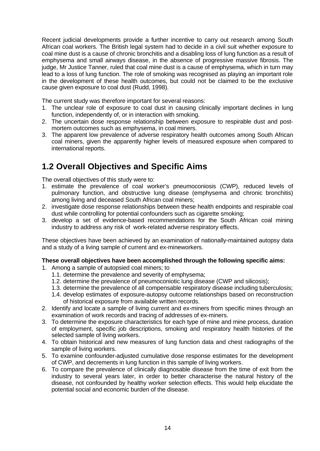Recent judicial developments provide a further incentive to carry out research among South African coal workers. The British legal system had to decide in a civil suit whether exposure to coal mine dust is a cause of chronic bronchitis and a disabling loss of lung function as a result of emphysema and small airways disease, in the absence of progressive massive fibrosis. The judge, Mr Justice Tanner, ruled that coal mine dust is a cause of emphysema, which in turn may lead to a loss of lung function. The role of smoking was recognised as playing an important role in the development of these health outcomes, but could not be claimed to be the exclusive cause given exposure to coal dust (Rudd, 1998).

The current study was therefore important for several reasons:

- 1. The unclear role of exposure to coal dust in causing clinically important declines in lung function, independently of, or in interaction with smoking.
- 2. The uncertain dose response relationship between exposure to respirable dust and postmortem outcomes such as emphysema, in coal miners.
- 3. The apparent low prevalence of adverse respiratory health outcomes among South African coal miners, given the apparently higher levels of measured exposure when compared to international reports.

## **1.2 Overall Objectives and Specific Aims**

The overall objectives of this study were to:

- 1. estimate the prevalence of coal worker's pneumoconiosis (CWP), reduced levels of pulmonary function, and obstructive lung disease (emphysema and chronic bronchitis) among living and deceased South African coal miners;
- 2. investigate dose response relationships between these health endpoints and respirable coal dust while controlling for potential confounders such as cigarette smoking;
- 3. develop a set of evidence-based recommendations for the South African coal mining industry to address any risk of work-related adverse respiratory effects.

These objectives have been achieved by an examination of nationally-maintained autopsy data and a study of a living sample of current and ex-mineworkers.

#### **These overall objectives have been accomplished through the following specific aims:**

- 1. Among a sample of autopsied coal miners; to
	- 1.1. determine the prevalence and severity of emphysema;
	- 1.2. determine the prevalence of pneumoconiotic lung disease (CWP and silicosis);
	- 1.3. determine the prevalence of all compensable respiratory disease including tuberculosis;
	- 1.4. develop estimates of exposure-autopsy outcome relationships based on reconstruction of historical exposure from available written records.
- 2. Identify and locate a sample of living current and ex-miners from specific mines through an examination of work records and tracing of addresses of ex-miners.
- 3. To determine the exposure characteristics for each type of mine and mine process, duration of employment, specific job descriptions, smoking and respiratory health histories of the selected sample of living workers.
- 4. To obtain historical and new measures of lung function data and chest radiographs of the sample of living workers.
- 5. To examine confounder-adjusted cumulative dose response estimates for the development of CWP, and decrements in lung function in this sample of living workers.
- 6. To compare the prevalence of clinically diagnosable disease from the time of exit from the industry to several years later, in order to better characterise the natural history of the disease, not confounded by healthy worker selection effects. This would help elucidate the potential social and economic burden of the disease.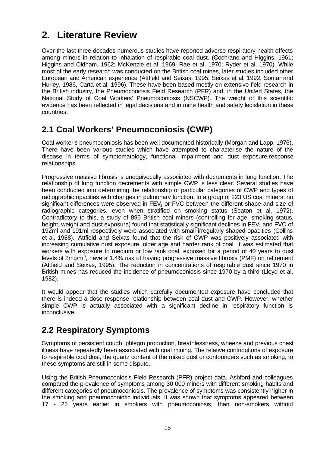# **2. Literature Review**

Over the last three decades numerous studies have reported adverse respiratory health effects among miners in relation to inhalation of respirable coal dust. (Cochrane and Higgins, 1961; Higgins and Oldham, 1962; McKenzie et al, 1969; Rae et al, 1970; Ryder et al, 1970). While most of the early research was conducted on the British coal mines, later studies included other European and American experience (Attfield and Seixas, 1995; Seixas et al, 1992; Soutar and Hurley, 1986, Carta et al, 1996). These have been based mostly on extensive field research in the British industry, the Pneumoconiosis Field Research (PFR) and, in the United States, the National Study of Coal Workers' Pneumoconiosis (NSCWP). The weight of this scientific evidence has been reflected in legal decisions and in mine health and safety legislation in these countries.

## **2.1 Coal Workers' Pneumoconiosis (CWP)**

Coal worker's pneumoconiosis has been well documented historically (Morgan and Lapp, 1976). There have been various studies which have attempted to characterise the nature of the disease in terms of symptomatology, functional impairment and dust exposure-response relationships.

Progressive massive fibrosis is unequivocally associated with decrements in lung function. The relationship of lung function decrements with simple CWP is less clear. Several studies have been conducted into determining the relationship of particular categories of CWP and types of radiographic opacities with changes in pulmonary function. In a group of 223 US coal miners, no significant differences were observed in  $FEV<sub>1</sub>$  or FVC between the different shape and size of radiographic categories, even when stratified on smoking status (Seaton et al, 1972). Contradictory to this, a study of 895 British coal miners (controlling for age, smoking status, height, weight and dust exposure) found that statistically significant declines in  $FEV<sub>1</sub>$  and  $FVC$  of 192ml and 191ml respectively were associated with small irregularly shaped opacities (Collins et al, 1988). Attfield and Seixas found that the risk of CWP was positively associated with increasing cumulative dust exposure, older age and harder rank of coal. It was estimated that workers with exposure to medium or low rank coal, exposed for a period of 40 years to dust levels of 2mg/m<sup>3</sup>, have a 1.4% risk of having progressive massive fibrosis (PMF) on retirement (Attfield and Seixas, 1995). The reduction in concentrations of respirable dust since 1970 in British mines has reduced the incidence of pneumoconiosis since 1970 by a third (Lloyd et al, 1982).

It would appear that the studies which carefully documented exposure have concluded that there is indeed a dose response relationship between coal dust and CWP. However, whether simple CWP is actually associated with a significant decline in respiratory function is inconclusive.

## **2.2 Respiratory Symptoms**

Symptoms of persistent cough, phlegm production, breathlessness, wheeze and previous chest illness have repeatedly been associated with coal mining. The relative contributions of exposure to respirable coal dust, the quartz content of the mixed dust or confounders such as smoking, to these symptoms are still in some dispute.

Using the British Pneumoconiosis Field Research (PFR) project data, Ashford and colleagues compared the prevalence of symptoms among 30 000 miners with different smoking habits and different categories of pneumoconiosis. The prevalence of symptoms was consistently higher in the smoking and pneumoconiotic individuals. It was shown that symptoms appeared between 17 - 22 years earlier in smokers with pneumoconiosis, than non-smokers without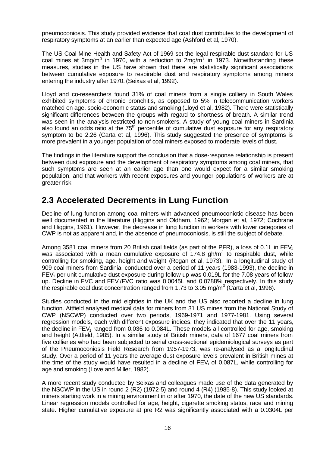pneumoconiosis. This study provided evidence that coal dust contributes to the development of respiratory symptoms at an earlier than expected age (Ashford et al, 1970).

The US Coal Mine Health and Safety Act of 1969 set the legal respirable dust standard for US coal mines at 3mg/m<sup>3</sup> in 1970, with a reduction to 2mg/m<sup>3</sup> in 1973. Notwithstanding these measures, studies in the US have shown that there are statistically significant associations between cumulative exposure to respirable dust and respiratory symptoms among miners entering the industry after 1970. (Seixas et al, 1992).

Lloyd and co-researchers found 31% of coal miners from a single colliery in South Wales exhibited symptoms of chronic bronchitis, as opposed to 5% in telecommunication workers matched on age, socio-economic status and smoking (Lloyd et al, 1982). There were statistically significant differences between the groups with regard to shortness of breath. A similar trend was seen in the analysis restricted to non-smokers. A study of young coal miners in Sardinia also found an odds ratio at the 75<sup>th</sup> percentile of cumulative dust exposure for any respiratory symptom to be 2.26 (Carta et al, 1996). This study suggested the presence of symptoms is more prevalent in a younger population of coal miners exposed to moderate levels of dust.

The findings in the literature support the conclusion that a dose-response relationship is present between dust exposure and the development of respiratory symptoms among coal miners, that such symptoms are seen at an earlier age than one would expect for a similar smoking population, and that workers with recent exposures and younger populations of workers are at greater risk.

## **2.3 Accelerated Decrements in Lung Function**

Decline of lung function among coal miners with advanced pneumoconiotic disease has been well documented in the literature (Higgins and Oldham, 1962; Morgan et al, 1972; Cochrane and Higgins, 1961). However, the decrease in lung function in workers with lower categories of CWP is not as apparent and, in the absence of pneumoconiosis, is still the subject of debate.

Among 3581 coal miners from 20 British coal fields (as part of the PFR), a loss of 0.1L in  $FEV<sub>1</sub>$ was associated with a mean cumulative exposure of  $174.8$  gh/m<sup>3</sup> to respirable dust, while controlling for smoking, age, height and weight (Rogan et al, 1973). In a longitudinal study of 909 coal miners from Sardinia, conducted over a period of 11 years (1983-1993), the decline in  $FEV<sub>1</sub>$  per unit cumulative dust exposure during follow up was 0.019L for the 7.08 years of follow up. Decline in FVC and FEV<sub>1</sub>/FVC ratio was 0.0045L and 0.0788% respectively. In this study the respirable coal dust concentration ranged from 1.73 to 3.05 mg/m<sup>3</sup> (Carta et al, 1996).

Studies conducted in the mid eighties in the UK and the US also reported a decline in lung function. Attfield analysed medical data for miners from 31 US mines from the National Study of CWP (NSCWP) conducted over two periods, 1969-1971 and 1977-1981. Using several regression models, each with different exposure indices, they indicated that over the 11 years, the decline in  $FEV<sub>1</sub>$  ranged from 0.036 to 0.084L. These models all controlled for age, smoking and height (Attfield, 1985). In a similar study of British miners, data of 1677 coal miners from five collieries who had been subjected to serial cross-sectional epidemiological surveys as part of the Pneumoconiosis Field Research from 1957-1973, was re-analysed as a longitudinal study. Over a period of 11 years the average dust exposure levels prevalent in British mines at the time of the study would have resulted in a decline of  $FEV<sub>1</sub>$  of 0.087L, while controlling for age and smoking (Love and Miller, 1982).

A more recent study conducted by Seixas and colleagues made use of the data generated by the NSCWP in the US in round 2  $(R2)$  (1972-5) and round 4  $(R4)$  (1985-8). This study looked at miners starting work in a mining environment in or after 1970, the date of the new US standards. Linear regression models controlled for age, height, cigarette smoking status, race and mining state. Higher cumulative exposure at pre R2 was significantly associated with a 0.0304L per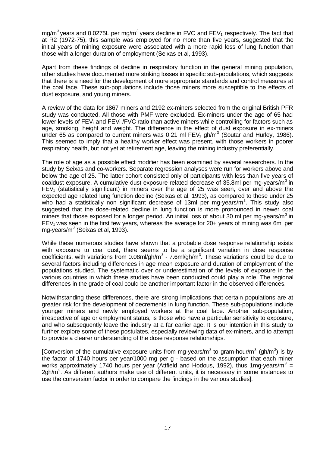mg/m<sup>3</sup> years and 0.0275L per mg/m<sup>3</sup> years decline in FVC and FEV<sub>1</sub> respectively. The fact that at R2 (1972-75), this sample was employed for no more than five years, suggested that the initial years of mining exposure were associated with a more rapid loss of lung function than those with a longer duration of employment (Seixas et al, 1993).

Apart from these findings of decline in respiratory function in the general mining population, other studies have documented more striking losses in specific sub-populations, which suggests that there is a need for the development of more appropriate standards and control measures at the coal face. These sub-populations include those miners more susceptible to the effects of dust exposure, and young miners.

A review of the data for 1867 miners and 2192 ex-miners selected from the original British PFR study was conducted. All those with PMF were excluded. Ex-miners under the age of 65 had lower levels of FEV<sub>1</sub> and FEV<sub>1</sub> /FVC ratio than active miners while controlling for factors such as age, smoking, height and weight. The difference in the effect of dust exposure in ex-miners under 65 as compared to current miners was 0.21 ml  $FEV<sub>1</sub>$  gh/m<sup>3</sup> (Soutar and Hurley, 1986). This seemed to imply that a healthy worker effect was present, with those workers in poorer respiratory health, but not yet at retirement age, leaving the mining industry preferentially.

The role of age as a possible effect modifier has been examined by several researchers. In the study by Seixas and co-workers. Separate regression analyses were run for workers above and below the age of 25. The latter cohort consisted only of participants with less than five years of coaldust exposure. A cumulative dust exposure related decrease of 35.8ml per mg-years/ $m<sup>3</sup>$  in  $FEV<sub>1</sub>$  (statistically significant) in miners over the age of 25 was seen, over and above the expected age related lung function decline (Seixas et al, 1993), as compared to those under 25 who had a statistically non significant decrease of 13ml per mg-years/m<sup>3</sup>. This study also suggested that the dose-related decline in lung function is more pronounced in newer coal miners that those exposed for a longer period. An initial loss of about 30 ml per mg-years/m<sup>3</sup> in  $FEV<sub>1</sub>$  was seen in the first few years, whereas the average for 20+ years of mining was 6ml per mg-years/ $m^3$  (Seixas et al, 1993).

While these numerous studies have shown that a probable dose response relationship exists with exposure to coal dust, there seems to be a significant variation in dose response coefficients, with variations from 0.08ml/gh/m<sup>3</sup> - 7.6ml/gh/m<sup>3</sup>. These variations could be due to several factors including differences in age mean exposure and duration of employment of the populations studied. The systematic over or underestimation of the levels of exposure in the various countries in which these studies have been conducted could play a role. The regional differences in the grade of coal could be another important factor in the observed differences.

Notwithstanding these differences, there are strong implications that certain populations are at greater risk for the development of decrements in lung function. These sub-populations include younger miners and newly employed workers at the coal face. Another sub-population, irrespective of age or employment status, is those who have a particular sensitivity to exposure, and who subsequently leave the industry at a far earlier age. It is our intention in this study to further explore some of these postulates, especially reviewing data of ex-miners, and to attempt to provide a clearer understanding of the dose response relationships.

[Conversion of the cumulative exposure units from mg-years/m<sup>3</sup> to gram-hour/m<sup>3</sup> (gh/m<sup>3</sup>) is by the factor of 1740 hours per year/1000 mg per g - based on the assumption that each miner works approximately 1740 hours per year (Attfield and Hodous, 1992), thus 1mg-years/m<sup>3</sup> = 2gh/m<sup>3</sup>. As different authors make use of different units, it is necessary in some instances to use the conversion factor in order to compare the findings in the various studies].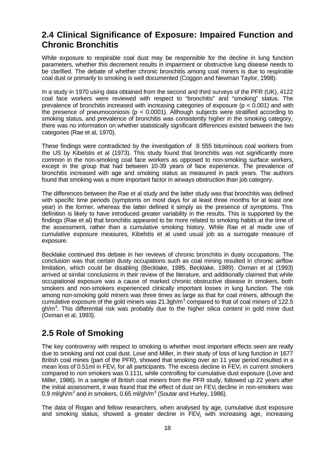## **2.4 Clinical Significance of Exposure: Impaired Function and Chronic Bronchitis**

While exposure to respirable coal dust may be responsible for the decline in lung function parameters, whether this decrement results in impairment or obstructive lung disease needs to be clarified. The debate of whether chronic bronchitis among coal miners is due to respirable coal dust or primarily to smoking is well documented (Coggon and Newman Taylor, 1998).

In a study in 1970 using data obtained from the second and third surveys of the PFR (UK), 4122 coal face workers were reviewed with respect to "bronchitis" and "smoking" status. The prevalence of bronchitis increased with increasing categories of exposure (p < 0.001) and with the presence of pneumoconiosis ( $p < 0.0001$ ). Although subjects were stratified according to smoking status, and prevalence of bronchitis was consistently higher in the smoking category, there was no information on whether statistically significant differences existed between the two categories (Rae et al, 1970).

These findings were contradicted by the investigation of 8 555 bituminous coal workers from the US by Kibelstis et al (1973). This study found that bronchitis was not significantly more common in the non-smoking coal face workers as opposed to non-smoking surface workers, except in the group that had between 10-39 years of face experience. The prevalence of bronchitis increased with age and smoking status as measured in pack years. The authors found that smoking was a more important factor in airways obstruction than job category.

The differences between the Rae et al study and the latter study was that bronchitis was defined with specific time periods (symptoms on most days for at least three months for at least one year) in the former, whereas the latter defined it simply as the presence of symptoms. This definition is likely to have introduced greater variability in the results. This is supported by the findings (Rae et al) that bronchitis appeared to be more related to smoking habits at the time of the assessment, rather than a cumulative smoking history. While Rae et al made use of cumulative exposure measures, Kibelstis et al used usual job as a surrogate measure of exposure.

Becklake continued this debate in her reviews of chronic bronchitis in dusty occupations. The conclusion was that certain dusty occupations such as coal mining resulted in chronic airflow limitation, which could be disabling (Becklake, 1985; Becklake, 1989). Oxman et al (1993) arrived at similar conclusions in their review of the literature, and additionally claimed that while occupational exposure was a cause of marked chronic obstructive disease in smokers, both smokers and non-smokers experienced clinically important losses in lung function. The risk among non-smoking gold miners was three times as large as that for coal miners, although the cumulative exposure of the gold miners was 21.3gh/m<sup>3</sup> compared to that of coal miners of 122.5 gh/m<sup>3</sup>. This differential risk was probably due to the higher silica content in gold mine dust (Oxman et al, 1993).

## **2.5 Role of Smoking**

The key controversy with respect to smoking is whether most important effects seen are really due to smoking and not coal dust. Love and Miller, in their study of loss of lung function in 1677 British coal mines (part of the PFR), showed that smoking over an 11 year period resulted in a mean loss of 0.51ml in FEV<sub>1</sub> for all participants. The excess decline in FEV<sub>1</sub> in current smokers compared to non smokers was 0.111L while controlling for cumulative dust exposure (Love and Miller, 1986). In a sample of British coal miners from the PFR study, followed up 22 years after the initial assessment, it was found that the effect of dust on  $FEV<sub>1</sub>$  decline in non-smokers was 0.9 ml/gh/m<sup>3</sup> and in smokers, 0.65 ml/gh/m<sup>3</sup> (Soutar and Hurley, 1986).

The data of Rogan and fellow researchers, when analysed by age, cumulative dust exposure and smoking status, showed a greater decline in  $FEV<sub>1</sub>$  with increasing age, increasing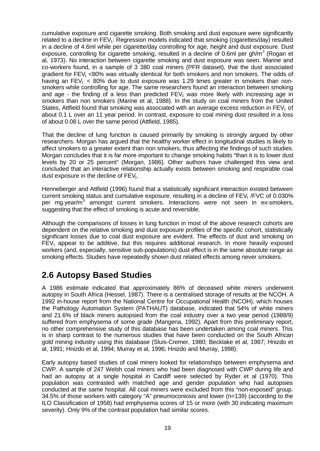cumulative exposure and cigarette smoking. Both smoking and dust exposure were significantly related to a decline in  $FEV<sub>1</sub>$ : Regression models indicated that smoking (cigarettes/day) resulted in a decline of 4.6ml while per cigarette/day controlling for age, height and dust exposure. Dust exposure, controlling for cigarette smoking, resulted in a decline of 0.6ml per gh/m<sup>3</sup> (Rogan et al, 1973). No interaction between cigarette smoking and dust exposure was seen. Marine and co-workers found, in a sample of 3 380 coal miners (PFR dataset), that the dust associated gradient for  $FEV<sub>1</sub>$  <80% was virtually identical for both smokers and non smokers. The odds of having an  $FEV_1$  < 80% due to dust exposure was 1.29 times greater in smokers than nonsmokers while controlling for age. The same researchers found an interaction between smoking and age - the finding of a less than predicted  $FEV<sub>1</sub>$  was more likely with increasing age in smokers than non smokers (Marine et al, 1988). In the study on coal miners from the United States, Attfield found that smoking was associated with an average excess reduction in  $FEV<sub>1</sub>$  of about 0.1 L over an 11 year period. In contrast, exposure to coal mining dust resulted in a loss of about 0.08 L over the same period (Attfield, 1985).

That the decline of lung function is caused primarily by smoking is strongly argued by other researchers. Morgan has argued that the healthy worker effect in longitudinal studies is likely to affect smokers to a greater extent than non smokers, thus affecting the findings of such studies. Morgan concludes that it is far more important to change smoking habits "than it is to lower dust levels by 20 or 25 percent" (Morgan, 1986). Other authors have challenged this view and concluded that an interactive relationship actually exists between smoking and respirable coal dust exposure in the decline of  $FEV<sub>1</sub>$ .

Henneberger and Attfield (1996) found that a statistically significant interaction existed between current smoking status and cumulative exposure, resulting in a decline of FEV<sub>1</sub> /FVC of 0.030% per mg.year/m<sup>3</sup> amongst current smokers. Interactions were not seen in ex-smokers, suggesting that the effect of smoking is acute and reversible.

Although the comparisons of losses in lung function in most of the above research cohorts are dependent on the relative smoking and dust exposure profiles of the specific cohort, statistically significant losses due to coal dust exposure are evident. The effects of dust and smoking on  $FEV<sub>1</sub>$  appear to be additive, but this requires additional research. In more heavily exposed workers (and, especially, sensitive sub-populations) dust effect is in the same absolute range as smoking effects. Studies have repeatedly shown dust related effects among never smokers.

## **2.6 Autopsy Based Studies**

A 1986 estimate indicated that approximately 86% of deceased white miners underwent autopsy in South Africa (Hessel, 1987). There is a centralised storage of results at the NCOH. A 1992 in-house report from the National Centre for Occupational Health (NCOH), which houses the Pathology Automation System (PATHAUT) database, indicated that 54% of white miners and 21.6% of black miners autopsied from the coal industry over a two year period (1988/9) suffered from emphysema of some grade (Mangena, 1992). Apart from this preliminary report, no other comprehensive study of this database has been undertaken among coal miners. This is in sharp contrast to the numerous studies that have been conducted on the South African gold mining industry using this database (Sluis-Cremer, 1980; Becklake et al, 1987; Hnizdo et al, 1991; Hnizdo et al, 1994; Murray et al, 1996; Hnizdo and Murray, 1998).

Early autopsy based studies of coal miners looked for relationships between emphysema and CWP. A sample of 247 Welsh coal miners who had been diagnosed with CWP during life and had an autopsy at a single hospital in Cardiff were selected by Ryder et al (1970). This population was contrasted with matched age and gender population who had autopsies conducted at the same hospital. All coal miners were excluded from this "non-exposed" group. 34.5% of those workers with category "A" pneumoconiosis and lower (n=139) (according to the ILO Classification of 1958) had emphysema scores of 15 or more (with 30 indicating maximum severity). Only 9% of the contrast population had similar scores.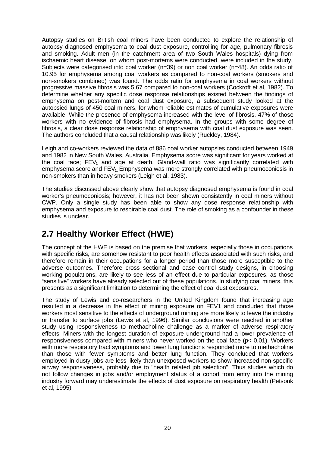Autopsy studies on British coal miners have been conducted to explore the relationship of autopsy diagnosed emphysema to coal dust exposure, controlling for age, pulmonary fibrosis and smoking. Adult men (in the catchment area of two South Wales hospitals) dying from ischaemic heart disease, on whom post-mortems were conducted, were included in the study. Subjects were categorised into coal worker (n=39) or non coal worker (n=48). An odds ratio of 10.95 for emphysema among coal workers as compared to non-coal workers (smokers and non-smokers combined) was found. The odds ratio for emphysema in coal workers without progressive massive fibrosis was 5.67 compared to non-coal workers (Cockroft et al, 1982). To determine whether any specific dose response relationships existed between the findings of emphysema on post-mortem and coal dust exposure, a subsequent study looked at the autopsied lungs of 450 coal miners, for whom reliable estimates of cumulative exposures were available. While the presence of emphysema increased with the level of fibrosis, 47% of those workers with no evidence of fibrosis had emphysema. In the groups with some degree of fibrosis, a clear dose response relationship of emphysema with coal dust exposure was seen. The authors concluded that a causal relationship was likely (Ruckley, 1984).

Leigh and co-workers reviewed the data of 886 coal worker autopsies conducted between 1949 and 1982 in New South Wales, Australia. Emphysema score was significant for years worked at the coal face;  $FEV_1$  and age at death. Gland-wall ratio was significantly correlated with emphysema score and  $FEV<sub>1</sub>$  Emphysema was more strongly correlated with pneumoconiosis in non-smokers than in heavy smokers (Leigh et al, 1983).

The studies discussed above clearly show that autopsy diagnosed emphysema is found in coal worker's pneumoconiosis; however, it has not been shown consistently in coal miners without CWP. Only a single study has been able to show any dose response relationship with emphysema and exposure to respirable coal dust. The role of smoking as a confounder in these studies is unclear.

## **2.7 Healthy Worker Effect (HWE)**

The concept of the HWE is based on the premise that workers, especially those in occupations with specific risks, are somehow resistant to poor health effects associated with such risks, and therefore remain in their occupations for a longer period than those more susceptible to the adverse outcomes. Therefore cross sectional and case control study designs, in choosing working populations, are likely to see less of an effect due to particular exposures, as those "sensitive" workers have already selected out of these populations. In studying coal miners, this presents as a significant limitation to determining the effect of coal dust exposures.

The study of Lewis and co-researchers in the United Kingdom found that increasing age resulted in a decrease in the effect of mining exposure on FEV1 and concluded that those workers most sensitive to the effects of underground mining are more likely to leave the industry or transfer to surface jobs (Lewis et al, 1996). Similar conclusions were reached in another study using responsiveness to methacholine challenge as a marker of adverse respiratory effects. Miners with the longest duration of exposure underground had a lower prevalence of responsiveness compared with miners who never worked on the coal face (p< 0.01). Workers with more respiratory tract symptoms and lower lung functions responded more to methacholine than those with fewer symptoms and better lung function. They concluded that workers employed in dusty jobs are less likely than unexposed workers to show increased non-specific airway responsiveness, probably due to "health related job selection". Thus studies which do not follow changes in jobs and/or employment status of a cohort from entry into the mining industry forward may underestimate the effects of dust exposure on respiratory health (Petsonk et al, 1995).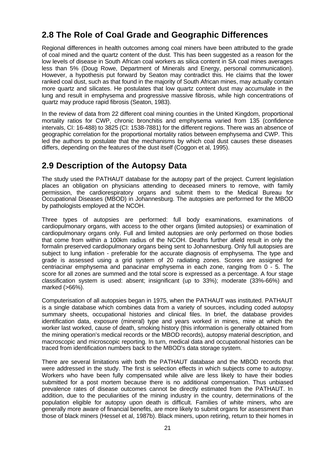## **2.8 The Role of Coal Grade and Geographic Differences**

Regional differences in health outcomes among coal miners have been attributed to the grade of coal mined and the quartz content of the dust. This has been suggested as a reason for the low levels of disease in South African coal workers as silica content in SA coal mines averages less than 5% (Doug Rowe, Department of Minerals and Energy, personal communication). However, a hypothesis put forward by Seaton may contradict this. He claims that the lower ranked coal dust, such as that found in the majority of South African mines, may actually contain more quartz and silicates. He postulates that low quartz content dust may accumulate in the lung and result in emphysema and progressive massive fibrosis, while high concentrations of quartz may produce rapid fibrosis (Seaton, 1983).

In the review of data from 22 different coal mining counties in the United Kingdom, proportional mortality ratios for CWP, chronic bronchitis and emphysema varied from 135 (confidence intervals, CI: 16-488) to 3825 (CI: 1538-7881) for the different regions. There was an absence of geographic correlation for the proportional mortality ratios between emphysema and CWP. This led the authors to postulate that the mechanisms by which coal dust causes these diseases differs, depending on the features of the dust itself (Coggon et al, 1995).

## **2.9 Description of the Autopsy Data**

The study used the PATHAUT database for the autopsy part of the project. Current legislation places an obligation on physicians attending to deceased miners to remove, with family permission, the cardiorespiratory organs and submit them to the Medical Bureau for Occupational Diseases (MBOD) in Johannesburg. The autopsies are performed for the MBOD by pathologists employed at the NCOH.

Three types of autopsies are performed: full body examinations, examinations of cardiopulmonary organs, with access to the other organs (limited autopsies) or examination of cardiopulmonary organs only. Full and limited autopsies are only performed on those bodies that come from within a 100km radius of the NCOH. Deaths further afield result in only the formalin preserved cardiopulmonary organs being sent to Johannesburg. Only full autopsies are subject to lung inflation - preferable for the accurate diagnosis of emphysema. The type and grade is assessed using a grid system of 20 radiating zones. Scores are assigned for centriacinar emphysema and panacinar emphysema in each zone, ranging from 0 - 5. The score for all zones are summed and the total score is expressed as a percentage. A four stage classification system is used: absent; insignificant (up to 33%); moderate (33%-66%) and marked (>66%).

Computerisation of all autopsies began in 1975, when the PATHAUT was instituted. PATHAUT is a single database which combines data from a variety of sources, including coded autopsy summary sheets, occupational histories and clinical files. In brief, the database provides identification data, exposure (mineral) type and years worked in mines, mine at which the worker last worked, cause of death, smoking history (this information is generally obtained from the mining operation's medical records or the MBOD records), autopsy material description, and macroscopic and microscopic reporting. In turn, medical data and occupational histories can be traced from identification numbers back to the MBOD's data storage system.

There are several limitations with both the PATHAUT database and the MBOD records that were addressed in the study. The first is selection effects in which subjects come to autopsy. Workers who have been fully compensated while alive are less likely to have their bodies submitted for a post mortem because there is no additional compensation. Thus unbiased prevalence rates of disease outcomes cannot be directly estimated from the PATHAUT. In addition, due to the peculiarities of the mining industry in the country, determinations of the population eligible for autopsy upon death is difficult. Families of white miners, who are generally more aware of financial benefits, are more likely to submit organs for assessment than those of black miners (Hessel et al, 1987b). Black miners, upon retiring, return to their homes in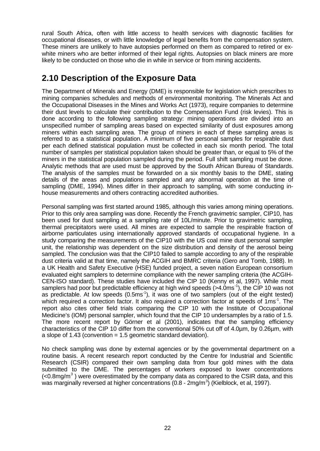rural South Africa, often with little access to health services with diagnostic facilities for occupational diseases, or with little knowledge of legal benefits from the compensation system. These miners are unlikely to have autopsies performed on them as compared to retired or exwhite miners who are better informed of their legal rights. Autopsies on black miners are more likely to be conducted on those who die in while in service or from mining accidents.

## **2.10 Description of the Exposure Data**

The Department of Minerals and Energy (DME) is responsible for legislation which prescribes to mining companies schedules and methods of environmental monitoring. The Minerals Act and the Occupational Diseases in the Mines and Works Act (1973), require companies to determine their dust levels to calculate their contribution to the Compensation Fund (risk levies). This is done according to the following sampling strategy: mining operations are divided into an unspecified number of sampling areas based on expected similarity of dust exposures among miners within each sampling area. The group of miners in each of these sampling areas is referred to as a statistical population. A minimum of five personal samples for respirable dust per each defined statistical population must be collected in each six month period. The total number of samples per statistical population taken should be greater than, or equal to 5% of the miners in the statistical population sampled during the period. Full shift sampling must be done. Analytic methods that are used must be approved by the South African Bureau of Standards. The analysis of the samples must be forwarded on a six monthly basis to the DME, stating details of the areas and populations sampled and any abnormal operation at the time of sampling (DME, 1994). Mines differ in their approach to sampling, with some conducting inhouse measurements and others contracting accredited authorities.

Personal sampling was first started around 1985, although this varies among mining operations. Prior to this only area sampling was done. Recently the French gravimetric sampler, CIP10, has been used for dust sampling at a sampling rate of 10L/minute. Prior to gravimetric sampling, thermal precipitators were used. All mines are expected to sample the respirable fraction of airborne particulates using internationally approved standards of occupational hygiene. In a study comparing the measurements of the CIP10 with the US coal mine dust personal sampler unit, the relationship was dependent on the size distribution and density of the aerosol being sampled. The conclusion was that the CIP10 failed to sample according to any of the respirable dust criteria valid at that time, namely the ACGIH and BMRC criteria (Gero and Tomb, 1988). In a UK Health and Safety Executive (HSE) funded project, a seven nation European consortium evaluated eight samplers to determine compliance with the newer sampling criteria (the ACGIH-CEN-ISO standard). These studies have included the CIP 10 (Kenny et al, 1997). While most samplers had poor but predictable efficiency at high wind speeds (>4.0ms<sup>-1</sup>), the CIP 10 was not as predictable. At low speeds  $(0.5\text{ms}^{-1})$ , it was one of two samplers (out of the eight tested) which required a correction factor. It also required a correction factor at speeds of 1ms<sup>-1</sup>. The report also cites other field trials comparing the CIP 10 with the Institute of Occupational Medicine's (IOM) personal sampler, which found that the CIP 10 undersamples by a ratio of 1.5. The more recent report by Görner et al (2001), indicates that the sampling efficiency characteristics of the CIP 10 differ from the conventional 50% cut off of 4.0µm, by 0.26µm, with a slope of 1.43 (convention = 1.5 geometric standard deviation).

No check sampling was done by external agencies or by the governmental department on a routine basis. A recent research report conducted by the Centre for Industrial and Scientific Research (CSIR) compared their own sampling data from four gold mines with the data submitted to the DME. The percentages of workers exposed to lower concentrations  $\left($ <0.8mg/m<sup>3</sup>) were overestimated by the company data as compared to the CSIR data, and this was marginally reversed at higher concentrations (0.8 - 2mg/m<sup>3</sup>) (Kielblock, et al, 1997).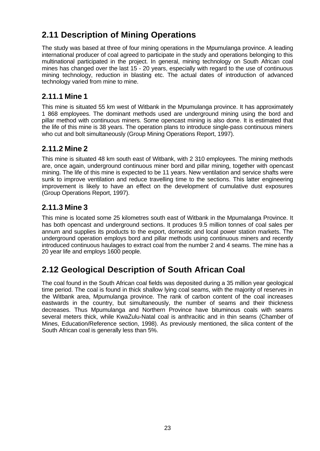## **2.11 Description of Mining Operations**

The study was based at three of four mining operations in the Mpumulanga province. A leading international producer of coal agreed to participate in the study and operations belonging to this multinational participated in the project. In general, mining technology on South African coal mines has changed over the last 15 - 20 years, especially with regard to the use of continuous mining technology, reduction in blasting etc. The actual dates of introduction of advanced technology varied from mine to mine.

### **2.11.1 Mine 1**

This mine is situated 55 km west of Witbank in the Mpumulanga province. It has approximately 1 868 employees. The dominant methods used are underground mining using the bord and pillar method with continuous miners. Some opencast mining is also done. It is estimated that the life of this mine is 38 years. The operation plans to introduce single-pass continuous miners who cut and bolt simultaneously (Group Mining Operations Report, 1997).

### **2.11.2 Mine 2**

This mine is situated 48 km south east of Witbank, with 2 310 employees. The mining methods are, once again, underground continuous miner bord and pillar mining, together with opencast mining. The life of this mine is expected to be 11 years. New ventilation and service shafts were sunk to improve ventilation and reduce travelling time to the sections. This latter engineering improvement is likely to have an effect on the development of cumulative dust exposures (Group Operations Report, 1997).

## **2.11.3 Mine 3**

This mine is located some 25 kilometres south east of Witbank in the Mpumalanga Province. It has both opencast and underground sections. It produces 9.5 million tonnes of coal sales per annum and supplies its products to the export, domestic and local power station markets. The underground operation employs bord and pillar methods using continuous miners and recently introduced continuous haulages to extract coal from the number 2 and 4 seams. The mine has a 20 year life and employs 1600 people.

## **2.12 Geological Description of South African Coal**

The coal found in the South African coal fields was deposited during a 35 million year geological time period. The coal is found in thick shallow lying coal seams, with the majority of reserves in the Witbank area, Mpumulanga province. The rank of carbon content of the coal increases eastwards in the country, but simultaneously, the number of seams and their thickness decreases. Thus Mpumulanga and Northern Province have bituminous coals with seams several meters thick, while KwaZulu-Natal coal is anthracitic and in thin seams (Chamber of Mines, Education/Reference section, 1998). As previously mentioned, the silica content of the South African coal is generally less than 5%.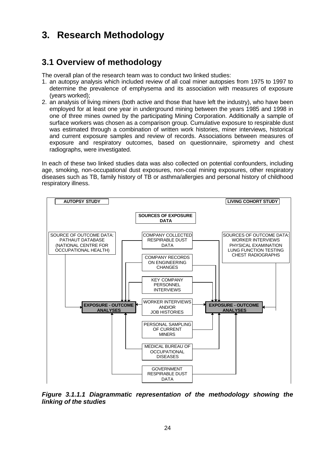# **3. Research Methodology**

## **3.1 Overview of methodology**

The overall plan of the research team was to conduct two linked studies:

- 1. an autopsy analysis which included review of all coal miner autopsies from 1975 to 1997 to determine the prevalence of emphysema and its association with measures of exposure (years worked);
- 2. an analysis of living miners (both active and those that have left the industry), who have been employed for at least one year in underground mining between the years 1985 and 1998 in one of three mines owned by the participating Mining Corporation. Additionally a sample of surface workers was chosen as a comparison group. Cumulative exposure to respirable dust was estimated through a combination of written work histories, miner interviews, historical and current exposure samples and review of records. Associations between measures of exposure and respiratory outcomes, based on questionnaire, spirometry and chest radiographs, were investigated.

In each of these two linked studies data was also collected on potential confounders, including age, smoking, non-occupational dust exposures, non-coal mining exposures, other respiratory diseases such as TB, family history of TB or asthma/allergies and personal history of childhood respiratory illness.



*Figure 3.1.1.1 Diagrammatic representation of the methodology showing the linking of the studies*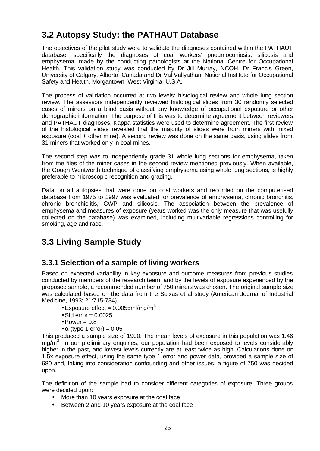## **3.2 Autopsy Study: the PATHAUT Database**

The objectives of the pilot study were to validate the diagnoses contained within the PATHAUT database, specifically the diagnoses of coal workers' pneumoconiosis, silicosis and emphysema, made by the conducting pathologists at the National Centre for Occupational Health. This validation study was conducted by Dr Jill Murray, NCOH, Dr Francis Green, University of Calgary, Alberta, Canada and Dr Val Vallyathan, National Institute for Occupational Safety and Health, Morgantown, West Virginia, U.S.A.

The process of validation occurred at two levels: histological review and whole lung section review. The assessors independently reviewed histological slides from 30 randomly selected cases of miners on a blind basis without any knowledge of occupational exposure or other demographic information. The purpose of this was to determine agreement between reviewers and PATHAUT diagnoses. Kappa statistics were used to determine agreement. The first review of the histological slides revealed that the majority of slides were from miners with mixed exposure (coal + other mine). A second review was done on the same basis, using slides from 31 miners that worked only in coal mines.

The second step was to independently grade 31 whole lung sections for emphysema, taken from the files of the miner cases in the second review mentioned previously. When available, the Gough Wentworth technique of classifying emphysema using whole lung sections, is highly preferable to microscopic recognition and grading.

Data on all autopsies that were done on coal workers and recorded on the computerised database from 1975 to 1997 was evaluated for prevalence of emphysema, chronic bronchitis, chronic bronchiolitis, CWP and silicosis. The association between the prevalence of emphysema and measures of exposure (years worked was the only measure that was usefully collected on the database) was examined, including multivariable regressions controlling for smoking, age and race.

## **3.3 Living Sample Study**

### **3.3.1 Selection of a sample of living workers**

Based on expected variability in key exposure and outcome measures from previous studies conducted by members of the research team, and by the levels of exposure experienced by the proposed sample, a recommended number of 750 miners was chosen. The original sample size was calculated based on the data from the Seixas et al study (American Journal of Industrial Medicine, 1993; 21:715-734).

- Exposure effect =  $0.0055$ ml/mg/m<sup>3</sup>
- Std error  $= 0.0025$
- $\bullet$  Power = 0.8
- $\alpha$  (type 1 error) = 0.05

This produced a sample size of 1900. The mean levels of exposure in this population was 1.46 mg/m<sup>3</sup>. In our preliminary enquiries, our population had been exposed to levels considerably higher in the past, and lowest levels currently are at least twice as high. Calculations done on 1.5x exposure effect, using the same type 1 error and power data, provided a sample size of 680 and, taking into consideration confounding and other issues, a figure of 750 was decided upon.

The definition of the sample had to consider different categories of exposure. Three groups were decided upon:

- More than 10 years exposure at the coal face
- Between 2 and 10 years exposure at the coal face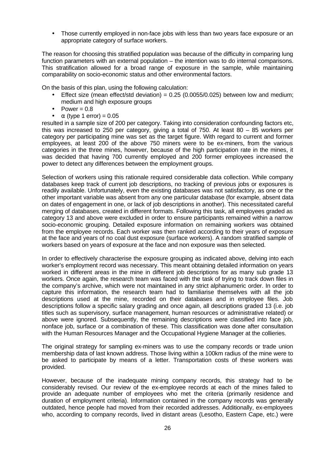• Those currently employed in non-face jobs with less than two years face exposure or an appropriate category of surface workers.

The reason for choosing this stratified population was because of the difficulty in comparing lung function parameters with an external population – the intention was to do internal comparisons. This stratification allowed for a broad range of exposure in the sample, while maintaining comparability on socio-economic status and other environmental factors.

On the basis of this plan, using the following calculation:

- Effect size (mean effect/std deviation) =  $0.25$  (0.0055/0.025) between low and medium; medium and high exposure groups
- Power  $= 0.8$
- $\alpha$  (type 1 error) = 0.05

resulted in a sample size of 200 per category. Taking into consideration confounding factors etc, this was increased to 250 per category, giving a total of 750. At least 80 – 85 workers per category per participating mine was set as the target figure. With regard to current and former employees, at least 200 of the above 750 miners were to be ex-miners, from the various categories in the three mines, however, because of the high participation rate in the mines, it was decided that having 700 currently employed and 200 former employees increased the power to detect any differences between the employment groups.

Selection of workers using this rationale required considerable data collection. While company databases keep track of current job descriptions, no tracking of previous jobs or exposures is readily available. Unfortunately, even the existing databases was not satisfactory, as one or the other important variable was absent from any one particular database (for example, absent data on dates of engagement in one, or lack of job descriptions in another). This necessitated careful merging of databases, created in different formats. Following this task, all employees graded as category 13 and above were excluded in order to ensure participants remained within a narrow socio-economic grouping. Detailed exposure information on remaining workers was obtained from the employee records. Each worker was then ranked according to their years of exposure at the face and years of no coal dust exposure (surface workers). A random stratified sample of workers based on years of exposure at the face and non exposure was then selected.

In order to effectively characterise the exposure grouping as indicated above, delving into each worker's employment record was necessary. This meant obtaining detailed information on years worked in different areas in the mine in different job descriptions for as many sub grade 13 workers. Once again, the research team was faced with the task of trying to track down files in the company's archive, which were not maintained in any strict alphanumeric order. In order to capture this information, the research team had to familiarise themselves with all the job descriptions used at the mine, recorded on their databases and in employee files. Job descriptions follow a specific salary grading and once again, all descriptions graded 13 (i.e. job titles such as supervisory, surface management, human resources or administrative related) or above were ignored. Subsequently, the remaining descriptions were classified into face job, nonface job, surface or a combination of these. This classification was done after consultation with the Human Resources Manager and the Occupational Hygiene Manager at the collieries.

The original strategy for sampling ex-miners was to use the company records or trade union membership data of last known address. Those living within a 100km radius of the mine were to be asked to participate by means of a letter. Transportation costs of these workers was provided.

However, because of the inadequate mining company records, this strategy had to be considerably revised. Our review of the ex-employee records at each of the mines failed to provide an adequate number of employees who met the criteria (primarily residence and duration of employment criteria). Information contained in the company records was generally outdated, hence people had moved from their recorded addresses. Additionally, ex-employees who, according to company records, lived in distant areas (Lesotho, Eastern Cape, etc.) were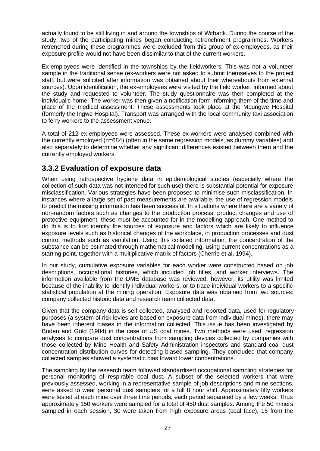actually found to be still living in and around the townships of Witbank. During the course of the study, two of the participating mines began conducting retrenchment programmes. Workers retrenched during these programmes were excluded from this group of ex-employees, as their exposure profile would not have been dissimilar to that of the current workers.

Ex-employees were identified in the townships by the fieldworkers. This was not a volunteer sample in the traditional sense (ex-workers were not asked to submit themselves to the project staff, but were solicited after information was obtained about their whereabouts from external sources). Upon identification, the ex-employees were visited by the field worker, informed about the study and requested to volunteer. The study questionnaire was then completed at the individual's home. The worker was then given a notification form informing them of the time and place of the medical assessment. These assessments took place at the Mpungwe Hospital (formerly the Ingwe Hospital). Transport was arranged with the local community taxi association to ferry workers to the assessment venue.

A total of 212 ex-employees were assessed. These ex-workers were analysed combined with the currently employed (n=684) (often in the same regression models, as dummy variables) and also separately to determine whether any significant differences existed between them and the currently employed workers.

### **3.3.2 Evaluation of exposure data**

When using retrospective hygiene data in epidemiological studies (especially where the collection of such data was not intended for such use) there is substantial potential for exposure misclassification. Various strategies have been proposed to minimise such misclassification. In instances where a large set of past measurements are available, the use of regression models to predict the missing information has been successful. In situations where there are a variety of non-random factors such as changes to the production process, product changes and use of protective equipment, these must be accounted for in the modelling approach. One method to do this is to first identify the sources of exposure and factors which are likely to influence exposure levels such as historical changes of the workplace, in production processes and dust control methods such as ventilation. Using this collated information, the concentration of the substance can be estimated through mathematical modelling, using current concentrations as a starting point, together with a multiplicative matrix of factors (Cherrie et al, 1994).

In our study, cumulative exposure variables for each worker were constructed based on job descriptions, occupational histories, which included job titles, and worker interviews. The information available from the DME database was reviewed; however, its utility was limited because of the inability to identify individual workers, or to trace individual workers to a specific statistical population at the mining operation. Exposure data was obtained from two sources: company collected historic data and research team collected data.

Given that the company data is self collected, analysed and reported data, used for regulatory purposes (a system of risk levies are based on exposure data from individual mines), there may have been inherent biases in the information collected. This issue has been investigated by Boden and Gold (1984) in the case of US coal mines. Two methods were used: regression analyses to compare dust concentrations from sampling devices collected by companies with those collected by Mine Health and Safety Administration inspectors and standard coal dust concentration distribution curves for detecting biased sampling. They concluded that company collected samples showed a systematic bias toward lower concentrations.

The sampling by the research team followed standardised occupational sampling strategies for personal monitoring of respirable coal dust. A subset of the selected workers that were previously assessed, working in a representative sample of job descriptions and mine sections, were asked to wear personal dust samplers for a full 8 hour shift. Approximately fifty workers were tested at each mine over three time periods, each period separated by a few weeks. Thus approximately 150 workers were sampled for a total of 450 dust samples. Among the 50 miners sampled in each session, 30 were taken from high exposure areas (coal face), 15 from the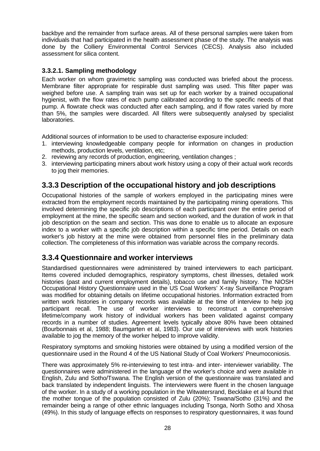backbye and the remainder from surface areas. All of these personal samples were taken from individuals that had participated in the health assessment phase of the study. The analysis was done by the Colliery Environmental Control Services (CECS). Analysis also included assessment for silica content.

#### **3.3.2.1. Sampling methodology**

Each worker on whom gravimetric sampling was conducted was briefed about the process. Membrane filter appropriate for respirable dust sampling was used. This filter paper was weighed before use. A sampling train was set up for each worker by a trained occupational hygienist, with the flow rates of each pump calibrated according to the specific needs of that pump. A flowrate check was conducted after each sampling, and if flow rates varied by more than 5%, the samples were discarded. All filters were subsequently analysed by specialist laboratories.

Additional sources of information to be used to characterise exposure included:

- 1. interviewing knowledgeable company people for information on changes in production methods, production levels, ventilation, etc;
- 2. reviewing any records of production, engineering, ventilation changes ;
- 3. interviewing participating miners about work history using a copy of their actual work records to jog their memories.

### **3.3.3 Description of the occupational history and job descriptions**

Occupational histories of the sample of workers employed in the participating mines were extracted from the employment records maintained by the participating mining operations. This involved determining the specific job descriptions of each participant over the entire period of employment at the mine, the specific seam and section worked, and the duration of work in that job description on the seam and section. This was done to enable us to allocate an exposure index to a worker with a specific job description within a specific time period. Details on each worker's job history at the mine were obtained from personnel files in the preliminary data collection. The completeness of this information was variable across the company records.

### **3.3.4 Questionnaire and worker interviews**

Standardised questionnaires were administered by trained interviewers to each participant. Items covered included demographics, respiratory symptoms, chest illnesses, detailed work histories (past and current employment details), tobacco use and family history. The NIOSH Occupational History Questionnaire used in the US Coal Workers' X-ray Surveillance Program was modified for obtaining details on lifetime occupational histories. Information extracted from written work histories in company records was available at the time of interview to help jog participant recall. The use of worker interviews to reconstruct a comprehensive lifetime/company work history of individual workers has been validated against company records in a number of studies. Agreement levels typically above 80% have been obtained (Bourbonnais et al, 1988; Baumgarten et al, 1983). Our use of interviews with work histories available to jog the memory of the worker helped to improve validity.

Respiratory symptoms and smoking histories were obtained by using a modified version of the questionnaire used in the Round 4 of the US National Study of Coal Workers' Pneumoconiosis.

There was approximately 5% re-interviewing to test intra- and inter- interviewer variability. The questionnaires were administered in the language of the worker's choice and were available in English, Zulu and Sotho/Tswana. The English version of the questionnaire was translated and back translated by independent linguists. The interviewers were fluent in the chosen language of the worker. In a study of a working population in the Witwatersrand, Becklake et al found that the mother tongue of the population consisted of Zulu (20%); Tswana/Sotho (31%) and the remainder being a range of other ethnic languages including Tsonga, North Sotho and Xhosa (49%). In this study of language effects on responses to respiratory questionnaires, it was found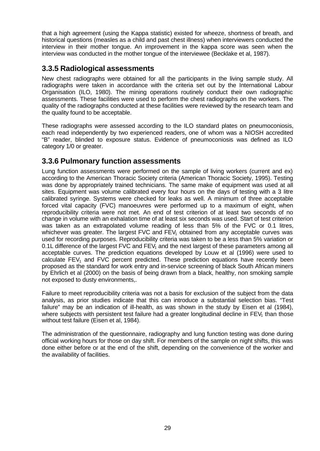that a high agreement (using the Kappa statistic) existed for wheeze, shortness of breath, and historical questions (measles as a child and past chest illness) when interviewers conducted the interview in their mother tongue. An improvement in the kappa score was seen when the interview was conducted in the mother tongue of the interviewee (Becklake et al, 1987).

### **3.3.5 Radiological assessments**

New chest radiographs were obtained for all the participants in the living sample study. All radiographs were taken in accordance with the criteria set out by the International Labour Organisation (ILO, 1980). The mining operations routinely conduct their own radiographic assessments. These facilities were used to perform the chest radiographs on the workers. The quality of the radiographs conducted at these facilities were reviewed by the research team and the quality found to be acceptable.

These radiographs were assessed according to the ILO standard plates on pneumoconiosis, each read independently by two experienced readers, one of whom was a NIOSH accredited "B" reader, blinded to exposure status. Evidence of pneumoconiosis was defined as ILO category 1/0 or greater.

### **3.3.6 Pulmonary function assessments**

Lung function assessments were performed on the sample of living workers (current and ex) according to the American Thoracic Society criteria (American Thoracic Society, 1995). Testing was done by appropriately trained technicians. The same make of equipment was used at all sites. Equipment was volume calibrated every four hours on the days of testing with a 3 litre calibrated syringe. Systems were checked for leaks as well. A minimum of three acceptable forced vital capacity (FVC) manoeuvres were performed up to a maximum of eight, when reproducibility criteria were not met. An end of test criterion of at least two seconds of no change in volume with an exhalation time of at least six seconds was used. Start of test criterion was taken as an extrapolated volume reading of less than 5% of the FVC or 0.1 litres, whichever was greater. The largest FVC and  $FEV<sub>1</sub>$  obtained from any acceptable curves was used for recording purposes. Reproducibility criteria was taken to be a less than 5% variation or 0.1L difference of the largest  $FVC$  and  $FEV<sub>1</sub>$  and the next largest of these parameters among all acceptable curves. The prediction equations developed by Louw et al (1996) were used to calculate  $FEV<sub>1</sub>$  and  $FVC$  percent predicted. These prediction equations have recently been proposed as the standard for work entry and in-service screening of black South African miners by Ehrlich et al (2000) on the basis of being drawn from a black, healthy, non smoking sample not exposed to dusty environments,.

Failure to meet reproducibility criteria was not a basis for exclusion of the subject from the data analysis, as prior studies indicate that this can introduce a substantial selection bias. "Test failure" may be an indication of ill-health, as was shown in the study by Eisen et al (1984), where subjects with persistent test failure had a greater longitudinal decline in  $FEV<sub>1</sub>$  than those without test failure (Eisen et al, 1984).

The administration of the questionnaire, radiography and lung function testing was done during official working hours for those on day shift. For members of the sample on night shifts, this was done either before or at the end of the shift, depending on the convenience of the worker and the availability of facilities.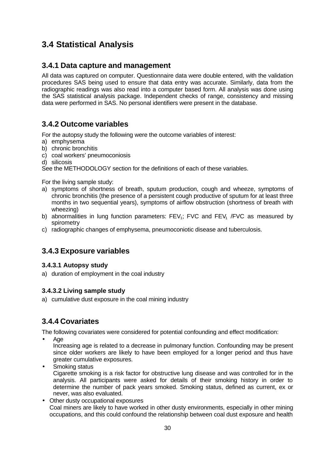## **3.4 Statistical Analysis**

### **3.4.1 Data capture and management**

All data was captured on computer. Questionnaire data were double entered, with the validation procedures SAS being used to ensure that data entry was accurate. Similarly, data from the radiographic readings was also read into a computer based form. All analysis was done using the SAS statistical analysis package. Independent checks of range, consistency and missing data were performed in SAS. No personal identifiers were present in the database.

### **3.4.2 Outcome variables**

For the autopsy study the following were the outcome variables of interest:

- a) emphysema
- b) chronic bronchitis
- c) coal workers' pneumoconiosis
- d) silicosis

See the METHODOLOGY section for the definitions of each of these variables.

For the living sample study:

- a) symptoms of shortness of breath, sputum production, cough and wheeze, symptoms of chronic bronchitis (the presence of a persistent cough productive of sputum for at least three months in two sequential years), symptoms of airflow obstruction (shortness of breath with wheezing)
- b) abnormalities in lung function parameters:  $FEV<sub>1</sub>$ ; FVC and  $FEV<sub>1</sub>$  /FVC as measured by spirometry
- c) radiographic changes of emphysema, pneumoconiotic disease and tuberculosis.

### **3.4.3 Exposure variables**

#### **3.4.3.1 Autopsy study**

a) duration of employment in the coal industry

#### **3.4.3.2 Living sample study**

a) cumulative dust exposure in the coal mining industry

### **3.4.4 Covariates**

The following covariates were considered for potential confounding and effect modification:

• Age

Increasing age is related to a decrease in pulmonary function. Confounding may be present since older workers are likely to have been employed for a longer period and thus have greater cumulative exposures.

- Smoking status Cigarette smoking is a risk factor for obstructive lung disease and was controlled for in the analysis. All participants were asked for details of their smoking history in order to determine the number of pack years smoked. Smoking status, defined as current, ex or never, was also evaluated.
- Other dusty occupational exposures Coal miners are likely to have worked in other dusty environments, especially in other mining occupations, and this could confound the relationship between coal dust exposure and health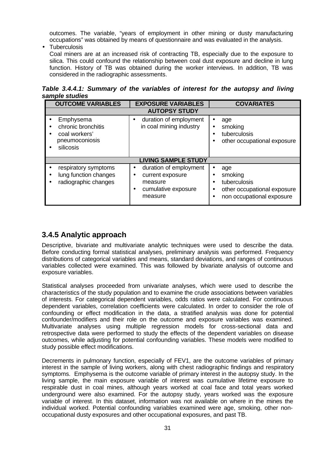outcomes. The variable, "years of employment in other mining or dusty manufacturing occupations" was obtained by means of questionnaire and was evaluated in the analysis.

• Tuberculosis

Coal miners are at an increased risk of contracting TB, especially due to the exposure to silica. This could confound the relationship between coal dust exposure and decline in lung function. History of TB was obtained during the worker interviews. In addition, TB was considered in the radiographic assessments.

*Table 3.4.4.1: Summary of the variables of interest for the autopsy and living sample studies*

| <b>OUTCOME VARIABLES</b>                                                        | <b>EXPOSURE VARIABLES</b>                                                                    | <b>COVARIATES</b>                                                                                                    |  |
|---------------------------------------------------------------------------------|----------------------------------------------------------------------------------------------|----------------------------------------------------------------------------------------------------------------------|--|
| <b>AUTOPSY STUDY</b>                                                            |                                                                                              |                                                                                                                      |  |
| Emphysema<br>chronic bronchitis<br>coal workers'<br>pneumoconiosis<br>silicosis | duration of employment<br>in coal mining industry                                            | age<br>smoking<br>tuberculosis<br>$\bullet$<br>other occupational exposure                                           |  |
|                                                                                 | <b>LIVING SAMPLE STUDY</b>                                                                   |                                                                                                                      |  |
| respiratory symptoms<br>lung function changes<br>٠<br>radiographic changes      | duration of employment<br>current exposure<br>٠<br>measure<br>cumulative exposure<br>measure | age<br>smoking<br>$\bullet$<br>tuberculosis<br>other occupational exposure<br>$\bullet$<br>non occupational exposure |  |

## **3.4.5 Analytic approach**

Descriptive, bivariate and multivariate analytic techniques were used to describe the data. Before conducting formal statistical analyses, preliminary analysis was performed. Frequency distributions of categorical variables and means, standard deviations, and ranges of continuous variables collected were examined. This was followed by bivariate analysis of outcome and exposure variables.

Statistical analyses proceeded from univariate analyses, which were used to describe the characteristics of the study population and to examine the crude associations between variables of interests. For categorical dependent variables, odds ratios were calculated. For continuous dependent variables, correlation coefficients were calculated. In order to consider the role of confounding or effect modification in the data, a stratified analysis was done for potential confounder/modifiers and their role on the outcome and exposure variables was examined. Multivariate analyses using multiple regression models for cross-sectional data and retrospective data were performed to study the effects of the dependent variables on disease outcomes, while adjusting for potential confounding variables. These models were modified to study possible effect modifications.

Decrements in pulmonary function, especially of FEV1, are the outcome variables of primary interest in the sample of living workers, along with chest radiographic findings and respiratory symptoms. Emphysema is the outcome variable of primary interest in the autopsy study. In the living sample, the main exposure variable of interest was cumulative lifetime exposure to respirable dust in coal mines, although years worked at coal face and total years worked underground were also examined. For the autopsy study, years worked was the exposure variable of interest. In this dataset, information was not available on where in the mines the individual worked. Potential confounding variables examined were age, smoking, other nonoccupational dusty exposures and other occupational exposures, and past TB.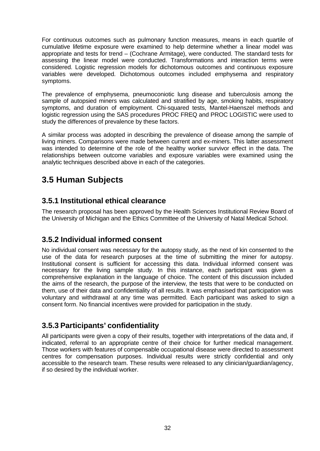For continuous outcomes such as pulmonary function measures, means in each quartile of cumulative lifetime exposure were examined to help determine whether a linear model was appropriate and tests for trend – (Cochrane Armitage), were conducted. The standard tests for assessing the linear model were conducted. Transformations and interaction terms were considered. Logistic regression models for dichotomous outcomes and continuous exposure variables were developed. Dichotomous outcomes included emphysema and respiratory symptoms.

The prevalence of emphysema, pneumoconiotic lung disease and tuberculosis among the sample of autopsied miners was calculated and stratified by age, smoking habits, respiratory symptoms, and duration of employment. Chi-squared tests, Mantel-Haenszel methods and logistic regression using the SAS procedures PROC FREQ and PROC LOGISTIC were used to study the differences of prevalence by these factors.

A similar process was adopted in describing the prevalence of disease among the sample of living miners. Comparisons were made between current and ex-miners. This latter assessment was intended to determine of the role of the healthy worker survivor effect in the data. The relationships between outcome variables and exposure variables were examined using the analytic techniques described above in each of the categories.

## **3.5 Human Subjects**

### **3.5.1 Institutional ethical clearance**

The research proposal has been approved by the Health Sciences Institutional Review Board of the University of Michigan and the Ethics Committee of the University of Natal Medical School.

### **3.5.2 Individual informed consent**

No individual consent was necessary for the autopsy study, as the next of kin consented to the use of the data for research purposes at the time of submitting the miner for autopsy. Institutional consent is sufficient for accessing this data. Individual informed consent was necessary for the living sample study. In this instance, each participant was given a comprehensive explanation in the language of choice. The content of this discussion included the aims of the research, the purpose of the interview, the tests that were to be conducted on them, use of their data and confidentiality of all results. It was emphasised that participation was voluntary and withdrawal at any time was permitted. Each participant was asked to sign a consent form. No financial incentives were provided for participation in the study.

## **3.5.3 Participants' confidentiality**

All participants were given a copy of their results, together with interpretations of the data and, if indicated, referral to an appropriate centre of their choice for further medical management. Those workers with features of compensable occupational disease were directed to assessment centres for compensation purposes. Individual results were strictly confidential and only accessible to the research team. These results were released to any clinician/guardian/agency, if so desired by the individual worker.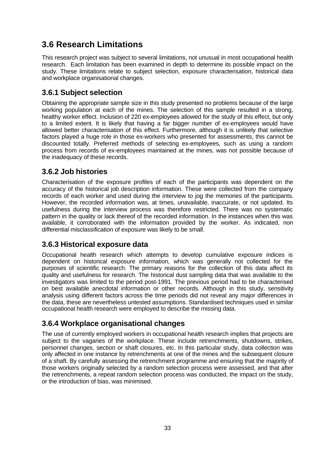## **3.6 Research Limitations**

This research project was subject to several limitations, not unusual in most occupational health research. Each limitation has been examined in depth to determine its possible impact on the study. These limitations relate to subject selection, exposure characterisation, historical data and workplace organisational changes.

### **3.6.1 Subject selection**

Obtaining the appropriate sample size in this study presented no problems because of the large working population at each of the mines. The selection of this sample resulted in a strong, healthy worker effect. Inclusion of 220 ex-employees allowed for the study of this effect, but only to a limited extent. It is likely that having a far bigger number of ex-employees would have allowed better characterisation of this effect. Furthermore, although it is unlikely that selective factors played a huge role in those ex-workers who presented for assessments, this cannot be discounted totally. Preferred methods of selecting ex-employees, such as using a random process from records of ex-employees maintained at the mines, was not possible because of the inadequacy of these records.

### **3.6.2 Job histories**

Characterisation of the exposure profiles of each of the participants was dependent on the accuracy of the historical job description information. These were collected from the company records of each worker and used during the interview to jog the memories of the participants. However, the recorded information was, at times, unavailable, inaccurate, or not updated. Its usefulness during the interview process was therefore restricted. There was no systematic pattern in the quality or lack thereof of the recorded information. In the instances when this was available, it corroborated with the information provided by the worker. As indicated, non differential misclassification of exposure was likely to be small.

### **3.6.3 Historical exposure data**

Occupational health research which attempts to develop cumulative exposure indices is dependent on historical exposure information, which was generally not collected for the purposes of scientific research. The primary reasons for the collection of this data affect its quality and usefulness for research. The historical dust sampling data that was available to the investigators was limited to the period post-1991. The previous period had to be characterised on best available anecdotal information or other records. Although in this study, sensitivity analysis using different factors across the time periods did not reveal any major differences in the data, these are nevertheless untested assumptions. Standardised techniques used in similar occupational health research were employed to describe the missing data.

### **3.6.4 Workplace organisational changes**

The use of currently employed workers in occupational health research implies that projects are subject to the vagaries of the workplace. These include retrenchments, shutdowns, strikes, personnel changes, section or shaft closures, etc. In this particular study, data collection was only affected in one instance by retrenchments at one of the mines and the subsequent closure of a shaft. By carefully assessing the retrenchment programme and ensuring that the majority of those workers originally selected by a random selection process were assessed, and that after the retrenchments, a repeat random selection process was conducted, the impact on the study, or the introduction of bias, was minimised.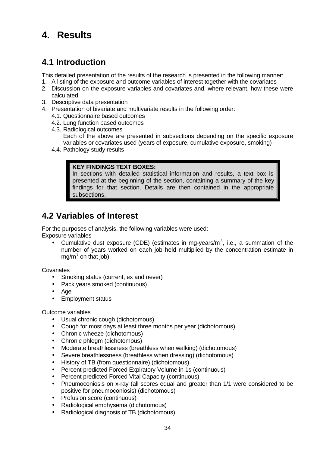# **4. Results**

## **4.1 Introduction**

This detailed presentation of the results of the research is presented in the following manner:

- 1. A listing of the exposure and outcome variables of interest together with the covariates
- 2. Discussion on the exposure variables and covariates and, where relevant, how these were calculated
- 3. Descriptive data presentation
- 4. Presentation of bivariate and multivariate results in the following order:
	- 4.1. Questionnaire based outcomes
	- 4.2. Lung function based outcomes
	- 4.3. Radiological outcomes Each of the above are presented in subsections depending on the specific exposure variables or covariates used (years of exposure, cumulative exposure, smoking)
	- 4.4. Pathology study results

#### **KEY FINDINGS TEXT BOXES:**

In sections with detailed statistical information and results, a text box is presented at the beginning of the section, containing a summary of the key findings for that section. Details are then contained in the appropriate subsections.

## **4.2 Variables of Interest**

For the purposes of analysis, the following variables were used: Exposure variables

• Cumulative dust exposure (CDE) (estimates in mg-years/m<sup>3</sup>, i.e., a summation of the number of years worked on each job held multiplied by the concentration estimate in  $mg/m<sup>3</sup>$  on that job)

**Covariates** 

- Smoking status (current, ex and never)
- Pack years smoked (continuous)
- Age
- Employment status

Outcome variables

- Usual chronic cough (dichotomous)
- Cough for most days at least three months per year (dichotomous)
- Chronic wheeze (dichotomous)
- Chronic phlegm (dichotomous)
- Moderate breathlessness (breathless when walking) (dichotomous)
- Severe breathlessness (breathless when dressing) (dichotomous)
- History of TB (from questionnaire) (dichotomous)
- Percent predicted Forced Expiratory Volume in 1s (continuous)
- Percent predicted Forced Vital Capacity (continuous)
- Pneumoconiosis on x-ray (all scores equal and greater than 1/1 were considered to be positive for pneumoconiosis) (dichotomous)
- Profusion score (continuous)
- Radiological emphysema (dichotomous)
- Radiological diagnosis of TB (dichotomous)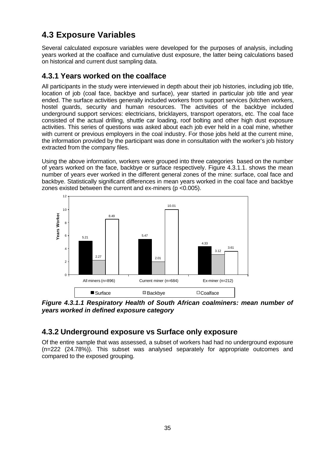## **4.3 Exposure Variables**

Several calculated exposure variables were developed for the purposes of analysis, including years worked at the coalface and cumulative dust exposure, the latter being calculations based on historical and current dust sampling data.

### **4.3.1 Years worked on the coalface**

All participants in the study were interviewed in depth about their job histories, including job title, location of job (coal face, backbye and surface), year started in particular job title and year ended. The surface activities generally included workers from support services (kitchen workers, hostel guards, security and human resources. The activities of the backbye included underground support services: electricians, bricklayers, transport operators, etc. The coal face consisted of the actual drilling, shuttle car loading, roof bolting and other high dust exposure activities. This series of questions was asked about each job ever held in a coal mine, whether with current or previous employers in the coal industry. For those jobs held at the current mine, the information provided by the participant was done in consultation with the worker's job history extracted from the company files.

Using the above information, workers were grouped into three categories based on the number of years worked on the face, backbye or surface respectively. Figure 4.3.1.1. shows the mean number of years ever worked in the different general zones of the mine: surface, coal face and backbye. Statistically significant differences in mean years worked in the coal face and backbye zones existed between the current and ex-miners (p <0.005).



*Figure 4.3.1.1 Respiratory Health of South African coalminers: mean number of years worked in defined exposure category*

### **4.3.2 Underground exposure vs Surface only exposure**

Of the entire sample that was assessed, a subset of workers had had no underground exposure (n=222 (24.78%)). This subset was analysed separately for appropriate outcomes and compared to the exposed grouping.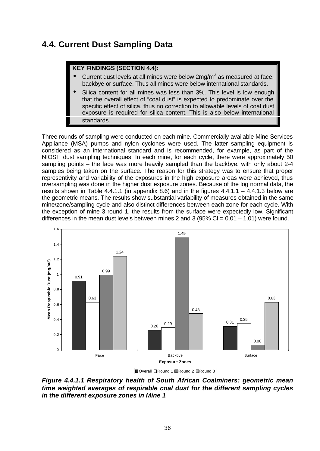## **4.4. Current Dust Sampling Data**

#### **KEY FINDINGS (SECTION 4.4):**

- $\bullet$  Current dust levels at all mines were below 2mg/m<sup>3</sup> as measured at face, backbye or surface. Thus all mines were below international standards.
- Silica content for all mines was less than 3%. This level is low enough that the overall effect of "coal dust" is expected to predominate over the specific effect of silica, thus no correction to allowable levels of coal dust exposure is required for silica content. This is also below international standards.

Three rounds of sampling were conducted on each mine. Commercially available Mine Services Appliance (MSA) pumps and nylon cyclones were used. The latter sampling equipment is considered as an international standard and is recommended, for example, as part of the NIOSH dust sampling techniques. In each mine, for each cycle, there were approximately 50 sampling points – the face was more heavily sampled than the backbye, with only about 2-4 samples being taken on the surface. The reason for this strategy was to ensure that proper representivity and variability of the exposures in the high exposure areas were achieved, thus oversampling was done in the higher dust exposure zones. Because of the log normal data, the results shown in Table 4.4.1.1 (in appendix 8.6) and in the figures  $4.4.1.1 - 4.4.1.3$  below are the geometric means. The results show substantial variability of measures obtained in the same mine/zone/sampling cycle and also distinct differences between each zone for each cycle. With the exception of mine 3 round 1, the results from the surface were expectedly low. Significant differences in the mean dust levels between mines 2 and 3 (95% CI =  $0.01 - 1.01$ ) were found.



*Figure 4.4.1.1 Respiratory health of South African Coalminers: geometric mean time weighted averages of respirable coal dust for the different sampling cycles in the different exposure zones in Mine 1*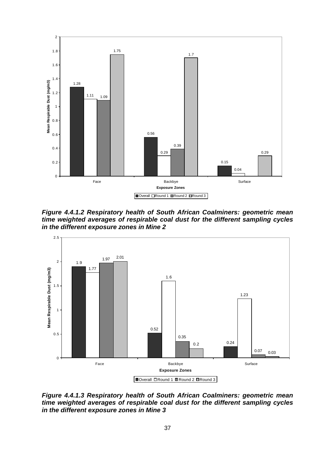

*Figure 4.4.1.2 Respiratory health of South African Coalminers: geometric mean time weighted averages of respirable coal dust for the different sampling cycles in the different exposure zones in Mine 2*



*Figure 4.4.1.3 Respiratory health of South African Coalminers: geometric mean time weighted averages of respirable coal dust for the different sampling cycles in the different exposure zones in Mine 3*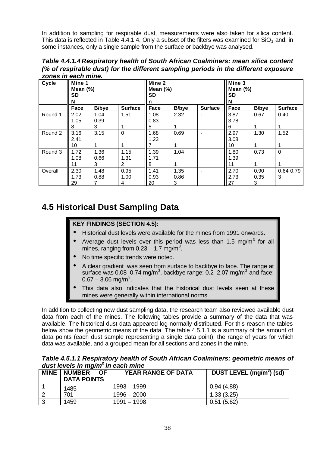In addition to sampling for respirable dust, measurements were also taken for silica content. This data is reflected in Table 4.4.1.4. Only a subset of the filters was examined for  $SiO<sub>2</sub>$  and, in some instances, only a single sample from the surface or backbye was analysed.

*Table 4.4.1.4 Respiratory health of South African Coalminers: mean silica content (% of respirable dust) for the different sampling periods in the different exposure zones in each mine.*

| <b>Cycle</b> | Mine 1<br>Mean $(\%)$<br><b>SD</b><br>N |               |                | Mine 2<br>Mean $(\%)$<br><b>SD</b><br>n |              |                | Mine 3<br>Mean $(\%)$<br>SD<br>N |               |                |
|--------------|-----------------------------------------|---------------|----------------|-----------------------------------------|--------------|----------------|----------------------------------|---------------|----------------|
|              | Face                                    | <b>B</b> /bye | <b>Surface</b> | Face                                    | <b>B/bye</b> | <b>Surface</b> | Face                             | <b>B</b> /bye | <b>Surface</b> |
| Round 1      | 2.02                                    | 1.04          | 1.51           | 1.08                                    | 2.32         |                | 3.87                             | 0.67          | 0.40           |
|              | 1.05                                    | 0.39          |                | 0.83                                    |              |                | 3.78                             |               |                |
|              | 8                                       | 3             |                | 5                                       |              |                | 6                                |               |                |
| Round 2      | 3.16                                    | 3.15          | $\Omega$       | 1.68                                    | 0.69         |                | 2.97                             | 1.30          | 1.52           |
|              | 2.41                                    |               |                | 1.23                                    |              |                | 3.08                             |               |                |
|              | 10                                      |               |                |                                         | 1            |                | 10                               |               |                |
| Round 3      | 1.72                                    | 1.36          | 1.15           | 1.39                                    | 1.04         |                | 1.80                             | 0.73          | $\mathbf 0$    |
|              | 1.08                                    | 0.66          | 1.31           | 1.71                                    |              |                | 1.39                             |               |                |
|              | 11                                      | 3             | 2              | <u>8</u>                                |              |                | 11                               |               |                |
| Overall      | 2.30                                    | 1.48          | 0.95           | 1.41                                    | 1.35         |                | 2.70                             | 0.90          | 0.64 0.79      |
|              | 1.73                                    | 0.88          | 1.00           | 0.93                                    | 0.86         |                | 2.73                             | 0.35          | 3              |
|              | 29                                      |               | 4              | $\vert$ 20                              | 3            |                | 27                               | 3             |                |

# **4.5 Historical Dust Sampling Data**

## **KEY FINDINGS (SECTION 4.5):**

- Historical dust levels were available for the mines from 1991 onwards.
- Average dust levels over this period was less than 1.5 mg/m<sup>3</sup> for all mines, ranging from  $0.23 - 1.7$  mg/m<sup>3</sup>.
- No time specific trends were noted.
- A clear gradient was seen from surface to backbye to face. The range at surface was 0.08–0.74 mg/m $^3$ , backbye range: 0.2–2.07 mg/m $^3$  and face:  $0.67 - 3.06$  mg/m<sup>3</sup>.
- This data also indicates that the historical dust levels seen at these mines were generally within international norms.

In addition to collecting new dust sampling data, the research team also reviewed available dust data from each of the mines. The following tables provide a summary of the data that was available. The historical dust data appeared log normally distributed. For this reason the tables below show the geometric means of the data. The table 4.5.1.1 is a summary of the amount of data points (each dust sample representing a single data point), the range of years for which data was available, and a grouped mean for all sections and zones in the mine.

|                                               | Table 4.5.1.1 Respiratory health of South African Coalminers: geometric means of |  |
|-----------------------------------------------|----------------------------------------------------------------------------------|--|
| dust levels in mg/m <sup>3</sup> in each mine |                                                                                  |  |
|                                               |                                                                                  |  |

| <b>MINE</b> | <b>NUMBER</b><br>OF. | <b>YEAR RANGE OF DATA</b> | DUST LEVEL (mg/m <sup>3</sup> ) (sd) |
|-------------|----------------------|---------------------------|--------------------------------------|
|             | <b>DATA POINTS</b>   |                           |                                      |
|             | 1485                 | 1993 – 1999               | 0.94(4.88)                           |
|             | 701                  | $1996 - 2000$             | 1.33(3.25)                           |
|             | 1459                 | 1991 - 1998               | 0.51(5.62)                           |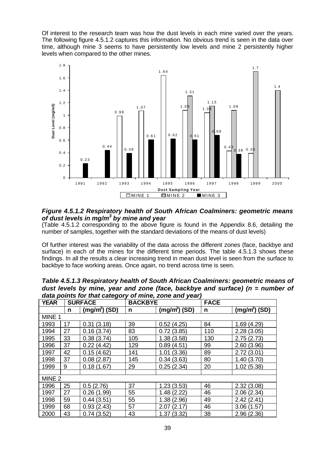Of interest to the research team was how the dust levels in each mine varied over the years. The following figure 4.5.1.2 captures this information. No obvious trend is seen in the data over time, although mine 3 seems to have persistently low levels and mine 2 persistently higher levels when compared to the other mines.



#### *Figure 4.5.1.2 Respiratory health of South African Coalminers: geometric means of dust levels in mg/m<sup>3</sup> by mine and year*

(Table 4.5.1.2 corresponding to the above figure is found in the Appendix 8.6, detailing the number of samples, together with the standard deviations of the means of dust levels)

Of further interest was the variability of the data across the different zones (face, backbye and surface) in each of the mines for the different time periods. The table 4.5.1.3 shows these findings. In all the results a clear increasing trend in mean dust level is seen from the surface to backbye to face working areas. Once again, no trend across time is seen.

| udia politis for that category of hime, zone and year, |    |                |                |                |             |                 |  |
|--------------------------------------------------------|----|----------------|----------------|----------------|-------------|-----------------|--|
| <b>YEAR</b>                                            |    | <b>SURFACE</b> | <b>BACKBYE</b> |                | <b>FACE</b> |                 |  |
|                                                        | n  | $(mg/m3)$ (SD) | n              | $(mg/m3)$ (SD) | n           | $(mg/m^3)$ (SD) |  |
| MINE 1                                                 |    |                |                |                |             |                 |  |
| 1993                                                   | 17 | 0.31(3.18)     | 39             | 0.52(4.25)     | 84          | 1.69(4.29)      |  |
| 1994                                                   | 27 | 0.16(3.74)     | 83             | 0.72(3.85)     | 110         | 2.28(3.05)      |  |
| 1995                                                   | 33 | 0.38(3.74)     | 105            | 1.38(3.58)     | 130         | 2.75(2.73)      |  |
| 1996                                                   | 37 | 0.22(4.42)     | 129            | 0.89(4.51)     | 99          | 2.60(3.96)      |  |
| 1997                                                   | 42 | 0.15(4.62)     | 141            | 1.01(3.36)     | 89          | 2.72(3.01)      |  |
| 1998                                                   | 37 | 0.08(2.87)     | 145            | 0.34(3.63)     | 80          | 1.40(3.70)      |  |
| 1999                                                   | 9  | 0.18(1.67)     | 29             | 0.25(2.34)     | 20          | 1.02(5.38)      |  |
|                                                        |    |                |                |                |             |                 |  |
| MINE <sub>2</sub>                                      |    |                |                |                |             |                 |  |
| 1996                                                   | 25 | 0.5(2.76)      | 37             | 1.23(3.53)     | 46          | 2.32(3.08)      |  |
| 1997                                                   | 27 | 0.26(1.99)     | 55             | 1.48(2.22)     | 46          | 2.06(2.34)      |  |
| 1998                                                   | 59 | 0.44(3.51)     | 55             | 1.38(2.96)     | 49          | 2.42(2.41)      |  |
| 1999                                                   | 68 | 0.93(2.43)     | 57             | 2.07(2.17)     | 46          | 3.06(1.57)      |  |
| 2000                                                   | 43 | 0.74(3.52)     | 43             | 1.37(3.32)     | 38          | 2.96(2.36)      |  |

*Table 4.5.1.3 Respiratory health of South African Coalminers: geometric means of dust levels by mine, year and zone (face, backbye and surface) (n = number of data points for that category of mine, zone and year)*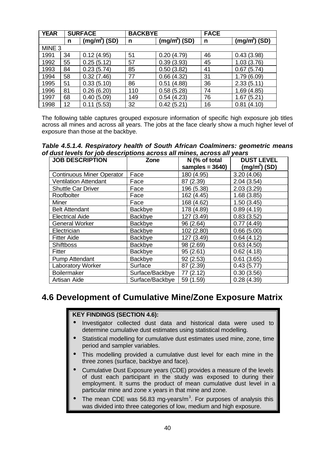| <b>YEAR</b>       | <b>SURFACE</b> |                |     | <b>BACKBYE</b>             |    |                |
|-------------------|----------------|----------------|-----|----------------------------|----|----------------|
|                   | n              | $(mg/m3)$ (SD) | n   | $(m\overline{g/m^3})$ (SD) | n  | $(mg/m3)$ (SD) |
| MINE <sub>3</sub> |                |                |     |                            |    |                |
| 1991              | 34             | 0.12(4.95)     | 51  | 0.20(4.79)                 | 46 | 0.43(3.98)     |
| 1992              | 55             | 0.25(5.12)     | 57  | 0.39(3.93)                 | 45 | 1.03(3.76)     |
| 1993              | 84             | 0.23(5.74)     | 85  | 0.50(3.82)                 | 41 | 0.67(5.74)     |
| 1994              | 58             | 0.32(7.46)     | 77  | 0.66(4.32)                 | 31 | 1.79(6.09)     |
| 1995              | 51             | 0.33(5.10)     | 86  | 0.51(4.88)                 | 36 | 2.33(5.11)     |
| 1996              | 81             | 0.26(6.20)     | 110 | 0.58(5.28)                 | 74 | 1.69(4.85)     |
| 1997              | 68             | 0.40(5.09)     | 149 | 0.54(4.23)                 | 76 | (5.21)<br>1.67 |
| 1998              | 12             | 0.11(5.53)     | 32  | 0.42(5.21)                 | 16 | 0.81(4.10)     |

The following table captures grouped exposure information of specific high exposure job titles across all mines and across all years. The jobs at the face clearly show a much higher level of exposure than those at the backbye.

*Table 4.5.1.4. Respiratory health of South African Coalminers: geometric means of dust levels for job descriptions across all mines, across all years*

| <b>JOB DESCRIPTION</b>           | Zone            | N (% of total      | <b>DUST LEVEL</b> |
|----------------------------------|-----------------|--------------------|-------------------|
|                                  |                 | samples = $3640$ ) | $(mg/m3)$ (SD)    |
| <b>Continuous Miner Operator</b> | Face            | 180 (4.95)         | 3.20(4.06)        |
| <b>Ventilation Attendant</b>     | Face            | 87 (2.39)          | 2.04(3.54)        |
| <b>Shuttle Car Driver</b>        | Face            | 196 (5.38)         | 2.03(3.29)        |
| Roofbolter                       | Face            | 162 (4.45)         | 1.68(3.85)        |
| <b>Miner</b>                     | Face            | 168 (4.62)         | 1.50(3.45)        |
| <b>Belt Attendant</b>            | Backbye         | 178 (4.89)         | 0.89(4.19)        |
| <b>Electrical Aide</b>           | Backbye         | 127 (3.49)         | 0.83(3.52)        |
| <b>General Worker</b>            | Backbye         | 96 (2.64)          | 0.77(4.49)        |
| Electrician                      | Backbye         | 102 (2.80)         | 0.66(5.00)        |
| <b>Fitter Aide</b>               | Backbye         | 127 (3.49)         | 0.64(4.12)        |
| <b>Shiftboss</b>                 | Backbye         | 98 (2.69)          | 0.63(4.50)        |
| <b>Fitter</b>                    | Backbye         | 95(2.61)           | 0.62(4.18)        |
| Pump Attendant                   | Backbye         | 92 (2.53)          | 0.61(3.65)        |
| <b>Laboratory Worker</b>         | Surface         | 87 (2.39)          | 0.43(5.77)        |
| <b>Boilermaker</b>               | Surface/Backbye | 77(2.12)           | 0.30(3.56)        |
| Artisan Aide                     | Surface/Backbye | 59 (1.59)          | 0.28(4.39)        |

# **4.6 Development of Cumulative Mine/Zone Exposure Matrix**

#### **KEY FINDINGS (SECTION 4.6):**

- Investigator collected dust data and historical data were used to determine cumulative dust estimates using statistical modelling.
- Statistical modelling for cumulative dust estimates used mine, zone, time period and sampler variables.
- This modelling provided a cumulative dust level for each mine in the three zones (surface, backbye and face).
- Cumulative Dust Exposure years (CDE) provides a measure of the levels of dust each participant in the study was exposed to during their employment. It sums the product of mean cumulative dust level in a particular mine and zone x years in that mine and zone.
- The mean CDE was 56.83 mg-years/m<sup>3</sup>. For purposes of analysis this was divided into three categories of low, medium and high exposure.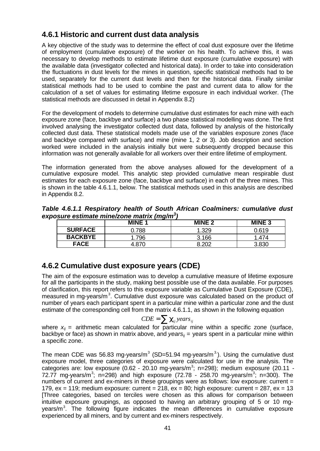## **4.6.1 Historic and current dust data analysis**

A key objective of the study was to determine the effect of coal dust exposure over the lifetime of employment (cumulative exposure) of the worker on his health. To achieve this, it was necessary to develop methods to estimate lifetime dust exposure (cumulative exposure) with the available data (investigator collected and historical data). In order to take into consideration the fluctuations in dust levels for the mines in question, specific statistical methods had to be used, separately for the current dust levels and then for the historical data. Finally similar statistical methods had to be used to combine the past and current data to allow for the calculation of a set of values for estimating lifetime exposure in each individual worker. (The statistical methods are discussed in detail in Appendix 8.2)

For the development of models to determine cumulative dust estimates for each mine with each exposure zone (face, backbye and surface) a two phase statistical modelling was done. The first involved analysing the investigator collected dust data, followed by analysis of the historically collected dust data. These statistical models made use of the variables exposure zones (face and backbye compared with surface) and mine (mine 1, 2 or 3). Job description and section worked were included in the analysis initially but were subsequently dropped because this information was not generally available for all workers over their entire lifetime of employment.

The information generated from the above analyses allowed for the development of a cumulative exposure model. This analytic step provided cumulative mean respirable dust estimates for each exposure zone (face, backbye and surface) in each of the three mines. This is shown in the table 4.6.1.1, below. The statistical methods used in this analysis are described in Appendix 8.2.

*Table 4.6.1.1 Respiratory health of South African Coalminers: cumulative dust exposure estimate mine/zone matrix (mg/m<sup>3</sup> )*

|                | <b>MINE 1</b> | <b>MINE 2</b> | <b>MINE 3</b> |
|----------------|---------------|---------------|---------------|
| <b>SURFACE</b> | .788          | .329          | 0.619         |
| <b>BACKBYE</b> | 796           | 3.166         | .474          |
| <b>FACE</b>    |               | ാറി           |               |

## **4.6.2 Cumulative dust exposure years (CDE)**

The aim of the exposure estimation was to develop a cumulative measure of lifetime exposure for all the participants in the study, making best possible use of the data available. For purposes of clarification, this report refers to this exposure variable as Cumulative Dust Exposure (CDE), measured in mg-years/m<sup>3</sup>. Cumulative dust exposure was calculated based on the product of number of years each participant spent in a particular mine within a particular zone and the dust estimate of the corresponding cell from the matrix 4.6.1.1, as shown in the following equation

$$
CDE = \sum_{i_j} c_{ij} \, \text{years}_{ij}
$$

where  $x_{ii}$  = arithmetic mean calculated for particular mine within a specific zone (surface, backbye or face) as shown in matrix above, and *years<sub>ij</sub>* = years spent in a particular mine within a specific zone.

The mean CDE was 56.83 mg-years/m<sup>3</sup> (SD=51.94 mg-years/m<sup>3</sup>). Using the cumulative dust exposure model, three categories of exposure were calculated for use in the analysis. The categories are: low exposure (0.62 - 20.10 mg-years/m<sup>3</sup>; n=298); medium exposure (20.11 -72.77 mg-years/m<sup>3</sup>; n=298) and high exposure (72.78 - 258.70 mg-years/m<sup>3</sup>; n=300). The numbers of current and ex-miners in these groupings were as follows: low exposure: current = 179,  $ex = 119$ ; medium exposure: current = 218,  $ex = 80$ ; high exposure: current = 287,  $ex = 13$ [Three categories, based on terciles were chosen as this allows for comparison between intuitive exposure groupings, as opposed to having an arbitrary grouping of 5 or 10 mgyears/m<sup>3</sup>. The following figure indicates the mean differences in cumulative exposure experienced by all miners, and by current and ex-miners respectively.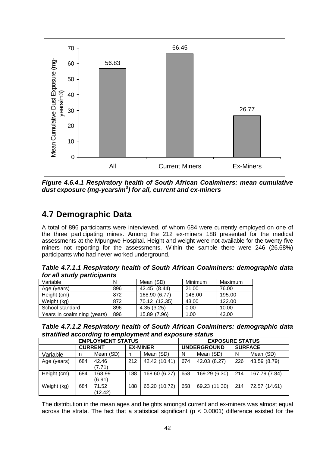

*Figure 4.6.4.1 Respiratory health of South African Coalminers: mean cumulative dust exposure (mg-years/m<sup>3</sup> ) for all, current and ex-miners*

# **4.7 Demographic Data**

A total of 896 participants were interviewed, of whom 684 were currently employed on one of the three participating mines. Among the 212 ex-miners 188 presented for the medical assessments at the Mpungwe Hospital. Height and weight were not available for the twenty five miners not reporting for the assessments. Within the sample there were 246 (26.68%) participants who had never worked underground.

*Table 4.7.1.1 Respiratory health of South African Coalminers: demographic data for all study participants*

| Variable                    | N   | Mean (SD)     | Minimum | Maximum |
|-----------------------------|-----|---------------|---------|---------|
| Age (years)                 | 896 | 42.45 (8.44)  | 21.00   | 76.00   |
| Height (cm)                 | 872 | 168.90 (6.77) | 148.00  | 195.00  |
| Weight (kg)                 | 872 | 70.12 (12.35) | 43.00   | 122.00  |
| School standard             | 896 | 4.35(3.25)    | 0.00    | 10.00   |
| Years in coalmining (years) | 896 | 15.89 (7.96)  | 1.00    | 43.00   |

| Table 4.7.1.2 Respiratory health of South African Coalminers: demographic data |  |
|--------------------------------------------------------------------------------|--|
| stratified according to employment and exposure status                         |  |

| <b>EMPLOYMENT STATUS</b> |                |                  |                 |               | <b>EXPOSURE STATUS</b> |               |     |                |
|--------------------------|----------------|------------------|-----------------|---------------|------------------------|---------------|-----|----------------|
|                          | <b>CURRENT</b> |                  | <b>EX-MINER</b> |               | <b>UNDERGROUND</b>     |               |     | <b>SURFACE</b> |
| Variable                 | n              | Mean (SD)        | n               | Mean (SD)     | N                      | Mean (SD)     | N   | Mean (SD)      |
| Age (years)              | 684            | 42.46<br>(7.71)  | 212             | 42.42 (10.41) | 674                    | 42.03 (8.27)  | 226 | 43.59 (8.79)   |
| Height (cm)              | 684            | 168.99<br>(6.91) | 188             | 168.60 (6.27) | 658                    | 169.29 (6.30) | 214 | 167.79 (7.84)  |
| Weight (kg)              | 684            | 71.52<br>(12.42) | 188             | 65.20 (10.72) | 658                    | 69.23 (11.30) | 214 | 72.57 (14.61)  |

The distribution in the mean ages and heights amongst current and ex-miners was almost equal across the strata. The fact that a statistical significant ( $p < 0.0001$ ) difference existed for the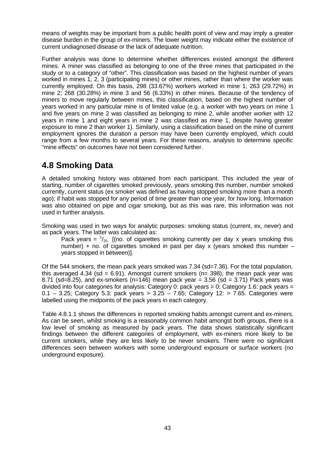means of weights may be important from a public health point of view and may imply a greater disease burden in the group of ex-miners. The lower weight may indicate either the existence of current undiagnosed disease or the lack of adequate nutrition.

Further analysis was done to determine whether differences existed amongst the different mines. A miner was classified as belonging to one of the three mines that participated in the study or to a category of "other". This classification was based on the highest number of years worked in mines 1, 2, 3 (participating mines) or other mines, rather than where the worker was currently employed. On this basis, 298 (33.67%) workers worked in mine 1; 263 (29.72%) in mine 2; 268 (30.28%) in mine 3 and 56 (6.33%) in other mines. Because of the tendency of miners to move regularly between mines, this classification, based on the highest number of years worked in any particular mine is of limited value (e.g. a worker with two years on mine 1 and five years on mine 2 was classified as belonging to mine 2, while another worker with 12 years in mine 1 and eight years in mine 2 was classified as mine 1, despite having greater exposure to mine 2 than worker 1). Similarly, using a classification based on the mine of current employment ignores the duration a person may have been currently employed, which could range from a few months to several years. For these reasons, analysis to determine specific "mine effects" on outcomes have not been considered further.

# **4.8 Smoking Data**

A detailed smoking history was obtained from each participant. This included the year of starting, number of cigarettes smoked previously, years smoking this number, number smoked currently, current status (ex smoker was defined as having stopped smoking more than a month ago); if habit was stopped for any period of time greater than one year, for how long. Information was also obtained on pipe and cigar smoking, but as this was rare, this information was not used in further analysis.

Smoking was used in two ways for analytic purposes: smoking status (current, ex, never) and as pack years. The latter was calculated as:

Pack years =  $\frac{1}{20}$  [(no. of cigarettes smoking currently per day x years smoking this number) + no. of cigarettes smoked in past per day x (years smoked this number – years stopped in between)].

Of the 544 smokers, the mean pack years smoked was 7.34 (sd=7.36). For the total population, this averaged 4.34 (sd = 6.91). Amongst current smokers ( $n=$  398), the mean pack year was 8.71 (sd=8.25), and ex-smokers (n=146) mean pack year = 3.56 (sd = 3.71) Pack years was divided into four categories for analysis: Category 0: pack years = 0; Category 1.6: pack years = 0.1 – 3.25; Category 5.3: pack years > 3.25 – 7.65; Category 12: > 7.65. Categories were labelled using the midpoints of the pack years in each category.

Table 4.8.1.1 shows the differences in reported smoking habits amongst current and ex-miners. As can be seen, whilst smoking is a reasonably common habit amongst both groups, there is a low level of smoking as measured by pack years. The data shows statistically significant findings between the different categories of employment, with ex-miners more likely to be current smokers, while they are less likely to be never smokers. There were no significant differences seen between workers with some underground exposure or surface workers (no underground exposure).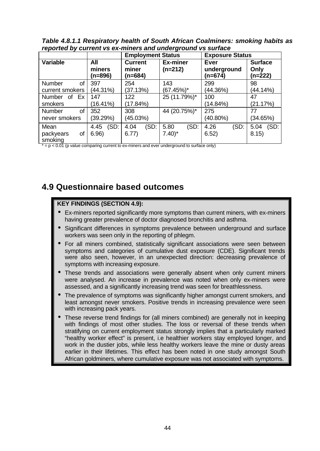*Table 4.8.1.1 Respiratory health of South African Coalminers: smoking habits as reported by current vs ex-miners and underground vs surface*

|                                    |                          | <b>Employment Status</b>           |                                     | <b>Exposure Status</b>                  |                                     |
|------------------------------------|--------------------------|------------------------------------|-------------------------------------|-----------------------------------------|-------------------------------------|
| <b>Variable</b>                    | All<br>miners<br>(n=896) | <b>Current</b><br>miner<br>(n=684) | <b>Ex-miner</b><br>$(n=212)$        | <b>Ever</b><br>underground<br>$(n=674)$ | <b>Surface</b><br>Only<br>$(n=222)$ |
| Number<br>οf<br>current smokers    | 397<br>(44.31%)          | 254<br>(37.13%)                    | 143<br>$(67.45%)$ *                 | 299<br>(44.36%)                         | 98<br>(44.14%)                      |
| Ex<br>Number<br>0f<br>smokers      | 147<br>16.41%            | 122<br>(17.84%)                    | 25 (11.79%)*                        | 100<br>(14.84%)                         | 47<br>(21.17%)                      |
| 0f<br>Number<br>never smokers      | 352<br>(39.29%)          | 308<br>(45.03%)                    | 44 (20.75%)*                        | 275<br>$(40.80\%)$                      | 77<br>(34.65%)                      |
| Mean<br>packyears<br>οf<br>smoking | (SD:<br>4.45<br>6.96)    | (SD)<br>4.04<br>6.77)              | (SD)<br>5.80<br>$7.40$ <sup>*</sup> | 4.26<br>(SD)<br>6.52)                   | (SD)<br>5.04<br>8.15)               |

 $* = p < 0.01$  (p value comparing current to ex-miners and ever underground to surface only)

# **4.9 Questionnaire based outcomes**

#### **KEY FINDINGS (SECTION 4.9):**

- Ex-miners reported significantly more symptoms than current miners, with ex-miners having greater prevalence of doctor diagnosed bronchitis and asthma.
- Significant differences in symptoms prevalence between underground and surface workers was seen only in the reporting of phlegm.
- For all miners combined, statistically significant associations were seen between symptoms and categories of cumulative dust exposure (CDE). Significant trends were also seen, however, in an unexpected direction: decreasing prevalence of symptoms with increasing exposure.
- These trends and associations were generally absent when only current miners were analysed. An increase in prevalence was noted when only ex-miners were assessed, and a significantly increasing trend was seen for breathlessness.
- The prevalence of symptoms was significantly higher amongst current smokers, and least amongst never smokers. Positive trends in increasing prevalence were seen with increasing pack years.
- These reverse trend findings for (all miners combined) are generally not in keeping with findings of most other studies. The loss or reversal of these trends when stratifying on current employment status strongly implies that a particularly marked "healthy worker effect" is present, i.e healthier workers stay employed longer, and work in the dustier jobs, while less healthy workers leave the mine or dusty areas earlier in their lifetimes. This effect has been noted in one study amongst South African goldminers, where cumulative exposure was not associated with symptoms.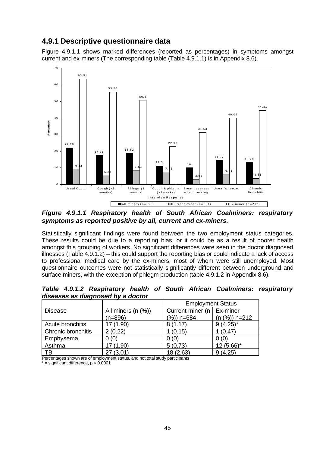## **4.9.1 Descriptive questionnaire data**

Figure 4.9.1.1 shows marked differences (reported as percentages) in symptoms amongst current and ex-miners (The corresponding table (Table 4.9.1.1) is in Appendix 8.6).



*Figure 4.9.1.1 Respiratory health of South African Coalminers: respiratory symptoms as reported positive by all, current and ex-miners.*

Statistically significant findings were found between the two employment status categories. These results could be due to a reporting bias, or it could be as a result of poorer health amongst this grouping of workers. No significant differences were seen in the doctor diagnosed illnesses (Table 4.9.1.2) – this could support the reporting bias or could indicate a lack of access to professional medical care by the ex-miners, most of whom were still unemployed. Most questionnaire outcomes were not statistically significantly different between underground and surface miners, with the exception of phlegm production (table 4.9.1.2 in Appendix 8.6).

| uls <del>c</del> ases as ulay losed by a doctor |                          |                             |                 |  |  |  |
|-------------------------------------------------|--------------------------|-----------------------------|-----------------|--|--|--|
|                                                 | <b>Employment Status</b> |                             |                 |  |  |  |
| <b>Disease</b>                                  | All miners $(n \, (%)$   | Current miner (n   Ex-miner |                 |  |  |  |
|                                                 | $(n=896)$                | $(\%)$ ) n=684              | $(n (%)) n=212$ |  |  |  |
| Acute bronchitis                                | 17 (1.90)                | 8(1.17)                     | $9(4.25)^*$     |  |  |  |
| <b>Chronic bronchitis</b>                       | 2(0.22)                  | 1(0.15)                     | 1(0.47)         |  |  |  |
| Emphysema                                       | 0(0)                     | 0(0)                        | 0(0)            |  |  |  |
| Asthma                                          | 17 (1.90)                | 5(0.73)                     | $12(5.66)$ *    |  |  |  |
| TВ                                              | 27(3.01)                 | 18 (2.63)                   | 9(4.25)         |  |  |  |

*Table 4.9.1.2 Respiratory health of South African Coalminers: respiratory diseases as diagnosed by a doctor*

Percentages shown are of employment status, and not total study participants

 $*$  = significant difference,  $p < 0.0001$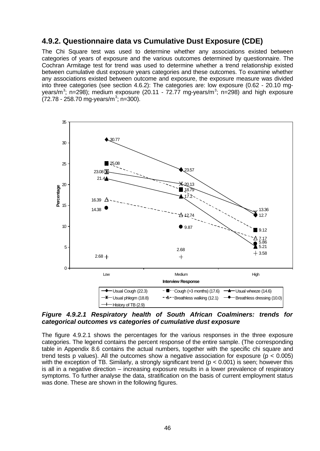## **4.9.2. Questionnaire data vs Cumulative Dust Exposure (CDE)**

The Chi Square test was used to determine whether any associations existed between categories of years of exposure and the various outcomes determined by questionnaire. The Cochran Armitage test for trend was used to determine whether a trend relationship existed between cumulative dust exposure years categories and these outcomes. To examine whether any associations existed between outcome and exposure, the exposure measure was divided into three categories (see section 4.6.2): The categories are: low exposure (0.62 - 20.10 mgyears/m<sup>3</sup>; n=298); medium exposure (20.11 - 72.77 mg-years/m<sup>3</sup>; n=298) and high exposure  $(72.78 - 258.70 \text{ mg-years/m}^3; \text{ n=300}).$ 



#### *Figure 4.9.2.1 Respiratory health of South African Coalminers: trends for categorical outcomes vs categories of cumulative dust exposure*

The figure 4.9.2.1 shows the percentages for the various responses in the three exposure categories. The legend contains the percent response of the entire sample. (The corresponding table in Appendix 8.6 contains the actual numbers, together with the specific chi square and trend tests p values). All the outcomes show a negative association for exposure ( $p < 0.005$ ) with the exception of TB. Similarly, a strongly significant trend ( $p < 0.001$ ) is seen; however this is all in a negative direction – increasing exposure results in a lower prevalence of respiratory symptoms. To further analyse the data, stratification on the basis of current employment status was done. These are shown in the following figures.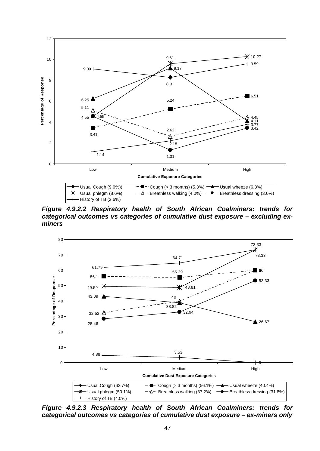

*Figure 4.9.2.2 Respiratory health of South African Coalminers: trends for categorical outcomes vs categories of cumulative dust exposure – excluding exminers*



*Figure 4.9.2.3 Respiratory health of South African Coalminers: trends for categorical outcomes vs categories of cumulative dust exposure – ex-miners only*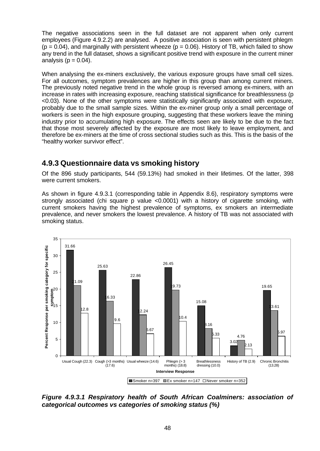The negative associations seen in the full dataset are not apparent when only current employees (Figure 4.9.2.2) are analysed. A positive association is seen with persistent phlegm  $(p = 0.04)$ , and marginally with persistent wheeze  $(p = 0.06)$ . History of TB, which failed to show any trend in the full dataset, shows a significant positive trend with exposure in the current miner analysis ( $p = 0.04$ ).

When analysing the ex-miners exclusively, the various exposure groups have small cell sizes. For all outcomes, symptom prevalences are higher in this group than among current miners. The previously noted negative trend in the whole group is reversed among ex-miners, with an increase in rates with increasing exposure, reaching statistical significance for breathlessness (p <0.03). None of the other symptoms were statistically significantly associated with exposure, probably due to the small sample sizes. Within the ex-miner group only a small percentage of workers is seen in the high exposure grouping, suggesting that these workers leave the mining industry prior to accumulating high exposure. The effects seen are likely to be due to the fact that those most severely affected by the exposure are most likely to leave employment, and therefore be ex-miners at the time of cross sectional studies such as this. This is the basis of the "healthy worker survivor effect".

## **4.9.3 Questionnaire data vs smoking history**

Of the 896 study participants, 544 (59.13%) had smoked in their lifetimes. Of the latter, 398 were current smokers.

As shown in figure 4.9.3.1 (corresponding table in Appendix 8.6), respiratory symptoms were strongly associated (chi square p value <0.0001) with a history of cigarette smoking, with current smokers having the highest prevalence of symptoms, ex smokers an intermediate prevalence, and never smokers the lowest prevalence. A history of TB was not associated with smoking status.



*Figure 4.9.3.1 Respiratory health of South African Coalminers: association of categorical outcomes vs categories of smoking status (%)*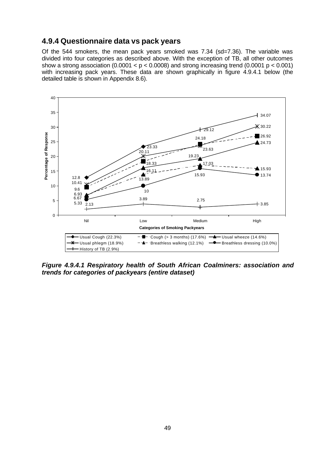## **4.9.4 Questionnaire data vs pack years**

Of the 544 smokers, the mean pack years smoked was 7.34 (sd=7.36). The variable was divided into four categories as described above. With the exception of TB, all other outcomes show a strong association (0.0001  $< p < 0.0008$ ) and strong increasing trend (0.0001  $p < 0.001$ ) with increasing pack years. These data are shown graphically in figure 4.9.4.1 below (the detailed table is shown in Appendix 8.6).



*Figure 4.9.4.1 Respiratory health of South African Coalminers: association and trends for categories of packyears (entire dataset)*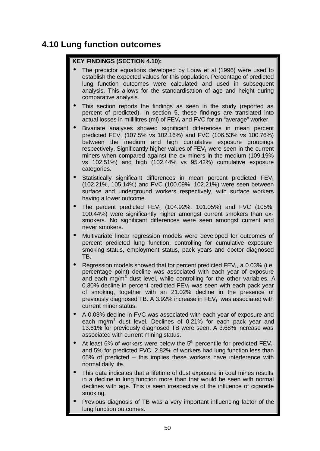# **4.10 Lung function outcomes**

#### **KEY FINDINGS (SECTION 4.10):**

- The predictor equations developed by Louw et al (1996) were used to establish the expected values for this population. Percentage of predicted lung function outcomes were calculated and used in subsequent analysis. This allows for the standardisation of age and height during comparative analysis.
- This section reports the findings as seen in the study (reported as percent of predicted). In section 5, these findings are translated into actual losses in millilitres (ml) of  $FEV<sub>1</sub>$  and  $FVC$  for an "average" worker.
- Bivariate analyses showed significant differences in mean percent predicted FEV<sub>1</sub> (107.5% vs 102.16%) and FVC (106.53% vs 100.76%) between the medium and high cumulative exposure groupings respectively. Significantly higher values of  $FEV<sub>1</sub>$  were seen in the current miners when compared against the ex-miners in the medium (109.19% vs 102.51%) and high (102.44% vs 95.42%) cumulative exposure categories.
- Statistically significant differences in mean percent predicted  $FEV<sub>1</sub>$ (102.21%, 105.14%) and FVC (100.09%, 102.21%) were seen between surface and underground workers respectively, with surface workers having a lower outcome.
- The percent predicted  $FEV_1$  (104.92%, 101.05%) and FVC (105%, 100.44%) were significantly higher amongst current smokers than exsmokers. No significant differences were seen amongst current and never smokers.
- Multivariate linear regression models were developed for outcomes of percent predicted lung function, controlling for cumulative exposure, smoking status, employment status, pack years and doctor diagnosed TB.
- Regression models showed that for percent predicted  $FEV<sub>1</sub>$ , a 0.03% (i.e. percentage point) decline was associated with each year of exposure and each mg/m<sup>3</sup> dust level, while controlling for the other variables. A 0.30% decline in percent predicted  $FEV<sub>1</sub>$  was seen with each pack year of smoking, together with an 21.02% decline in the presence of previously diagnosed TB. A 3.92% increase in  $FEV<sub>1</sub>$  was associated with current miner status.
- A 0.03% decline in FVC was associated with each year of exposure and each mg/m<sup>3</sup> dust level. Declines of 0.21% for each pack year and 13.61% for previously diagnosed TB were seen. A 3.68% increase was associated with current mining status.
- At least 6% of workers were below the  $5<sup>th</sup>$  percentile for predicted FEV<sub>1</sub>, and 5% for predicted FVC. 2.82% of workers had lung function less than 65% of predicted – this implies these workers have interference with normal daily life.
- This data indicates that a lifetime of dust exposure in coal mines results in a decline in lung function more than that would be seen with normal declines with age. This is seen irrespective of the influence of cigarette smoking.
- Previous diagnosis of TB was a very important influencing factor of the lung function outcomes.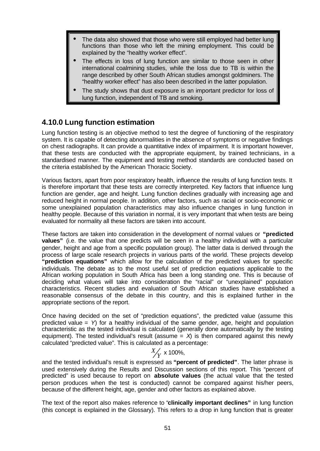- The data also showed that those who were still employed had better lung functions than those who left the mining employment. This could be explained by the "healthy worker effect".
- The effects in loss of lung function are similar to those seen in other international coalmining studies, while the loss due to TB is within the range described by other South African studies amongst goldminers. The "healthy worker effect" has also been described in the latter population.
- The study shows that dust exposure is an important predictor for loss of lung function, independent of TB and smoking.

## **4.10.0 Lung function estimation**

Lung function testing is an objective method to test the degree of functioning of the respiratory system. It is capable of detecting abnormalities in the absence of symptoms or negative findings on chest radiographs. It can provide a quantitative index of impairment. It is important however, that these tests are conducted with the appropriate equipment, by trained technicians, in a standardised manner. The equipment and testing method standards are conducted based on the criteria established by the American Thoracic Society.

Various factors, apart from poor respiratory health, influence the results of lung function tests. It is therefore important that these tests are correctly interpreted. Key factors that influence lung function are gender, age and height. Lung function declines gradually with increasing age and reduced height in normal people. In addition, other factors, such as racial or socio-economic or some unexplained population characteristics may also influence changes in lung function in healthy people. Because of this variation in normal, it is very important that when tests are being evaluated for normality all these factors are taken into account.

These factors are taken into consideration in the development of normal values or **"predicted values"** (i.e. the value that one predicts will be seen in a healthy individual with a particular gender, height and age from a specific population group). The latter data is derived through the process of large scale research projects in various parts of the world. These projects develop **"prediction equations"** which allow for the calculation of the predicted values for specific individuals. The debate as to the most useful set of prediction equations applicable to the African working population in South Africa has been a long standing one. This is because of deciding what values will take into consideration the "racial" or "unexplained" population characteristics. Recent studies and evaluation of South African studies have established a reasonable consensus of the debate in this country, and this is explained further in the appropriate sections of the report.

Once having decided on the set of "prediction equations", the predicted value (assume this predicted value = *Y*) for a healthy individual of the same gender, age, height and population characteristic as the tested individual is calculated (generally done automatically by the testing equipment). The tested individual's result (assume  $=$   $X$ ) is then compared against this newly calculated "predicted value". This is calculated as a percentage:

# $\frac{X}{Y}$  x 100%,

and the tested individual's result is expressed as **"percent of predicted"**. The latter phrase is used extensively during the Results and Discussion sections of this report. This "percent of predicted" is used because to report on **absolute values** (the actual value that the tested person produces when the test is conducted) cannot be compared against his/her peers, because of the different height, age, gender and other factors as explained above.

The text of the report also makes reference to "**clinically important declines"** in lung function (this concept is explained in the Glossary). This refers to a drop in lung function that is greater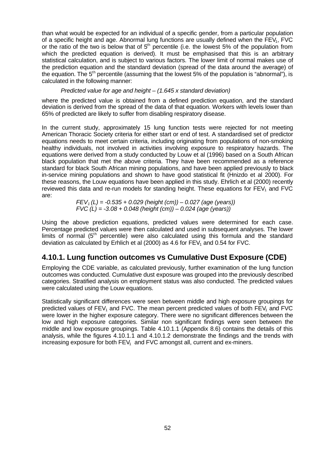than what would be expected for an individual of a specific gender, from a particular population of a specific height and age. Abnormal lung functions are usually defined when the  $FEV<sub>1</sub>$ , FVC or the ratio of the two is below that of  $5<sup>th</sup>$  percentile (i.e. the lowest 5% of the population from which the predicted equation is derived). It must be emphasised that this is an arbitrary statistical calculation, and is subject to various factors. The lower limit of normal makes use of the prediction equation and the standard deviation (spread of the data around the average) of the equation. The  $5<sup>th</sup>$  percentile (assuming that the lowest 5% of the population is "abnormal"), is calculated in the following manner:

*Predicted value for age and height – (1.645 x standard deviation)*

where the predicted value is obtained from a defined prediction equation, and the standard deviation is derived from the spread of the data of that equation. Workers with levels lower than 65% of predicted are likely to suffer from disabling respiratory disease.

In the current study, approximately 15 lung function tests were rejected for not meeting American Thoracic Society criteria for either start or end of test. A standardised set of predictor equations needs to meet certain criteria, including originating from populations of non-smoking healthy individuals, not involved in activities involving exposure to respiratory hazards. The equations were derived from a study conducted by Louw et al (1996) based on a South African black population that met the above criteria. They have been recommended as a reference standard for black South African mining populations, and have been applied previously to black in-service mining populations and shown to have good statistical fit (Hnizdo et al 2000). For these reasons, the Louw equations have been applied in this study. Ehrlich et al (2000) recently reviewed this data and re-run models for standing height. These equations for  $FEV<sub>1</sub>$  and  $FVC$ are:

> *FEV1 (L) = -0.535 + 0.029 (height (cm)) – 0.027 (age (years)) FVC (L) = -3.08 + 0.048 (height (cm)) – 0.024 (age (years))*

Using the above prediction equations, predicted values were determined for each case. Percentage predicted values were then calculated and used in subsequent analyses. The lower limits of normal  $(5<sup>th</sup>$  percentile) were also calculated using this formula and the standard deviation as calculated by Erhlich et al (2000) as 4.6 for  $FEV<sub>1</sub>$  and 0.54 for FVC.

## **4.10.1. Lung function outcomes vs Cumulative Dust Exposure (CDE)**

Employing the CDE variable, as calculated previously, further examination of the lung function outcomes was conducted. Cumulative dust exposure was grouped into the previously described categories. Stratified analysis on employment status was also conducted. The predicted values were calculated using the Louw equations.

Statistically significant differences were seen between middle and high exposure groupings for predicted values of  $FEV<sub>1</sub>$  and  $FVC$ . The mean percent predicted values of both  $FEV<sub>1</sub>$  and  $FVC$ were lower in the higher exposure category. There were no significant differences between the low and high exposure categories. Similar non significant findings were seen between the middle and low exposure groupings. Table 4.10.1.1 (Appendix 8.6) contains the details of this analysis, while the figures 4.10.1.1 and 4.10.1.2 demonstrate the findings and the trends with increasing exposure for both  $FEV_1$  and  $FVC$  amongst all, current and ex-miners.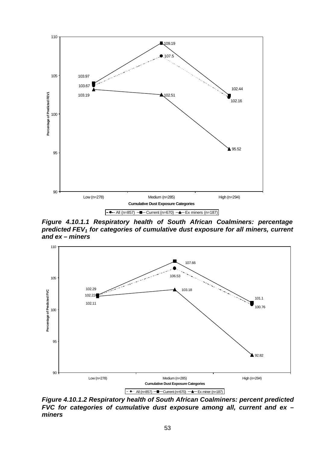

*Figure 4.10.1.1 Respiratory health of South African Coalminers: percentage predicted FEV1 for categories of cumulative dust exposure for all miners, current and ex – miners*



*Figure 4.10.1.2 Respiratory health of South African Coalminers: percent predicted FVC for categories of cumulative dust exposure among all, current and ex – miners*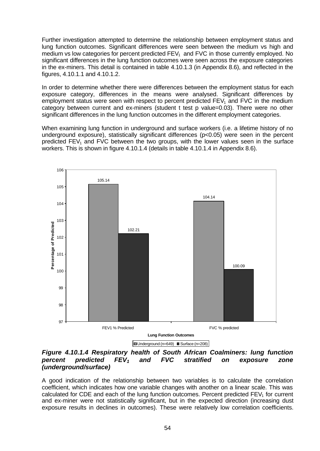Further investigation attempted to determine the relationship between employment status and lung function outcomes. Significant differences were seen between the medium vs high and medium vs low categories for percent predicted  $FEV<sub>1</sub>$  and FVC in those currently employed. No significant differences in the lung function outcomes were seen across the exposure categories in the ex-miners. This detail is contained in table 4.10.1.3 (in Appendix 8.6), and reflected in the figures, 4.10.1.1 and 4.10.1.2.

In order to determine whether there were differences between the employment status for each exposure category, differences in the means were analysed. Significant differences by employment status were seen with respect to percent predicted  $FEV<sub>1</sub>$  and  $FVC$  in the medium category between current and ex-miners (student t test p value=0.03). There were no other significant differences in the lung function outcomes in the different employment categories.

When examining lung function in underground and surface workers (i.e. a lifetime history of no underground exposure), statistically significant differences (p<0.05) were seen in the percent predicted  $FEV<sub>1</sub>$  and  $FVC$  between the two groups, with the lower values seen in the surface workers. This is shown in figure 4.10.1.4 (details in table 4.10.1.4 in Appendix 8.6).





A good indication of the relationship between two variables is to calculate the correlation coefficient, which indicates how one variable changes with another on a linear scale. This was calculated for CDE and each of the lung function outcomes. Percent predicted  $FEV<sub>1</sub>$  for current and ex-miner were not statistically significant, but in the expected direction (increasing dust exposure results in declines in outcomes). These were relatively low correlation coefficients.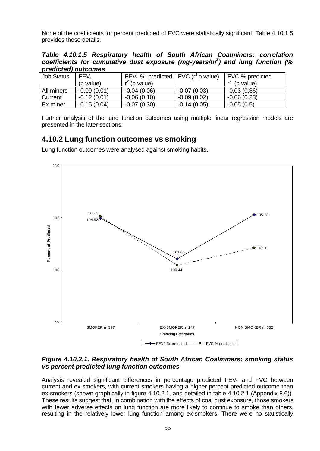None of the coefficients for percent predicted of FVC were statistically significant. Table 4.10.1.5 provides these details.

*Table 4.10.1.5 Respiratory health of South African Coalminers: correlation coefficients for cumulative dust exposure (mg-years/m<sup>3</sup> ) and lung function (% predicted) outcomes*

| <b>Job Status</b> | FEV <sub>1</sub> | FEV <sub>1</sub> % predicted FVC ( $r^2$ p value) |               | <b>FVC % predicted</b> |
|-------------------|------------------|---------------------------------------------------|---------------|------------------------|
|                   | (p value)        | $r^2$ (p value)                                   |               | $r^2$ (p value)        |
| All miners        | $-0.09(0.01)$    | $-0.04(0.06)$                                     | $-0.07(0.03)$ | $-0.03(0.36)$          |
| Current           | $-0.12(0.01)$    | $-0.06(0.10)$                                     | $-0.09(0.02)$ | $-0.06(0.23)$          |
| Ex miner          | $-0.15(0.04)$    | $-0.07(0.30)$                                     | $-0.14(0.05)$ | $-0.05(0.5)$           |

Further analysis of the lung function outcomes using multiple linear regression models are presented in the later sections.

## **4.10.2 Lung function outcomes vs smoking**

Lung function outcomes were analysed against smoking habits.



#### *Figure 4.10.2.1. Respiratory health of South African Coalminers: smoking status vs percent predicted lung function outcomes*

Analysis revealed significant differences in percentage predicted  $FEV<sub>1</sub>$  and  $FVC$  between current and ex-smokers, with current smokers having a higher percent predicted outcome than ex-smokers (shown graphically in figure 4.10.2.1, and detailed in table 4.10.2.1 (Appendix 8.6)). These results suggest that, in combination with the effects of coal dust exposure, those smokers with fewer adverse effects on lung function are more likely to continue to smoke than others, resulting in the relatively lower lung function among ex-smokers. There were no statistically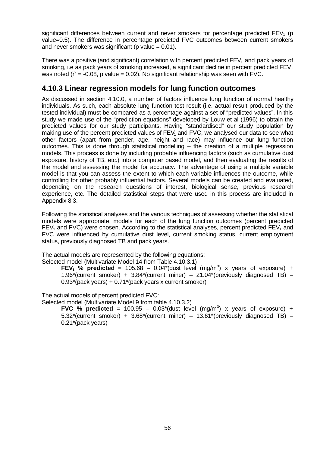significant differences between current and never smokers for percentage predicted  $FEV<sub>1</sub>$  (p value=0.5). The difference in percentage predicted FVC outcomes between current smokers and never smokers was significant ( $p$  value = 0.01).

There was a positive (and significant) correlation with percent predicted  $FEV<sub>1</sub>$  and pack years of smoking, i.e as pack years of smoking increased, a significant decline in percent predicted  $FEV<sub>1</sub>$ was noted ( $r^2$  = -0.08, p value = 0.02). No significant relationship was seen with FVC.

## **4.10.3 Linear regression models for lung function outcomes**

As discussed in section 4.10.0, a number of factors influence lung function of normal healthy individuals. As such, each absolute lung function test result (i.e. actual result produced by the tested individual) must be compared as a percentage against a set of "predicted values". In this study we made use of the "prediction equations" developed by Louw et al (1996) to obtain the predicted values for our study participants. Having "standardised" our study population by making use of the percent predicted values of  $FEV<sub>1</sub>$  and  $FVC$ , we analysed our data to see what other factors (apart from gender, age, height and race) may influence our lung function outcomes. This is done through statistical modelling – the creation of a multiple regression models. This process is done by including probable influencing factors (such as cumulative dust exposure, history of TB, etc.) into a computer based model, and then evaluating the results of the model and assessing the model for accuracy. The advantage of using a multiple variable model is that you can assess the extent to which each variable influences the outcome, while controlling for other probably influential factors. Several models can be created and evaluated, depending on the research questions of interest, biological sense, previous research experience, etc. The detailed statistical steps that were used in this process are included in Appendix 8.3.

Following the statistical analyses and the various techniques of assessing whether the statistical models were appropriate, models for each of the lung function outcomes (percent predicted  $FEV<sub>1</sub>$  and FVC) were chosen. According to the statistical analyses, percent predicted FEV<sub>1</sub> and FVC were influenced by cumulative dust level, current smoking status, current employment status, previously diagnosed TB and pack years.

The actual models are represented by the following equations:

Selected model (Multivariate Model 14 from Table 4.10.3.1)

**FEV<sub>1</sub>** % predicted = 105.68 – 0.04\*(dust level (mg/m<sup>3</sup>) x years of exposure) + 1.96\*(current smoker) +  $3.84$ \*(current miner) –  $21.04$ \*(previously diagnosed TB) – 0.93\*(pack years) + 0.71\*(pack years x current smoker)

The actual models of percent predicted FVC:

Selected model (Multivariate Model 9 from table 4.10.3.2)

**FVC** % predicted = 100.95 - 0.03\*(dust level (mg/m<sup>3</sup>) x years of exposure) + 5.32\*(current smoker) +  $3.68$ \*(current miner) –  $13.61$ \*(previously diagnosed TB) – 0.21\*(pack years)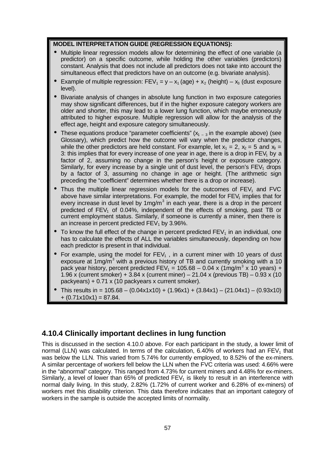#### **MODEL INTERPRETATION GUIDE (REGRESSION EQUATIONS):**

- Multiple linear regression models allow for determining the effect of one variable (a predictor) on a specific outcome, while holding the other variables (predictors) constant. Analysis that does not include all predictors does not take into account the simultaneous effect that predictors have on an outcome (e.g. bivariate analysis).
- Example of multiple regression:  $FEV_1 = y x_1$  (age) +  $x_2$  (height)  $x_3$  (dust exposure level).
- Bivariate analysis of changes in absolute lung function in two exposure categories may show significant differences, but if in the higher exposure category workers are older and shorter, this may lead to a lower lung function, which maybe erroneously attributed to higher exposure. Multiple regression will allow for the analysis of the effect age, height and exposure category simultaneously.
- These equations produce "parameter coefficients"  $(x_{1} 3)$  in the example above) (see Glossary), which predict how the outcome will vary when the predictor changes, while the other predictors are held constant. For example, let  $x_1 = 2$ ,  $x_2 = 5$  and  $x_3 = 5$ 3: this implies that for every increase of one year in age, there is a drop in  $FEV<sub>1</sub>$  by a factor of 2, assuming no change in the person's height or exposure category. Similarly, for every increase by a single unit of dust level, the person's  $FEV<sub>1</sub>$  drops by a factor of 3, assuming no change in age or height. (The arithmetic sign preceding the "coefficient" determines whether there is a drop or increase).
- Thus the multiple linear regression models for the outcomes of  $FEV<sub>1</sub>$  and  $FVC$ above have similar interpretations. For example, the model for  $FEV<sub>1</sub>$  implies that for every increase in dust level by 1mg/m<sup>3</sup> in each year, there is a drop in the percent predicted of  $FEV<sub>1</sub>$  of 0.04%, independent of the effects of smoking, past TB or current employment status. Similarly, if someone is currently a miner, then there is an increase in percent predicted  $FEV<sub>1</sub>$  by 3.96%.
- To know the full effect of the change in percent predicted  $FEV<sub>1</sub>$  in an individual, one has to calculate the effects of ALL the variables simultaneously, depending on how each predictor is present in that individual.
- For example, using the model for  $FEV_1$ , in a current miner with 10 years of dust exposure at 1mg/m<sup>3</sup> with a previous history of TB and currently smoking with a 10 pack year history, percent predicted  $FEV_1 = 105.68 - 0.04 \times (1 \text{mg/m}^3 \times 10 \text{ years}) +$ 1.96 x (current smoker) + 3.84 x (current miner) – 21.04 x (previous TB) – 0.93 x (10 packyears) + 0.71 x (10 packyears x current smoker).
- This results in =  $105.68 (0.04x1x10) + (1.96x1) + (3.84x1) (21.04x1) (0.93x10)$  $+(0.71x10x1) = 87.84.$

## **4.10.4 Clinically important declines in lung function**

This is discussed in the section 4.10.0 above. For each participant in the study, a lower limit of normal (LLN) was calculated. In terms of the calculation, 6.40% of workers had an  $FEV<sub>1</sub>$  that was below the LLN. This varied from 5.74% for currently employed, to 8.52% of the ex-miners. A similar percentage of workers fell below the LLN when the FVC criteria was used: 4.66% were in the "abnormal" category. This ranged from 4.73% for current miners and 4.48% for ex-miners. Similarly, a level of lower than  $65\%$  of predicted FEV<sub>1</sub> is likely to result in an interference with normal daily living. In this study, 2.82% (1.72% of current worker and 6.28% of ex-miners) of workers met this disability criterion. This data therefore indicates that an important category of workers in the sample is outside the accepted limits of normality.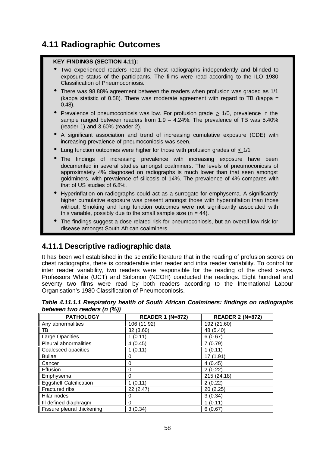# **4.11 Radiographic Outcomes**

#### **KEY FINDINGS (SECTION 4.11):**

- Two experienced readers read the chest radiographs independently and blinded to exposure status of the participants. The films were read according to the ILO 1980 Classification of Pneumoconiosis.
- There was 98.88% agreement between the readers when profusion was graded as 1/1 (kappa statistic of 0.58). There was moderate agreement with regard to TB (kappa = 0.48).
- Prevalence of pneumoconiosis was low. For profusion grade  $\geq$  1/0, prevalence in the sample ranged between readers from  $1.9 - 4.24\%$ . The prevalence of TB was 5.40% (reader 1) and 3.60% (reader 2).
- A significant association and trend of increasing cumulative exposure (CDE) with increasing prevalence of pneumoconiosis was seen.
- Lung function outcomes were higher for those with profusion grades of  $< 1/1$ .
- The findings of increasing prevalence with increasing exposure have been documented in several studies amongst coalminers. The levels of pneumoconiosis of approximately 4% diagnosed on radiographs is much lower than that seen amongst goldminers, with prevalence of silicosis of 14%. The prevalence of 4% compares with that of US studies of 6.8%.
- Hyperinflation on radiographs could act as a surrogate for emphysema. A significantly higher cumulative exposure was present amongst those with hyperinflation than those without. Smoking and lung function outcomes were not significantly associated with this variable, possibly due to the small sample size  $(n = 44)$ .
- The findings suggest a dose related risk for pneumoconiosis, but an overall low risk for disease amongst South African coalminers.

# **4.11.1 Descriptive radiographic data**

It has been well established in the scientific literature that in the reading of profusion scores on chest radiographs, there is considerable inter reader and intra reader variability. To control for inter reader variability, two readers were responsible for the reading of the chest x-rays. Professors White (UCT) and Solomon (NCOH) conducted the readings. Eight hundred and seventy two films were read by both readers according to the International Labour Organisation's 1980 Classification of Pneumoconiosis.

| <b>PATHOLOGY</b>              | <b>READER 1 (N=872)</b> | <b>READER 2 (N=872)</b> |
|-------------------------------|-------------------------|-------------------------|
| Any abnormalities             | 106 (11.92)             | 192 (21.60)             |
| TB                            | 32 (3.60)               | 48 (5.40)               |
| Large Opacities               | 1(0.11)                 | 6(0.67)                 |
| Pleural abnormalities         | 4(0.45)                 | 7(0.79)                 |
| Coalesced opacities           | 1(0.11)                 | 1(0.11)                 |
| <b>Bullae</b>                 | 0                       | 17 (1.91)               |
| Cancer                        | 0                       | 4(0.45)                 |
| Effusion                      | 0                       | 2(0.22)                 |
| Emphysema                     | 0                       | 215 (24.18)             |
| <b>Eggshell Calcification</b> | 1(0.11)                 | 2(0.22)                 |
| Fractured ribs                | 22 (2.47)               | 20(2.25)                |
| Hilar nodes                   | 0                       | 3(0.34)                 |
| III defined diaphragm         | 0                       | 1(0.11)                 |
| Fissure pleural thickening    | 3(0.34)                 | 6(0.67)                 |

*Table 4.11.1.1 Respiratory health of South African Coalminers: findings on radiographs between two readers (n (%))*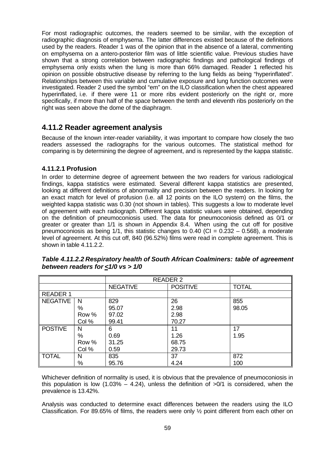For most radiographic outcomes, the readers seemed to be similar, with the exception of radiographic diagnosis of emphysema. The latter differences existed because of the definitions used by the readers. Reader 1 was of the opinion that in the absence of a lateral, commenting on emphysema on a antero-posterior film was of little scientific value. Previous studies have shown that a strong correlation between radiographic findings and pathological findings of emphysema only exists when the lung is more than 66% damaged. Reader 1 reflected his opinion on possible obstructive disease by referring to the lung fields as being "hyperinflated". Relationships between this variable and cumulative exposure and lung function outcomes were investigated. Reader 2 used the symbol "em" on the ILO classification when the chest appeared hyperinflated, i.e. if there were 11 or more ribs evident posteriorly on the right or, more specifically, if more than half of the space between the tenth and eleventh ribs posteriorly on the right was seen above the dome of the diaphragm.

## **4.11.2 Reader agreement analysis**

Because of the known inter-reader variability, it was important to compare how closely the two readers assessed the radiographs for the various outcomes. The statistical method for comparing is by determining the degree of agreement, and is represented by the kappa statistic.

## **4.11.2.1 Profusion**

In order to determine degree of agreement between the two readers for various radiological findings, kappa statistics were estimated. Several different kappa statistics are presented, looking at different definitions of abnormality and precision between the readers. In looking for an exact match for level of profusion (i.e. all 12 points on the ILO system) on the films, the weighted kappa statistic was 0.30 (not shown in tables). This suggests a low to moderate level of agreement with each radiograph. Different kappa statistic values were obtained, depending on the definition of pneumoconiosis used. The data for pneumoconiosis defined as 0/1 or greater or greater than 1/1 is shown in Appendix 8.4. When using the cut off for positive pneumoconiosis as being  $1/1$ , this statistic changes to 0.40 (CI = 0.232 – 0.568), a moderate level of agreement. At this cut off, 840 (96.52%) films were read in complete agreement. This is shown in table 4.11.2.2.

|                |       | <b>READER 2</b> |                 |              |
|----------------|-------|-----------------|-----------------|--------------|
|                |       | <b>NEGATIVE</b> | <b>POSITIVE</b> | <b>TOTAL</b> |
| READER 1       |       |                 |                 |              |
| NEGATIVE       | -N    | 829             | 26              | 855          |
|                | $\%$  | 95.07           | 2.98            | 98.05        |
|                | Row % | 97.02           | 2.98            |              |
|                | Col % | 99.41           | 70.27           |              |
| <b>POSTIVE</b> | N     | 6               | 11              | 17           |
|                | %     | 0.69            | 1.26            | 1.95         |
|                | Row % | 31.25           | 68.75           |              |
|                | Col % | 0.59            | 29.73           |              |
| <b>TOTAL</b>   | N     | 835             | 37              | 872          |
|                | $\%$  | 95.76           | 4.24            | 100          |

*Table 4.11.2.2 Respiratory health of South African Coalminers: table of agreement between readers for <1/0 vs > 1/0*

Whichever definition of normality is used, it is obvious that the prevalence of pneumoconiosis in this population is low  $(1.03\% - 4.24)$ , unless the definition of  $>0/1$  is considered, when the prevalence is 13.42%.

Analysis was conducted to determine exact differences between the readers using the ILO Classification. For 89.65% of films, the readers were only ½ point different from each other on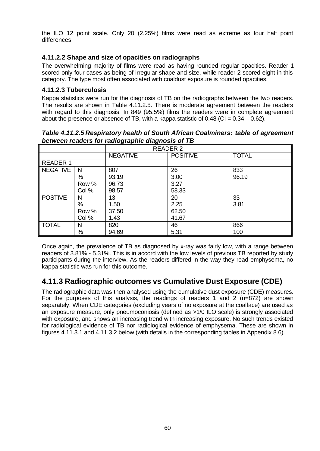the ILO 12 point scale. Only 20 (2.25%) films were read as extreme as four half point differences.

## **4.11.2.2 Shape and size of opacities on radiographs**

The overwhelming majority of films were read as having rounded regular opacities. Reader 1 scored only four cases as being of irregular shape and size, while reader 2 scored eight in this category. The type most often associated with coaldust exposure is rounded opacities.

#### **4.11.2.3 Tuberculosis**

Kappa statistics were run for the diagnosis of TB on the radiographs between the two readers. The results are shown in Table 4.11.2.5. There is moderate agreement between the readers with regard to this diagnosis. In 849 (95.5%) films the readers were in complete agreement about the presence or absence of TB, with a kappa statistic of  $0.48$  (CI =  $0.34 - 0.62$ ).

*Table 4.11.2.5 Respiratory health of South African Coalminers: table of agreement between readers for radiographic diagnosis of TB*

|                 |              | <b>READER 2</b> |                 |              |
|-----------------|--------------|-----------------|-----------------|--------------|
|                 |              | <b>NEGATIVE</b> | <b>POSITIVE</b> | <b>TOTAL</b> |
| <b>READER 1</b> |              |                 |                 |              |
| <b>NEGATIVE</b> | $\mathsf{N}$ | 807             | 26              | 833          |
|                 | %            | 93.19           | 3.00            | 96.19        |
|                 | Row %        | 96.73           | 3.27            |              |
|                 | Col %        | 98.57           | 58.33           |              |
| <b>POSTIVE</b>  | N            | 13              | 20              | 33           |
|                 | %            | 1.50            | 2.25            | 3.81         |
|                 | Row %        | 37.50           | 62.50           |              |
|                 | Col %        | 1.43            | 41.67           |              |
| <b>TOTAL</b>    | N            | 820             | 46              | 866          |
|                 | %            | 94.69           | 5.31            | 100          |

Once again, the prevalence of TB as diagnosed by x-ray was fairly low, with a range between readers of 3.81% - 5.31%. This is in accord with the low levels of previous TB reported by study participants during the interview. As the readers differed in the way they read emphysema, no kappa statistic was run for this outcome.

## **4.11.3 Radiographic outcomes vs Cumulative Dust Exposure (CDE)**

The radiographic data was then analysed using the cumulative dust exposure (CDE) measures. For the purposes of this analysis, the readings of readers 1 and 2 (n=872) are shown separately. When CDE categories (excluding years of no exposure at the coalface) are used as an exposure measure, only pneumoconiosis (defined as >1/0 ILO scale) is strongly associated with exposure, and shows an increasing trend with increasing exposure. No such trends existed for radiological evidence of TB nor radiological evidence of emphysema. These are shown in figures 4.11.3.1 and 4.11.3.2 below (with details in the corresponding tables in Appendix 8.6).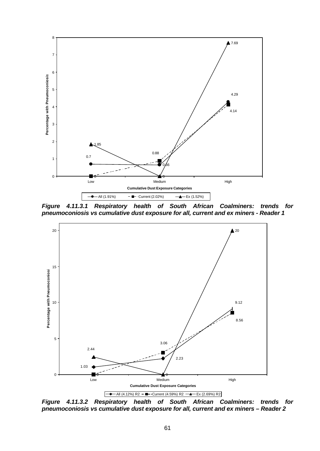

*Figure 4.11.3.1 Respiratory health of South African Coalminers: trends for pneumoconiosis vs cumulative dust exposure for all, current and ex miners - Reader 1*



*Figure 4.11.3.2 Respiratory health of South African Coalminers: trends for pneumoconiosis vs cumulative dust exposure for all, current and ex miners – Reader 2*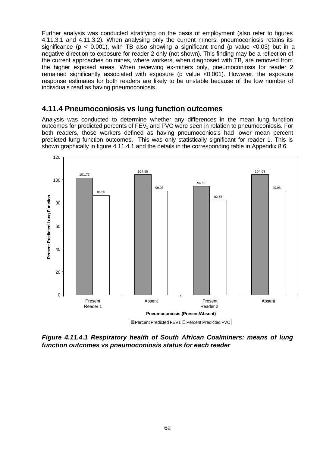Further analysis was conducted stratifying on the basis of employment (also refer to figures 4.11.3.1 and 4.11.3.2). When analysing only the current miners, pneumoconiosis retains its significance ( $p < 0.001$ ), with TB also showing a significant trend ( $p$  value <0.03) but in a negative direction to exposure for reader 2 only (not shown). This finding may be a reflection of the current approaches on mines, where workers, when diagnosed with TB, are removed from the higher exposed areas. When reviewing ex-miners only, pneumoconiosis for reader 2 remained significantly associated with exposure (p value <0.001). However, the exposure response estimates for both readers are likely to be unstable because of the low number of individuals read as having pneumoconiosis.

## **4.11.4 Pneumoconiosis vs lung function outcomes**

Analysis was conducted to determine whether any differences in the mean lung function outcomes for predicted percents of FEV<sub>1</sub> and FVC were seen in relation to pneumoconiosis. For both readers, those workers defined as having pneumoconiosis had lower mean percent predicted lung function outcomes. This was only statistically significant for reader 1. This is shown graphically in figure 4.11.4.1 and the details in the corresponding table in Appendix 8.6.



*Figure 4.11.4.1 Respiratory health of South African Coalminers: means of lung function outcomes vs pneumoconiosis status for each reader*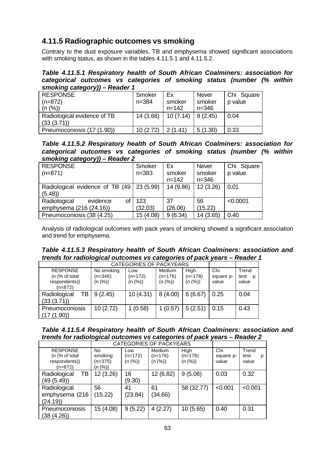# **4.11.5 Radiographic outcomes vs smoking**

Contrary to the dust exposure variables, TB and emphysema showed significant associations with smoking status, as shown in the tables 4.11.5.1 and 4.11.5.2.

*Table 4.11.5.1 Respiratory health of South African Coalminers: association for categorical outcomes vs categories of smoking status (number (% within smoking category)) – Reader 1*

| ,,,,,,,,,,,                                |                     |                           |                                     |                       |
|--------------------------------------------|---------------------|---------------------------|-------------------------------------|-----------------------|
| <b>RESPONSE</b><br>$(n=872)$<br>(n (%))    | Smoker<br>$n = 384$ | Ex<br>smoker<br>$n = 142$ | <b>Never</b><br>smoker<br>$n = 346$ | Chi Square<br>p value |
| Radiological evidence of TB<br>(33 (3.71)) | 14(3.66)            | 10(7.14)                  | 9(2.45)                             | 0.04                  |
| Pneumoconiosis (17 (1.90))                 | 10(2.72)            | 2(1.41)                   | 5(1.30)                             | 0.33                  |

*Table 4.11.5.2 Respiratory health of South African Coalminers: association for categorical outcomes vs categories of smoking status (number (% within smoking category)) – Reader 2*

| - - - - -<br>-----                          |           |           |              |            |
|---------------------------------------------|-----------|-----------|--------------|------------|
| <b>RESPONSE</b>                             | Smoker    | Ex        | <b>Never</b> | Chi Square |
| $(n=871)$                                   | $n = 383$ | smoker    | smoker       | p value    |
|                                             |           | $n = 142$ | $n = 346$    |            |
| Radiological evidence of TB (49   23 (5.99) |           | 14 (9.86) | 12(3.26)     | 0.01       |
| (5.48)                                      |           |           |              |            |
| Radiological<br>evidence<br>οf              | 123       | 37        | 56           | < 0.0001   |
| emphysema (216 (24.16))                     | (32.03)   | (26.06)   | (15.22)      |            |
| Pneumoconiosis (38 (4.25)                   | 15 (4.08) | 9(6.34)   | 14 (3.65)    | 0.40       |

Analysis of radiological outcomes with pack years of smoking showed a significant association and trend for emphysema.

#### *Table 4.11.5.3 Respiratory health of South African Coalminers: association and trends for radiological outcomes vs categories of pack years – Reader 1*

|                                              |                         | CATEGORIES OF PACKYEARS |                     |                   |                  |                    |
|----------------------------------------------|-------------------------|-------------------------|---------------------|-------------------|------------------|--------------------|
| <b>RESPONSE</b><br>(n $\frac{9}{6}$ of total | No smoking<br>$(n=346)$ | Low<br>(n=172)          | Medium<br>$(n=176)$ | High<br>$(n=178)$ | Chi<br>square p- | Trend<br>test<br>D |
| respondents))<br>$(n=872)$                   | (n (%))                 | (n (%))                 | (n (%))             | (n (%))           | value            | value              |
| ТB<br>Radiological<br>(33 (3.71))            | 9(2.45)                 | 10(4.31)                | 8(4.00)             | 6(6.67)           | 0.25             | 0.04               |
| Pneumoconiosis<br>(17(1.90))                 | 10(2.72)                | 1(0.58)                 | 1(0.57)             | 5(2.51)           | 0.15             | 0.43               |

| Table 4.11.5.4 Respiratory health of South African Coalminers: association and |  |
|--------------------------------------------------------------------------------|--|
| trends for radiological outcomes vs categories of pack years – Reader 2        |  |

|                                                                  |                                     |                           | <b>CATEGORIES OF PACKYEARS</b>        |                              |                           |                             |
|------------------------------------------------------------------|-------------------------------------|---------------------------|---------------------------------------|------------------------------|---------------------------|-----------------------------|
| <b>RESPONSE</b><br>(n (% of total)<br>respondents))<br>$(n=872)$ | No<br>smoking<br>(n=375)<br>(n (%)) | Low<br>(n=172)<br>(n (%)) | <b>Medium</b><br>$(n=176)$<br>(n (%)) | High<br>$(n=178)$<br>(n (%)) | Chi<br>square p-<br>value | Trend<br>test<br>р<br>value |
| ТB<br>Radiological<br>(49(5.49))                                 | 12(3.26)                            | 16<br>(9.30)              | 12 (6.82)                             | 9(5.08)                      | 0.03                      | 0.32                        |
| Radiological<br>emphysema (216<br>(24.19)                        | 56<br>(15.22)                       | 41<br>(23.84)             | 61<br>(34.66)                         | 58 (32.77)                   | < 0.001                   | < 0.001                     |
| Pneumoconiosis<br>(38 (4.26))                                    | 15 (4.08)                           | 9(5.22)                   | 4(2.27)                               | 10(5.65)                     | 0.40                      | 0.31                        |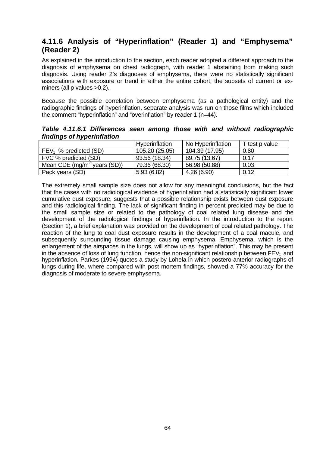## **4.11.6 Analysis of "Hyperinflation" (Reader 1) and "Emphysema" (Reader 2)**

As explained in the introduction to the section, each reader adopted a different approach to the diagnosis of emphysema on chest radiograph, with reader 1 abstaining from making such diagnosis. Using reader 2's diagnoses of emphysema, there were no statistically significant associations with exposure or trend in either the entire cohort, the subsets of current or exminers (all p values >0.2).

Because the possible correlation between emphysema (as a pathological entity) and the radiographic findings of hyperinflation, separate analysis was run on those films which included the comment "hyperinflation" and "overinflation" by reader 1 (n=44).

*Table 4.11.6.1 Differences seen among those with and without radiographic findings of hyperinflation*

|                                         | Hyperinflation | No Hyperinflation | T test p value |
|-----------------------------------------|----------------|-------------------|----------------|
| $FEV_1$ % predicted (SD)                | 105.20 (25.05) | 104.39 (17.95)    | 0.80           |
| FVC % predicted (SD)                    | 93.56 (18.34)  | 89.75 (13.67)     | 0.17           |
| Mean CDE (mg/m <sup>3</sup> years (SD)) | 79.36 (68.30)  | 56.98 (50.88)     | 0.03           |
| Pack years (SD)                         | 5.93(6.82)     | 4.26(6.90)        | 0.12           |

The extremely small sample size does not allow for any meaningful conclusions, but the fact that the cases with no radiological evidence of hyperinflation had a statistically significant lower cumulative dust exposure, suggests that a possible relationship exists between dust exposure and this radiological finding. The lack of significant finding in percent predicted may be due to the small sample size or related to the pathology of coal related lung disease and the development of the radiological findings of hyperinflation. In the introduction to the report (Section 1), a brief explanation was provided on the development of coal related pathology. The reaction of the lung to coal dust exposure results in the development of a coal macule, and subsequently surrounding tissue damage causing emphysema. Emphysema, which is the enlargement of the airspaces in the lungs, will show up as "hyperinflation". This may be present in the absence of loss of lung function, hence the non-significant relationship between  $FEV<sub>1</sub>$  and hyperinflation. Parkes (1994) quotes a study by Lohela in which postero-anterior radiographs of lungs during life, where compared with post mortem findings, showed a 77% accuracy for the diagnosis of moderate to severe emphysema.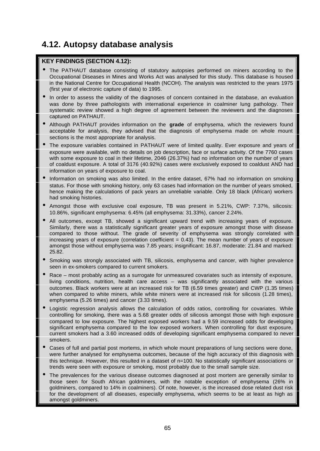# **4.12. Autopsy database analysis**

#### **KEY FINDINGS (SECTION 4.12):**

- The PATHAUT database consisting of statutory autopsies performed on miners according to the Occupational Diseases in Mines and Works Act was analysed for this study. This database is housed in the National Centre for Occupational Health (NCOH). The analysis was restricted to the years 1975 (first year of electronic capture of data) to 1995.
- In order to assess the validity of the diagnoses of concern contained in the database, an evaluation was done by three pathologists with international experience in coalminer lung pathology. Their systematic review showed a high degree of agreement between the reviewers and the diagnoses captured on PATHAUT.
- Although PATHAUT provides information on the **grade** of emphysema, which the reviewers found acceptable for analysis, they advised that the diagnosis of emphysema made on whole mount sections is the most appropriate for analysis.
- The exposure variables contained in PATHAUT were of limited quality. Ever exposure and years of exposure were available, with no details on job description, face or surface activity. Of the 7760 cases with some exposure to coal in their lifetime, 2046 (26.37%) had no information on the number of years of coaldust exposure. A total of 3176 (40.92%) cases were exclusively exposed to coaldust AND had information on years of exposure to coal.
- Information on smoking was also limited. In the entire dataset, 67% had no information on smoking status. For those with smoking history, only 63 cases had information on the number of years smoked, hence making the calculations of pack years an unreliable variable. Only 18 black (African) workers had smoking histories.
- Amongst those with exclusive coal exposure, TB was present in 5.21%, CWP: 7.37%, silicosis: 10.86%, significant emphysema: 6.45% (all emphysema: 31.33%), cancer 2.24%.
- All outcomes, except TB, showed a significant upward trend with increasing years of exposure. Similarly, there was a statistically significant greater years of exposure amongst those with disease compared to those without. The grade of severity of emphysema was strongly correlated with increasing years of exposure (correlation coefficient  $= 0.43$ ). The mean number of years of exposure amongst those without emphysema was 7.85 years; insignificant: 16.87, moderate: 21.84 and marked: 25.82.
- Smoking was strongly associated with TB, silicosis, emphysema and cancer, with higher prevalence seen in ex-smokers compared to current smokers.
- Race most probably acting as a surrogate for unmeasured covariates such as intensity of exposure, living conditions, nutrition, health care access – was significantly associated with the various outcomes. Black workers were at an increased risk for TB (6.59 times greater) and CWP (1.35 times) when compared to white miners, while white miners were at increased risk for silicosis (1.28 times), emphysema (5.26 times) and cancer (3.33 times).
- Logistic regression analysis allows the calculation of odds ratios, controlling for covariates. While controlling for smoking, there was a 5.68 greater odds of silicosis amongst those with high exposure compared to low exposure. The highest exposed workers had a 9.59 increased odds for developing significant emphysema compared to the low exposed workers. When controlling for dust exposure, current smokers had a 3.60 increased odds of developing significant emphysema compared to never smokers.
- Cases of full and partial post mortems, in which whole mount preparations of lung sections were done, were further analysed for emphysema outcomes, because of the high accuracy of this diagnosis with this technique. However, this resulted in a dataset of n=100. No statistically significant associations or trends were seen with exposure or smoking, most probably due to the small sample size.
- The prevalences for the various disease outcomes diagnosed at post mortem are generally similar to those seen for South African goldminers, with the notable exception of emphysema (26% in goldminers, compared to 14% in coalminers). Of note, however, is the increased dose related dust risk for the development of all diseases, especially emphysema, which seems to be at least as high as amongst goldminers.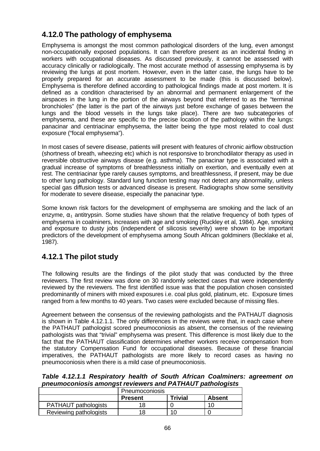# **4.12.0 The pathology of emphysema**

Emphysema is amongst the most common pathological disorders of the lung, even amongst non-occupationally exposed populations. It can therefore present as an incidental finding in workers with occupational diseases. As discussed previously, it cannot be assessed with accuracy clinically or radiologically. The most accurate method of assessing emphysema is by reviewing the lungs at post mortem. However, even in the latter case, the lungs have to be properly prepared for an accurate assessment to be made (this is discussed below). Emphysema is therefore defined according to pathological findings made at post mortem. It is defined as a condition characterised by an abnormal and permanent enlargement of the airspaces in the lung in the portion of the airways beyond that referred to as the "terminal bronchioles" (the latter is the part of the airways just before exchange of gases between the lungs and the blood vessels in the lungs take place). There are two subcategories of emphysema, and these are specific to the precise location of the pathology within the lungs: panacinar and centriacinar emphysema, the latter being the type most related to coal dust exposure ("focal emphysema").

In most cases of severe disease, patients will present with features of chronic airflow obstruction (shortness of breath, wheezing etc) which is not responsive to bronchodilator therapy as used in reversible obstructive airways disease (e.g. asthma). The panacinar type is associated with a gradual increase of symptoms of breathlessness initially on exertion, and eventually even at rest. The centriacinar type rarely causes symptoms, and breathlessness, if present, may be due to other lung pathology. Standard lung function testing may not detect any abnormality, unless special gas diffusion tests or advanced disease is present. Radiographs show some sensitivity for moderate to severe disease, especially the panacinar type.

Some known risk factors for the development of emphysema are smoking and the lack of an enzyme,  $\alpha_1$  antitrypsin. Some studies have shown that the relative frequency of both types of emphysema in coalminers, increases with age and smoking (Ruckley et al, 1984). Age, smoking and exposure to dusty jobs (independent of silicosis severity) were shown to be important predictors of the development of emphysema among South African goldminers (Becklake et al, 1987).

# **4.12.1 The pilot study**

The following results are the findings of the pilot study that was conducted by the three reviewers. The first review was done on 30 randomly selected cases that were independently reviewed by the reviewers. The first identified issue was that the population chosen consisted predominantly of miners with mixed exposures i.e. coal plus gold, platinum, etc. Exposure times ranged from a few months to 40 years. Two cases were excluded because of missing files.

Agreement between the consensus of the reviewing pathologists and the PATHAUT diagnosis is shown in Table 4.12.1.1. The only differences in the reviews were that, in each case where the PATHAUT pathologist scored pneumoconiosis as absent, the consensus of the reviewing pathologists was that "trivial" emphysema was present. This difference is most likely due to the fact that the PATHAUT classification determines whether workers receive compensation from the statutory Compensation Fund for occupational diseases. Because of these financial imperatives, the PATHAUT pathologists are more likely to record cases as having no pneumoconiosis when there is a mild case of pneumoconiosis.

*Table 4.12.1.1 Respiratory health of South African Coalminers: agreement on pneumoconiosis amongst reviewers and PATHAUT pathologists*

|                             | Pneumoconiosis |                |        |
|-----------------------------|----------------|----------------|--------|
|                             | <b>Present</b> | <b>Trivial</b> | Absent |
| <b>PATHAUT</b> pathologists |                |                | 10     |
| Reviewing pathologists      |                | 10             |        |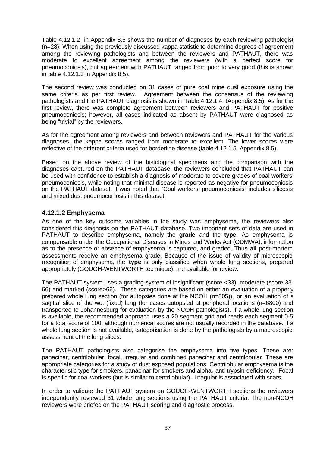Table 4.12.1.2 in Appendix 8.5 shows the number of diagnoses by each reviewing pathologist (n=28). When using the previously discussed kappa statistic to determine degrees of agreement among the reviewing pathologists and between the reviewers and PATHAUT, there was moderate to excellent agreement among the reviewers (with a perfect score for pneumoconiosis), but agreement with PATHAUT ranged from poor to very good (this is shown in table 4.12.1.3 in Appendix 8.5).

The second review was conducted on 31 cases of pure coal mine dust exposure using the same criteria as per first review. Agreement between the consensus of the reviewing pathologists and the PATHAUT diagnosis is shown in Table 4.12.1.4. (Appendix 8.5). As for the first review, there was complete agreement between reviewers and PATHAUT for positive pneumoconiosis; however, all cases indicated as absent by PATHAUT were diagnosed as being "trivial" by the reviewers.

As for the agreement among reviewers and between reviewers and PATHAUT for the various diagnoses, the kappa scores ranged from moderate to excellent. The lower scores were reflective of the different criteria used for borderline disease (table 4.12.1.5, Appendix 8.5).

Based on the above review of the histological specimens and the comparison with the diagnoses captured on the PATHAUT database, the reviewers concluded that PATHAUT can be used with confidence to establish a diagnosis of moderate to severe grades of coal workers' pneumoconiosis, while noting that minimal disease is reported as negative for pneumoconiosis on the PATHAUT dataset. It was noted that "Coal workers' pneumoconiosis" includes silicosis and mixed dust pneumoconiosis in this dataset.

#### **4.12.1.2 Emphysema**

As one of the key outcome variables in the study was emphysema, the reviewers also considered this diagnosis on the PATHAUT database. Two important sets of data are used in PATHAUT to describe emphysema, namely the **grade** and the **type**. As emphysema is compensable under the Occupational Diseases in Mines and Works Act (ODMWA), information as to the presence or absence of emphysema is captured, and graded. Thus **all** post-mortem assessments receive an emphysema grade. Because of the issue of validity of microscopic recognition of emphysema, the **type** is only classified when whole lung sections, prepared appropriately (GOUGH-WENTWORTH technique), are available for review.

The PATHAUT system uses a grading system of insignificant (score <33), moderate (score 33- 66) and marked (score>66). These categories are based on either an evaluation of a properly prepared whole lung section (for autopsies done at the NCOH (n=805)), or an evaluation of a sagittal slice of the wet (fixed) lung (for cases autopsied at peripheral locations (n=6800) and transported to Johannesburg for evaluation by the NCOH pathologists). If a whole lung section is available, the recommended approach uses a 20 segment grid and reads each segment 0-5 for a total score of 100, although numerical scores are not usually recorded in the database. If a whole lung section is not available, categorisation is done by the pathologists by a macroscopic assessment of the lung slices.

The PATHAUT pathologists also categorise the emphysema into five types. These are: panacinar, centrilobular, focal, irregular and combined panacinar and centrilobular. These are appropriate categories for a study of dust exposed populations. Centrilobular emphysema is the characteristic type for smokers, panacinar for smokers and alpha<sub>1</sub> anti trypsin deficiency. Focal is specific for coal workers (but is similar to centrilobular). Irregular is associated with scars.

In order to validate the PATHAUT system on GOUGH-WENTWORTH sections the reviewers independently reviewed 31 whole lung sections using the PATHAUT criteria. The non-NCOH reviewers were briefed on the PATHAUT scoring and diagnostic process.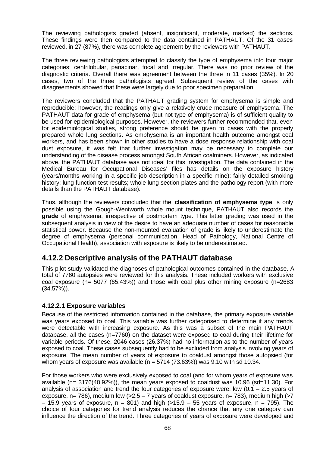The reviewing pathologists graded (absent, insignificant, moderate, marked) the sections. These findings were then compared to the data contained in PATHAUT. Of the 31 cases reviewed, in 27 (87%), there was complete agreement by the reviewers with PATHAUT.

The three reviewing pathologists attempted to classify the type of emphysema into four major categories: centrilobular, panacinar, focal and irregular. There was no prior review of the diagnostic criteria. Overall there was agreement between the three in 11 cases (35%). In 20 cases, two of the three pathologists agreed. Subsequent review of the cases with disagreements showed that these were largely due to poor specimen preparation.

The reviewers concluded that the PATHAUT grading system for emphysema is simple and reproducible; however, the readings only give a relatively crude measure of emphysema. The PATHAUT data for grade of emphysema (but not type of emphysema) is of sufficient quality to be used for epidemiological purposes. However, the reviewers further recommended that, even for epidemiological studies, strong preference should be given to cases with the properly prepared whole lung sections. As emphysema is an important health outcome amongst coal workers, and has been shown in other studies to have a dose response relationship with coal dust exposure, it was felt that further investigation may be necessary to complete our understanding of the disease process amongst South African coalminers. However, as indicated above, the PATHAUT database was not ideal for this investigation. The data contained in the Medical Bureau for Occupational Diseases' files has details on the exposure history (years/months working in a specific job description in a specific mine); fairly detailed smoking history; lung function test results; whole lung section plates and the pathology report (with more details than the PATHAUT database).

Thus, although the reviewers concluded that the **classification of emphysema type** is only possible using the Gough-Wentworth whole mount technique, PATHAUT also records the **grade** of emphysema, irrespective of postmortem type. This latter grading was used in the subsequent analysis in view of the desire to have an adequate number of cases for reasonable statistical power. Because the non-mounted evaluation of grade is likely to underestimate the degree of emphysema (personal communication, Head of Pathology, National Centre of Occupational Health), association with exposure is likely to be underestimated.

## **4.12.2 Descriptive analysis of the PATHAUT database**

This pilot study validated the diagnoses of pathological outcomes contained in the database. A total of 7760 autopsies were reviewed for this analysis. These included workers with exclusive coal exposure (n= 5077 (65.43%)) and those with coal plus other mining exposure (n=2683 (34.57%)).

#### **4.12.2.1 Exposure variables**

Because of the restricted information contained in the database, the primary exposure variable was years exposed to coal. This variable was further categorised to determine if any trends were detectable with increasing exposure. As this was a subset of the main PATHAUT database, all the cases (n=7760) on the dataset were exposed to coal during their lifetime for variable periods. Of these, 2046 cases (26.37%) had no information as to the number of years exposed to coal. These cases subsequently had to be excluded from analysis involving years of exposure. The mean number of years of exposure to coaldust amongst those autopsied (for whom years of exposure was available ( $n = 5714$  (73.63%)) was 9.10 with sd 10.34.

For those workers who were exclusively exposed to coal (and for whom years of exposure was available  $(n= 3176(40.92\%))$ , the mean years exposed to coaldust was 10.96 (sd=11.30). For analysis of association and trend the four categories of exposure were: low  $(0.1 - 2.5$  years of exposure, n= 786), medium low  $(>=2.5 - 7$  years of coaldust exposure, n= 783), medium high  $(>=7$  $-$  15.9 years of exposure, n = 801) and high ( $>15.9$  – 55 years of exposure, n = 795). The choice of four categories for trend analysis reduces the chance that any one category can influence the direction of the trend. Three categories of years of exposure were developed and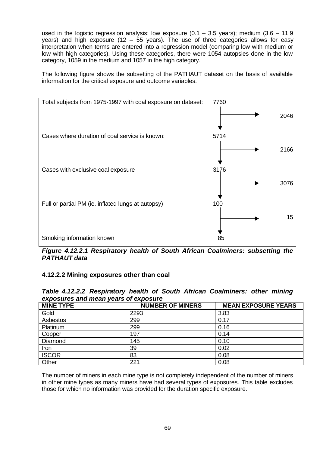used in the logistic regression analysis: low exposure  $(0.1 - 3.5$  years); medium  $(3.6 - 11.9$ years) and high exposure (12 – 55 years). The use of three categories allows for easy interpretation when terms are entered into a regression model (comparing low with medium or low with high categories). Using these categories, there were 1054 autopsies done in the low category, 1059 in the medium and 1057 in the high category.

The following figure shows the subsetting of the PATHAUT dataset on the basis of available information for the critical exposure and outcome variables.



*Figure 4.12.2.1 Respiratory health of South African Coalminers: subsetting the PATHAUT data*

## **4.12.2.2 Mining exposures other than coal**

| <b>MINE TYPE</b> | <b>NUMBER OF MINERS</b> | <b>MEAN EXPOSURE YEARS</b> |
|------------------|-------------------------|----------------------------|
| Gold             | 2293                    | 3.83                       |
| Asbestos         | 299                     | 0.17                       |
| Platinum         | 299                     | 0.16                       |
| Copper           | 197                     | 0.14                       |
| Diamond          | 145                     | 0.10                       |
| Iron             | 39                      | 0.02                       |
| <b>ISCOR</b>     | 83                      | 0.08                       |
| Other            | 221                     | 0.08                       |

*Table 4.12.2.2 Respiratory health of South African Coalminers: other mining exposures and mean years of exposure*

The number of miners in each mine type is not completely independent of the number of miners in other mine types as many miners have had several types of exposures. This table excludes those for which no information was provided for the duration specific exposure.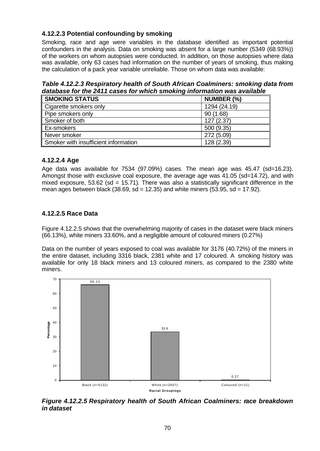## **4.12.2.3 Potential confounding by smoking**

Smoking, race and age were variables in the database identified as important potential confounders in the analysis. Data on smoking was absent for a large number (5349 (68.93%)) of the workers on whom autopsies were conducted. In addition, on those autopsies where data was available, only 63 cases had information on the number of years of smoking, thus making the calculation of a pack year variable unreliable. Those on whom data was available:

*Table 4.12.2.3 Respiratory health of South African Coalminers: smoking data from database for the 2411 cases for which smoking information was available*

| <b>SMOKING STATUS</b>                | NUMBER (%)   |
|--------------------------------------|--------------|
| Cigarette smokers only               | 1294 (24.19) |
| Pipe smokers only                    | 90(1.68)     |
| Smoker of both                       | 127(2.37)    |
| Ex-smokers                           | 500 (9.35)   |
| Never smoker                         | 272 (5.09)   |
| Smoker with insufficient information | 128 (2.39)   |

#### **4.12.2.4 Age**

Age data was available for 7534 (97.09%) cases. The mean age was 45.47 (sd=16.23). Amongst those with exclusive coal exposure, the average age was 41.05 (sd=14.72), and with mixed exposure, 53.62 (sd = 15.71). There was also a statistically significant difference in the mean ages between black (38.69,  $sd = 12.35$ ) and white miners (53.95,  $sd = 17.92$ ).

## **4.12.2.5 Race Data**

Figure 4.12.2.5 shows that the overwhelming majority of cases in the dataset were black miners (66.13%), white miners 33.60%, and a negligible amount of coloured miners (0.27%)

Data on the number of years exposed to coal was available for 3176 (40.72%) of the miners in the entire dataset, including 3316 black, 2381 white and 17 coloured. A smoking history was available for only 18 black miners and 13 coloured miners, as compared to the 2380 white miners.



*Figure 4.12.2.5 Respiratory health of South African Coalminers: race breakdown in dataset*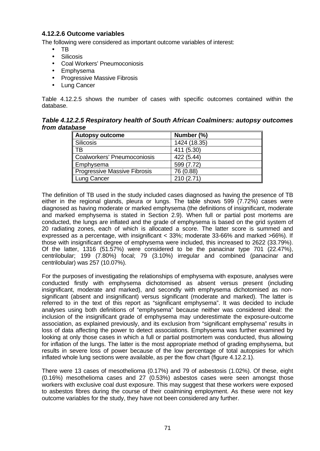#### **4.12.2.6 Outcome variables**

The following were considered as important outcome variables of interest:

- TB
- Silicosis
- Coal Workers' Pneumoconiosis
- Emphysema
- Progressive Massive Fibrosis
- **Lung Cancer**

Table 4.12.2.5 shows the number of cases with specific outcomes contained within the database.

*Table 4.12.2.5 Respiratory health of South African Coalminers: autopsy outcomes from database*

| Autopsy outcome              | Number (%)   |
|------------------------------|--------------|
| Silicosis                    | 1424 (18.35) |
| <b>TB</b>                    | 411 (5.30)   |
| Coalworkers' Pneumoconiosis  | 422 (5.44)   |
| ∥ Emphysema                  | 599 (7.72)   |
| Progressive Massive Fibrosis | 76 (0.88)    |
| Lung Cancer                  | 210(2.71)    |

The definition of TB used in the study included cases diagnosed as having the presence of TB either in the regional glands, pleura or lungs. The table shows 599  $(7.72%)$  cases were diagnosed as having moderate or marked emphysema (the definitions of insignificant, moderate and marked emphysema is stated in Section 2.9). When full or partial post mortems are conducted, the lungs are inflated and the grade of emphysema is based on the grid system of 20 radiating zones, each of which is allocated a score. The latter score is summed and expressed as a percentage, with insignificant < 33%; moderate 33-66% and marked >66%). If those with insignificant degree of emphysema were included, this increased to 2622 (33.79%). Of the latter, 1316 (51.57%) were considered to be the panacinar type 701 (22.47%), centrilobular; 199 (7.80%) focal; 79 (3.10%) irregular and combined (panacinar and centrilobular) was 257 (10.07%).

For the purposes of investigating the relationships of emphysema with exposure, analyses were conducted firstly with emphysema dichotomised as absent versus present (including insignificant, moderate and marked), and secondly with emphysema dichotomised as nonsignificant (absent and insignificant) versus significant (moderate and marked). The latter is referred to in the text of this report as "significant emphysema". It was decided to include analyses using both definitions of "emphysema" because neither was considered ideal: the inclusion of the insignificant grade of emphysema may underestimate the exposure-outcome association, as explained previously, and its exclusion from "significant emphysema" results in loss of data affecting the power to detect associations. Emphysema was further examined by looking at only those cases in which a full or partial postmortem was conducted, thus allowing for inflation of the lungs. The latter is the most appropriate method of grading emphysema, but results in severe loss of power because of the low percentage of total autopsies for which inflated whole lung sections were available, as per the flow chart (figure 4.12.2.1).

There were 13 cases of mesothelioma (0.17%) and 79 of asbestosis (1.02%). Of these, eight (0.16%) mesothelioma cases and 27 (0.53%) asbestos cases were seen amongst those workers with exclusive coal dust exposure. This may suggest that these workers were exposed to asbestos fibres during the course of their coalmining employment. As these were not key outcome variables for the study, they have not been considered any further.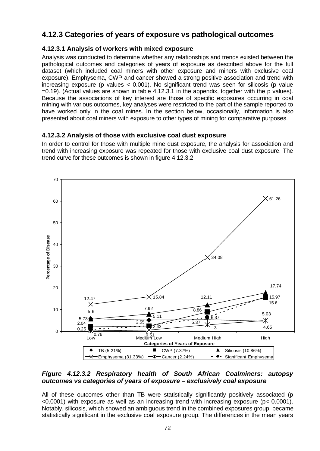## **4.12.3 Categories of years of exposure vs pathological outcomes**

## **4.12.3.1 Analysis of workers with mixed exposure**

Analysis was conducted to determine whether any relationships and trends existed between the pathological outcomes and categories of years of exposure as described above for the full dataset (which included coal miners with other exposure and miners with exclusive coal exposure). Emphysema, CWP and cancer showed a strong positive association and trend with increasing exposure (p values < 0.001). No significant trend was seen for silicosis (p value =0.19). (Actual values are shown in table 4.12.3.1 in the appendix, together with the p values). Because the associations of key interest are those of specific exposures occurring in coal mining with various outcomes, key analyses were restricted to the part of the sample reported to have worked only in the coal mines. In the section below, occasionally, information is also presented about coal miners with exposure to other types of mining for comparative purposes.

## **4.12.3.2 Analysis of those with exclusive coal dust exposure**

In order to control for those with multiple mine dust exposure, the analysis for association and trend with increasing exposure was repeated for those with exclusive coal dust exposure. The trend curve for these outcomes is shown in figure 4.12.3.2.



#### *Figure 4.12.3.2 Respiratory health of South African Coalminers: autopsy outcomes vs categories of years of exposure – exclusively coal exposure*

All of these outcomes other than TB were statistically significantly positively associated (p <0.0001) with exposure as well as an increasing trend with increasing exposure (p< 0.0001). Notably, silicosis, which showed an ambiguous trend in the combined exposures group, became statistically significant in the exclusive coal exposure group. The differences in the mean years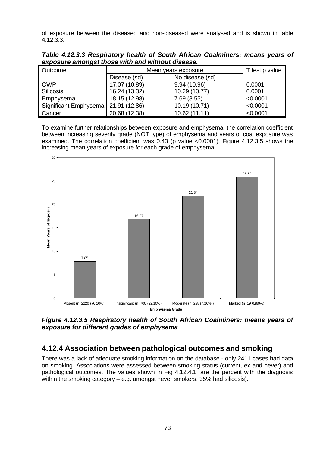of exposure between the diseased and non-diseased were analysed and is shown in table 4.12.3.3.

| Outcome               | Mean years exposure |                 | T test p value |
|-----------------------|---------------------|-----------------|----------------|
|                       | Disease (sd)        | No disease (sd) |                |
| <b>CWP</b>            | 17.07 (10.89)       | 9.94 (10.96)    | 0.0001         |
| <b>Silicosis</b>      | 16.24 (13.32)       | 10.29 (10.77)   | 0.0001         |
| Emphysema             | 18.15 (12.98)       | 7.69(8.55)      | < 0.0001       |
| Significant Emphysema | 21.91 (12.86)       | 10.19 (10.71)   | < 0.0001       |
| Cancer                | 20.68 (12.38)       | 10.62 (11.11)   | < 0.0001       |

*Table 4.12.3.3 Respiratory health of South African Coalminers: means years of exposure amongst those with and without disease.*

To examine further relationships between exposure and emphysema, the correlation coefficient between increasing severity grade (NOT type) of emphysema and years of coal exposure was examined. The correlation coefficient was 0.43 (p value <0.0001). Figure 4.12.3.5 shows the increasing mean years of exposure for each grade of emphysema.



*Figure 4.12.3.5 Respiratory health of South African Coalminers: means years of exposure for different grades of emphysema*

## **4.12.4 Association between pathological outcomes and smoking**

There was a lack of adequate smoking information on the database - only 2411 cases had data on smoking. Associations were assessed between smoking status (current, ex and never) and pathological outcomes. The values shown in Fig 4.12.4.1. are the percent with the diagnosis within the smoking category – e.g. amongst never smokers, 35% had silicosis).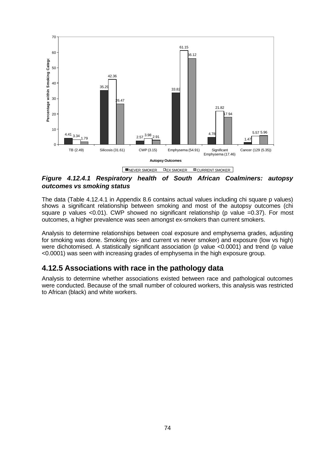

*Figure 4.12.4.1 Respiratory health of South African Coalminers: autopsy outcomes vs smoking status*

The data (Table 4.12.4.1 in Appendix 8.6 contains actual values including chi square p values) shows a significant relationship between smoking and most of the autopsy outcomes (chi square p values <0.01). CWP showed no significant relationship (p value =0.37). For most outcomes, a higher prevalence was seen amongst ex-smokers than current smokers.

Analysis to determine relationships between coal exposure and emphysema grades, adjusting for smoking was done. Smoking (ex- and current vs never smoker) and exposure (low vs high) were dichotomised. A statistically significant association (p value <0.0001) and trend (p value <0.0001) was seen with increasing grades of emphysema in the high exposure group.

## **4.12.5 Associations with race in the pathology data**

Analysis to determine whether associations existed between race and pathological outcomes were conducted. Because of the small number of coloured workers, this analysis was restricted to African (black) and white workers.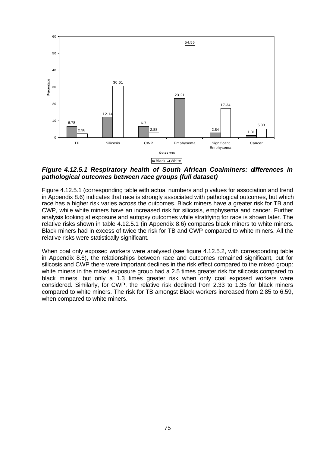

*Figure 4.12.5.1 Respiratory health of South African Coalminers: differences in pathological outcomes between race groups (full dataset)*

Figure 4.12.5.1 (corresponding table with actual numbers and p values for association and trend in Appendix 8.6) indicates that race is strongly associated with pathological outcomes, but which race has a higher risk varies across the outcomes. Black miners have a greater risk for TB and CWP, while white miners have an increased risk for silicosis, emphysema and cancer. Further analysis looking at exposure and autopsy outcomes while stratifying for race is shown later. The relative risks shown in table 4.12.5.1 (in Appendix 8.6) compares black miners to white miners. Black miners had in excess of twice the risk for TB and CWP compared to white miners. All the relative risks were statistically significant.

When coal only exposed workers were analysed (see figure 4.12.5.2, with corresponding table in Appendix 8.6), the relationships between race and outcomes remained significant, but for silicosis and CWP there were important declines in the risk effect compared to the mixed group: white miners in the mixed exposure group had a 2.5 times greater risk for silicosis compared to black miners, but only a 1.3 times greater risk when only coal exposed workers were considered. Similarly, for CWP, the relative risk declined from 2.33 to 1.35 for black miners compared to white miners. The risk for TB amongst Black workers increased from 2.85 to 6.59, when compared to white miners.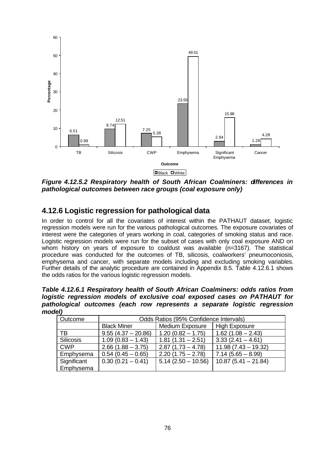

*Figure 4.12.5.2 Respiratory health of South African Coalminers: differences in pathological outcomes between race groups (coal exposure only)*

## **4.12.6 Logistic regression for pathological data**

In order to control for all the covariates of interest within the PATHAUT dataset, logistic regression models were run for the various pathological outcomes. The exposure covariates of interest were the categories of years working in coal, categories of smoking status and race. Logistic regression models were run for the subset of cases with only coal exposure AND on whom history on years of exposure to coaldust was available (n=3167). The statistical procedure was conducted for the outcomes of TB, silicosis, coalworkers' pneumoconiosis, emphysema and cancer, with separate models including and excluding smoking variables. Further details of the analytic procedure are contained in Appendix 8.5. Table 4.12.6.1 shows the odds ratios for the various logistic regression models.

*Table 4.12.6.1 Respiratory health of South African Coalminers: odds ratios from logistic regression models of exclusive coal exposed cases on PATHAUT for pathological outcomes (each row represents a separate logistic regression model)*

| Outcome          | Odds Ratios (95% Confidence Intervals) |                        |                       |  |  |
|------------------|----------------------------------------|------------------------|-----------------------|--|--|
|                  | <b>Black Miner</b>                     | <b>Medium Exposure</b> | <b>High Exposure</b>  |  |  |
| ТB               | $9.55(4.37 - 20.86)$                   | $1.20(0.82 - 1.75)$    | $1.62(1.08 - 2.43)$   |  |  |
| <b>Silicosis</b> | $1.09(0.83 - 1.43)$                    | $1.81(1.31 - 2.51)$    | $3.33(2.41 - 4.61)$   |  |  |
| <b>CWP</b>       | $2.66(1.88 - 3.75)$                    | $2.87(1.73 - 4.78)$    | $11.98(7.43 - 19.32)$ |  |  |
| Emphysema        | $0.54(0.45 - 0.65)$                    | $2.20(1.75 - 2.78)$    | $7.14(5.65 - 8.99)$   |  |  |
| Significant      | $0.30(0.21 - 0.41)$                    | $5.14(2.50 - 10.56)$   | $10.87(5.41 - 21.84)$ |  |  |
| Emphysema        |                                        |                        |                       |  |  |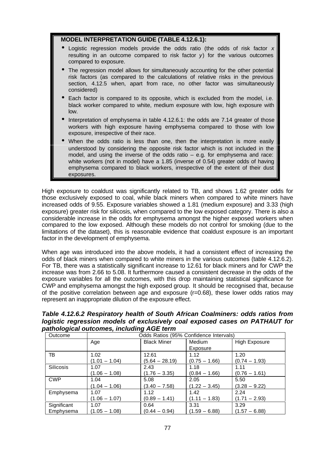#### **MODEL INTERPRETATION GUIDE (TABLE 4.12.6.1):**

- Logistic regression models provide the odds ratio (the odds of risk factor *x* resulting in an outcome compared to risk factor  $y$ ) for the various outcomes compared to exposure.
- The regression model allows for simultaneously accounting for the other potential risk factors (as compared to the calculations of relative risks in the previous section, 4.12.5 when, apart from race, no other factor was simultaneously considered)
- Each factor is compared to its opposite, which is excluded from the model, i.e. black worker compared to white, medium exposure with low, high exposure with low.
- Interpretation of emphysema in table 4.12.6.1: the odds are 7.14 greater of those workers with high exposure having emphysema compared to those with low exposure, irrespective of their race.
- When the odds ratio is less than one, then the interpretation is more easily understood by considering the opposite risk factor which is not included in the model, and using the inverse of the odds ratio – e.g. for emphysema and race: white workers (not in model) have a 1.85 (inverse of 0.54) greater odds of having emphysema compared to black workers, irrespective of the extent of their dust exposures.

High exposure to coaldust was significantly related to TB, and shows 1.62 greater odds for those exclusively exposed to coal, while black miners when compared to white miners have increased odds of 9.55. Exposure variables showed a 1.81 (medium exposure) and 3.33 (high exposure) greater risk for silicosis, when compared to the low exposed category. There is also a considerable increase in the odds for emphysema amongst the higher exposed workers when compared to the low exposed. Although these models do not control for smoking (due to the limitations of the dataset), this is reasonable evidence that coaldust exposure is an important factor in the development of emphysema.

When age was introduced into the above models, it had a consistent effect of increasing the odds of black miners when compared to white miners in the various outcomes (table 4.12.6.2). For TB, there was a statistically significant increase to 12.61 for black miners and for CWP the increase was from 2.66 to 5.08. It furthermore caused a consistent decrease in the odds of the exposure variables for all the outcomes, with this drop maintaining statistical significance for CWP and emphysema amongst the high exposed group. It should be recognised that, because of the positive correlation between age and exposure (r=0.68), these lower odds ratios may represent an inappropriate dilution of the exposure effect.

*Table 4.12.6.2 Respiratory health of South African Coalminers: odds ratios from logistic regression models of exclusively coal exposed cases on PATHAUT for pathological outcomes, including AGE term*

| Outcome          | Odds Ratios (95% Confidence Intervals) |                    |                 |                      |  |  |
|------------------|----------------------------------------|--------------------|-----------------|----------------------|--|--|
|                  | Age                                    | <b>Black Miner</b> | Medium          | <b>High Exposure</b> |  |  |
|                  |                                        |                    | Exposure        |                      |  |  |
| ТB               | 1.02                                   | 12.61              | 1.12            | 1.20                 |  |  |
|                  | $(1.01 - 1.04)$                        | $(5.64 - 28.19)$   | $(0.75 - 1.66)$ | $(0.74 - 1.93)$      |  |  |
| <b>Silicosis</b> | 1.07                                   | 2.43               | 1.18            | 1.11                 |  |  |
|                  | $(1.06 - 1.08)$                        | $(1.76 - 3.35)$    | $(0.84 - 1.66)$ | $(0.76 - 1.61)$      |  |  |
| <b>CWP</b>       | 1.04                                   | 5.08               | 2.05            | 5.50                 |  |  |
|                  | $(1.04 - 1.06)$                        | $(3.40 - 7.58)$    | $(1.22 - 3.45)$ | $(3.28 - 9.22)$      |  |  |
| Emphysema        | 1.07                                   | 1.12               | 1.42            | 2.24                 |  |  |
|                  | (1.06 – 1.07)                          | $(0.89 - 1.41)$    | $(1.11 - 1.83)$ | $(1.71 - 2.93)$      |  |  |
| Significant      | 1.07                                   | 0.64               | 3.31            | 3.29                 |  |  |
| Emphysema        | $(1.05 - 1.08)$                        | $(0.44 - 0.94)$    | $(1.59 - 6.88)$ | $(1.57 - 6.88)$      |  |  |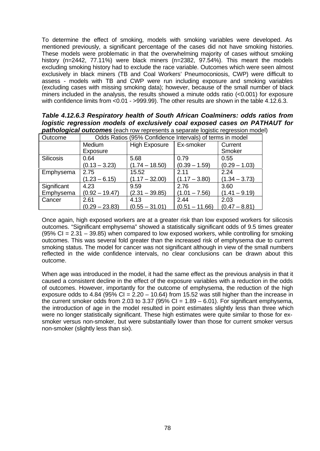To determine the effect of smoking, models with smoking variables were developed. As mentioned previously, a significant percentage of the cases did not have smoking histories. These models were problematic in that the overwhelming majority of cases without smoking history (n=2442, 77.11%) were black miners (n=2382, 97.54%). This meant the models excluding smoking history had to exclude the race variable. Outcomes which were seen almost exclusively in black miners (TB and Coal Workers' Pneumoconiosis, CWP) were difficult to assess - models with TB and CWP were run including exposure and smoking variables (excluding cases with missing smoking data); however, because of the small number of black miners included in the analysis, the results showed a minute odds ratio (<0.001) for exposure with confidence limits from <0.01 - >999.99). The other results are shown in the table 4.12.6.3.

*Table 4.12.6.3 Respiratory health of South African Coalminers: odds ratios from logistic regression models of exclusively coal exposed cases on PATHAUT for pathological outcomes* (each row represents a separate logistic regression model)

| Outcome          | Odds Ratios (95% Confidence Intervals) of terms in model |                      |                  |                   |  |
|------------------|----------------------------------------------------------|----------------------|------------------|-------------------|--|
|                  | Medium<br>Exposure                                       | <b>High Exposure</b> | Ex-smoker        | Current<br>Smoker |  |
| <b>Silicosis</b> | 0.64                                                     | 5.68                 | 0.79             | 0.55              |  |
|                  | $(0.13 - 3.23)$                                          | $(1.74 - 18.50)$     | $(0.39 - 1.59)$  | $(0.29 - 1.03)$   |  |
| Emphysema        | 2.75                                                     | 15.52                | 2.11             | 2.24              |  |
|                  | $(1.23 - 6.15)$                                          | $(1.17 - 32.00)$     | $(1.17 - 3.80)$  | $(1.34 - 3.73)$   |  |
| Significant      | 4.23                                                     | 9.59                 | 2.76             | 3.60              |  |
| Emphysema        | $(0.92 - 19.47)$                                         | $(2.31 - 39.85)$     | $(1.01 - 7.56)$  | $(1.41 - 9.19)$   |  |
| Cancer           | 2.61                                                     | 4.13                 | 2.44             | 2.03              |  |
|                  | $(0.29 - 23.83)$                                         | $(0.55 - 31.01)$     | $(0.51 - 11.66)$ | $(0.47 - 8.81)$   |  |

Once again, high exposed workers are at a greater risk than low exposed workers for silicosis outcomes. "Significant emphysema" showed a statistically significant odds of 9.5 times greater  $(95\% \text{ Cl} = 2.31 - 39.85)$  when compared to low exposed workers, while controlling for smoking outcomes. This was several fold greater than the increased risk of emphysema due to current smoking status. The model for cancer was not significant although in view of the small numbers reflected in the wide confidence intervals, no clear conclusions can be drawn about this outcome.

When age was introduced in the model, it had the same effect as the previous analysis in that it caused a consistent decline in the effect of the exposure variables with a reduction in the odds of outcomes. However, importantly for the outcome of emphysema, the reduction of the high exposure odds to 4.84 (95% CI =  $2.20 - 10.64$ ) from 15.52 was still higher than the increase in the current smoker odds from 2.03 to 3.37 (95% CI =  $1.89 - 6.01$ ). For significant emphysema, the introduction of age in the model resulted in point estimates slightly less than three which were no longer statistically significant. These high estimates were quite similar to those for exsmoker versus non-smoker, but were substantially lower than those for current smoker versus non-smoker (slightly less than six).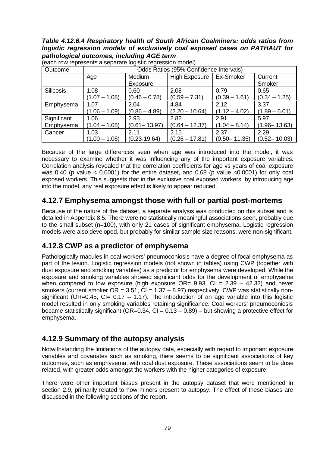*Table 4.12.6.4 Respiratory health of South African Coalminers: odds ratios from logistic regression models of exclusively coal exposed cases on PATHAUT for pathological outcomes, including AGE term*

| Outcome          | Odds Ratios (95% Confidence Intervals) |                  |                      |                  |                  |
|------------------|----------------------------------------|------------------|----------------------|------------------|------------------|
|                  | Age                                    | Medium           | <b>High Exposure</b> | Ex-Smoker        | Current          |
|                  |                                        | Exposure         |                      |                  | Smoker           |
| <b>Silicosis</b> | 1.08                                   | 0.60             | 2.08                 | 0.79             | 0.65             |
|                  | $(1.07 - 1.08)$                        | $(0.46 - 0.78)$  | $(0.59 - 7.31)$      | $(0.39 - 1.61)$  | $(0.34 - 1.25)$  |
| Emphysema        | 1.07                                   | 2.04             | 4.84                 | 2.12             | 3.37             |
|                  | $(1.06 - 1.09)$                        | $(0.86 - 4.89)$  | $(2.20 - 10.64)$     | $(1.12 - 4.02)$  | $(1.89 - 6.01)$  |
| Significant      | 1.06                                   | 2.93             | 2.82                 | 2.91             | 5.97             |
| Emphysema        | $(1.04 - 1.08)$                        | $(0.61 - 13.97)$ | $(0.64 - 12.37)$     | $(1.04 - 8.14)$  | $(1.96 - 13.63)$ |
| Cancer           | 1.03                                   | 2.11             | 2.15                 | 2.37             | 2.29             |
|                  | $(1.00 - 1.06)$                        | $(0.23 - 19.64)$ | $(0.26 - 17.81)$     | $(0.50 - 11.35)$ | $(0.52 - 10.03)$ |

(each row represents a separate logistic regression model)

Because of the large differences seen when age was introduced into the model, it was necessary to examine whether it was influencing any of the important exposure variables. Correlation analysis revealed that the correlation coefficients for age vs years of coal exposure was 0.40 (p value  $<$  0.0001) for the entire dataset, and 0.68 (p value  $<$ 0.0001) for only coal exposed workers. This suggests that in the exclusive coal exposed workers, by introducing age into the model, any real exposure effect is likely to appear reduced.

### **4.12.7 Emphysema amongst those with full or partial post-mortems**

Because of the nature of the dataset, a separate analysis was conducted on this subset and is detailed in Appendix 8.5. There were no statistically meaningful associations seen, probably due to the small subset (n=100), with only 21 cases of significant emphysema. Logistic regression models were also developed, but probably for similar sample size reasons, were non-significant.

## **4.12.8 CWP as a predictor of emphysema**

Pathologically macules in coal workers' pneumoconiosis have a degree of focal emphysema as part of the lesion. Logistic regression models (not shown in tables) using CWP (together with dust exposure and smoking variables) as a predictor for emphysema were developed. While the exposure and smoking variables showed significant odds for the development of emphysema when compared to low exposure (high exposure  $OR = 9.93$ ,  $Cl = 2.39 - 42.32$ ) and never smokers (current smoker  $OR = 3.51$ ,  $CI = 1.37 - 8.97$ ) respectively, CWP was statistically nonsignificant (OR=0.45, CI=  $0.17 - 1.17$ ). The introduction of an age variable into this logistic model resulted in only smoking variables retaining significance. Coal workers' pneumoconiosis became statistically significant ( $OR=0.34$ ,  $CI = 0.13 - 0.89$ ) – but showing a protective effect for emphysema.

## **4.12.9 Summary of the autopsy analysis**

Notwithstanding the limitations of the autopsy data, especially with regard to important exposure variables and covariates such as smoking, there seems to be significant associations of key outcomes, such as emphysema, with coal dust exposure. These associations seem to be dose related, with greater odds amongst the workers with the higher categories of exposure.

There were other important biases present in the autopsy dataset that were mentioned in section 2.9, primarily related to how miners present to autopsy. The effect of these biases are discussed in the following sections of the report.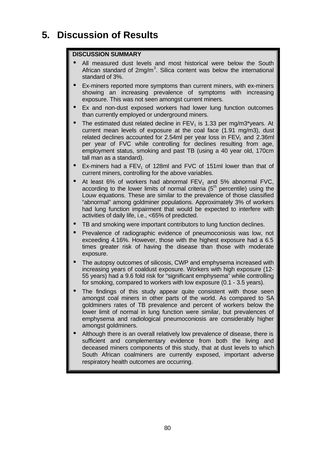# **5. Discussion of Results**

### **DISCUSSION SUMMARY**

- All measured dust levels and most historical were below the South African standard of  $2mg/m<sup>3</sup>$ . Silica content was below the international standard of 3%.
- Ex-miners reported more symptoms than current miners, with ex-miners showing an increasing prevalence of symptoms with increasing exposure. This was not seen amongst current miners.
- Ex and non-dust exposed workers had lower lung function outcomes than currently employed or underground miners.
- The estimated dust related decline in  $FEV<sub>1</sub>$  is 1.33 per mg/m3\*years. At current mean levels of exposure at the coal face (1.91 mg/m3), dust related declines accounted for 2.54ml per year loss in  $FEV<sub>1</sub>$  and 2.36ml per year of FVC while controlling for declines resulting from age, employment status, smoking and past TB (using a 40 year old, 170cm tall man as a standard).
- Ex-miners had a  $FEV<sub>1</sub>$  of 128ml and FVC of 151ml lower than that of current miners, controlling for the above variables.
- At least  $6\%$  of workers had abnormal  $FEV_1$  and  $5\%$  abnormal  $FVC$ , according to the lower limits of normal criteria  $(5<sup>th</sup>$  percentile) using the Louw equations. These are similar to the prevalence of those classified "abnormal" among goldminer populations. Approximately 3% of workers had lung function impairment that would be expected to interfere with activities of daily life, i.e., <65% of predicted.
- TB and smoking were important contributors to lung function declines.
- Prevalence of radiographic evidence of pneumoconiosis was low, not exceeding 4.16%. However, those with the highest exposure had a 6.5 times greater risk of having the disease than those with moderate exposure.
- The autopsy outcomes of silicosis, CWP and emphysema increased with increasing years of coaldust exposure. Workers with high exposure (12- 55 years) had a 9.6 fold risk for "significant emphysema" while controlling for smoking, compared to workers with low exposure (0.1 - 3.5 years).
- The findings of this study appear quite consistent with those seen amongst coal miners in other parts of the world. As compared to SA goldminers rates of TB prevalence and percent of workers below the lower limit of normal in lung function were similar, but prevalences of emphysema and radiological pneumoconiosis are considerably higher amongst goldminers.
- Although there is an overall relatively low prevalence of disease, there is sufficient and complementary evidence from both the living and deceased miners components of this study, that at dust levels to which South African coalminers are currently exposed, important adverse respiratory health outcomes are occurring.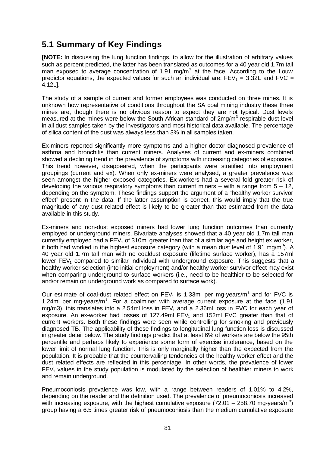# **5.1 Summary of Key Findings**

**[NOTE:** In discussing the lung function findings, to allow for the illustration of arbitrary values such as percent predicted, the latter has been translated as outcomes for a 40 year old 1.7m tall man exposed to average concentration of 1.91 mg/m<sup>3</sup> at the face. According to the Louw predictor equations, the expected values for such an individual are:  $FEV_1 = 3.32L$  and  $FVC =$ 4.12L].

The study of a sample of current and former employees was conducted on three mines. It is unknown how representative of conditions throughout the SA coal mining industry these three mines are, though there is no obvious reason to expect they are not typical. Dust levels measured at the mines were below the South African standard of  $2mg/m<sup>3</sup>$  respirable dust level in all dust samples taken by the investigators and most historical data available. The percentage of silica content of the dust was always less than 3% in all samples taken.

Ex-miners reported significantly more symptoms and a higher doctor diagnosed prevalence of asthma and bronchitis than current miners. Analyses of current and ex-miners combined showed a declining trend in the prevalence of symptoms with increasing categories of exposure. This trend however, disappeared, when the participants were stratified into employment groupings (current and ex). When only ex-miners were analysed, a greater prevalence was seen amongst the higher exposed categories. Ex-workers had a several fold greater risk of developing the various respiratory symptoms than current miners  $-$  with a range from  $5 - 12$ , depending on the symptom. These findings support the argument of a "healthy worker survivor effect" present in the data. If the latter assumption is correct, this would imply that the true magnitude of any dust related effect is likely to be greater than that estimated from the data available in this study.

Ex-miners and non-dust exposed miners had lower lung function outcomes than currently employed or underground miners. Bivariate analyses showed that a 40 year old 1.7m tall man currently employed had a  $FEV<sub>1</sub>$  of 310ml greater than that of a similar age and height ex worker, if both had worked in the highest exposure category (with a mean dust level of 1.91 mg/m<sup>3</sup>). A 40 year old 1.7m tall man with no coaldust exposure (lifetime surface worker), has a 157ml lower  $FEV<sub>1</sub>$  compared to similar individual with underground exposure. This suggests that a healthy worker selection (into initial employment) and/or healthy worker survivor effect may exist when comparing underground to surface workers (i.e., need to be healthier to be selected for and/or remain on underground work as compared to surface work).

Our estimate of coal-dust related effect on  $FEV<sub>1</sub>$  is 1.33ml per mg-years/m<sup>3</sup> and for FVC is 1.24ml per mg-years/ $m<sup>3</sup>$ . For a coalminer with average current exposure at the face (1.91 mg/m3), this translates into a 2.54ml loss in  $FEV<sub>1</sub>$  and a 2.36ml loss in FVC for each year of exposure. An ex-worker had losses of 127.49ml  $FEV<sub>1</sub>$  and 152ml  $FVC$  greater than that of current workers. Both these findings were seen while controlling for smoking and previously diagnosed TB. The applicability of these findings to longitudinal lung function loss is discussed in greater detail below. The study findings predict that at least 6% of workers are below the 95th percentile and perhaps likely to experience some form of exercise intolerance, based on the lower limit of normal lung function. This is only marginally higher than the expected from the population. It is probable that the countervailing tendencies of the healthy worker effect and the dust related effects are reflected in this percentage. In other words, the prevalence of lower  $FEV<sub>1</sub>$  values in the study population is modulated by the selection of healthier miners to work and remain underground.

Pneumoconiosis prevalence was low, with a range between readers of 1.01% to 4.2%, depending on the reader and the definition used. The prevalence of pneumoconiosis increased with increasing exposure, with the highest cumulative exposure (72.01 – 258.70 mg-years/m<sup>3</sup>) group having a 6.5 times greater risk of pneumoconiosis than the medium cumulative exposure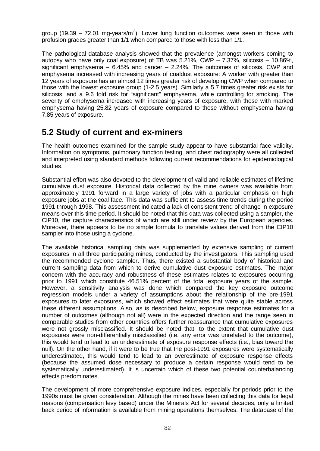group (19.39 – 72.01 mg-years/m<sup>3</sup>). Lower lung function outcomes were seen in those with profusion grades greater than 1/1 when compared to those with less than 1/1.

The pathological database analysis showed that the prevalence (amongst workers coming to autopsy who have only coal exposure) of TB was  $5.21\%$ , CWP  $-7.37\%$ , silicosis  $-10.86\%$ , significant emphysema  $-6.45\%$  and cancer  $-2.24\%$ . The outcomes of silicosis, CWP and emphysema increased with increasing years of coaldust exposure: A worker with greater than 12 years of exposure has an almost 12 times greater risk of developing CWP when compared to those with the lowest exposure group (1-2.5 years). Similarly a 5.7 times greater risk exists for silicosis, and a 9.6 fold risk for "significant" emphysema, while controlling for smoking. The severity of emphysema increased with increasing years of exposure, with those with marked emphysema having 25.82 years of exposure compared to those without emphysema having 7.85 years of exposure.

# **5.2 Study of current and ex-miners**

The health outcomes examined for the sample study appear to have substantial face validity. Information on symptoms, pulmonary function testing, and chest radiography were all collected and interpreted using standard methods following current recommendations for epidemiological studies.

Substantial effort was also devoted to the development of valid and reliable estimates of lifetime cumulative dust exposure. Historical data collected by the mine owners was available from approximately 1991 forward in a large variety of jobs with a particular emphasis on high exposure jobs at the coal face. This data was sufficient to assess time trends during the period 1991 through 1998. This assessment indicated a lack of consistent trend of change in exposure means over this time period. It should be noted that this data was collected using a sampler, the CIP10, the capture characteristics of which are still under review by the European agencies. Moreover, there appears to be no simple formula to translate values derived from the CIP10 sampler into those using a cyclone.

The available historical sampling data was supplemented by extensive sampling of current exposures in all three participating mines, conducted by the investigators. This sampling used the recommended cyclone sampler. Thus, there existed a substantial body of historical and current sampling data from which to derive cumulative dust exposure estimates. The major concern with the accuracy and robustness of these estimates relates to exposures occurring prior to 1991 which constitute 46.51% percent of the total exposure years of the sample. However, a sensitivity analysis was done which compared the key exposure outcome regression models under a variety of assumptions about the relationship of the pre-1991 exposures to later exposures, which showed effect estimates that were quite stable across these different assumptions. Also, as is described below, exposure response estimates for a number of outcomes (although not all) were in the expected direction and the range seen in comparable studies from other countries offers further reassurance that cumulative exposures were not grossly misclassified. It should be noted that, to the extent that cumulative dust exposures were non-differentially misclassified (i.e. any error was unrelated to the outcome), this would tend to lead to an underestimate of exposure response effects (i.e., bias toward the null). On the other hand, if it were to be true that the post-1991 exposures were systematically underestimated, this would tend to lead to an overestimate of exposure response effects (because the assumed dose necessary to produce a certain response would tend to be systematically underestimated). It is uncertain which of these two potential counterbalancing effects predominates.

The development of more comprehensive exposure indices, especially for periods prior to the 1990s must be given consideration. Although the mines have been collecting this data for legal reasons (compensation levy based) under the Minerals Act for several decades, only a limited back period of information is available from mining operations themselves. The database of the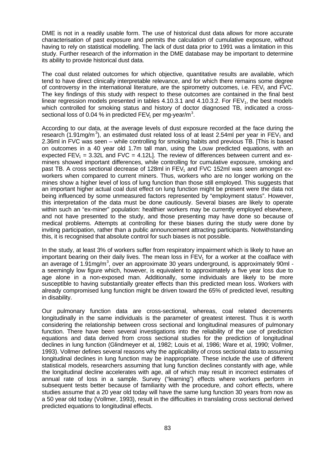DME is not in a readily usable form. The use of historical dust data allows for more accurate characterisation of past exposure and permits the calculation of cumulative exposure, without having to rely on statistical modelling. The lack of dust data prior to 1991 was a limitation in this study. Further research of the information in the DME database may be important to determine its ability to provide historical dust data.

The coal dust related outcomes for which objective, quantitative results are available, which tend to have direct clinically interpretable relevance, and for which there remains some degree of controversy in the international literature, are the spirometry outcomes, i.e.  $FEV<sub>1</sub>$  and FVC. The key findings of this study with respect to these outcomes are contained in the final best linear regression models presented in tables 4.10.3.1 and 4.10.3.2. For  $FEV<sub>1</sub>$ , the best models which controlled for smoking status and history of doctor diagnosed TB, indicated a crosssectional loss of 0.04 % in predicted FEV<sub>1</sub> per mg-year/m<sup>3</sup>.

According to our data, at the average levels of dust exposure recorded at the face during the research (1.91mg/m<sup>3</sup>), an estimated dust related loss of at least 2.54ml per year in FEV<sub>1</sub> and 2.36ml in FVC was seen – while controlling for smoking habits and previous TB. [This is based on outcomes in a 40 year old 1.7m tall man, using the Louw predicted equations, with an expected FEV<sub>1</sub> = 3.32L and FVC = 4.12L]. The review of differences between current and exminers showed important differences, while controlling for cumulative exposure, smoking and past TB. A cross sectional decrease of 128ml in  $FEV<sub>1</sub>$  and FVC 152ml was seen amongst exworkers when compared to current miners. Thus, workers who are no longer working on the mines show a higher level of loss of lung function than those still employed. This suggests that an important higher actual coal dust effect on lung function might be present were the data not being influenced by some unmeasured factors represented by "employment status". However, this interpretation of the data must be done cautiously. Several biases are likely to operate within such an "ex-miner" population: healthier workers may be currently employed elsewhere, and not have presented to the study, and those presenting may have done so because of medical problems. Attempts at controlling for these biases during the study were done by inviting participation, rather than a public announcement attracting participants. Notwithstanding this, it is recognised that absolute control for such biases is not possible.

In the study, at least 3% of workers suffer from respiratory impairment which is likely to have an important bearing on their daily lives. The mean loss in  $FEV<sub>1</sub>$  for a worker at the coalface with an average of 1.91mg/m<sup>3</sup>, over an approximate 30 years underground, is approximately 90ml a seemingly low figure which, however, is equivalent to approximately a five year loss due to age alone in a non-exposed man. Additionally, some individuals are likely to be more susceptible to having substantially greater effects than this predicted mean loss. Workers with already compromised lung function might be driven toward the 65% of predicted level, resulting in disability.

Our pulmonary function data are cross-sectional, whereas, coal related decrements longitudinally in the same individuals is the parameter of greatest interest. Thus it is worth considering the relationship between cross sectional and longitudinal measures of pulmonary function. There have been several investigations into the reliability of the use of prediction equations and data derived from cross sectional studies for the prediction of longitudinal declines in lung function (Glindmeyer et al, 1982; Louis et al, 1986; Ware et al, 1990; Vollmer, 1993). Vollmer defines several reasons why the applicability of cross sectional data to assuming longitudinal declines in lung function may be inappropriate. These include the use of different statistical models, researchers assuming that lung function declines constantly with age, while the longitudinal decline accelerates with age, all of which may result in incorrect estimates of annual rate of loss in a sample. Survey ("learning") effects where workers perform in subsequent tests better because of familiarity with the procedure, and cohort effects, where studies assume that a 20 year old today will have the same lung function 30 years from now as a 50 year old today (Vollmer, 1993), result in the difficulties in translating cross sectional derived predicted equations to longitudinal effects.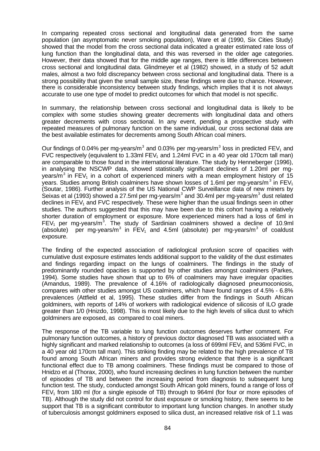In comparing repeated cross sectional and longitudinal data generated from the same population (an asymptomatic never smoking population), Ware et al (1990, Six Cities Study) showed that the model from the cross sectional data indicated a greater estimated rate loss of lung function than the longitudinal data, and this was reversed in the older age categories. However, their data showed that for the middle age ranges, there is little differences between cross sectional and longitudinal data. Glindmeyer et al (1982) showed, in a study of 52 adult males, almost a two fold discrepancy between cross sectional and longitudinal data. There is a strong possibility that given the small sample size, these findings were due to chance. However, there is considerable inconsistency between study findings, which implies that it is not always accurate to use one type of model to predict outcomes for which that model is not specific.

In summary, the relationship between cross sectional and longitudinal data is likely to be complex with some studies showing greater decrements with longitudinal data and others greater decrements with cross sectional. In any event, pending a prospective study with repeated measures of pulmonary function on the same individual, our cross sectional data are the best available estimates for decrements among South African coal miners.

Our findings of 0.04% per mg-years/m<sup>3</sup> and 0.03% per mg-years/m<sup>3</sup> loss in predicted FEV<sub>1</sub> and FVC respectively (equivalent to 1.33ml FEV<sub>1</sub> and 1.24ml FVC in a 40 year old 170cm tall man) are comparable to those found in the international literature. The study by Henneberger (1996), in analysing the NSCWP data, showed statistically significant declines of 1.20ml per mgyears/m<sup>3</sup> in FEV<sub>1</sub> in a cohort of experienced miners with a mean employment history of 15 years. Studies among British coalminers have shown losses of 1.6ml per mg-years/m<sup>3</sup> in FEV<sub>1</sub> (Soutar, 1986). Further analysis of the US National CWP Surveillance data of new miners by Seixas et al (1993) showed a 27.5ml per mg-years/m<sup>3</sup> and 30.4ml per mg-years/m<sup>3</sup> dust related declines in FEV<sub>1</sub> and FVC respectively. These were higher than the usual findings seen in other studies. The authors suggested that this may have been due to this cohort having a relatively shorter duration of employment or exposure. More experienced miners had a loss of 6ml in FEV<sub>1</sub> per mg-years/m<sup>3</sup>. The study of Sardinian coalminers showed a decline of 10.9ml (absolute) per mg-years/m<sup>3</sup> in  $FEV_1$  and 4.5ml (absolute) per mg-years/m<sup>3</sup> of coaldust exposure.

The finding of the expected association of radiological profusion score of opacities with cumulative dust exposure estimates lends additional support to the validity of the dust estimates and findings regarding impact on the lungs of coalminers. The findings in the study of predominantly rounded opacities is supported by other studies amongst coalminers (Parkes, 1994). Some studies have shown that up to 6% of coalminers may have irregular opacities (Amandus, 1989). The prevalence of 4.16% of radiologically diagnosed pneumoconiosis, compares with other studies amongst US coalminers, which have found ranges of 4.5% - 6.8% prevalences (Attfield et al, 1995). These studies differ from the findings in South African goldminers, with reports of 14% of workers with radiological evidence of silicosis of ILO grade greater than 1/0 (Hnizdo, 1998). This is most likely due to the high levels of silica dust to which goldminers are exposed, as compared to coal miners.

The response of the TB variable to lung function outcomes deserves further comment. For pulmonary function outcomes, a history of previous doctor diagnosed TB was associated with a highly significant and marked relationship to outcomes (a loss of 699ml FEV<sub>1</sub> and 536ml FVC, in a 40 year old 170cm tall man). This striking finding may be related to the high prevalence of TB found among South African miners and provides strong evidence that there is a significant functional effect due to TB among coalminers. These findings must be compared to those of Hnidzo et al (Thorax, 2000), who found increasing declines in lung function between the number of episodes of TB and between the increasing period from diagnosis to subsequent lung function test. The study, conducted amongst South African gold miners, found a range of loss of  $FEV<sub>1</sub>$  from 180 ml (for a single episode of TB) through to 964ml (for four or more episodes of TB). Although the study did not control for dust exposure or smoking history, there seems to be support that TB is a significant contributor to important lung function changes. In another study of tuberculosis amongst goldminers exposed to silica dust, an increased relative risk of 1.1 was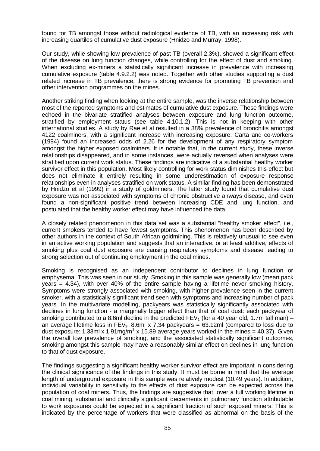found for TB amongst those without radiological evidence of TB, with an increasing risk with increasing quartiles of cumulative dust exposure (Hnidzo and Murray, 1998).

Our study, while showing low prevalence of past TB (overall 2.3%), showed a significant effect of the disease on lung function changes, while controlling for the effect of dust and smoking. When excluding ex-miners a statistically significant increase in prevalence with increasing cumulative exposure (table 4.9.2.2) was noted. Together with other studies supporting a dust related increase in TB prevalence, there is strong evidence for promoting TB prevention and other intervention programmes on the mines.

Another striking finding when looking at the entire sample, was the inverse relationship between most of the reported symptoms and estimates of cumulative dust exposure. These findings were echoed in the bivariate stratified analyses between exposure and lung function outcome, stratified by employment status (see table 4.10.1.2). This is not in keeping with other international studies. A study by Rae et al resulted in a 38% prevalence of bronchitis amongst 4122 coalminers, with a significant increase with increasing exposure. Carta and co-workers (1994) found an increased odds of 2.26 for the development of any respiratory symptom amongst the higher exposed coalminers. It is notable that, in the current study, these inverse relationships disappeared, and in some instances, were actually reversed when analyses were stratified upon current work status. These findings are indicative of a substantial healthy worker survivor effect in this population. Most likely controlling for work status diminishes this effect but does not eliminate it entirely resulting in some underestimation of exposure response relationships even in analyses stratified on work status. A similar finding has been demonstrated by Hnidzo et al (1999) in a study of goldminers. The latter study found that cumulative dust exposure was not associated with symptoms of chronic obstructive airways disease, and even found a non-significant positive trend between increasing CDE and lung function, and postulated that the healthy worker effect may have influenced the data.

A closely related phenomenon in this data set was a substantial "healthy smoker effect", i.e., current smokers tended to have fewest symptoms. This phenomenon has been described by other authors in the context of South African goldmining. This is relatively unusual to see even in an active working population and suggests that an interactive, or at least additive, effects of smoking plus coal dust exposure are causing respiratory symptoms and disease leading to strong selection out of continuing employment in the coal mines.

Smoking is recognised as an independent contributor to declines in lung function or emphysema. This was seen in our study. Smoking in this sample was generally low (mean pack years = 4.34), with over 40% of the entire sample having a lifetime never smoking history. Symptoms were strongly associated with smoking, with higher prevalence seen in the current smoker, with a statistically significant trend seen with symptoms and increasing number of pack years. In the multivariate modelling, packyears was statistically significantly associated with declines in lung function - a marginally bigger effect than that of coal dust: each packyear of smoking contributed to a 8.6ml decline in the predicted FEV<sub>1</sub> (for a 40 year old, 1.7m tall man) – an average lifetime loss in  $FEV<sub>1</sub>$ : 8.6ml x 7.34 packyears = 63.12ml (compared to loss due to dust exposure: 1.33ml x 1.91mg/m<sup>3</sup> x 15.89 average years worked in the mines = 40.37). Given the overall low prevalence of smoking, and the associated statistically significant outcomes, smoking amongst this sample may have a reasonably similar effect on declines in lung function to that of dust exposure.

The findings suggesting a significant healthy worker survivor effect are important in considering the clinical significance of the findings in this study. It must be borne in mind that the average length of underground exposure in this sample was relatively modest (10.49 years). In addition, individual variability in sensitivity to the effects of dust exposure can be expected across the population of coal miners. Thus, the findings are suggestive that, over a full working lifetime in coal mining, substantial and clinically significant decrements in pulmonary function attributable to work exposures could be expected in a significant fraction of such exposed miners. This is indicated by the percentage of workers that were classified as abnormal on the basis of the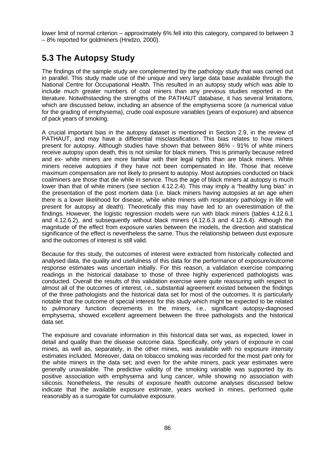lower limit of normal criterion – approximately 6% fell into this category, compared to between 3 – 8% reported for goldminers (Hnidzo, 2000).

# **5.3 The Autopsy Study**

The findings of the sample study are complemented by the pathology study that was carried out in parallel. This study made use of the unique and very large data base available through the National Centre for Occupational Health. This resulted in an autopsy study which was able to include much greater numbers of coal miners than any previous studies reported in the literature. Notwithstanding the strengths of the PATHAUT database, it has several limitations, which are discussed below, including an absence of the emphysema score (a numerical value for the grading of emphysema), crude coal exposure variables (years of exposure) and absence of pack years of smoking.

A crucial important bias in the autopsy dataset is mentioned in Section 2.9, in the review of PATHAUT, and may have a differential misclassification. This bias relates to how miners present for autopsy. Although studies have shown that between 86% - 91% of white miners receive autopsy upon death, this is not similar for black miners. This is primarily because retired and ex- white miners are more familiar with their legal rights than are black miners. White miners receive autopsies if they have not been compensated in life. Those that receive maximum compensation are not likely to present to autopsy. Most autopsies conducted on black coalminers are those that die while in service. Thus the age of black miners at autopsy is much lower than that of white miners (see section 4.12.2.4). This may imply a "healthy lung bias" in the presentation of the post mortem data (i.e. black miners having autopsies at an age when there is a lower likelihood for disease, while white miners with respiratory pathology in life will present for autopsy at death). Theoretically this may have led to an overestimation of the findings. However, the logistic regression models were run with black miners (tables 4.12.6.1 and 4.12.6.2), and subsequently without black miners (4.12.6.3 and 4.12.6.4). Although the magnitude of the effect from exposure varies between the models, the direction and statistical significance of the effect is nevertheless the same. Thus the relationship between dust exposure and the outcomes of interest is still valid.

Because for this study, the outcomes of interest were extracted from historically collected and analysed data, the quality and usefulness of this data for the performance of exposure/outcome response estimates was uncertain initially. For this reason, a validation exercise comparing readings in the historical database to those of three highly experienced pathologists was conducted. Overall the results of this validation exercise were quite reassuring with respect to almost all of the outcomes of interest, i.e., substantial agreement existed between the findings of the three pathologists and the historical data set for most of the outcomes. It is particularly notable that the outcome of special interest for this study which might be expected to be related to pulmonary function decrements in the miners, i.e., significant autopsy-diagnosed emphysema, showed excellent agreement between the three pathologists and the historical data set.

The exposure and covariate information in this historical data set was, as expected, lower in detail and quality than the disease outcome data. Specifically, only years of exposure in coal mines, as well as, separately, in the other mines, was available with no exposure intensity estimates included. Moreover, data on tobacco smoking was recorded for the most part only for the white miners in the data set; and even for the white miners, pack year estimates were generally unavailable. The predictive validity of the smoking variable was supported by its positive association with emphysema and lung cancer, while showing no association with silicosis. Nonetheless, the results of exposure health outcome analyses discussed below indicate that the available exposure estimate, years worked in mines, performed quite reasonably as a surrogate for cumulative exposure.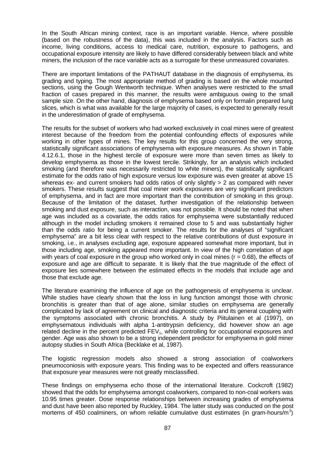In the South African mining context, race is an important variable. Hence, where possible (based on the robustness of the data), this was included in the analysis. Factors such as income, living conditions, access to medical care, nutrition, exposure to pathogens, and occupational exposure intensity are likely to have differed considerably between black and white miners, the inclusion of the race variable acts as a surrogate for these unmeasured covariates.

There are important limitations of the PATHAUT database in the diagnosis of emphysema, its grading and typing. The most appropriate method of grading is based on the whole mounted sections, using the Gough Wentworth technique. When analyses were restricted to the small fraction of cases prepared in this manner, the results were ambiguous owing to the small sample size. On the other hand, diagnosis of emphysema based only on formalin prepared lung slices, which is what was available for the large majority of cases, is expected to generally result in the underestimation of grade of emphysema.

The results for the subset of workers who had worked exclusively in coal mines were of greatest interest because of the freedom from the potential confounding effects of exposures while working in other types of mines. The key results for this group concerned the very strong, statistically significant associations of emphysema with exposure measures. As shown in Table 4.12.6.1, those in the highest tercile of exposure were more than seven times as likely to develop emphysema as those in the lowest tercile. Strikingly, for an analysis which included smoking (and therefore was necessarily restricted to white miners), the statistically significant estimate for the odds ratio of high exposure versus low exposure was even greater at above 15 whereas ex- and current smokers had odds ratios of only slightly > 2 as compared with never smokers. These results suggest that coal miner work exposures are very significant predictors of emphysema, and in fact are more important than the contribution of smoking in this group. Because of the limitation of the dataset, further investigation of the relationship between smoking and dust exposure, such as interaction, was not possible. It should be noted that when age was included as a covariate, the odds ratios for emphysema were substantially reduced although in the model including smokers it remained close to 5 and was substantially higher than the odds ratio for being a current smoker. The results for the analyses of "significant emphysema" are a bit less clear with respect to the relative contributions of dust exposure in smoking, i.e., in analyses excluding age, exposure appeared somewhat more important, but in those including age, smoking appeared more important. In view of the high correlation of age with years of coal exposure in the group who worked only in coal mines  $(r = 0.68)$ , the effects of exposure and age are difficult to separate. It is likely that the true magnitude of the effect of exposure lies somewhere between the estimated effects in the models that include age and those that exclude age.

The literature examining the influence of age on the pathogenesis of emphysema is unclear. While studies have clearly shown that the loss in lung function amongst those with chronic bronchitis is greater than that of age alone, similar studies on emphysema are generally complicated by lack of agreement on clinical and diagnostic criteria and its general coupling with the symptoms associated with chronic bronchitis. A study by Piitulainen et al (1997), on emphysematous individuals with alpha 1-antitrypsin deficiency, did however show an age related decline in the percent predicted  $FEV<sub>1</sub>$ , while controlling for occupational exposures and gender. Age was also shown to be a strong independent predictor for emphysema in gold miner autopsy studies in South Africa (Becklake et al, 1987).

The logistic regression models also showed a strong association of coalworkers pneumoconiosis with exposure years. This finding was to be expected and offers reassurance that exposure year measures were not greatly misclassified.

These findings on emphysema echo those of the international literature. Cockcroft (1982) showed that the odds for emphysema amongst coalworkers, compared to non-coal workers was 10.95 times greater. Dose response relationships between increasing grades of emphysema and dust have been also reported by Ruckley, 1984. The latter study was conducted on the post mortems of 450 coalminers, on whom reliable cumulative dust estimates (in gram-hours/m<sup>3</sup>)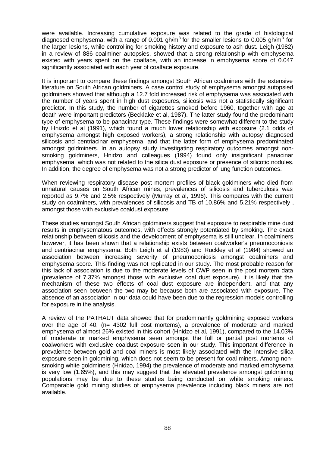were available. Increasing cumulative exposure was related to the grade of histological diagnosed emphysema, with a range of 0.001 gh/m<sup>3</sup> for the smaller lesions to 0.005 gh/m<sup>3</sup> for the larger lesions, while controlling for smoking history and exposure to ash dust. Leigh (1982) in a review of 886 coalminer autopsies, showed that a strong relationship with emphysema existed with years spent on the coalface, with an increase in emphysema score of 0.047 significantly associated with each year of coalface exposure.

It is important to compare these findings amongst South African coalminers with the extensive literature on South African goldminers. A case control study of emphysema amongst autopsied goldminers showed that although a 12.7 fold increased risk of emphysema was associated with the number of years spent in high dust exposures, silicosis was not a statistically significant predictor. In this study, the number of cigarettes smoked before 1960, together with age at death were important predictors (Becklake et al, 1987). The latter study found the predominant type of emphysema to be panacinar type. These findings were somewhat different to the study by Hnizdo et al (1991), which found a much lower relationship with exposure (2.1 odds of emphysema amongst high exposed workers), a strong relationship with autopsy diagnosed silicosis and centriacinar emphysema, and that the latter form of emphysema predominated amongst goldminers. In an autopsy study investigating respiratory outcomes amongst nonsmoking goldminers, Hnidzo and colleagues (1994) found only insignificant panacinar emphysema, which was not related to the silica dust exposure or presence of silicotic nodules. In addition, the degree of emphysema was not a strong predictor of lung function outcomes.

When reviewing respiratory disease post mortem profiles of black goldminers who died from unnatural causes on South African mines, prevalences of silicosis and tuberculosis was reported as 9.7% and 2.5% respectively (Murray et al, 1996). This compares with the current study on coalminers, with prevalences of silicosis and TB of 10.86% and 5.21% respectively , amongst those with exclusive coaldust exposure.

These studies amongst South African goldminers suggest that exposure to respirable mine dust results in emphysematous outcomes, with effects strongly potentiated by smoking. The exact relationship between silicosis and the development of emphysema is still unclear. In coalminers however, it has been shown that a relationship exists between coalworker's pneumoconiosis and centriacinar emphysema. Both Leigh et al (1983) and Ruckley et al (1984) showed an association between increasing severity of pneumoconiosis amongst coalminers and emphysema score. This finding was not replicated in our study. The most probable reason for this lack of association is due to the moderate levels of CWP seen in the post mortem data (prevalence of 7.37% amongst those with exclusive coal dust exposure). It is likely that the mechanism of these two effects of coal dust exposure are independent, and that any association seen between the two may be because both are associated with exposure. The absence of an association in our data could have been due to the regression models controlling for exposure in the analysis.

A review of the PATHAUT data showed that for predominantly goldmining exposed workers over the age of 40, (n= 4302 full post mortems), a prevalence of moderate and marked emphysema of almost 26% existed in this cohort (Hnidzo et al, 1991), compared to the 14.03% of moderate or marked emphysema seen amongst the full or partial post mortems of coalworkers with exclusive coaldust exposure seen in our study. This important difference in prevalence between gold and coal miners is most likely associated with the intensive silica exposure seen in goldmining, which does not seem to be present for coal miners. Among nonsmoking white goldminers (Hnidzo, 1994) the prevalence of moderate and marked emphysema is very low (1.65%), and this may suggest that the elevated prevalence amongst goldmining populations may be due to these studies being conducted on white smoking miners. Comparable gold mining studies of emphysema prevalence including black miners are not available.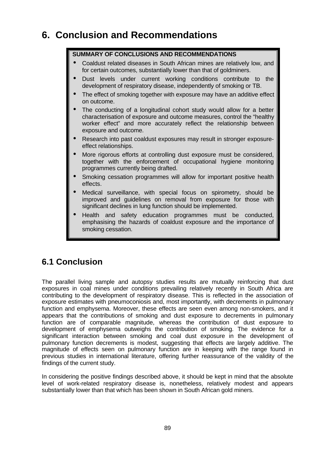# **6. Conclusion and Recommendations**

### **SUMMARY OF CONCLUSIONS AND RECOMMENDATIONS**

- Coaldust related diseases in South African mines are relatively low, and for certain outcomes, substantially lower than that of goldminers.
- Dust levels under current working conditions contribute to the development of respiratory disease, independently of smoking or TB.
- The effect of smoking together with exposure may have an additive effect on outcome.
- The conducting of a longitudinal cohort study would allow for a better characterisation of exposure and outcome measures, control the "healthy worker effect" and more accurately reflect the relationship between exposure and outcome.
- Research into past coaldust exposures may result in stronger exposureeffect relationships.
- More rigorous efforts at controlling dust exposure must be considered, together with the enforcement of occupational hygiene monitoring programmes currently being drafted.
- Smoking cessation programmes will allow for important positive health effects.
- Medical surveillance, with special focus on spirometry, should be improved and guidelines on removal from exposure for those with significant declines in lung function should be implemented.
- Health and safety education programmes must be conducted, emphasising the hazards of coaldust exposure and the importance of smoking cessation.

# **6.1 Conclusion**

The parallel living sample and autopsy studies results are mutually reinforcing that dust exposures in coal mines under conditions prevailing relatively recently in South Africa are contributing to the development of respiratory disease. This is reflected in the association of exposure estimates with pneumoconiosis and, most importantly, with decrements in pulmonary function and emphysema. Moreover, these effects are seen even among non-smokers, and it appears that the contributions of smoking and dust exposure to decrements in pulmonary function are of comparable magnitude, whereas the contribution of dust exposure to development of emphysema outweighs the contribution of smoking. The evidence for a significant interaction between smoking and coal dust exposure in the development of pulmonary function decrements is modest, suggesting that effects are largely additive. The magnitude of effects seen on pulmonary function are in keeping with the range found in previous studies in international literature, offering further reassurance of the validity of the findings of the current study.

In considering the positive findings described above, it should be kept in mind that the absolute level of work-related respiratory disease is, nonetheless, relatively modest and appears substantially lower than that which has been shown in South African gold miners.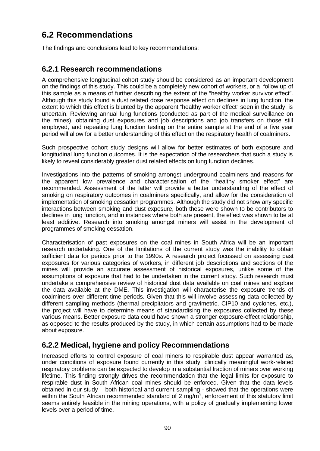# **6.2 Recommendations**

The findings and conclusions lead to key recommendations:

### **6.2.1 Research recommendations**

A comprehensive longitudinal cohort study should be considered as an important development on the findings of this study. This could be a completely new cohort of workers, or a follow up of this sample as a means of further describing the extent of the "healthy worker survivor effect". Although this study found a dust related dose response effect on declines in lung function, the extent to which this effect is blunted by the apparent "healthy worker effect" seen in the study, is uncertain. Reviewing annual lung functions (conducted as part of the medical surveillance on the mines), obtaining dust exposures and job descriptions and job transfers on those still employed, and repeating lung function testing on the entire sample at the end of a five year period will allow for a better understanding of this effect on the respiratory health of coalminers.

Such prospective cohort study designs will allow for better estimates of both exposure and longitudinal lung function outcomes. It is the expectation of the researchers that such a study is likely to reveal considerably greater dust related effects on lung function declines.

Investigations into the patterns of smoking amongst underground coalminers and reasons for the apparent low prevalence and characterisation of the "healthy smoker effect" are recommended. Assessment of the latter will provide a better understanding of the effect of smoking on respiratory outcomes in coalminers specifically, and allow for the consideration of implementation of smoking cessation programmes. Although the study did not show any specific interactions between smoking and dust exposure, both these were shown to be contributors to declines in lung function, and in instances where both are present, the effect was shown to be at least additive. Research into smoking amongst miners will assist in the development of programmes of smoking cessation.

Characterisation of past exposures on the coal mines in South Africa will be an important research undertaking. One of the limitations of the current study was the inability to obtain sufficient data for periods prior to the 1990s. A research project focussed on assessing past exposures for various categories of workers, in different job descriptions and sections of the mines will provide an accurate assessment of historical exposures, unlike some of the assumptions of exposure that had to be undertaken in the current study. Such research must undertake a comprehensive review of historical dust data available on coal mines and explore the data available at the DME. This investigation will characterise the exposure trends of coalminers over different time periods. Given that this will involve assessing data collected by different sampling methods (thermal precipitators and gravimetric, CIP10 and cyclones, etc.), the project will have to determine means of standardising the exposures collected by these various means. Better exposure data could have shown a stronger exposure-effect relationship, as opposed to the results produced by the study, in which certain assumptions had to be made about exposure.

## **6.2.2 Medical, hygiene and policy Recommendations**

Increased efforts to control exposure of coal miners to respirable dust appear warranted as, under conditions of exposure found currently in this study, clinically meaningful work-related respiratory problems can be expected to develop in a substantial fraction of miners over working lifetime. This finding strongly drives the recommendation that the legal limits for exposure to respirable dust in South African coal mines should be enforced. Given that the data levels obtained in our study – both historical and current sampling - showed that the operations were within the South African recommended standard of 2 mg/m<sup>3</sup>, enforcement of this statutory limit seems entirely feasible in the mining operations, with a policy of gradually implementing lower levels over a period of time.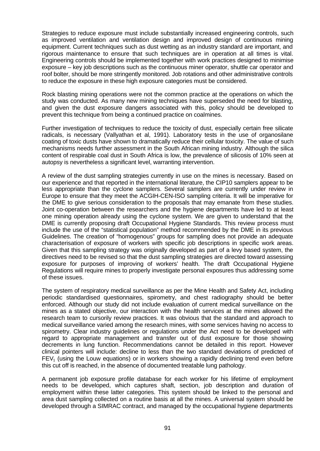Strategies to reduce exposure must include substantially increased engineering controls, such as improved ventilation and ventilation design and improved design of continuous mining equipment. Current techniques such as dust wetting as an industry standard are important, and rigorous maintenance to ensure that such techniques are in operation at all times is vital. Engineering controls should be implemented together with work practices designed to minimise exposure – key job descriptions such as the continuous miner operator, shuttle car operator and roof bolter, should be more stringently monitored. Job rotations and other administrative controls to reduce the exposure in these high exposure categories must be considered.

Rock blasting mining operations were not the common practice at the operations on which the study was conducted. As many new mining techniques have superseded the need for blasting, and given the dust exposure dangers associated with this, policy should be developed to prevent this technique from being a continued practice on coalmines.

Further investigation of techniques to reduce the toxicity of dust, especially certain free silicate radicals, is necessary (Vallyathan et al, 1991). Laboratory tests in the use of organosilane coating of toxic dusts have shown to dramatically reduce their cellular toxicity. The value of such mechanisms needs further assessment in the South African mining industry. Although the silica content of respirable coal dust in South Africa is low, the prevalence of silicosis of 10% seen at autopsy is nevertheless a significant level, warranting intervention.

A review of the dust sampling strategies currently in use on the mines is necessary. Based on our experience and that reported in the international literature, the CIP10 samplers appear to be less appropriate than the cyclone samplers. Several samplers are currently under review in Europe to ensure that they meet the ACGIH-CEN-ISO sampling criteria. It will be imperative for the DME to give serious consideration to the proposals that may emanate from these studies. Joint co-operation between the researchers and the hygiene departments have led to at least one mining operation already using the cyclone system. We are given to understand that the DME is currently proposing draft Occupational Hygiene Standards. This review process must include the use of the "statistical population" method recommended by the DME in its previous Guidelines. The creation of "homogenous" groups for sampling does not provide an adequate characterisation of exposure of workers with specific job descriptions in specific work areas. Given that this sampling strategy was originally developed as part of a levy based system, the directives need to be revised so that the dust sampling strategies are directed toward assessing exposure for purposes of improving of workers' health. The draft Occupational Hygiene Regulations will require mines to properly investigate personal exposures thus addressing some of these issues.

The system of respiratory medical surveillance as per the Mine Health and Safety Act, including periodic standardised questionnaires, spirometry, and chest radiography should be better enforced. Although our study did not include evaluation of current medical surveillance on the mines as a stated objective, our interaction with the health services at the mines allowed the research team to cursorily review practices. It was obvious that the standard and approach to medical surveillance varied among the research mines, with some services having no access to spirometry. Clear industry guidelines or regulations under the Act need to be developed with regard to appropriate management and transfer out of dust exposure for those showing decrements in lung function. Recommendations cannot be detailed in this report. However clinical pointers will include: decline to less than the two standard deviations of predicted of  $FEV<sub>1</sub>$  (using the Louw equations) or in workers showing a rapidly declining trend even before this cut off is reached, in the absence of documented treatable lung pathology.

A permanent job exposure profile database for each worker for his lifetime of employment needs to be developed, which captures shaft, section, job description and duration of employment within these latter categories. This system should be linked to the personal and area dust sampling collected on a routine basis at all the mines. A universal system should be developed through a SIMRAC contract, and managed by the occupational hygiene departments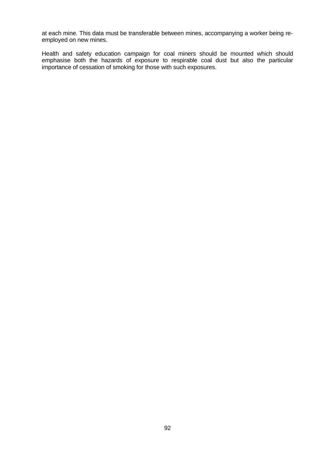at each mine. This data must be transferable between mines, accompanying a worker being reemployed on new mines.

Health and safety education campaign for coal miners should be mounted which should emphasise both the hazards of exposure to respirable coal dust but also the particular importance of cessation of smoking for those with such exposures.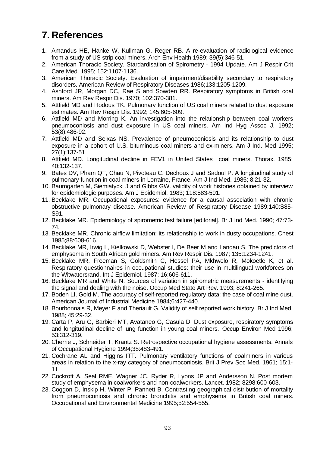# **7. References**

- 1. Amandus HE, Hanke W, Kullman G, Reger RB. A re-evaluation of radiological evidence from a study of US strip coal miners. Arch Env Health 1989; 39(5):346-51.
- 2. American Thoracic Society. Stardardisation of Spirometry 1994 Update. Am J Respir Crit Care Med. 1995; 152:1107-1136.
- 3. American Thoracic Society. Evaluation of impairment/disability secondary to respiratory disorders. American Review of Respiratory Diseases 1986;133:1205-1209.
- 4. Ashford JR, Morgan DC, Rae S and Sowden RR. Respiratory symptoms in British coal miners. Am Rev Respir Dis. 1970; 102:370-381.
- 5. Attfield MD and Hodous TK. Pulmonary function of US coal miners related to dust exposure estimates. Am Rev Respir Dis. 1992; 145:605-609.
- 6. Attfield MD and Morring K. An investigation into the relationship between coal workers pneumoconiosis and dust exposure in US coal miners. Am Ind Hyg Assoc J. 1992; 53(8):486-92.
- 7. Attfield MD and Seixas NS. Prevalence of pneumoconiosis and its relationship to dust exposure in a cohort of U.S. bituminous coal miners and ex-miners. Am J Ind. Med 1995; 27(1):137-51
- 8. Attfield MD. Longitudinal decline in FEV1 in United States coal miners. Thorax. 1985; 40:132-137.
- 9. Bates DV, Pham QT, Chau N, Pivoteau C, Dechoux J and Sadoul P. A longitudinal study of pulmonary function in coal miners in Lorraine, France. Am J Ind Med. 1985; 8:21-32.
- 10. Baumgarten M, Siemiatycki J and Gibbs GW. validity of work histories obtained by interview for epidemiologic purposes. Am J Epidemiol. 1983; 118:583-591.
- 11. Becklake MR. Occupational exposures: evidence for a causal association with chronic obstructive pulmonary disease. American Review of Respiratory Disease 1989;140:S85- S91.
- 12. Becklake MR. Epidemiology of spirometric test failure [editorial]. Br J Ind Med. 1990; 47:73- 74.
- 13. Becklake MR. Chronic airflow limitation: its relationship to work in dusty occupations. Chest 1985;88:608-616.
- 14. Becklake MR, Irwig L, Kielkowski D, Webster I, De Beer M and Landau S. The predictors of emphysema in South African gold miners. Am Rev Respir Dis. 1987; 135:1234-1241.
- 15. Becklake MR, Freeman S, Goldsmith C, Hessel PA, Mkhwelo R, Mokoetle K, et al. Respiratory questionnaires in occupational studies: their use in multilingual workforces on the Witwatersrand. Int J Epidemiol. 1987; 16:606-611.
- 16. Becklake MR and White N. Sources of variation in spirometric measurements identifying the signal and dealing with the noise. Occup Med State Art Rev. 1993; 8:241-265.
- 17. Boden LI, Gold M. The accuracy of self-reported regulatory data: the case of coal mine dust. American Journal of Industrial Medicine 1984;6:427-440.
- 18. Bourbonnais R, Meyer F and Theriault G. Validity of self reported work history. Br J Ind Med. 1988; 45:29-32.
- 19. Carta P, Aru G, Barbieri MT, Avataneo G, Casula D. Dust exposure, respiratory symptoms and longitudinal decline of lung function in young coal miners. Occup Environ Med 1996; 53:312-319.
- 20. Cherrie J, Schneider T, Krantz S. Retrospective occupational hygiene assessments. Annals of Occupational Hygiene 1994;38:483-491.
- 21. Cochrane AL and Higgins ITT. Pulmonary ventilatory functions of coalminers in various areas in relation to the x-ray category of pneumoconiosis. Brit J Prev Soc Med. 1961; 15:1- 11.
- 22. Cockroft A, Seal RME, Wagner JC, Ryder R, Lyons JP and Andersson N. Post mortem study of emphysema in coalworkers and non-coalworkers. Lancet. 1982; 8298:600-603.
- 23. Coggon D, Inskip H, Winter P, Pannett B. Contrasting geographical distribution of mortality from pneumoconiosis and chronic bronchitis and emphysema in British coal miners. Occupational and Environmental Medicine 1995;52:554-555.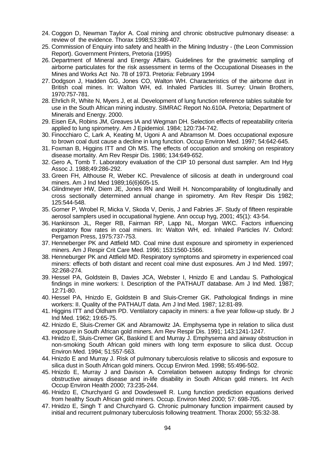- 24. Coggon D, Newman Taylor A. Coal mining and chronic obstructive pulmonary disease: a review of the evidence. Thorax 1998;53:398-407.
- 25. Commission of Enquiry into safety and health in the Mining Industry (the Leon Commission Report). Government Printers, Pretoria (1995)
- 26. Department of Mineral and Energy Affairs. Guidelines for the gravimetric sampling of airborne particulates for the risk assessment in terms of the Occupational Diseases in the Mines and Works Act No. 78 of 1973. Pretoria: February 1994
- 27. Dodgson J, Hadden GG, Jones CO, Walton WH. Characteristics of the airborne dust in British coal mines. In: Walton WH, ed. Inhaled Particles III. Surrey: Unwin Brothers, 1970:757-781.
- 28. Ehrlich R, White N, Myers J, et al. Development of lung function reference tables suitable for use in the South African mining industry. SIMRAC Report No.610A. Pretoria; Department of Minerals and Energy. 2000.
- 29. Eisen EA, Robins JM, Greaves IA and Wegman DH. Selection effects of repeatability criteria applied to lung spirometry. Am J Epidemiol. 1984; 120:734-742.
- 30. Finocchiaro C, Lark A, Keating M, Ugoni A and Abramson M. Does occupational exposure to brown coal dust cause a decline in lung function. Occup Environ Med. 1997; 54:642-645.
- 31. Foxman B, Higgins ITT and Oh MS. The effects of occupation and smoking on respiratory disease mortality. Am Rev Respir Dis. 1986; 134:649-652.
- 32. Gero A, Tomb T. Laboratory evaluation of the CIP 10 personal dust sampler. Am Ind Hyg Assoc J. 1988;49:286-292.
- 33. Green FH, Althouse R, Weber KC. Prevalence of silicosis at death in underground coal miners. Am J Ind Med 1989;16(6)605-15.
- 34. Glindmeyer HW, Diem JE, Jones RN and Weill H. Noncomparability of longitudinally and cross sectionally determined annual change in spirometry. Am Rev Respir Dis 1982; 125:544-548.
- 35. Gorner P, Wrobel R, Micka V, Skoda V, Denis, J and Fabries JF. Study of fifteen respirable aerosol samplers used in occupational hygiene. Ann occup hyg, 2001; 45(1): 43-54.
- 36. Hankinson JL, Reger RB, Fairman RP, Lapp NL, Morgan WKC. Factors influencing expiratory flow rates in coal miners. In: Walton WH, ed. Inhaled Particles IV. Oxford: Pergamon Press, 1975:737-753.
- 37. Henneberger PK and Attfield MD. Coal mine dust exposure and spirometry in experienced miners. Am J Respir Crit Care Med. 1996; 153:1560-1566.
- 38. Henneburger PK and Attfield MD. Respiratory symptoms and spirometry in experienced coal miners: effects of both distant and recent coal mine dust exposures. Am J Ind Med. 1997; 32:268-274.
- 39. Hessel PA, Goldstein B, Davies JCA, Webster I, Hnizdo E and Landau S. Pathological findings in mine workers: I. Description of the PATHAUT database. Am J Ind Med. 1987; 12:71-80.
- 40. Hessel PA, Hnizdo E, Goldstein B and Sluis-Cremer GK. Pathological findings in mine workers: II. Quality of the PATHAUT data. Am J Ind Med. 1987; 12:81-89.
- 41. Higgins ITT and Oldham PD. Ventilatory capacity in miners: a five year follow-up study. Br J Ind Med. 1962; 19:65-75.
- 42. Hnizdo E, Sluis-Cremer GK and Abramowitz JA. Emphysema type in relation to silica dust exposure in South African gold miners. Am Rev Respir Dis. 1991; 143:1241-1247.
- 43. Hnidzo E, Sluis-Cremer GK, Baskind E and Murray J. Emphysema and airway obstruction in non-smoking South African gold miners with long term exposure to silica dust. Occup Environ Med. 1994; 51:557-563.
- 44. Hnizdo E and Murray J. Risk of pulmonary tuberculosis relative to silicosis and exposure to silica dust in South African gold miners. Occup Environ Med. 1998; 55:496-502.
- 45. Hnizdo E, Murray J and Davison A. Correlation between autopsy findings for chronic obstructive airways disease and in-life disability in South African gold miners. Int Arch Occup Environ Health 2000; 73:235-244.
- 46. Hnidzo E, Churchyard G and Dowdeswell R. Lung function prediction equations derived from healthy South African gold miners. Occup. Environ Med 2000; 57: 698-705.
- 47. Hnidzo E, Singh T and Churchyard G. Chronic pulmonary function impairment caused by initial and recurrent pulmonary tuberculosis following treatment. Thorax 2000; 55:32-38.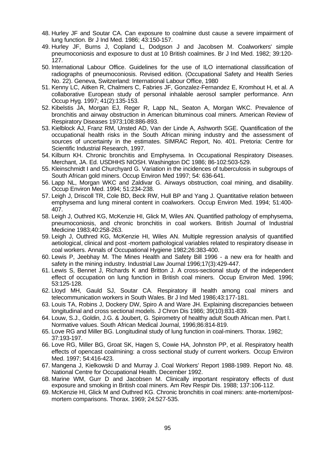- 48. Hurley JF and Soutar CA. Can exposure to coalmine dust cause a severe impairment of lung function. Br J Ind Med. 1986; 43:150-157.
- 49. Hurley JF, Burns J, Copland L, Dodgson J and Jacobsen M. Coalworkers' simple pneumoconiosis and exposure to dust at 10 British coalmines. Br J Ind Med. 1982; 39:120- 127.
- 50. International Labour Office. Guidelines for the use of ILO international classification of radiographs of pneumoconiosis. Revised edition. (Occupational Safety and Health Series No. 22). Geneva, Switzerland: International Labour Office, 1980
- 51. Kenny LC, Aitken R, Chalmers C, Fabries JF, Gonzalez-Fernandez E, Kromhout H, et al. A collaborative European study of personal inhalable aerosol sampler performance. Ann Occup Hyg. 1997; 41(2):135-153.
- 52. Kibelstis JA, Morgan EJ, Reger R, Lapp NL, Seaton A, Morgan WKC. Prevalence of bronchitis and airway obstruction in American bituminous coal miners. American Review of Respiratory Diseases 1973;108:886-893.
- 53. Kielblock AJ, Franz RM, Unsted AD, Van der Linde A, Ashworth SGE. Quantification of the occupational health risks in the South African mining industry and the assessment of sources of uncertainty in the estimates. SIMRAC Report, No. 401. Pretoria: Centre for Scientific Industrial Research, 1997.
- 54. Kilburn KH. Chronic bronchitis and Emphysema. In Occupational Respiratory Diseases. Merchant, JA. Ed. USDHHS NIOSH. Washington DC 1986; 86-102:503-529.
- 55. Kleinschmidt I and Churchyard G. Variation in the incidences of tuberculosis in subgroups of South African gold miners. Occup Environ Med 1997; 54: 636-641.
- 56. Lapp NL, Morgan WKC and Zaldivar G. Airways obstruction, coal mining, and disability. Occup Environ Med. 1994; 51:234-238.
- 57. Leigh J, Driscoll TR, Cole BD, Beck RW, Hull BP and Yang J. Quantitative relation between emphysema and lung mineral content in coalworkers. Occup Environ Med. 1994; 51:400- 407.
- 58. Leigh J, Outhred KG, McKenzie HI, Glick M, Wiles AN. Quantified pathology of emphysema, pneumoconiosis, and chronic bronchitis in coal workers. British Journal of Industrial Medicine 1983;40:258-263.
- 59. Leigh J, Outhred KG, McKenzie HI, Wiles AN. Multiple regression analysis of quantified aetiological, clinical and post -mortem pathological variables related to respiratory disease in coal workers. Annals of Occupational Hygiene 1982;26:383-400.
- 60. Lewis P, Jeebhay M. The Mines Health and Safety Bill 1996 a new era for health and safety in the mining industry. Industrial Law Journal 1996;17(3):429-447.
- 61. Lewis S, Bennet J, Richards K and Britton J. A cross-sectional study of the independent effect of occupation on lung function in British coal miners. Occup Environ Med. 1996; 53:125-128.
- 62. Lloyd MH, Gauld SJ, Soutar CA. Respiratory ill health among coal miners and telecommunication workers in South Wales. Br J Ind Med 1986;43:177-181.
- 63. Louis TA, Robins J, Dockery DW, Spiro A and Ware JH. Explaining discrepancies between longitudinal and cross sectional models. J Chron Dis 1986; 39(10):831-839.
- 64. Louw, S.J., Goldin, J.G. & Joubert, G. Spirometry of healthy adult South African men. Part I. Normative values. South African Medical Journal, 1996;86:814-819.
- 65. Love RG and Miller BG. Longitudinal study of lung function in coal-miners. Thorax. 1982; 37:193-197.
- 66. Love RG, Miller BG, Groat SK, Hagen S, Cowie HA, Johnston PP, et al. Respiratory health effects of opencast coalmining: a cross sectional study of current workers. Occup Environ Med. 1997; 54:416-423.
- 67. Mangena J, Kielkowski D and Murray J. Coal Workers' Report 1988-1989. Report No. 48. National Centre for Occupational Health. December 1992.
- 68. Marine WM, Gurr D and Jacobsen M. Clinically important respiratory effects of dust exposure and smoking in British coal miners. Am Rev Respir Dis. 1988; 137:106-112.
- 69. McKenzie HI, Glick M and Outhred KG. Chronic bronchitis in coal miners: ante-mortem/postmortem comparisons. Thorax. 1969; 24:527-535.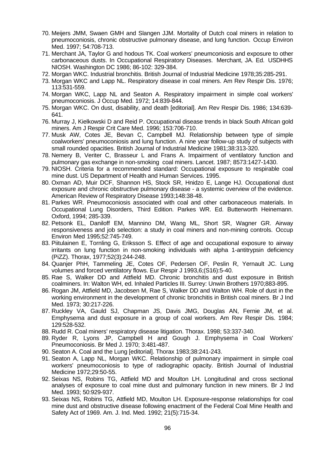- 70. Meijers JMM, Swaen GMH and Slangen JJM. Mortality of Dutch coal miners in relation to pneumoconiosis, chronic obstructive pulmonary disease, and lung function. Occup Environ Med. 1997; 54:708-713.
- 71. Merchant JA, Taylor G and hodous TK. Coal workers' pneumconiosis and exposure to other carbonaceous dusts. In Occupational Respiratory Diseases. Merchant, JA. Ed. USDHHS NIOSH. Washington DC 1986; 86-102: 329-384.
- 72. Morgan WKC. Industrial bronchitis. British Journal of Industrial Medicine 1978;35:285-291.
- 73. Morgan WKC and Lapp NL. Respiratory disease in coal miners. Am Rev Respir Dis. 1976; 113:531-559.
- 74. Morgan WKC, Lapp NL and Seaton A. Respiratory impairment in simple coal workers' pneumoconiosis. J Occup Med. 1972; 14:839-844.
- 75. Morgan WKC. On dust, disability, and death [editorial]. Am Rev Respir Dis. 1986; 134:639- 641.
- 76. Murray J, Kielkowski D and Reid P. Occupational disease trends in black South African gold miners. Am J Respir Crit Care Med. 1996; 153:706-710.
- 77. Musk AW, Cotes JE, Bevan C, Campbell MJ. Relationship between type of simple coalworkers' pneumoconiosis and lung function. A nine year follow-up study of subjects with small rounded opacities. British Journal of Industrial Medicine 1981;38:313-320.
- 78. Nemery B, Veriter C, Brasseur L and Frans A. Impairment of ventilatory function and pulmonary gas exchange in non-smoking coal miners. Lancet. 1987; 8573:1427-1430.
- 79. NIOSH. Criteria for a recommended standard: Occupational exposure to respirable coal mine dust. US Department of Health and Human Services. 1995.
- 80. Oxman AD, Muir DCF, Shannon HS, Stock SR, Hnidzo E, Lange HJ. Occupational dust exposure and chronic obstructive pulmonary disease - a systemic overview of the evidence. American Review of Respiratory Disease 1993;148:38-48.
- 81. Parkes WR. Pneumoconiosis associated with coal and other carbonaceous materials. In Occupational Lung Disorders, Third Edition. Parkes WR. Ed. Butterworth Heinemann. Oxford, 1994; 285-339.
- 82. Petsonk EL, Daniloff EM, Mannino DM, Wang ML, Short SR, Wagner GR. Airway responsiveness and job selection: a study in coal miners and non-mining controls. Occup Environ Med 1995;52:745-749.
- 83. Piitulainen E, Tornling G, Eriksson S. Effect of age and occupational exposure to airway irritants on lung function in non-smoking individuals with alpha 1-antitrypsin deficiency (PiZZ). Thorax, 1977;52(3):244-248.
- 84. Quanjer PhH, Tammeling JE, Cotes OF, Pedersen OF, Peslin R, Yernault JC. Lung volumes and forced ventilatory flows. Eur Respir J 1993,6;(S16):5-40.
- 85. Rae S, Walker DD and Attfield MD. Chronic bronchitis and dust exposure in British coalminers. In: Walton WH, ed. Inhaled Particles III. Surrey: Unwin Brothers 1970;883-895.
- 86. Rogan JM, Attfield MD, Jacobsen M, Rae S, Walker DD and Walton WH. Role of dust in the working environment in the development of chronic bronchitis in British coal miners. Br J Ind Med. 1973; 30:217-226.
- 87. Ruckley VA, Gauld SJ, Chapman JS, Davis JMG, Douglas AN, Fernie JM, et al. Emphysema and dust exposure in a group of coal workers. Am Rev Respir Dis. 1984; 129:528-532.
- 88. Rudd R. Coal miners' respiratory disease litigation. Thorax. 1998; 53:337-340.
- 89. Ryder R, Lyons JP, Campbell H and Gough J. Emphysema in Coal Workers' Pneumoconiosis. Br Med J. 1970; 3:481-487.
- 90. Seaton A. Coal and the Lung [editorial]. Thorax 1983;38:241-243.
- 91. Seaton A, Lapp NL, Morgan WKC. Relationship of pulmonary impairment in simple coal workers' pneumoconiosis to type of radiographic opacity. British Journal of Industrial Medicine 1972;29:50-55.
- 92. Seixas NS, Robins TG, Attfield MD and Moulton LH. Longitudinal and cross sectional analyses of exposure to coal mine dust and pulmonary function in new miners. Br J Ind Med. 1993; 50:929-937.
- 93. Seixas NS, Robins TG, Attfield MD, Moulton LH. Exposure-response relationships for coal mine dust and obstructive disease following enactment of the Federal Coal Mine Health and Safety Act of 1969. Am. J. Ind. Med. 1992; 21(5):715-34.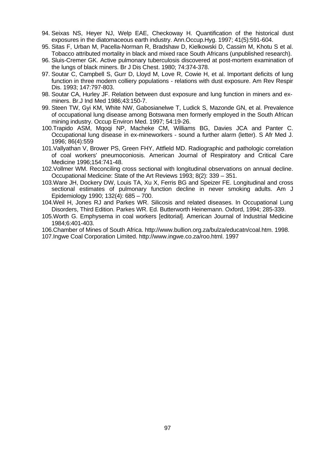- 94. Seixas NS, Heyer NJ, Welp EAE, Checkoway H. Quantification of the historical dust exposures in the diatomaceous earth industry. Ann.Occup.Hyg. 1997; 41(5):591-604.
- 95. Sitas F, Urban M, Pacella-Norman R, Bradshaw D, Kielkowski D, Cassim M, Khotu S et al. Tobacco attributed mortality in black and mixed race South Africans (unpublished research).
- 96. Sluis-Cremer GK. Active pulmonary tuberculosis discovered at post-mortem examination of the lungs of black miners. Br J Dis Chest. 1980; 74:374-378.
- 97. Soutar C, Campbell S, Gurr D, Lloyd M, Love R, Cowie H, et al. Important deficits of lung function in three modern colliery populations - relations with dust exposure. Am Rev Respir Dis. 1993; 147:797-803.
- 98. Soutar CA, Hurley JF. Relation between dust exposure and lung function in miners and exminers. Br.J Ind Med 1986;43:150-7.
- 99. Steen TW, Gyi KM, White NW, Gabosianelwe T, Ludick S, Mazonde GN, et al. Prevalence of occupational lung disease among Botswana men formerly employed in the South African mining industry. Occup Environ Med. 1997; 54:19-26.
- 100.Trapido ASM, Mqoqi NP, Macheke CM, Williams BG, Davies JCA and Panter C. Occupational lung disease in ex-mineworkers - sound a further alarm (letter). S Afr Med J. 1996; 86(4):559
- 101.Vallyathan V, Brower PS, Green FHY, Attfield MD. Radiographic and pathologic correlation of coal workers' pneumoconiosis. American Journal of Respiratory and Critical Care Medicine 1996;154:741-48.
- 102.Vollmer WM. Reconciling cross sectional with longitudinal observations on annual decline. Occupational Medicine: State of the Art Reviews 1993; 8(2): 339 – 351.
- 103.Ware JH, Dockery DW, Louis TA, Xu X, Ferris BG and Speizer FE. Longitudinal and cross sectional estimates of pulmonary function decline in never smoking adults. Am J Epidemiology 1990; 132(4): 685 – 700.
- 104.Weil H, Jones RJ and Parkes WR. Silicosis and related diseases. In Occupational Lung Disorders, Third Edition. Parkes WR. Ed. Butterworth Heinemann. Oxford, 1994; 285-339.
- 105.Worth G. Emphysema in coal workers [editorial]. American Journal of Industrial Medicine 1984;6:401-403.

106.Chamber of Mines of South Africa. http://www.bullion.org.za/bulza/educatn/coal.htm. 1998. 107.Ingwe Coal Corporation Limited. http://www.ingwe.co.za/roo.html. 1997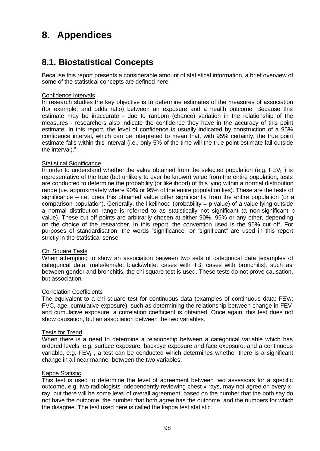# **8. Appendices**

# **8.1. Biostatistical Concepts**

Because this report presents a considerable amount of statistical information, a brief overview of some of the statistical concepts are defined here.

#### Confidence Intervals

In research studies the key objective is to determine estimates of the measures of association (for example, and odds ratio) between an exposure and a health outcome. Because this estimate may be inaccurate - due to random (chance) variation in the relationship of the measures - researchers also indicate the confidence they have in the accuracy of this point estimate. In this report, the level of confidence is usually indicated by construction of a 95% confidence interval, which can be interpreted to mean that, with 95% certainty, the true point estimate falls within this interval (i.e., only 5% of the time will the true point estimate fall outside the interval)."

#### Statistical Significance

In order to understand whether the value obtained from the selected population (e.g.  $FEV<sub>1</sub>$ ) is representative of the true (but unlikely to ever be known) value from the entire population, tests are conducted to determine the probability (or likelihood) of this lying within a normal distribution range (i.e. approximately where 90% or 95% of the entire population lies). These are the tests of significance  $-$  i.e. does this obtained value differ significantly from the entire population (or a comparison population). Generally, the likelihood (probability  $= p$  value) of a value lying outside a normal distribution range is referred to as statistically not significant (a non-significant p value). These cut off points are arbitrarily chosen at either 90%, 95% or any other, depending on the choice of the researcher. In this report, the convention used is the 95% cut off. For purposes of standardisation, the words "significance" or "significant" are used in this report strictly in the statistical sense.

#### Chi Square Tests

When attempting to show an association between two sets of categorical data [examples of categorical data: male/female; black/white; cases with TB; cases with bronchitis], such as between gender and bronchitis, the chi square test is used. These tests do not prove causation, but association.

### Correlation Coefficients

The equivalent to a chi square test for continuous data (examples of continuous data:  $FEV<sub>1</sub>$ ; FVC, age, cumulative exposure), such as determining the relationship between change in  $FEV<sub>1</sub>$ and cumulative exposure, a correlation coefficient is obtained. Once again, this test does not show causation, but an association between the two variables.

#### Tests for Trend

When there is a need to determine a relationship between a categorical variable which has ordered levels, e.g. surface exposure, backbye exposure and face exposure, and a continuous variable, e.g.  $FEV_1$ , a test can be conducted which determines whether there is a significant change in a linear manner between the two variables.

#### Kappa Statistic

This test is used to determine the level of agreement between two assessors for a specific outcome, e.g. two radiologists independently reviewing chest x-rays, may not agree on every xray, but there will be some level of overall agreement, based on the number that the both say do not have the outcome, the number that both agree has the outcome, and the numbers for which the disagree. The test used here is called the kappa test statistic.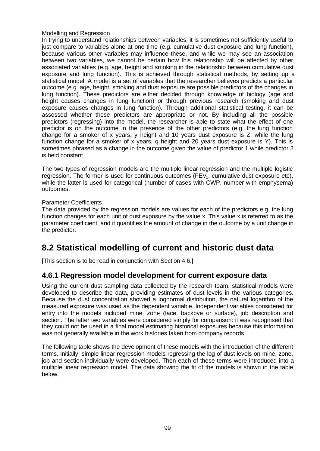### Modelling and Regression

In trying to understand relationships between variables, it is sometimes not sufficiently useful to just compare to variables alone at one time (e.g. cumulative dust exposure and lung function), because various other variables may influence these, and while we may see an association between two variables, we cannot be certain how this relationship will be affected by other associated variables (e.g. age, height and smoking in the relationship between cumulative dust exposure and lung function). This is achieved through statistical methods, by setting up a statistical model. A model is a set of variables that the researcher believes predicts a particular outcome (e.g. age, height, smoking and dust exposure are possible predictors of the changes in lung function). These predictors are either decided through knowledge of biology (age and height causes changes in lung function) or through previous research (smoking and dust exposure causes changes in lung function). Through additional statistical testing, it can be assessed whether these predictors are appropriate or not. By including all the possible predictors (regressing) into the model, the researcher is able to state what the effect of one predictor is on the outcome in the presence of the other predictors (e.g. the lung function change for a smoker of x years, y height and 10 years dust exposure is Z, while the lung function change for a smoker of x years, q height and 20 years dust exposure is Y). This is sometimes phrased as a change in the outcome given the value of predictor 1 while predictor 2 is held constant.

The two types of regression models are the multiple linear regression and the multiple logistic regression. The former is used for continuous outcomes  $(FEV<sub>1</sub>,$  cumulative dust exposure etc), while the latter is used for categorical (number of cases with CWP, number with emphysema) outcomes.

### Parameter Coefficients

The data provided by the regression models are values for each of the predictors e.g. the lung function changes for each unit of dust exposure by the value x. This value x is referred to as the parameter coefficient, and it quantifies the amount of change in the outcome by a unit change in the predictor.

# **8.2 Statistical modelling of current and historic dust data**

[This section is to be read in conjunction with Section 4.6.]

### **4.6.1 Regression model development for current exposure data**

Using the current dust sampling data collected by the research team, statistical models were developed to describe the data, providing estimates of dust levels in the various categories. Because the dust concentration showed a lognormal distribution, the natural logarithm of the measured exposure was used as the dependent variable. Independent variables considered for entry into the models included mine, zone (face, backbye or surface), job description and section. The latter two variables were considered simply for comparison: it was recognised that they could not be used in a final model estimating historical exposures because this information was not generally available in the work histories taken from company records.

The following table shows the development of these models with the introduction of the different terms. Initially, simple linear regression models regressing the log of dust levels on mine, zone, job and section individually were developed. Then each of these terms were introduced into a multiple linear regression model. The data showing the fit of the models is shown in the table below.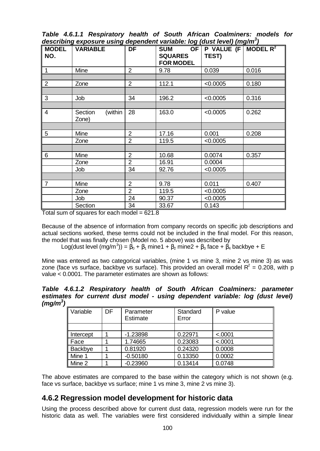*Table 4.6.1.1 Respiratory health of South African Coalminers: models for describing exposure using dependent variable: log (dust level) (mg/m<sup>3</sup> )*

|                | acoonomy capoodi'd don'ny dependent vandale. Ny faastrovery fingin'ny<br>MODEL VARIABLE | DF             | <b>SUM</b>                         | OF $\mid$ P VALUE (F $\mid$ MODEL R <sup>2</sup> |       |
|----------------|-----------------------------------------------------------------------------------------|----------------|------------------------------------|--------------------------------------------------|-------|
| NO.            |                                                                                         |                | <b>SQUARES</b><br><b>FOR MODEL</b> | TEST)                                            |       |
| $\overline{1}$ | Mine                                                                                    | $\overline{2}$ | 9.78                               | 0.039                                            | 0.016 |
|                |                                                                                         |                |                                    |                                                  |       |
| 2              | Zone                                                                                    | $\overline{2}$ | 112.1                              | < 0.0005                                         | 0.180 |
|                |                                                                                         |                |                                    |                                                  |       |
| $\mathbf{3}$   | Job                                                                                     | 34             | 196.2                              | < 0.0005                                         | 0.316 |
|                |                                                                                         |                |                                    |                                                  |       |
| $\overline{4}$ | (within<br>Section<br>Zone)                                                             | 28             | 163.0                              | < 0.0005                                         | 0.262 |
|                |                                                                                         |                |                                    |                                                  |       |
| $\sqrt{5}$     | Mine                                                                                    | 2              | 17.16                              | 0.001                                            | 0.208 |
|                | Zone                                                                                    | $\overline{2}$ | 119.5                              | < 0.0005                                         |       |
|                |                                                                                         |                |                                    |                                                  |       |
| 6              | Mine                                                                                    | $\overline{2}$ | 10.68                              | 0.0074                                           | 0.357 |
|                | Zone                                                                                    | $\overline{2}$ | 16.91                              | 0.0004                                           |       |
|                | Job                                                                                     | 34             | 92.76                              | < 0.0005                                         |       |
|                |                                                                                         |                |                                    |                                                  |       |
| $\overline{7}$ | Mine                                                                                    | $\overline{2}$ | 9.78                               | 0.011                                            | 0.407 |
|                | Zone                                                                                    | $\overline{2}$ | 119.5                              | < 0.0005                                         |       |
|                | Job                                                                                     | 24             | 90.37                              | < 0.0005                                         |       |
|                | Section                                                                                 | 34             | 33.67                              | 0.143                                            |       |

Total sum of squares for each model  $= 621.8$ 

Because of the absence of information from company records on specific job descriptions and actual sections worked, these terms could not be included in the final model. For this reason, the model that was finally chosen (Model no. 5 above) was described by

Log(dust level (mg/m<sup>3</sup>)) =  $\beta_0$  +  $\beta_1$  mine1 +  $\beta_2$  mine2 +  $\beta_3$  face +  $\beta_4$  backbye + E

Mine was entered as two categorical variables, (mine 1 vs mine 3, mine 2 vs mine 3) as was zone (face vs surface, backbye vs surface). This provided an overall model  $R^2$  = 0.208, with p value < 0.0001. The parameter estimates are shown as follows:

*Table 4.6.1.2 Respiratory health of South African Coalminers: parameter estimates for current dust model - using dependent variable: log (dust level) (mg/m<sup>3</sup> )*

| Variable  | DF. | Parameter<br>Estimate | Standard<br>Error | P value |
|-----------|-----|-----------------------|-------------------|---------|
|           |     |                       |                   |         |
| Intercept |     | $-1.23898$            | 0.22971           | < .0001 |
| Face      |     | 1.74665               | 0.23083           | < .0001 |
| Backbye   |     | 0.81920               | 0.24320           | 0.0008  |
| Mine 1    |     | $-0.50180$            | 0.13350           | 0.0002  |
| Mine 2    |     | $-0.23960$            | 0.13414           | 0.0748  |

The above estimates are compared to the base within the category which is not shown (e.g. face vs surface, backbye vs surface; mine 1 vs mine 3, mine 2 vs mine 3).

## **4.6.2 Regression model development for historic data**

Using the process described above for current dust data, regression models were run for the historic data as well. The variables were first considered individually within a simple linear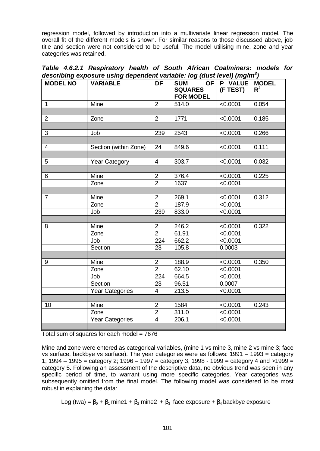regression model, followed by introduction into a multivariate linear regression model. The overall fit of the different models is shown. For similar reasons to those discussed above, job title and section were not considered to be useful. The model utilising mine, zone and year categories was retained.

| Table 4.6.2.1 Respiratory health of South African Coalminers: models for            |  |
|-------------------------------------------------------------------------------------|--|
| describing exposure using dependent variable: log (dust level) (mg/m <sup>3</sup> ) |  |

| אייש פיייייייי<br><b>MODEL NO</b> | <b>VARIABLE</b>        | <b>DF</b>       | <u>ranawie: reg (aast is rei) (ing.m.)</u><br>SUM OF P VALUE MODEL<br><b>SQUARES</b> | (F TEST) | $R^2$ |
|-----------------------------------|------------------------|-----------------|--------------------------------------------------------------------------------------|----------|-------|
|                                   |                        |                 | <b>FOR MODEL</b>                                                                     |          |       |
| $\overline{1}$                    | Mine                   | $\overline{2}$  | 514.0                                                                                | < 0.0001 | 0.054 |
|                                   |                        |                 |                                                                                      |          |       |
| $\overline{2}$                    | Zone                   | $\overline{2}$  | 1771                                                                                 | < 0.0001 | 0.185 |
|                                   |                        |                 |                                                                                      |          |       |
| 3                                 | Job                    | 239             | 2543                                                                                 | < 0.0001 | 0.266 |
|                                   |                        |                 |                                                                                      |          |       |
| $\overline{4}$                    | Section (within Zone)  | 24              | 849.6                                                                                | < 0.0001 | 0.111 |
|                                   |                        |                 |                                                                                      |          |       |
| 5                                 | <b>Year Category</b>   | $\overline{4}$  | 303.7                                                                                | < 0.0001 | 0.032 |
|                                   |                        |                 |                                                                                      |          |       |
| $\,6$                             | Mine                   | $\overline{2}$  | 376.4                                                                                | < 0.0001 | 0.225 |
|                                   | Zone                   | $\overline{2}$  | 1637                                                                                 | < 0.0001 |       |
|                                   |                        |                 |                                                                                      |          |       |
| $\overline{7}$                    | Mine                   | $\overline{2}$  | 269.1                                                                                | < 0.0001 | 0.312 |
|                                   | Zone                   | $\overline{2}$  | 187.9                                                                                | < 0.0001 |       |
|                                   | Job                    | 239             | 833.0                                                                                | < 0.0001 |       |
|                                   |                        |                 |                                                                                      |          |       |
| 8                                 | Mine                   | $\overline{2}$  | $246.\overline{2}$                                                                   | < 0.0001 | 0.322 |
|                                   | Zone                   | $\overline{2}$  | 61.91                                                                                | < 0.0001 |       |
|                                   | Job                    | 224             | 662.2                                                                                | < 0.0001 |       |
|                                   | Section                | $\overline{23}$ | 105.8                                                                                | 0.0003   |       |
|                                   |                        |                 |                                                                                      |          |       |
| 9                                 | Mine                   | $\overline{2}$  | 188.9                                                                                | < 0.0001 | 0.350 |
|                                   | Zone                   | $\overline{2}$  | 62.10                                                                                | < 0.0001 |       |
|                                   | Job                    | 224             | 664.5                                                                                | < 0.0001 |       |
|                                   | Section                | 23              | 96.51                                                                                | 0.0007   |       |
|                                   | <b>Year Categories</b> | $\overline{4}$  | 213.5                                                                                | < 0.0001 |       |
|                                   |                        |                 |                                                                                      |          |       |
| 10                                | <b>Mine</b>            | $\overline{2}$  | 1584                                                                                 | < 0.0001 | 0.243 |
|                                   | Zone                   | $\overline{2}$  | 311.0                                                                                | < 0.0001 |       |
|                                   | <b>Year Categories</b> | $\overline{4}$  | 206.1                                                                                | < 0.0001 |       |
|                                   |                        |                 |                                                                                      |          |       |

Total sum of squares for each model = 7676

Mine and zone were entered as categorical variables, (mine 1 vs mine 3, mine 2 vs mine 3; face vs surface, backbye vs surface). The year categories were as follows: 1991 – 1993 = category 1; 1994 – 1995 = category 2; 1996 – 1997 = category 3, 1998 - 1999 = category 4 and >1999 = category 5. Following an assessment of the descriptive data, no obvious trend was seen in any specific period of time, to warrant using more specific categories. Year categories was subsequently omitted from the final model. The following model was considered to be most robust in explaining the data:

Log (twa) =  $\beta_0$  +  $\beta_1$  mine1 +  $\beta_2$  mine2 +  $\beta_3$  face exposure +  $\beta_4$  backbye exposure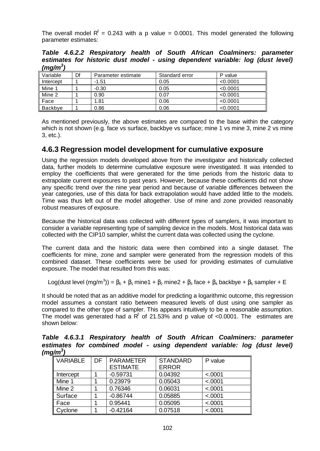The overall model  $\mathbb{R}^2 = 0.243$  with a p value = 0.0001. This model generated the following parameter estimates:

*Table 4.6.2.2 Respiratory health of South African Coalminers: parameter estimates for historic dust model - using dependent variable: log (dust level) (mg/m<sup>3</sup> )*

| - -       |    |                    |                |          |
|-----------|----|--------------------|----------------|----------|
| Variable  | Df | Parameter estimate | Standard error | P value  |
| Intercept |    | $-1.51$            | 0.05           | < 0.0001 |
| Mine 1    |    | $-0.30$            | 0.05           | < 0.0001 |
| Mine 2    |    | 0.90               | 0.07           | < 0.0001 |
| Face      |    | 1.81               | 0.06           | < 0.0001 |
| Backbye   |    | 0.86               | 0.06           | < 0.0001 |

As mentioned previously, the above estimates are compared to the base within the category which is not shown (e.g. face vs surface, backbye vs surface; mine 1 vs mine 3, mine 2 vs mine 3, etc.).

### **4.6.3 Regression model development for cumulative exposure**

Using the regression models developed above from the investigator and historically collected data, further models to determine cumulative exposure were investigated. It was intended to employ the coefficients that were generated for the time periods from the historic data to extrapolate current exposures to past years. However, because these coefficients did not show any specific trend over the nine year period and because of variable differences between the year categories, use of this data for back extrapolation would have added little to the models. Time was thus left out of the model altogether. Use of mine and zone provided reasonably robust measures of exposure.

Because the historical data was collected with different types of samplers, it was important to consider a variable representing type of sampling device in the models. Most historical data was collected with the CIP10 sampler, whilst the current data was collected using the cyclone.

The current data and the historic data were then combined into a single dataset. The coefficients for mine, zone and sampler were generated from the regression models of this combined dataset. These coefficients were be used for providing estimates of cumulative exposure. The model that resulted from this was:

Log(dust level (mg/m<sup>3</sup>)) =  $\beta_0$  +  $\beta_1$  mine1 +  $\beta_2$  mine2 +  $\beta_3$  face +  $\beta_4$  backbye +  $\beta_5$  sampler + E

It should be noted that as an additive model for predicting a logarithmic outcome, this regression model assumes a constant ratio between measured levels of dust using one sampler as compared to the other type of sampler. This appears intuitively to be a reasonable assumption. The model was generated had a  $R^2$  of 21.53% and p value of <0.0001. The estimates are shown below:

*Table 4.6.3.1 Respiratory health of South African Coalminers: parameter estimates for combined model - using dependent variable: log (dust level) (mg/m<sup>3</sup> )*

| <b>VARIABLE</b> | DF | <b>PARAMETER</b><br><b>ESTIMATE</b> | <b>STANDARD</b><br><b>ERROR</b> | P value |
|-----------------|----|-------------------------------------|---------------------------------|---------|
| Intercept       |    | $-0.59731$                          | 0.04392                         | < .0001 |
| Mine 1          |    | 0.23979                             | 0.05043                         | < .0001 |
| Mine 2          |    | 0.76346                             | 0.06031                         | < .0001 |
| Surface         |    | $-0.86744$                          | 0.05885                         | < .0001 |
| Face            |    | 0.95441                             | 0.05095                         | < .0001 |
| Cyclone         |    | $-0.42164$                          | 0.07518                         | < .0001 |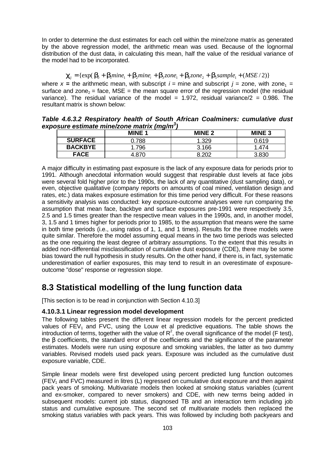In order to determine the dust estimates for each cell within the mine/zone matrix as generated by the above regression model, the arithmetic mean was used. Because of the lognormal distribution of the dust data, in calculating this mean, half the value of the residual variance of the model had to be incorporated.

## ${\bf c}_{ij} = {\rm{exp}}({\bf b}_0 + {\bf b}_1mine_1 + {\bf b}_2mine_i + {\bf b}_3zone_1 + {\bf b}_4zone_2 + {\bf b}_5sample_1 + (MSE/2){\rm{ }})$

where  $x =$  the arithmetic mean, with subscript  $i =$  mine and subscript  $j =$  zone, with zone<sub>1</sub> = surface and zone<sub>2</sub> = face, MSE = the mean square error of the regression model (the residual variance). The residual variance of the model = 1.972, residual variance/ $2 = 0.986$ . The resultant matrix is shown below:

*Table 4.6.3.2 Respiratory health of South African Coalminers: cumulative dust exposure estimate mine/zone matrix (mg/m<sup>3</sup> )*

|                | $\sim$<br><b>MINE 1</b> | <b>MINE 2</b> | <b>MINE 3</b> |
|----------------|-------------------------|---------------|---------------|
| <b>SURFACE</b> | .788                    | .329          | 0.619         |
| <b>BACKBYE</b> | 796                     | 3.166         | .474          |
| <b>FACE</b>    |                         | റററ           |               |

A major difficulty in estimating past exposure is the lack of any exposure data for periods prior to 1991. Although anecdotal information would suggest that respirable dust levels at face jobs were several fold higher prior to the 1990s, the lack of any quantitative (dust sampling data), or even, objective qualitative (company reports on amounts of coal mined, ventilation design and rates, etc.) data makes exposure estimation for this time period very difficult. For these reasons a sensitivity analysis was conducted: key exposure-outcome analyses were run comparing the assumption that mean face, backbye and surface exposures pre-1991 were respectively 3.5, 2.5 and 1.5 times greater than the respective mean values in the 1990s, and, in another model, 3, 1.5 and 1 times higher for periods prior to 1985, to the assumption that means were the same in both time periods (i.e., using ratios of 1, 1, and 1 times). Results for the three models were quite similar. Therefore the model assuming equal means in the two time periods was selected as the one requiring the least degree of arbitrary assumptions. To the extent that this results in added non-differential misclassification of cumulative dust exposure (CDE), there may be some bias toward the null hypothesis in study results. On the other hand, if there is, in fact, systematic underestimation of earlier exposures, this may tend to result in an overestimate of exposureoutcome "dose" response or regression slope.

# **8.3 Statistical modelling of the lung function data**

[This section is to be read in conjunction with Section 4.10.3]

### **4.10.3.1 Linear regression model development**

The following tables present the different linear regression models for the percent predicted values of  $FEV<sub>1</sub>$  and  $FVC$ , using the Louw et al predictive equations. The table shows the introduction of terms, together with the value of  $R^2$ , the overall significance of the model (F test), the β coefficients, the standard error of the coefficients and the significance of the parameter estimates. Models were run using exposure and smoking variables, the latter as two dummy variables. Revised models used pack years. Exposure was included as the cumulative dust exposure variable, CDE.

Simple linear models were first developed using percent predicted lung function outcomes  $(FEV<sub>1</sub>$  and FVC) measured in litres (L) regressed on cumulative dust exposure and then against pack years of smoking. Multivariate models then looked at smoking status variables (current and ex-smoker, compared to never smokers) and CDE, with new terms being added in subsequent models: current job status, diagnosed TB and an interaction term including job status and cumulative exposure. The second set of multivariate models then replaced the smoking status variables with pack years. This was followed by including both packyears and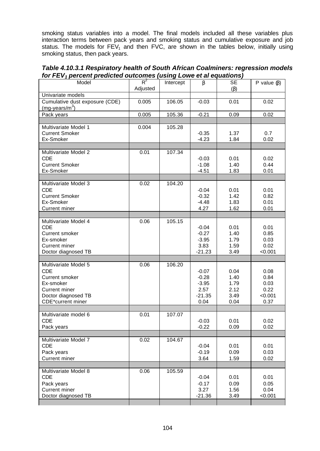smoking status variables into a model. The final models included all these variables plus interaction terms between pack years and smoking status and cumulative exposure and job status. The models for  $FEV<sub>1</sub>$  and then FVC, are shown in the tables below, initially using smoking status, then pack years.

*Table 4.10.3.1 Respiratory health of South African Coalminers: regression models for FEV1 percent predicted outcomes (using Lowe et al equations)*

| $\overline{a}$ $\overline{b}$ $\overline{c}$ $\overline{c}$ $\overline{c}$ $\overline{c}$ $\overline{c}$ $\overline{c}$ $\overline{c}$ $\overline{c}$ $\overline{c}$ $\overline{c}$ $\overline{c}$ $\overline{c}$ $\overline{c}$ $\overline{c}$ $\overline{c}$ $\overline{c}$ $\overline{c}$ $\overline{c}$ $\overline{c}$ $\overline{c}$ $\overline{c}$ $\overline{c}$ $\overline{$ |          |           |          |           |                   |
|--------------------------------------------------------------------------------------------------------------------------------------------------------------------------------------------------------------------------------------------------------------------------------------------------------------------------------------------------------------------------------------|----------|-----------|----------|-----------|-------------------|
| Model                                                                                                                                                                                                                                                                                                                                                                                | $R^2$    | Intercept | $\beta$  | <b>SE</b> | P value $(\beta)$ |
|                                                                                                                                                                                                                                                                                                                                                                                      | Adjusted |           |          | $(\beta)$ |                   |
| Univariate models                                                                                                                                                                                                                                                                                                                                                                    |          |           |          |           |                   |
| Cumulative dust exposure (CDE)                                                                                                                                                                                                                                                                                                                                                       | 0.005    | 106.05    | $-0.03$  | 0.01      | 0.02              |
| $(mg-years/m3)$                                                                                                                                                                                                                                                                                                                                                                      |          |           |          |           |                   |
|                                                                                                                                                                                                                                                                                                                                                                                      |          |           |          |           |                   |
| Pack years                                                                                                                                                                                                                                                                                                                                                                           | 0.005    | 105.36    | $-0.21$  | 0.09      | 0.02              |
|                                                                                                                                                                                                                                                                                                                                                                                      |          |           |          |           |                   |
| Multivariate Model 1                                                                                                                                                                                                                                                                                                                                                                 | 0.004    | 105.28    |          |           |                   |
| <b>Current Smoker</b>                                                                                                                                                                                                                                                                                                                                                                |          |           | $-0.35$  | 1.37      | 0.7               |
| Ex-Smoker                                                                                                                                                                                                                                                                                                                                                                            |          |           | $-4.23$  | 1.84      | 0.02              |
|                                                                                                                                                                                                                                                                                                                                                                                      |          |           |          |           |                   |
| Multivariate Model 2                                                                                                                                                                                                                                                                                                                                                                 | 0.01     | 107.34    |          |           |                   |
| <b>CDE</b>                                                                                                                                                                                                                                                                                                                                                                           |          |           | $-0.03$  | 0.01      | 0.02              |
| <b>Current Smoker</b>                                                                                                                                                                                                                                                                                                                                                                |          |           | $-1.08$  | 1.40      | 0.44              |
| Ex-Smoker                                                                                                                                                                                                                                                                                                                                                                            |          |           | $-4.51$  | 1.83      | 0.01              |
|                                                                                                                                                                                                                                                                                                                                                                                      |          |           |          |           |                   |
| Multivariate Model 3                                                                                                                                                                                                                                                                                                                                                                 | 0.02     | 104.20    |          |           |                   |
|                                                                                                                                                                                                                                                                                                                                                                                      |          |           |          |           |                   |
| <b>CDE</b>                                                                                                                                                                                                                                                                                                                                                                           |          |           | $-0.04$  | 0.01      | 0.01              |
| <b>Current Smoker</b>                                                                                                                                                                                                                                                                                                                                                                |          |           | $-0.32$  | 1.42      | 0.82              |
| Ex-Smoker                                                                                                                                                                                                                                                                                                                                                                            |          |           | $-4.48$  | 1.83      | 0.01              |
| <b>Current miner</b>                                                                                                                                                                                                                                                                                                                                                                 |          |           | 4.27     | 1.62      | 0.01              |
|                                                                                                                                                                                                                                                                                                                                                                                      |          |           |          |           |                   |
| Multivariate Model 4                                                                                                                                                                                                                                                                                                                                                                 | 0.06     | 105.15    |          |           |                   |
| <b>CDE</b>                                                                                                                                                                                                                                                                                                                                                                           |          |           | $-0.04$  | 0.01      | 0.01              |
| Current smoker                                                                                                                                                                                                                                                                                                                                                                       |          |           | $-0.27$  | 1.40      | 0.85              |
| Ex-smoker                                                                                                                                                                                                                                                                                                                                                                            |          |           | $-3.95$  | 1.79      | 0.03              |
| <b>Current miner</b>                                                                                                                                                                                                                                                                                                                                                                 |          |           | 3.83     | 1.59      | 0.02              |
| Doctor diagnosed TB                                                                                                                                                                                                                                                                                                                                                                  |          |           | $-21.23$ | 3.49      | < 0.001           |
|                                                                                                                                                                                                                                                                                                                                                                                      |          |           |          |           |                   |
| Multivariate Model 5                                                                                                                                                                                                                                                                                                                                                                 | 0.06     | 106.20    |          |           |                   |
| <b>CDE</b>                                                                                                                                                                                                                                                                                                                                                                           |          |           |          |           |                   |
|                                                                                                                                                                                                                                                                                                                                                                                      |          |           | $-0.07$  | 0.04      | 0.08              |
| Current smoker                                                                                                                                                                                                                                                                                                                                                                       |          |           | $-0.28$  | 1.40      | 0.84              |
| Ex-smoker                                                                                                                                                                                                                                                                                                                                                                            |          |           | $-3.95$  | 1.79      | 0.03              |
| <b>Current miner</b>                                                                                                                                                                                                                                                                                                                                                                 |          |           | 2.57     | 2.12      | 0.22              |
| Doctor diagnosed TB                                                                                                                                                                                                                                                                                                                                                                  |          |           | $-21.35$ | 3.49      | < 0.001           |
| CDE*current miner                                                                                                                                                                                                                                                                                                                                                                    |          |           | 0.04     | 0.04      | 0.37              |
|                                                                                                                                                                                                                                                                                                                                                                                      |          |           |          |           |                   |
| Multivariate model 6                                                                                                                                                                                                                                                                                                                                                                 | 0.01     | 107.07    |          |           |                   |
| <b>CDE</b>                                                                                                                                                                                                                                                                                                                                                                           |          |           | $-0.03$  | 0.01      | 0.02              |
| Pack years                                                                                                                                                                                                                                                                                                                                                                           |          |           | $-0.22$  | 0.09      | 0.02              |
|                                                                                                                                                                                                                                                                                                                                                                                      |          |           |          |           |                   |
| Multivariate Model 7                                                                                                                                                                                                                                                                                                                                                                 | 0.02     | 104.67    |          |           |                   |
| <b>CDE</b>                                                                                                                                                                                                                                                                                                                                                                           |          |           | $-0.04$  | 0.01      | 0.01              |
| Pack years                                                                                                                                                                                                                                                                                                                                                                           |          |           | $-0.19$  | 0.09      | 0.03              |
| <b>Current miner</b>                                                                                                                                                                                                                                                                                                                                                                 |          |           | 3.64     | 1.59      | 0.02              |
|                                                                                                                                                                                                                                                                                                                                                                                      |          |           |          |           |                   |
| Multivariate Model 8                                                                                                                                                                                                                                                                                                                                                                 | 0.06     | 105.59    |          |           |                   |
|                                                                                                                                                                                                                                                                                                                                                                                      |          |           |          |           |                   |
| <b>CDE</b>                                                                                                                                                                                                                                                                                                                                                                           |          |           | $-0.04$  | 0.01      | 0.01              |
| Pack years                                                                                                                                                                                                                                                                                                                                                                           |          |           | $-0.17$  | 0.09      | 0.05              |
| Current miner                                                                                                                                                                                                                                                                                                                                                                        |          |           | 3.27     | 1.56      | 0.04              |
| Doctor diagnosed TB                                                                                                                                                                                                                                                                                                                                                                  |          |           | $-21.36$ | 3.49      | < 0.001           |
|                                                                                                                                                                                                                                                                                                                                                                                      |          |           |          |           |                   |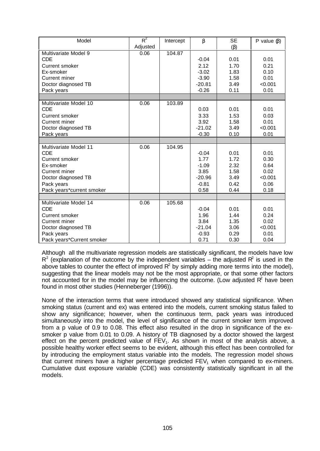| Model                     | $R^2$    | Intercept | $\beta$  | <b>SE</b> | P value $(\beta)$ |
|---------------------------|----------|-----------|----------|-----------|-------------------|
|                           | Adjusted |           |          | $(\beta)$ |                   |
| Multivariate Model 9      | 0.06     | 104.87    |          |           |                   |
| <b>CDE</b>                |          |           | $-0.04$  | 0.01      | 0.01              |
| <b>Current smoker</b>     |          |           | 2.12     | 1.70      | 0.21              |
| Ex-smoker                 |          |           | $-3.02$  | 1.83      | 0.10              |
| <b>Current miner</b>      |          |           | $-3.90$  | 1.58      | 0.01              |
| Doctor diagnosed TB       |          |           | $-20.81$ | 3.49      | < 0.001           |
| Pack years                |          |           | $-0.26$  | 0.11      | 0.01              |
|                           |          |           |          |           |                   |
| Multivariate Model 10     | 0.06     | 103.89    |          |           |                   |
| <b>CDE</b>                |          |           | 0.03     | 0.01      | 0.01              |
| Current smoker            |          |           | 3.33     | 1.53      | 0.03              |
| Current miner             |          |           | 3.92     | 1.58      | 0.01              |
| Doctor diagnosed TB       |          |           | $-21.02$ | 3.49      | < 0.001           |
| Pack years                |          |           | $-0.30$  | 0.10      | 0.01              |
|                           |          |           |          |           |                   |
| Multivariate Model 11     | 0.06     | 104.95    |          |           |                   |
| <b>CDE</b>                |          |           | $-0.04$  | 0.01      | 0.01              |
| Current smoker            |          |           | 1.77     | 1.72      | 0.30              |
| Ex-smoker                 |          |           | $-1.09$  | 2.32      | 0.64              |
| <b>Current miner</b>      |          |           | 3.85     | 1.58      | 0.02              |
| Doctor diagnosed TB       |          |           | $-20.96$ | 3.49      | < 0.001           |
| Pack years                |          |           | $-0.81$  | 0.42      | 0.06              |
| Pack years*current smoker |          |           | 0.58     | 0.44      | 0.18              |
|                           |          |           |          |           |                   |
| Multivariate Model 14     | 0.06     | 105.68    |          |           |                   |
| <b>CDE</b>                |          |           | $-0.04$  | 0.01      | 0.01              |
| Current smoker            |          |           | 1.96     | 1.44      | 0.24              |
| <b>Current miner</b>      |          |           | 3.84     | 1.35      | 0.02              |
| Doctor diagnosed TB       |          |           | $-21.04$ | 3.06      | < 0.001           |
| Pack years                |          |           | $-0.93$  | 0.29      | 0.01              |
| Pack years*Current smoker |          |           | 0.71     | 0.30      | 0.04              |

Although all the multivariate regression models are statistically significant, the models have low  $R^2$  (explanation of the outcome by the independent variables – the adjusted  $R^2$  is used in the above tables to counter the effect of improved  $R^2$  by simply adding more terms into the model), suggesting that the linear models may not be the most appropriate, or that some other factors not accounted for in the model may be influencing the outcome. (Low adjusted  $R^2$  have been found in most other studies (Henneberger (1996)).

None of the interaction terms that were introduced showed any statistical significance. When smoking status (current and ex) was entered into the models, current smoking status failed to show any significance; however, when the continuous term, pack years was introduced simultaneously into the model, the level of significance of the current smoker term improved from a p value of 0.9 to 0.08. This effect also resulted in the drop in significance of the exsmoker p value from 0.01 to 0.09. A history of TB diagnosed by a doctor showed the largest effect on the percent predicted value of  $FEV<sub>1</sub>$ . As shown in most of the analysis above, a possible healthy worker effect seems to be evident, although this effect has been controlled for by introducing the employment status variable into the models. The regression model shows that current miners have a higher percentage predicted  $FEV<sub>1</sub>$  when compared to ex-miners. Cumulative dust exposure variable (CDE) was consistently statistically significant in all the models.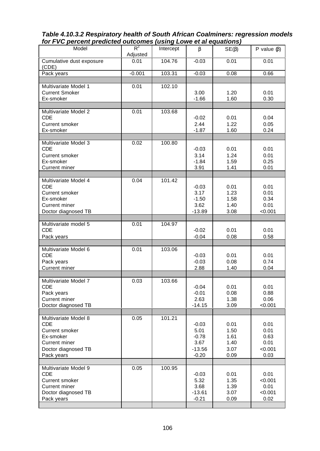| ion i vo percent preureted outcomes fusing Lowe et ur equations <i>j</i> |                   |           |          |             |                   |
|--------------------------------------------------------------------------|-------------------|-----------|----------|-------------|-------------------|
| Model                                                                    | $R^2$<br>Adjusted | Intercept | $\beta$  | $SE(\beta)$ | P value $(\beta)$ |
| Cumulative dust exposure<br>(CDE)                                        | 0.01              | 104.76    | $-0.03$  | 0.01        | 0.01              |
| Pack years                                                               | $-0.001$          | 103.31    | $-0.03$  | 0.08        | 0.66              |
|                                                                          |                   |           |          |             |                   |
| Multivariate Model 1                                                     | 0.01              | 102.10    |          |             |                   |
| <b>Current Smoker</b>                                                    |                   |           | 3.00     | 1.20        | 0.01              |
| Ex-smoker                                                                |                   |           | $-1.66$  | 1.60        | 0.30              |
|                                                                          |                   |           |          |             |                   |
| Multivariate Model 2                                                     | 0.01              | 103.68    |          |             |                   |
|                                                                          |                   |           |          |             |                   |
| <b>CDE</b>                                                               |                   |           | $-0.02$  | 0.01        | 0.04              |
| <b>Current smoker</b>                                                    |                   |           | 2.44     | 1.22        | 0.05              |
| Ex-smoker                                                                |                   |           | $-1.87$  | 1.60        | 0.24              |
|                                                                          |                   |           |          |             |                   |
| Multivariate Model 3                                                     | 0.02              | 100.80    |          |             |                   |
| <b>CDE</b>                                                               |                   |           | $-0.03$  | 0.01        | 0.01              |
| Current smoker                                                           |                   |           | 3.14     | 1.24        | 0.01              |
| Ex-smoker                                                                |                   |           | $-1.84$  | 1.59        | 0.25              |
|                                                                          |                   |           |          |             |                   |
| Current miner                                                            |                   |           | 3.91     | 1.41        | 0.01              |
|                                                                          |                   |           |          |             |                   |
| Multivariate Model 4                                                     | 0.04              | 101.42    |          |             |                   |
| <b>CDE</b>                                                               |                   |           | $-0.03$  | 0.01        | 0.01              |
| <b>Current smoker</b>                                                    |                   |           | 3.17     | 1.23        | 0.01              |
| Ex-smoker                                                                |                   |           | $-1.50$  | 1.58        | 0.34              |
| <b>Current miner</b>                                                     |                   |           | 3.62     | 1.40        | 0.01              |
|                                                                          |                   |           |          |             |                   |
| Doctor diagnosed TB                                                      |                   |           | $-13.89$ | 3.08        | < 0.001           |
|                                                                          |                   |           |          |             |                   |
| Multivariate model 5                                                     | 0.01              | 104.97    |          |             |                   |
| <b>CDE</b>                                                               |                   |           | $-0.02$  | 0.01        | 0.01              |
| Pack years                                                               |                   |           | $-0.04$  | 0.08        | 0.58              |
|                                                                          |                   |           |          |             |                   |
| Multivariate Model 6                                                     | 0.01              | 103.06    |          |             |                   |
| <b>CDE</b>                                                               |                   |           | $-0.03$  | 0.01        | 0.01              |
| Pack years                                                               |                   |           | $-0.03$  | 0.08        | 0.74              |
|                                                                          |                   |           |          |             |                   |
| <b>Current miner</b>                                                     |                   |           | 2.88     | 1.40        | 0.04              |
|                                                                          |                   |           |          |             |                   |
| Multivariate Model 7                                                     | 0.03              | 103.66    |          |             |                   |
| <b>CDE</b>                                                               |                   |           | $-0.04$  | 0.01        | 0.01              |
| Pack years                                                               |                   |           | $-0.01$  | 0.08        | 0.88              |
| <b>Current miner</b>                                                     |                   |           | 2.63     | 1.38        | 0.06              |
| Doctor diagnosed TB                                                      |                   |           | $-14.15$ | 3.09        | < 0.001           |
|                                                                          |                   |           |          |             |                   |
|                                                                          |                   |           |          |             |                   |
| Multivariate Model 8                                                     | 0.05              | 101.21    |          |             |                   |
| <b>CDE</b>                                                               |                   |           | $-0.03$  | 0.01        | 0.01              |
| <b>Current smoker</b>                                                    |                   |           | 5.01     | 1.50        | 0.01              |
| Ex-smoker                                                                |                   |           | $-0.78$  | 1.61        | 0.63              |
| <b>Current miner</b>                                                     |                   |           | 3.67     | 1.40        | 0.01              |
| Doctor diagnosed TB                                                      |                   |           | $-13.56$ | 3.07        | < 0.001           |
| Pack years                                                               |                   |           | $-0.20$  | 0.09        | 0.03              |
|                                                                          |                   |           |          |             |                   |
|                                                                          |                   | 100.95    |          |             |                   |
| Multivariate Model 9                                                     | 0.05              |           |          |             |                   |
| <b>CDE</b>                                                               |                   |           | $-0.03$  | 0.01        | 0.01              |
| <b>Current smoker</b>                                                    |                   |           | 5.32     | 1.35        | < 0.001           |
| <b>Current miner</b>                                                     |                   |           | 3.68     | 1.39        | 0.01              |
| Doctor diagnosed TB                                                      |                   |           | $-13.61$ | 3.07        | < 0.001           |
| Pack years                                                               |                   |           | $-0.21$  | 0.09        | 0.02              |
|                                                                          |                   |           |          |             |                   |

*Table 4.10.3.2 Respiratory health of South African Coalminers: regression models for FVC percent predicted outcomes (using Lowe et al equations)*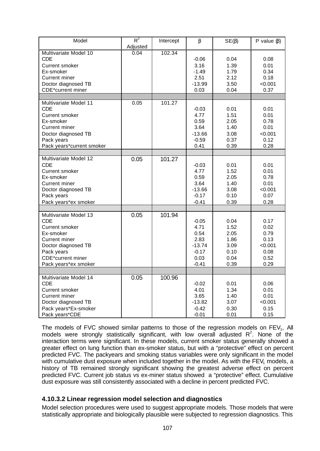| Model                                                                                                                                                                               | $R^2$<br>Adjusted | Intercept | $\beta$                                                                   | $SE(\beta)$                                                  | P value $(\beta)$                                               |
|-------------------------------------------------------------------------------------------------------------------------------------------------------------------------------------|-------------------|-----------|---------------------------------------------------------------------------|--------------------------------------------------------------|-----------------------------------------------------------------|
| Multivariate Model 10<br><b>CDE</b><br><b>Current smoker</b><br>Ex-smoker<br><b>Current miner</b><br>Doctor diagnosed TB                                                            | 0.04              | 102.34    | $-0.06$<br>3.16<br>$-1.49$<br>2.51<br>$-13.99$                            | 0.04<br>1.39<br>1.79<br>2.12<br>3.50                         | 0.08<br>0.01<br>0.34<br>0.18<br>< 0.001                         |
| <b>CDE*current miner</b>                                                                                                                                                            |                   |           | 0.03                                                                      | 0.04                                                         | 0.37                                                            |
| Multivariate Model 11<br><b>CDE</b><br><b>Current smoker</b><br>Ex-smoker<br>Current miner<br>Doctor diagnosed TB<br>Pack years<br>Pack years*current smoker                        | 0.05              | 101.27    | $-0.03$<br>4.77<br>0.59<br>3.64<br>$-13.66$<br>$-0.59$<br>0.41            | 0.01<br>1.51<br>2.05<br>1.40<br>3.08<br>0.37<br>0.39         | 0.01<br>0.01<br>0.78<br>0.01<br>< 0.001<br>0.12<br>0.28         |
| Multivariate Model 12<br><b>CDE</b><br><b>Current smoker</b><br>Ex-smoker<br><b>Current miner</b><br>Doctor diagnosed TB<br>Pack years<br>Pack years*ex smoker                      | 0.05              | 101.27    | $-0.03$<br>4.77<br>0.59<br>3.64<br>$-13.66$<br>$-0.17$<br>$-0.41$         | 0.01<br>1.52<br>2.05<br>1.40<br>3.08<br>0.10<br>0.39         | 0.01<br>0.01<br>0.78<br>0.01<br>< 0.001<br>0.07<br>0.28         |
| Multivariate Model 13<br><b>CDE</b><br><b>Current smoker</b><br>Ex-smoker<br>Current miner<br>Doctor diagnosed TB<br>Pack years<br><b>CDE*current miner</b><br>Pack years*ex smoker | 0.05              | 101.94    | $-0.05$<br>4.71<br>0.54<br>2.83<br>$-13.74$<br>$-0.17$<br>0.03<br>$-0.41$ | 0.04<br>1.52<br>2.05<br>1.86<br>3.09<br>0.10<br>0.04<br>0.39 | 0.17<br>0.02<br>0.79<br>0.13<br>< 0.001<br>0.08<br>0.52<br>0.29 |
| Multivariate Model 14<br><b>CDE</b><br>Current smoker<br><b>Current miner</b><br>Doctor diagnosed TB<br>Pack years*Ex-smoker<br>Pack years*CDE                                      | 0.05              | 100.96    | $-0.02$<br>4.01<br>3.65<br>$-13.82$<br>$-0.42$<br>$-0.01$                 | 0.01<br>1.34<br>1.40<br>3.07<br>0.30<br>0.01                 | 0.06<br>0.01<br>0.01<br>< 0.001<br>0.15<br>0.15                 |

The models of FVC showed similar patterns to those of the regression models on  $FEV<sub>1</sub>$ , All models were strongly statistically significant, with low overall adjusted  $R^2$ . None of the interaction terms were significant. In these models, current smoker status generally showed a greater effect on lung function than ex-smoker status, but with a "protective" effect on percent predicted FVC. The packyears and smoking status variables were only significant in the model with cumulative dust exposure when included together in the model. As with the FEV<sub>1</sub> models, a history of TB remained strongly significant showing the greatest adverse effect on percent predicted FVC. Current job status vs ex-miner status showed a "protective" effect. Cumulative dust exposure was still consistently associated with a decline in percent predicted FVC.

### **4.10.3.2 Linear regression model selection and diagnostics**

Model selection procedures were used to suggest appropriate models. Those models that were statistically appropriate and biologically plausible were subjected to regression diagnostics. This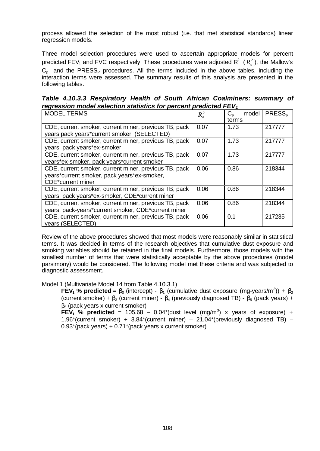process allowed the selection of the most robust (i.e. that met statistical standards) linear regression models.

Three model selection procedures were used to ascertain appropriate models for percent predicted FEV<sub>1</sub> and FVC respectively. These procedures were adjusted R<sup>2</sup> ( $R_a^2$ ), the Mallow's  $C_p$  and the PRESS<sub>P</sub> procedures. All the terms included in the above tables, including the interaction terms were assessed. The summary results of this analysis are presented in the following tables.

*Table 4.10.3.3 Respiratory Health of South African Coalminers: summary of regression model selection statistics for percent predicted FEV<sup>1</sup>*

| <b>MODEL TERMS</b>                                                                                                               | $R_{\scriptscriptstyle a}^2$ | $C_p$ – model<br>terms | PRESS <sub>p</sub> |
|----------------------------------------------------------------------------------------------------------------------------------|------------------------------|------------------------|--------------------|
| CDE, current smoker, current miner, previous TB, pack<br>years pack years*current smoker (SELECTED)                              | 0.07                         | 1.73                   | 217777             |
| CDE, current smoker, current miner, previous TB, pack<br>years, pack years*ex-smoker                                             | 0.07                         | 1.73                   | 217777             |
| CDE, current smoker, current miner, previous TB, pack<br>years*ex-smoker, pack years*current smoker                              | 0.07                         | 1.73                   | 217777             |
| CDE, current smoker, current miner, previous TB, pack<br>years*current smoker, pack years*ex-smoker,<br><b>CDE*current miner</b> | 0.06                         | 0.86                   | 218344             |
| CDE, current smoker, current miner, previous TB, pack<br>years, pack years*ex-smoker, CDE*current miner                          | 0.06                         | 0.86                   | 218344             |
| CDE, current smoker, current miner, previous TB, pack<br>years, pack-years*current smoker, CDE*current miner                     | 0.06                         | 0.86                   | 218344             |
| CDE, current smoker, current miner, previous TB, pack<br>years (SELECTED)                                                        | 0.06                         | 0.1                    | 217235             |

Review of the above procedures showed that most models were reasonably similar in statistical terms. It was decided in terms of the research objectives that cumulative dust exposure and smoking variables should be retained in the final models. Furthermore, those models with the smallest number of terms that were statistically acceptable by the above procedures (model parsimony) would be considered. The following model met these criteria and was subjected to diagnostic assessment.

Model 1 (Multivariate Model 14 from Table 4.10.3.1)

**FEV<sub>1</sub> % predicted** =  $\beta_0$  (intercept) -  $\beta_1$  (cumulative dust exposure (mg-years/m<sup>3</sup>)) +  $\beta_2$ (current smoker) +  $\beta_3$  (current miner) -  $\beta_4$  (previously diagnosed TB) -  $\beta_5$  (pack years) +  $β<sub>6</sub>$  (pack years x current smoker)

**FEV<sub>1</sub>** % predicted = 105.68 – 0.04\*(dust level (mg/m<sup>3</sup>) x years of exposure) + 1.96\*(current smoker) +  $3.84$ \*(current miner) –  $21.04$ \*(previously diagnosed TB) – 0.93\*(pack years) + 0.71\*(pack years x current smoker)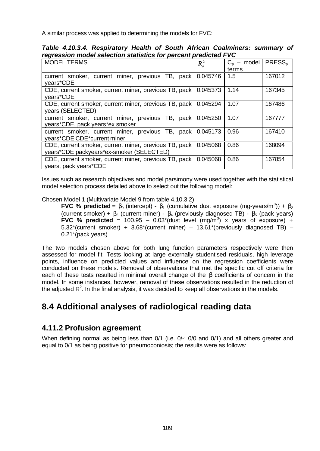A similar process was applied to determining the models for FVC:

|  |                                                                 |  |  | Table 4.10.3.4. Respiratory Health of South African Coalminers: summary of |  |
|--|-----------------------------------------------------------------|--|--|----------------------------------------------------------------------------|--|
|  | regression model selection statistics for percent predicted FVC |  |  |                                                                            |  |

| <b>MODEL TERMS</b>                                                                                | $R^2$    | $C_p$ – model<br>terms | PRESS <sub>b</sub> |
|---------------------------------------------------------------------------------------------------|----------|------------------------|--------------------|
| current smoker, current miner, previous TB, pack<br>years*CDE                                     | 0.045746 | 1.5                    | 167012             |
| CDE, current smoker, current miner, previous TB, pack<br>vears*CDE                                | 0.045373 | 1.14                   | 167345             |
| CDE, current smoker, current miner, previous TB, pack<br>years (SELECTED)                         | 0.045294 | 1.07                   | 167486             |
| current smoker, current miner, previous TB, pack<br>years*CDE, pack years*ex smoker               | 0.045250 | 1.07                   | 167777             |
| current smoker, current miner, previous TB, pack<br>years*CDE CDE*current miner                   | 0.045173 | 0.96                   | 167410             |
| CDE, current smoker, current miner, previous TB, pack<br>years*CDE packyears*ex-smoker (SELECTED) | 0.045068 | 0.86                   | 168094             |
| CDE, current smoker, current miner, previous TB, pack<br>years, pack years*CDE                    | 0.045068 | 0.86                   | 167854             |

Issues such as research objectives and model parsimony were used together with the statistical model selection process detailed above to select out the following model:

Chosen Model 1 (Multivariate Model 9 from table 4.10.3.2)

**FVC** % predicted =  $\beta_0$  (intercept) -  $\beta_1$  (cumulative dust exposure (mg-years/m<sup>3</sup>)) +  $\beta_2$ (current smoker) +  $\beta_3$  (current miner) -  $\beta_4$  (previously diagnosed TB) -  $\beta_5$  (pack years) **FVC** % predicted = 100.95 - 0.03\*(dust level  $(mg/m<sup>3</sup>)$  x years of exposure) +  $5.32^*$ (current smoker) +  $3.68^*$ (current miner) –  $13.61^*$ (previously diagnosed TB) – 0.21\*(pack years)

The two models chosen above for both lung function parameters respectively were then assessed for model fit. Tests looking at large externally studentised residuals, high leverage points, influence on predicted values and influence on the regression coefficients were conducted on these models. Removal of observations that met the specific cut off criteria for each of these tests resulted in minimal overall change of the β coefficients of concern in the model. In some instances, however, removal of these observations resulted in the reduction of the adjusted  $R^2$ . In the final analysis, it was decided to keep all observations in the models.

# **8.4 Additional analyses of radiological reading data**

### **4.11.2 Profusion agreement**

When defining normal as being less than 0/1 (i.e. 0/-; 0/0 and 0/1) and all others greater and equal to 0/1 as being positive for pneumoconiosis; the results were as follows: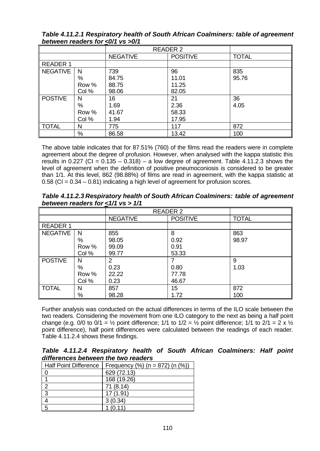*Table 4.11.2.1 Respiratory health of South African Coalminers: table of agreement between readers for <0/1 vs >0/1*

|                |       | <b>READER 2</b> |                 |              |
|----------------|-------|-----------------|-----------------|--------------|
|                |       | <b>NEGATIVE</b> | <b>POSITIVE</b> | <b>TOTAL</b> |
| READER 1       |       |                 |                 |              |
| NEGATIVE       | N     | 739             | 96              | 835          |
|                | %     | 84.75           | 11.01           | 95.76        |
|                | Row % | 88.75           | 11.25           |              |
|                | Col % | 98.06           | 82.05           |              |
| <b>POSTIVE</b> | N     | 16              | 21              | 36           |
|                | $\%$  | 1.69            | 2.36            | 4.05         |
|                | Row % | 41.67           | 58.33           |              |
|                | Col % | 1.94            | 17.95           |              |
| <b>TOTAL</b>   | N     | 775             | 117             | 872          |
|                | %     | 86.58           | 13.42           | 100          |

The above table indicates that for 87.51% (760) of the films read the readers were in complete agreement about the degree of profusion. However, when analysed with the kappa statistic this results in 0.227 (CI =  $0.135 - 0.318$ ) – a low degree of agreement. Table 4.11.2.3 shows the level of agreement when the definition of positive pneumoconiosis is considered to be greater than 1/1. At this level, 862 (98.88%) of films are read in agreement, with the kappa statistic at  $0.58$  (CI =  $0.34 - 0.81$ ) indicating a high level of agreement for profusion scores.

*Table 4.11.2.3 Respiratory health of South African Coalminers: table of agreement between readers for <1/1 vs > 1/1*

|                 |       | <b>READER 2</b> |                 |              |
|-----------------|-------|-----------------|-----------------|--------------|
|                 |       | <b>NEGATIVE</b> | <b>POSITIVE</b> | <b>TOTAL</b> |
| <b>READER 1</b> |       |                 |                 |              |
| <b>NEGATIVE</b> | -N    | 855             | 8               | 863          |
|                 | %     | 98.05           | 0.92            | 98.97        |
|                 | Row % | 99.09           | 0.91            |              |
|                 | Col % | 99.77           | 53.33           |              |
| <b>POSTIVE</b>  | N     | 2               |                 | 9            |
|                 | %     | 0.23            | 0.80            | 1.03         |
|                 | Row % | 22.22           | 77.78           |              |
|                 | Col % | 0.23            | 46.67           |              |
| <b>TOTAL</b>    | N     | 857             | 15              | 872          |
|                 | $\%$  | 98.28           | 1.72            | 100          |

Further analysis was conducted on the actual differences in terms of the ILO scale between the two readers. Considering the movement from one ILO category to the next as being a half point change (e.g. 0/0 to 0/1 =  $\frac{1}{2}$  point difference; 1/1 to 1/2 =  $\frac{1}{2}$  point difference; 1/1 to 2/1 = 2 x  $\frac{1}{2}$ point difference), half point differences were calculated between the readings of each reader. Table 4.11.2.4 shows these findings.

*Table 4.11.2.4 Respiratory health of South African Coalminers: Half point differences between the two readers*

| <b>Half Point Difference</b> | Frequency $(\%)$ (n = 872) (n $(\%)$ ) |
|------------------------------|----------------------------------------|
|                              | 629 (72.13)                            |
|                              | 168 (19.26)                            |
| 2                            | 71(8.14)                               |
| $\overline{3}$               | 17(1.91)                               |
|                              | 3(0.34)                                |
| 5                            | (0, 11)                                |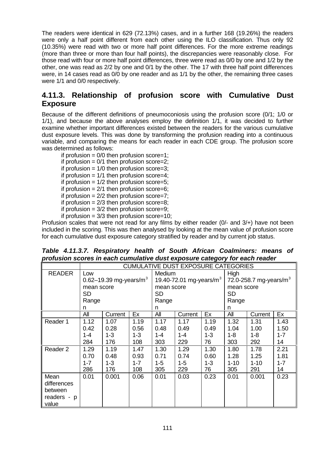The readers were identical in 629 (72.13%) cases, and in a further 168 (19.26%) the readers were only a half point different from each other using the ILO classification. Thus only 92 (10.35%) were read with two or more half point differences. For the more extreme readings (more than three or more than four half points), the discrepancies were reasonably close. For those read with four or more half point differences, three were read as 0/0 by one and 1/2 by the other, one was read as 2/2 by one and 0/1 by the other. The 17 with three half point differences were, in 14 cases read as 0/0 by one reader and as 1/1 by the other, the remaining three cases were 1/1 and 0/0 respectively.

### **4.11.3. Relationship of profusion score with Cumulative Dust Exposure**

Because of the different definitions of pneumoconiosis using the profusion score (0/1; 1/0 or 1/1), and because the above analyses employ the definition 1/1, it was decided to further examine whether important differences existed between the readers for the various cumulative dust exposure levels. This was done by transforming the profusion reading into a continuous variable, and comparing the means for each reader in each CDE group. The profusion score was determined as follows:

if profusion  $= 0/0$  then profusion score=1; if profusion  $= 0/1$  then profusion score=2; if profusion  $= 1/0$  then profusion score=3; if profusion  $= 1/1$  then profusion score=4; if profusion  $= 1/2$  then profusion score=5; if profusion  $= 2/1$  then profusion score=6; if profusion  $= 2/2$  then profusion score=7; if profusion =  $2/3$  then profusion score=8: if profusion  $= 3/2$  then profusion score=9; if profusion  $= 3/3$  then profusion score=10;

Profusion scales that were not read for any films by either reader (0/- and 3/+) have not been included in the scoring. This was then analysed by looking at the mean value of profusion score for each cumulative dust exposure category stratified by reader and by current job status.

|                                                        |                                                                            | <b>CUMULATIVE DUST EXPOSURE CATEGORIES</b>                       |                                                                  |                                                                                |                                                                  |                                                                |                                                                             |                                                               |                                                                |
|--------------------------------------------------------|----------------------------------------------------------------------------|------------------------------------------------------------------|------------------------------------------------------------------|--------------------------------------------------------------------------------|------------------------------------------------------------------|----------------------------------------------------------------|-----------------------------------------------------------------------------|---------------------------------------------------------------|----------------------------------------------------------------|
| <b>READER</b>                                          | Low<br>0.62-19.39 mg-years/ $m^3$<br>mean score<br><b>SD</b><br>Range<br>n |                                                                  |                                                                  | Medium<br>19.40-72.01 mg-years/ $m^3$<br>mean score<br><b>SD</b><br>Range<br>n |                                                                  |                                                                | High<br>72.0-258.7 mg-years/ $m^3$<br>mean score<br><b>SD</b><br>Range<br>n |                                                               |                                                                |
|                                                        | All                                                                        | Current                                                          | Ex                                                               | All                                                                            | Current                                                          | Ex                                                             | All                                                                         | Current                                                       | Ex                                                             |
| Reader 1<br>Reader 2                                   | 1.12<br>0.42<br>$1 - 4$<br>284<br>1.29<br>0.70<br>$1 - 7$<br>286           | 1.07<br>0.28<br>$1 - 3$<br>176<br>1.19<br>0.48<br>$1 - 3$<br>176 | 1.19<br>0.56<br>$1 - 3$<br>108<br>1.47<br>0.93<br>$1 - 7$<br>108 | 1.17<br>0.48<br>$1 - 4$<br>303<br>1.30<br>0.71<br>$1 - 5$<br>305               | 1.17<br>0.49<br>$1 - 4$<br>229<br>1.29<br>0.74<br>$1 - 5$<br>229 | 1.19<br>0.49<br>$1 - 3$<br>76<br>1.30<br>0.60<br>$1 - 3$<br>76 | 1.32<br>1.04<br>$1 - 8$<br>303<br>1.80<br>1.28<br>$1 - 10$<br>305           | 1.31<br>1.00<br>1-8<br>292<br>1.78<br>1.25<br>$1 - 10$<br>291 | 1.43<br>1.50<br>$1 - 7$<br>14<br>2.21<br>1.81<br>$1 - 7$<br>14 |
| Mean<br>differences<br>between<br>readers - p<br>value | 0.01                                                                       | 0.001                                                            | 0.06                                                             | 0.01                                                                           | 0.03                                                             | 0.23                                                           | 0.01                                                                        | 0.001                                                         | 0.23                                                           |

*Table 4.11.3.7. Respiratory health of South African Coalminers: means of profusion scores in each cumulative dust exposure category for each reader*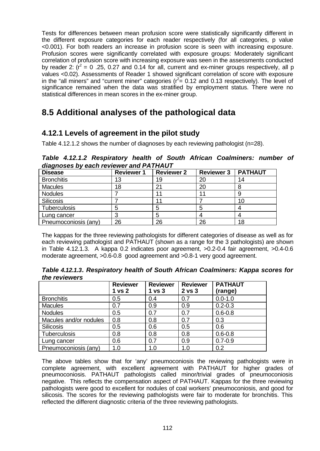Tests for differences between mean profusion score were statistically significantly different in the different exposure categories for each reader respectively (for all categories, p value <0.001). For both readers an increase in profusion score is seen with increasing exposure. Profusion scores were significantly correlated with exposure groups: Moderately significant correlation of profusion score with increasing exposure was seen in the assessments conducted by reader 2:  $(r^2 = 0.25, 0.27$  and 0.14 for all, current and ex-miner groups respectively, all p values <0.02). Assessments of Reader 1 showed significant correlation of score with exposure in the "all miners" and "current miner" categories ( $r^2 = 0.12$  and 0.13 respectively). The level of significance remained when the data was stratified by employment status. There were no statistical differences in mean scores in the ex-miner group.

# **8.5 Additional analyses of the pathological data**

## **4.12.1 Levels of agreement in the pilot study**

Table 4.12.1.2 shows the number of diagnoses by each reviewing pathologist (n=28).

*Table 4.12.1.2 Respiratory health of South African Coalminers: number of diagnoses by each reviewer and PATHAUT*

| <b>Disease</b>       | <b>Reviewer 1</b> | <b>Reviewer 2</b> | <b>Reviewer 3</b> | <b>PATHAUT</b> |
|----------------------|-------------------|-------------------|-------------------|----------------|
| <b>Bronchitis</b>    | 13                | 19                | 20                | 14             |
| <b>Macules</b>       | 18                | 21                | 20                |                |
| <b>Nodules</b>       |                   |                   |                   |                |
| Silicosis            |                   |                   |                   | 10             |
| Tuberculosis         |                   |                   | 5                 |                |
| Lung cancer          |                   |                   |                   |                |
| Pneumoconiosis (any) | 26                | 26                | 26                | 18             |

The kappas for the three reviewing pathologists for different categories of disease as well as for each reviewing pathologist and PATHAUT (shown as a range for the 3 pathologists) are shown in Table 4.12.1.3. A kappa 0.2 indicates poor agreement, >0.2-0.4 fair agreement, >0.4-0.6 moderate agreement, >0.6-0.8 good agreement and >0.8-1 very good agreement.

*Table 4.12.1.3. Respiratory health of South African Coalminers: Kappa scores for the reviewers*

|                        | <b>Reviewer</b><br>1 <sub>vs</sub> 2 | <b>Reviewer</b><br>1 <sub>vs</sub> 3 | <b>Reviewer</b><br>2 <sub>vs</sub> 3 | <b>PATHAUT</b><br>(range) |
|------------------------|--------------------------------------|--------------------------------------|--------------------------------------|---------------------------|
| <b>Bronchitis</b>      | 0.5                                  | 0.4                                  | 0.7                                  | $0.0 - 1.0$               |
| <b>Macules</b>         | 0.7                                  | 0.9                                  | 0.9                                  | $0.2 - 0.3$               |
| <b>Nodules</b>         | 0.5                                  | 0.7                                  | 0.7                                  | $0.6 - 0.8$               |
| Macules and/or nodules | 0.8                                  | 0.8                                  | 0.7                                  | 0.3                       |
| <b>Silicosis</b>       | 0.5                                  | 0.6                                  | 0.5                                  | 0.6                       |
| Tuberculosis           | 0.8                                  | 0.8                                  | 0.8                                  | $0.6 - 0.8$               |
| Lung cancer            | 0.6                                  | 0.7                                  | 0.9                                  | $0.7 - 0.9$               |
| Pneumoconiosis (any)   | 1.0                                  | 1.0                                  | 1.0                                  | 0.2                       |

The above tables show that for 'any' pneumoconiosis the reviewing pathologists were in complete agreement, with excellent agreement with PATHAUT for higher grades of pneumoconiosis. PATHAUT pathologists called minor/trivial grades of pneumoconiosis negative. This reflects the compensation aspect of PATHAUT. Kappas for the three reviewing pathologists were good to excellent for nodules of coal workers' pneumoconiosis, and good for silicosis. The scores for the reviewing pathologists were fair to moderate for bronchitis. This reflected the different diagnostic criteria of the three reviewing pathologists.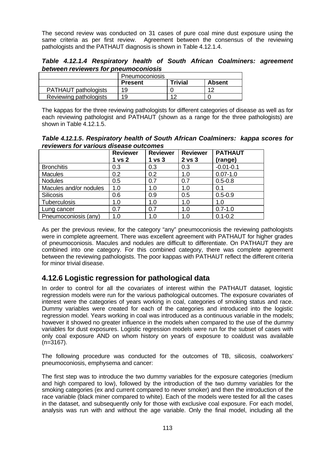The second review was conducted on 31 cases of pure coal mine dust exposure using the same criteria as per first review. Agreement between the consensus of the reviewing pathologists and the PATHAUT diagnosis is shown in Table 4.12.1.4.

*Table 4.12.1.4 Respiratory health of South African Coalminers: agreement between reviewers for pneumoconiosis*

|                             | Pneumoconiosis |                |               |
|-----------------------------|----------------|----------------|---------------|
|                             | <b>Present</b> | <b>Trivial</b> | <b>Absent</b> |
| <b>PATHAUT pathologists</b> | 19             |                | 40            |
| Reviewing pathologists      | 19             | 1 C            |               |

The kappas for the three reviewing pathologists for different categories of disease as well as for each reviewing pathologist and PATHAUT (shown as a range for the three pathologists) are shown in Table 4.12.1.5.

*Table 4.12.1.5. Respiratory health of South African Coalminers: kappa scores for reviewers for various disease outcomes*

|                        | <b>Reviewer</b><br>1 vs 2 | <b>Reviewer</b><br>1 <sub>vs</sub> 3 | <b>Reviewer</b><br>2 vs 3 | <b>PATHAUT</b><br>(range) |
|------------------------|---------------------------|--------------------------------------|---------------------------|---------------------------|
| <b>Bronchitis</b>      | 0.3                       | 0.3                                  | 0.3                       | $-0.01 - 0.1$             |
| <b>Macules</b>         | 0.2                       | 0.2                                  | 1.0                       | $0.07 - 1.0$              |
| <b>Nodules</b>         | 0.5                       | 0.7                                  | 0.7                       | $0.5 - 0.8$               |
| Macules and/or nodules | 1.0                       | 1.0                                  | 1.0                       | 0.1                       |
| Silicosis              | 0.6                       | 0.9                                  | 0.5                       | $0.5 - 0.9$               |
| Tuberculosis           | 1.0                       | 1.0                                  | 1.0                       | 1.0                       |
| Lung cancer            | 0.7                       | 0.7                                  | 1.0                       | $0.7 - 1.0$               |
| Pneumoconiosis (any)   | 1.0                       | 1.0                                  | 1.0                       | $0.1 - 0.2$               |

As per the previous review, for the category "any" pneumoconiosis the reviewing pathologists were in complete agreement. There was excellent agreement with PATHAUT for higher grades of pneumoconiosis. Macules and nodules are difficult to differentiate. On PATHAUT they are combined into one category. For this combined category, there was complete agreement between the reviewing pathologists. The poor kappas with PATHAUT reflect the different criteria for minor trivial disease.

### **4.12.6 Logistic regression for pathological data**

In order to control for all the covariates of interest within the PATHAUT dataset, logistic regression models were run for the various pathological outcomes. The exposure covariates of interest were the categories of years working in coal, categories of smoking status and race. Dummy variables were created for each of the categories and introduced into the logistic regression model. Years working in coal was introduced as a continuous variable in the models; however it showed no greater influence in the models when compared to the use of the dummy variables for dust exposures. Logistic regression models were run for the subset of cases with only coal exposure AND on whom history on years of exposure to coaldust was available (n=3167).

The following procedure was conducted for the outcomes of TB, silicosis, coalworkers' pneumoconiosis, emphysema and cancer:

The first step was to introduce the two dummy variables for the exposure categories (medium and high compared to low), followed by the introduction of the two dummy variables for the smoking categories (ex and current compared to never smoker) and then the introduction of the race variable (black miner compared to white). Each of the models were tested for all the cases in the dataset, and subsequently only for those with exclusive coal exposure. For each model, analysis was run with and without the age variable. Only the final model, including all the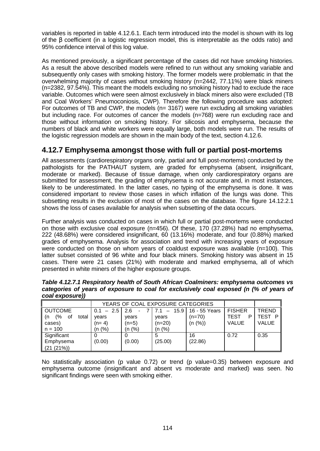variables is reported in table 4.12.6.1. Each term introduced into the model is shown with its log of the β coefficient (in a logistic regression model, this is interpretable as the odds ratio) and 95% confidence interval of this log value.

As mentioned previously, a significant percentage of the cases did not have smoking histories. As a result the above described models were refined to run without any smoking variable and subsequently only cases with smoking history. The former models were problematic in that the overwhelming majority of cases without smoking history (n=2442, 77.11%) were black miners (n=2382, 97.54%). This meant the models excluding no smoking history had to exclude the race variable. Outcomes which were seen almost exclusively in black miners also were excluded (TB and Coal Workers' Pneumoconiosis, CWP). Therefore the following procedure was adopted: For outcomes of TB and CWP, the models (n= 3167) were run excluding all smoking variables but including race. For outcomes of cancer the models (n=768) were run excluding race and those without information on smoking history. For silicosis and emphysema, because the numbers of black and white workers were equally large, both models were run. The results of the logistic regression models are shown in the main body of the text, section 4.12.6.

### **4.12.7 Emphysema amongst those with full or partial post-mortems**

All assessments (cardiorespiratory organs only, partial and full post-mortems) conducted by the pathologists for the PATHAUT system, are graded for emphysema (absent, insignificant, moderate or marked). Because of tissue damage, when only cardiorespiratory organs are submitted for assessment, the grading of emphysema is not accurate and, in most instances, likely to be underestimated. In the latter cases, no typing of the emphysema is done. It was considered important to review those cases in which inflation of the lungs was done. This subsetting results in the exclusion of most of the cases on the database. The figure 14.12.2.1 shows the loss of cases available for analysis when subsetting of the data occurs.

Further analysis was conducted on cases in which full or partial post-mortems were conducted on those with exclusive coal exposure (n=456). Of these, 170 (37.28%) had no emphysema, 222 (48.68%) were considered insignificant, 60 (13.16%) moderate, and four (0.88%) marked grades of emphysema. Analysis for association and trend with increasing years of exposure were conducted on those on whom years of coaldust exposure was available (n=100). This latter subset consisted of 96 white and four black miners. Smoking history was absent in 15 cases. There were 21 cases (21%) with moderate and marked emphysema, all of which presented in white miners of the higher exposure groups.

| $\mathbf{z}$            |                                   |                       |             |               |               |              |  |
|-------------------------|-----------------------------------|-----------------------|-------------|---------------|---------------|--------------|--|
|                         | YEARS OF COAL EXPOSURE CATEGORIES |                       |             |               |               |              |  |
| <b>OUTCOME</b>          | $-2.5$<br>0.1                     | 2.6<br>$\blacksquare$ | 15.9<br>$-$ | 16 - 55 Years | <b>FISHER</b> | <b>TREND</b> |  |
| (%<br>total<br>0t<br>(n | vears                             | vears                 | years       | $(n=70)$      | TEST<br>P     | TEST<br>P    |  |
| cases)                  | $(n=4)$                           | (n=5)                 | (n=20)      | (n (%))       | <b>VALUE</b>  | <b>VALUE</b> |  |
| $n = 100$               | (n (%)                            | (n (%)                | (n (%)      |               |               |              |  |
| Significant             | $\Omega$                          |                       | 5           | 16            | 0.72          | 0.35         |  |
| Emphysema               | (0.00)                            | (0.00)                | (25.00)     | (22.86)       |               |              |  |
| (21 (21%)               |                                   |                       |             |               |               |              |  |

*Table 4.12.7.1 Respiratory health of South African Coalminers: emphysema outcomes vs categories of years of exposure to coal for exclusively coal exposed (n (% of years of coal exposure))*

No statistically association (p value 0.72) or trend (p value=0.35) between exposure and emphysema outcome (insignificant and absent vs moderate and marked) was seen. No significant findings were seen with smoking either.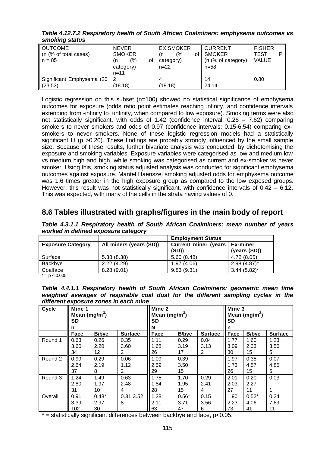*Table 4.12.7.2 Respiratory health of South African Coalminers: emphysema outcomes vs smoking status*

| $\sim$ $\sim$ $\sim$ $\sim$ $\sim$ $\sim$ $\sim$ $\sim$ |                                                                          |                                                               |                                                               |                                       |
|---------------------------------------------------------|--------------------------------------------------------------------------|---------------------------------------------------------------|---------------------------------------------------------------|---------------------------------------|
| <b>OUTCOME</b><br>(n (% of total cases)<br>$n = 85$     | <b>NEVER</b><br><b>SMOKER</b><br>(%<br>οf<br>(n<br>category)<br>$n = 11$ | <b>EX SMOKER</b><br>(%<br>of l<br>(n<br>category)<br>$n = 22$ | <b>CURRENT</b><br><b>SMOKER</b><br>(n (% of category)<br>n=58 | <b>FISHER</b><br>TEST<br><b>VALUE</b> |
| Significant Emphysema (20   2                           |                                                                          |                                                               | 14                                                            | 0.80                                  |
| (23.53)                                                 | (18.18)                                                                  | (18.18)                                                       | 24.14                                                         |                                       |

Logistic regression on this subset (n=100) showed no statistical significance of emphysema outcomes for exposure (odds ratio point estimates reaching infinity, and confidence intervals extending from -infinity to +infinity, when compared to low exposure). Smoking terms were also not statistically significant, with odds of 1.42 (confidence interval: 0.26 – 7.62) comparing smokers to never smokers and odds of 0.97 (confidence intervals: 0.15-6.54) comparing exsmokers to never smokers. None of these logistic regression models had a statistically significant fit (p > 0.20). These findings are probably strongly influenced by the small sample size. Because of these results, further bivariate analysis was conducted, by dichotomising the exposure and smoking variables. Exposure variables were categorised as low and medium low vs medium high and high, while smoking was categorised as current and ex-smoker vs never smoker. Using this, smoking status adjusted analysis was conducted for significant emphysema outcomes against exposure. Mantel Haenszel smoking adjusted odds for emphysema outcome was 1.6 times greater in the high exposure group as compared to the low exposed groups. However, this result was not statistically significant, with confidence intervals of  $0.42 - 6.12$ . This was expected, with many of the cells in the strata having values of 0.

#### **8.6 Tables illustrated with graphs/figures in the main body of report**

*Table 4.3.1.1 Respiratory health of South African Coalminers: mean number of years worked in defined exposure category*

|                          |                         | <b>Employment Status</b>      |                                 |
|--------------------------|-------------------------|-------------------------------|---------------------------------|
| <b>Exposure Category</b> | All miners (years (SD)) | Current miner (years<br>(SD)) | <b>Ex-miner</b><br>(years (SD)) |
| Surface                  | 5.38(8.38)              | 5.60(8.48)                    | 4.72 (8.05)                     |
| Backbve                  | 2.22(4.29)              | 1.97(4.06)                    | $2.98(4.87)$ *                  |
| Coalface                 | 8.28(9.01)              | 9.83(9.31)                    | $3.44(5.82)$ *                  |

 $* = p < 0.005$ 

*Table 4.4.1.1 Respiratory health of South African Coalminers: geometric mean time weighted averages of respirable coal dust for the different sampling cycles in the different exposure zones in each mine*

| Cycle   | Mine 1<br>Mean (mg/m <sup>3</sup> )<br>SD<br>n |               | Ш<br>Mine 2<br>Mean (mg/m <sup>3</sup> )<br><b>SD</b><br>N |                   |              | Mine 3<br>Mean $(mg/m^3)$<br>SD<br>n |             |              |                |
|---------|------------------------------------------------|---------------|------------------------------------------------------------|-------------------|--------------|--------------------------------------|-------------|--------------|----------------|
|         | Face                                           | <b>B</b> /bye | <b>Surface</b>                                             | Face              | <b>B/bye</b> | <b>Surface</b>                       | <b>Face</b> | <b>B/bye</b> | <b>Surface</b> |
| Round 1 | 0.63                                           | 0.26          | 0.35                                                       | 1.11              | 0.29         | 0.04                                 | 1.77        | 1.60         | 1.23           |
|         | 3.60                                           | 2.20          | 3.60                                                       | 1.68              | 3.19         | 3.13                                 | 3.09        | 2.03         | 3.56           |
|         | 34                                             | 12.           | 2                                                          | 26                | 17           | 2                                    | 30          | 15           | 5              |
| Round 2 | 0.99                                           | 0.29          | 0.06                                                       | 1.09              | 0.39         |                                      | 1.97        | 0.35         | 0.07           |
|         | 2.64                                           | 2.19          | 1.12                                                       | 2.59              | 3.50         |                                      | 1.73        | 4.57         | 4.85           |
|         | 37                                             | 8             | 2                                                          | 29                | 15           |                                      | 26          | 15           | 5              |
| Round 3 | 1.24                                           | 1.49          | 0.63                                                       | 1.75              | 1.70         | 0.29                                 | 2.01        | 0.20         | 0.03           |
|         | 2.80                                           | 1.97          | 2.48                                                       | 1.84              | 1.95         | 2.41                                 | 2.03        | 2.27         |                |
|         | 31                                             | 10            | 4                                                          | 28                | 15           | 4                                    | 27          | 11           |                |
| Overall | 0.91                                           | $0.48*$       | 0.31 3.52                                                  | 1.28              | $0.56*$      | 0.15                                 | 1.90        | $0.52*$      | 0.24           |
|         | 3.39                                           | 2.97          | 8                                                          | 2.11              | 3.71         | 3.56                                 | 2.23        | 4.06         | 7.69           |
|         | 102                                            | 30            |                                                            | $\blacksquare$ 63 | 47           | 6                                    | 73          | 41           | 11             |

 $*$  = statistically significant differences between backbye and face,  $p<0.05$ .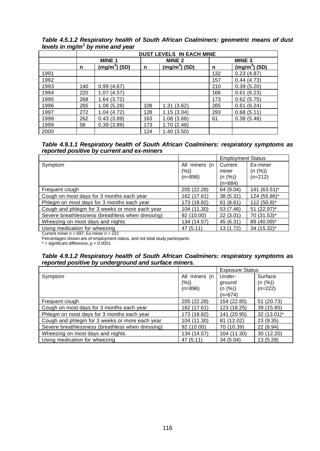|      | <b>DUST LEVELS IN EACH MINE</b> |                           |     |                           |     |                   |  |
|------|---------------------------------|---------------------------|-----|---------------------------|-----|-------------------|--|
|      |                                 | <b>MINE 1</b>             |     | <b>MINE 2</b>             |     | MINE <sub>3</sub> |  |
|      | n                               | (mg/m <sup>3</sup> ) (SD) | n   | (mg/m <sup>3</sup> ) (SD) | n   | $(mg/m^3)$ (SD)   |  |
| 1991 |                                 |                           |     |                           | 132 | 0.23(4.87)        |  |
| 1992 |                                 |                           |     |                           | 157 | 0.44(4.73)        |  |
| 1993 | 140                             | 0.99(4.67)                |     |                           | 210 | 0.39(5.20)        |  |
| 1994 | 220                             | 1.07(4.57)                |     |                           | 166 | 0.61(6.23)        |  |
| 1995 | 268                             | 1.64 (3.72)               |     |                           | 173 | 0.62(5.75)        |  |
| 1996 | 265                             | 1.08(5.28)                | 108 | 1.31(3.62)                | 265 | 0.61(6.24)        |  |
| 1997 | 272                             | 1.04(4.72)                | 128 | 1.15(3.04)                | 293 | 0.68(5.11)        |  |
| 1998 | 262                             | 0.43(3.89)                | 163 | 1.08(3.68)                | 61  | 0.38(5.48)        |  |
| 1999 | 58                              | 0.39(3.89)                | 173 | 1.70(2.48)                |     |                   |  |
| 2000 |                                 |                           | 124 | 1.40(3.50)                |     |                   |  |

*Table 4.5.1.2 Respiratory health of South African Coalminers: geometric means of dust levels in mg/m<sup>3</sup> by mine and year*

*Table 4.9.1.1 Respiratory health of South African Coalminers: respiratory symptoms as reported positive by current and ex-miners*

|                                                  |                         | <b>Employment Status</b> |                     |
|--------------------------------------------------|-------------------------|--------------------------|---------------------|
| Symptom                                          | All miners (n<br>$(\%)$ | Current<br>miner         | Ex-miner<br>(n (%)) |
|                                                  | $(n=896)$               | (n (%))<br>$(n=684)$     | $(n=212)$           |
| Frequent cough                                   | 205 (22.28)             | 64 (9.04)                | 141 (63.51)*        |
| Cough on most days for 3 months each year        | 162 (17.61)             | 38(5.31)                 | 124 (55.86)*        |
| Phlegm on most days for 3 months each year       | 173 (18.82)             | 61(8.61)                 | $112(50.8)^{*}$     |
| Cough and phlegm for 3 weeks or more each year   | 104 (11.30)             | 53 (7.46)                | $51 (22.97)^*$      |
| Severe breathlessness (breathless when dressing) | 92 (10.00)              | 22(3.01)                 | 70 (31.53)*         |
| Wheezing on most days and nights                 | 134 (14.57)             | 45 (6.31)                | 89 (40.09)*         |
| Using medication for wheezing                    | 47 (5.11)               | 13 (1.72)                | 34 (15.32)*         |
| Current miner $n = 697$ ; Ex-miner $n = 222$     |                         |                          |                     |

Percentages shown are of employment status, and not total study participants

 $*$  = significant difference,  $p < 0.0001$ 

#### *Table 4.9.1.2 Respiratory health of South African Coalminers: respiratory symptoms as reported positive by underground and surface miners.*

|                                                  |               | <b>Exposure Status</b> |               |
|--------------------------------------------------|---------------|------------------------|---------------|
| Symptom                                          | All miners (n | Under-                 | Surface       |
|                                                  | $(\%)$        | ground                 | (n (%))       |
|                                                  | $(n=896)$     | (n (%))                | $(n=222)$     |
|                                                  |               | $(n=674)$              |               |
| Frequent cough                                   | 205 (22.28)   | 154 (22.85)            | 51 (20.73)    |
| Cough on most days for 3 months each year        | 162 (17.61)   | 123 (18.25)            | 39 (15.85)    |
| Phlegm on most days for 3 months each year       | 173 (18.82)   | 141 (20.95)            | $32(13.01)^*$ |
| Cough and phlegm for 3 weeks or more each year   | 104 (11.30)   | 81 (12.02)             | 23 (9.35)     |
| Severe breathlessness (breathless when dressing) | 92 (10.00)    | 70 (10.39)             | 22 (8.94)     |
| Wheezing on most days and nights                 | 134 (14.57)   | 104 (11.30)            | 30 (12.20)    |
| Using medication for wheezing                    | 47 (5.11)     | 34(5.04)               | 13 (5.28)     |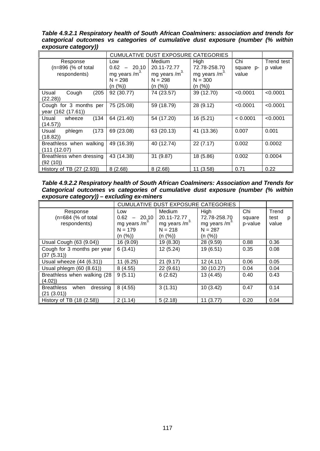*Table 4.9.2.1 Respiratory health of South African Coalminers: association and trends for categorical outcomes vs categories of cumulative dust exposure (number (% within exposure category))*

|                             |                  | CUMULATIVE DUST EXPOSURE CATEGORIES |                 |           |            |
|-----------------------------|------------------|-------------------------------------|-----------------|-----------|------------|
| Response                    | Low              | <b>Medium</b>                       | <b>High</b>     | Chi       | Trend test |
| (n=896 (% of total          | $-20.10$<br>0.62 | 20.11-72.77                         | 72.78-258.70    | square p- | p value    |
| respondents)                | mg years / $m^3$ | mg years / $m^3$                    | mg years / $m3$ | value     |            |
|                             | $N = 298$        | $N = 298$                           | $N = 300$       |           |            |
|                             | (n (%))          | (n (%))                             | (n (%))         |           |            |
| (205)<br>Cough<br>Usual     | 92 (30.77)       | 74 (23.57)                          | 39 (12.70)      | < 0.0001  | < 0.0001   |
| (22.28)                     |                  |                                     |                 |           |            |
| Cough for 3 months per      | 75 (25.08)       | 59 (18.79)                          | 28 (9.12)       | < 0.0001  | < 0.0001   |
| year (162 (17.61))          |                  |                                     |                 |           |            |
| (134)<br>wheeze<br>Usual    | 64 (21.40)       | 54 (17.20)                          | 16 (5.21)       | < 0.0001  | < 0.0001   |
| (14.57)                     |                  |                                     |                 |           |            |
| (173)<br>Usual<br>phlegm    | 69 (23.08)       | 63 (20.13)                          | 41 (13.36)      | 0.007     | 0.001      |
| (18.82)                     |                  |                                     |                 |           |            |
| Breathless when walking     | 49 (16.39)       | 40 (12.74)                          | 22(7.17)        | 0.002     | 0.0002     |
| (111 (12.07))               |                  |                                     |                 |           |            |
| Breathless when dressing    | 43 (14.38)       | 31 (9.87)                           | 18 (5.86)       | 0.002     | 0.0004     |
| (92 (10))                   |                  |                                     |                 |           |            |
| History of TB $(27 (2.93))$ | 8(2.68)          | 8(2.68)                             | 11 (3.58)       | 0.71      | 0.22       |

*Table 4.9.2.2 Respiratory health of South African Coalminers: Association and Trends for Categorical outcomes vs categories of cumulative dust exposure (number (% within exposure category)) – excluding ex-miners*

|                                                      |                                                                  | <b>CUMULATIVE DUST EXPOSURE CATEGORIES</b>                              |                                                                          |                          |                             |
|------------------------------------------------------|------------------------------------------------------------------|-------------------------------------------------------------------------|--------------------------------------------------------------------------|--------------------------|-----------------------------|
| Response<br>(n=684 (% of total<br>respondents)       | Low<br>$0.62 - 20.10$<br>mg years / $m3$<br>$N = 179$<br>(n (%)) | <b>Medium</b><br>20.11-72.77<br>mg years / $m3$<br>$N = 218$<br>(n (%)) | High<br>72.78-258.70<br>mg years /m <sup>3</sup><br>$N = 287$<br>(n (%)) | Chi<br>square<br>p-value | Trend<br>test<br>p<br>value |
| Usual Cough (63 (9.04))                              | 16 (9.09)                                                        | 19 (8.30)                                                               | 28 (9.59)                                                                | 0.88                     | 0.36                        |
| Cough for 3 months per year<br>(37(5.31))            | 6(3.41)                                                          | 12 (5.24)                                                               | 19 (6.51)                                                                | 0.35                     | 0.08                        |
| Usual wheeze $(44 (6.31))$                           | 11 (6.25)                                                        | 21(9.17)                                                                | 12(4.11)                                                                 | 0.06                     | 0.05                        |
| Usual phlegm (60 (8.61))                             | 8(4.55)                                                          | 22(9.61)                                                                | 30 (10.27)                                                               | 0.04                     | 0.04                        |
| Breathless when walking (28)<br>(4.02)               | 9(5.11)                                                          | 6(2.62)                                                                 | 13 (4.45)                                                                | 0.40                     | 0.43                        |
| when<br>dressing<br><b>Breathless</b><br>(21 (3.01)) | 8(4.55)                                                          | 3(1.31)                                                                 | 10(3.42)                                                                 | 0.47                     | 0.14                        |
| History of TB (18 (2.58))                            | 2(1.14)                                                          | 5(2.18)                                                                 | 11(3.77)                                                                 | 0.20                     | 0.04                        |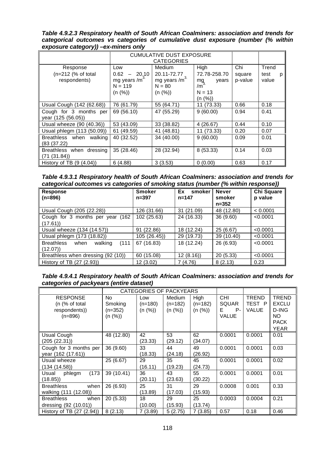*Table 4.9.2.3 Respiratory health of South African Coalminers: association and trends for categorical outcomes vs categories of cumulative dust exposure (number (% within exposure category)) –ex-miners only*

|                            |                  | <b>CUMULATIVE DUST EXPOSURE</b> |                                         |         |           |
|----------------------------|------------------|---------------------------------|-----------------------------------------|---------|-----------|
|                            |                  | <b>CATEGORIES</b>               |                                         |         |           |
| Response                   | Low              | <b>Medium</b>                   | High                                    | Chi     | Trend     |
| $(n=212)$ (% of total      | $-20.10$<br>0.62 | 20.11-72.77                     | 72.78-258.70                            | square  | test<br>р |
| respondents)               | mg years / $m3$  | mg years /m <sup>3</sup>        | $mg$ <sub>/m<sup>3</sup></sub><br>years | p-value | value     |
|                            | $N = 119$        | $N = 80$                        |                                         |         |           |
|                            | (n (%))          | (n (%))                         | $N = 13$                                |         |           |
|                            |                  |                                 | (n (%))                                 |         |           |
| Usual Cough (142 (62.68))  | 76 (61.79)       | 55 (64.71)                      | 11 (73.33)                              | 0.66    | 0.18      |
| Cough for 3 months per     | 69 (56.10)       | 47 (55.29)                      | 9(60.00)                                | 0.94    | 0.41      |
| year (125 (56.05))         |                  |                                 |                                         |         |           |
| Usual wheeze (90 (40.36))  | 53 (43.09)       | 33 (38.82)                      | 4(26.67)                                | 0.44    | 0.10      |
| Usual phlegm (113 (50.09)) | 61 (49.59)       | 41 (48.81)                      | 11 (73.33)                              | 0.20    | 0.07      |
| Breathless when<br>walking | 40 (32.52)       | 34 (40.00)                      | 9(60.00)                                | 0.09    | 0.01      |
| (83 (37.22)                |                  |                                 |                                         |         |           |
| Breathless when dressing   | 35 (28.46)       | 28 (32.94)                      | 8 (53.33)                               | 0.14    | 0.03      |
| (71 (31.84))               |                  |                                 |                                         |         |           |
| History of TB $(9 (4.04))$ | 6(4.88)          | 3(3.53)                         | 0(0.00)                                 | 0.63    | 0.17      |

*Table 4.9.3.1 Respiratory health of South African Coalminers: association and trends for categorical outcomes vs categories of smoking status (number (% within response))*

| <b>Response</b><br>$(n=896)$                             | <b>Smoker</b><br>$n = 397$ | Ex<br>smoker<br>$n = 147$ | <b>Never</b><br>smoker<br>$n = 352$ | Chi Square<br>p value |
|----------------------------------------------------------|----------------------------|---------------------------|-------------------------------------|-----------------------|
| Usual Cough (205 (22.28))                                | 126 (31.66)                | (21.09)<br>31             | 48 (12.80)                          | < 0.0001              |
| Cough for 3 months per year (162)<br>(17.61)             | 102 (25.63)                | 24 (16.33)                | 36(9.60)                            | < 0.0001              |
| Usual wheeze (134 (14.57))                               | 91 (22.86)                 | 18 (12.24)                | 25 (6.67)                           | < 0.0001              |
| Usual phlegm (173 (18.82))                               | 105 (26.45))               | 29 (19.73)                | 39 (10.40)                          | < 0.0001              |
| <b>Breathless</b><br>walking<br>(111)<br>when<br>(12.07) | 67 (16.83)                 | 18 (12.24)                | 26 (6.93)                           | < 0.0001              |
| Breathless when dressing (92 (10))                       | 60 (15.08)                 | 12(8.16)                  | 20(5.33)                            | < 0.0001              |
| History of TB (27 (2.93))                                | 12 (3.02)                  | 7 (4.76)                  | 8(2.13)                             | 0.23                  |

*Table 4.9.4.1 Respiratory health of South African Coalminers: association and trends for categories of packyears (entire dataset)*

|                             |            |           | CATEGORIES OF PACKYEARS |           |              |              |              |
|-----------------------------|------------|-----------|-------------------------|-----------|--------------|--------------|--------------|
| <b>RESPONSE</b>             | No.        | Low       | <b>Medium</b>           | High      | <b>CHI</b>   | <b>TREND</b> | TREND        |
| (n (% of total              | Smoking    | $(n=180)$ | $(n=182)$               | $(n=182)$ | <b>SQUAR</b> | TEST P       | <b>EXCLU</b> |
| respondents))               | $(n=352)$  | (n (%))   | (n (%))                 | (n (%))   | E.<br>$P -$  | <b>VALUE</b> | D-ING        |
| $(n=896)$                   | (n (%))    |           |                         |           | <b>VALUE</b> |              | NO.          |
|                             |            |           |                         |           |              |              | <b>PACK</b>  |
|                             |            |           |                         |           |              |              | <b>YEAR</b>  |
| Usual Cough                 | 48 (12.80) | 42        | 53                      | 62        | 0.0001       | 0.0001       | 0.01         |
| (205 (22.31))               |            | (23.33)   | (29.12)                 | (34.07)   |              |              |              |
| Cough for 3 months per      | 36 (9.60)  | 33        | 44                      | 49        | 0.0001       | 0.0001       | 0.03         |
| year (162 (17.61))          |            | (18.33)   | (24.18)                 | (26.92)   |              |              |              |
| Usual wheeze                | 25 (6.67)  | 29        | 35                      | 45        | 0.0001       | 0.0001       | 0.02         |
| (134 (14.58))               |            | (16.11)   | (19.23)                 | (24.73)   |              |              |              |
| (173)<br>phlegm<br>l Usual  | 39 (10.41) | 36        | 43                      | 55        | 0.0001       | 0.0001       | 0.01         |
| (18.85)                     |            | (20.11)   | (23.63)                 | (30.22)   |              |              |              |
| when<br><b>Breathless</b>   | 26 (6.93)  | 25        | 31                      | 29        | 0.0008       | 0.001        | 0.33         |
| walking (111 (12.08))       |            | (13.89)   | (17.03)                 | (15.93)   |              |              |              |
| when<br><b>Breathless</b>   | 20(5.33)   | 18        | 29                      | 25        | 0.0003       | 0.0004       | 0.21         |
| dressing (92 (10.01))       |            | (10.00)   | (15.93)                 | (13.74)   |              |              |              |
| History of TB $(27 (2.94))$ | 8(2.13)    | 7(3.89)   | 5(2.75)                 | 7(3.85)   | 0.57         | 0.18         | 0.46         |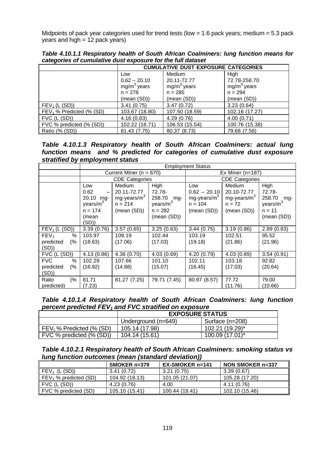Midpoints of pack year categories used for trend tests (low = 1.6 pack years; medium = 5.3 pack years and high  $= 12$  pack years)

|                            |                | <b>CUMULATIVE DUST EXPOSURE CATEGORIES</b> |                         |  |  |  |  |
|----------------------------|----------------|--------------------------------------------|-------------------------|--|--|--|--|
|                            | Low            | Medium                                     | High                    |  |  |  |  |
|                            | $0.62 - 20.10$ | 20.11-72.77                                | 72.78-258.70            |  |  |  |  |
|                            | $mg/m3$ years  | $mg/m3$ years                              | mg/m <sup>3</sup> years |  |  |  |  |
|                            | $n = 278$      | $n = 285$                                  | $n = 294$               |  |  |  |  |
|                            | (mean (SD))    | (mean (SD))                                | (mean (SD))             |  |  |  |  |
| FEV <sub>1</sub> (L (SD))  | 3.41(0.75)     | 3.47(0.72)                                 | 3.23(0.64)              |  |  |  |  |
| $FEV1$ % Predicted (% (SD) | 103.67 (18.80) | 107.50 (18.59)                             | 102.16 (17.27)          |  |  |  |  |
| $FVC$ (L $(SD)$ )          | 4.16(0.83)     | 4.29(0.76)                                 | 4.00(0.71)              |  |  |  |  |
| FVC % predicted (% (SD))   | 102.22 (16.71) | 106.53 (15.54)                             | 100.76 (15.38)          |  |  |  |  |
| Ratio (% (SD))             | 81.43 (7.75)   | 80.37 (8.73)                               | 79.68 (7.58)            |  |  |  |  |

*Table 4.10.1.1 Respiratory health of South African Coalminers: lung function means for categories of cumulative dust exposure for the full dataset*

*Table 4.10.1.3 Respiratory health of South African Coalminers: actual lung function means and % predicted for categories of cumulative dust exposure stratified by employment status*

|                           | <b>Employment Status</b> |                             |                      |                         |                       |                      |  |
|---------------------------|--------------------------|-----------------------------|----------------------|-------------------------|-----------------------|----------------------|--|
|                           |                          | Current Miner ( $n = 670$ ) |                      |                         | Ex Miner ( $n=187$ )  |                      |  |
|                           |                          | <b>CDE Categories</b>       |                      |                         | <b>CDE Categories</b> |                      |  |
|                           | Low                      | <b>Medium</b>               | High                 | Low                     | Medium                | High                 |  |
|                           | 0.62<br>-                | 20.11-72.77                 | 72.78-               | $0.62 - 20.10$          | 20.10-72.77           | 72.78-               |  |
|                           | 20.10<br>mg-             | mg-years/ $m3$              | 258.70 mg-           | mg-years/m <sup>3</sup> | mg-years/ $m3$        | 258.70<br>$mg -$     |  |
|                           | years/m <sup>3</sup>     | $n = 214$                   | years/m <sup>3</sup> | $n = 104$               | $n = 72$              | years/m <sup>3</sup> |  |
|                           | $n = 174$                | (mean (SD))                 | $n = 282$            | (mean (SD))             | (mean (SD))           | $n = 11$             |  |
|                           | (mean                    |                             | (mean (SD))          |                         |                       | (mean (SD))          |  |
|                           | (SD))                    |                             |                      |                         |                       |                      |  |
| FEV <sub>1</sub> (L (SD)) | 3.39(0.76)               | 3.57(0.65)                  | 3.25(0.63)           | 3.44(0.75)              | 3.19(0.86)            | 2.89(0.83)           |  |
| %<br>FEV <sub>1</sub>     | 103.97                   | 109.19                      | 102.44               | 103.19                  | 102.51                | 95.52                |  |
| predicted<br>(%           | (18.63)                  | (17.06)                     | (17.03)              | (19.18)                 | (21.86)               | (21.96)              |  |
| (SD)                      |                          |                             |                      |                         |                       |                      |  |
| $FVC$ ( $L(SD)$ )         | 4.13(0.86)               | 4.36 (0.70)                 | 4.03(0.69)           | 4.20(0.79)              | 4.03(0.89)            | 3.54(0.91)           |  |
| <b>FVC</b><br>%           | 102.29                   | 107.66                      | 101.10               | 102.11                  | 103.18                | 92.82                |  |
| predicted<br>(%           | (16.92)                  | (14.88)                     | (15.07)              | (16.45)                 | (17.03)               | (20.64)              |  |
| (SD)                      |                          |                             |                      |                         |                       |                      |  |
| (%<br>Ratio               | 81.71                    | 81.27 (7.25)                | 79.71 (7.45)         | 80.97 (8.57)            | 77.72                 | 79.00                |  |
| predicted)                | (7.23)                   |                             |                      |                         | (11.76)               | (10.66)              |  |

*Table 4.10.1.4 Respiratory health of South African Coalminers: lung function percent predicted FEV1 and FVC stratified on exposure*

|                            | <b>EXPOSURE STATUS</b> |                 |  |  |
|----------------------------|------------------------|-----------------|--|--|
|                            | Underground (n=649)    | Surface (n=208) |  |  |
| $FEV1$ % Predicted (% (SD) | 105.14 (17.98)         | 102.21 (19.29)* |  |  |
| FVC % predicted (% (SD))   | 104.14 (15.61)         | 100.09 (17.01)* |  |  |

*Table 4.10.2.1 Respiratory health of South African Coalminers: smoking status vs lung function outcomes (mean (standard deviation))*

|                              | SMOKER n=379   | <b>EX-SMOKER n=141</b> | NON SMOKER n=337 |
|------------------------------|----------------|------------------------|------------------|
| (L (SD))<br>FEV <sub>1</sub> | 3.41(0.72)     | 3.21(0.75)             | 3.39(0.67)       |
| $FEV1$ % predicted (SD)      | 104.92 (18.13) | 101.05 (21.07)         | 105.28 (17.20)   |
| FVC (L (SD))                 | 4.23 (0.76)    | 4.00                   | 4.11 (0.76)      |
| FVC % predicted (SD)         | 105.10 (15.41) | 100.44 (18.41)         | 102.10 (15.46)   |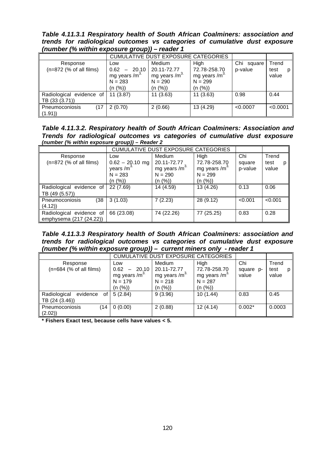*Table 4.11.3.1 Respiratory health of South African Coalminers: association and trends for radiological outcomes vs categories of cumulative dust exposure (number (% within exposure group)) – reader 1*

|                                            |                                                                | <b>CUMULATIVE DUST EXPOSURE CATEGORIES</b>                      |                                                               |                       |                        |
|--------------------------------------------|----------------------------------------------------------------|-----------------------------------------------------------------|---------------------------------------------------------------|-----------------------|------------------------|
| Response<br>$(n=872$ (% of all films)      | Low<br>20.10<br>0.62<br>mg years /m <sup>3.</sup><br>$N = 283$ | Medium<br>20.11-72.77<br>mg years /m <sup>3.</sup><br>$N = 290$ | High<br>72.78-258.70<br>mg years /m <sup>3</sup><br>$N = 299$ | Chi square<br>p-value | Trend<br>test<br>value |
| Radiological evidence of<br>TB (33 (3.71)) | (n (%))<br>11(3.87)                                            | (n (%))<br>11(3.63)                                             | (n (%))<br>11(3.63)                                           | 0.98                  | 0.44                   |
| Pneumoconiosis<br>(17<br>(1.91)            | 2(0.70)                                                        | 2(0.66)                                                         | 13 (4.29)                                                     | < 0.0007              | < 0.0001               |

*Table 4.11.3.2. Respiratory health of South African Coalminers: Association and Trends for radiological outcomes vs categories of cumulative dust exposure (number (% within exposure group)) – Reader 2*

|                                                     |                                                                 | <b>CUMULATIVE DUST EXPOSURE CATEGORIES</b>                                 |                                                                          |                          |                             |  |
|-----------------------------------------------------|-----------------------------------------------------------------|----------------------------------------------------------------------------|--------------------------------------------------------------------------|--------------------------|-----------------------------|--|
| Response<br>$(n=872$ (% of all films)               | Low<br>$0.62 - 20.10$ mg<br>years $/m3$<br>$N = 283$<br>(n (%)) | Medium<br>20.11-72.77<br>mg years /m <sup>3.</sup><br>$N = 290$<br>(n (%)) | High<br>72.78-258.70<br>mg years /m <sup>3</sup><br>$N = 299$<br>(n (%)) | Chi<br>square<br>p-value | Trend<br>test<br>р<br>value |  |
| Radiological evidence of<br>TB (49 (5.57))          | 22 (7.69)                                                       | 14 (4.59)                                                                  | 13 (4.26)                                                                | 0.13                     | 0.06                        |  |
| Pneumoconiosis<br>(38<br>(4.12)                     | 3(1.03)                                                         | 7(2.23)                                                                    | 28 (9.12)                                                                | < 0.001                  | < 0.001                     |  |
| Radiological evidence of<br>emphysema (217 (24.22)) | 66 (23.08)                                                      | 74 (22.26)                                                                 | 77 (25.25)                                                               | 0.83                     | 0.28                        |  |

*Table 4.11.3.3 Respiratory health of South African Coalminers: association and trends for radiological outcomes vs categories of cumulative dust exposure (number (% within exposure group)) – current miners only - reader 1*

|                                                            |                                                                              | <b>CUMULATIVE DUST EXPOSURE CATEGORIES</b>                                 |                                                                          |                           |                        |
|------------------------------------------------------------|------------------------------------------------------------------------------|----------------------------------------------------------------------------|--------------------------------------------------------------------------|---------------------------|------------------------|
| Response<br>$(n=684$ (% of all films)                      | Low<br>0.62<br>$-20.10$<br>mg years /m <sup>3.</sup><br>$N = 179$<br>(n (%)) | Medium<br>20.11-72.77<br>mg years /m <sup>3.</sup><br>$N = 218$<br>(n (%)) | High<br>72.78-258.70<br>mg years /m <sup>3</sup><br>$N = 287$<br>(n (%)) | Chi<br>square p-<br>value | Trend<br>test<br>value |
| evidence<br>Radiological<br>of I<br>$\vert$ TB (24 (3.46)) | 5(2.84)                                                                      | 9(3.96)                                                                    | 10(1.44)                                                                 | 0.83                      | 0.45                   |
| Pneumoconiosis<br>(14<br>(2.02)                            | 0(0.00)                                                                      | 2(0.88)                                                                    | 12(4.14)                                                                 | $0.002*$                  | 0.0003                 |

**\* Fishers Exact test, because cells have values < 5.**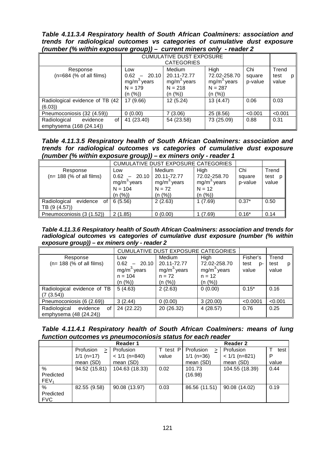*Table 4.11.3.4 Respiratory health of South African Coalminers: association and trends for radiological outcomes vs categories of cumulative dust exposure (number (% within exposure group)) – current miners only - reader 2*

|                                                           |                                                                                    | <b>CUMULATIVE DUST EXPOSURE</b><br><b>CATEGORIES</b>           |                                                               |                          |                             |  |
|-----------------------------------------------------------|------------------------------------------------------------------------------------|----------------------------------------------------------------|---------------------------------------------------------------|--------------------------|-----------------------------|--|
| Response<br>$(n=684$ (% of all films)                     | Low<br>20.10<br>0.62<br>$\qquad \qquad -$<br>$mg/m3$ years<br>$N = 179$<br>(n (%)) | Medium<br>20.11-72.77<br>$mg/m3$ years<br>$N = 218$<br>(n (%)) | High<br>72.02-258.70<br>$mg/m3$ years<br>$N = 287$<br>(n (%)) | Chi<br>square<br>p-value | Trend<br>test<br>р<br>value |  |
| Radiological evidence of TB (42<br>(6.03)                 | 17 (9.66)                                                                          | 12 (5.24)                                                      | 13 (4.47)                                                     | 0.06                     | 0.03                        |  |
| Pneumoconiosis (32 (4.59))                                | 0(0.00)                                                                            | 7(3.06)                                                        | 25 (8.56)                                                     | < 0.001                  | < 0.001                     |  |
| Radiological<br>evidence<br>of<br>emphysema (168 (24.14)) | 41 (23.40)                                                                         | 54 (23.58)                                                     | 73 (25.09)                                                    | 0.88                     | 0.31                        |  |

*Table 4.11.3.5 Respiratory health of South African Coalminers: association and trends for radiological outcomes vs categories of cumulative dust exposure (number (% within exposure group)) – ex miners only - reader 1*

| -- 1-77                                      |                                                                         |                                                                      |                                                              |                          |                        |  |
|----------------------------------------------|-------------------------------------------------------------------------|----------------------------------------------------------------------|--------------------------------------------------------------|--------------------------|------------------------|--|
|                                              |                                                                         | <b>CUMULATIVE DUST EXPOSURE CATEGORIES</b>                           |                                                              |                          |                        |  |
| Response<br>$(n= 188 (%)$ of all films)      | Low<br>0.62<br>20.10<br>mg/m <sup>3</sup> years<br>$N = 104$<br>(n (%)) | <b>Medium</b><br>20.11-72.77<br>$mg/m3$ years<br>$N = 72$<br>(n (%)) | High<br>72.02-258.70<br>$mg/m3$ years<br>$N = 12$<br>(n (%)) | Chi<br>square<br>p-value | Trend<br>test<br>value |  |
| Radiological<br>evidence of<br>TB (9 (4.57)) | 6(5.56)                                                                 | 2(2.63)                                                              | 1(7.69)                                                      | $0.37*$                  | 0.50                   |  |
| Pneumoconiosis (3 (1.52))                    | 2(1.85)                                                                 | 0(0.00)                                                              | (7.69)                                                       | $0.16*$                  | 0.14                   |  |

*Table 4.11.3.6 Respiratory health of South African Coalminers: association and trends for radiological outcomes vs categories of cumulative dust exposure (number (% within exposure group)) – ex miners only - reader 2*

|                                |                  | <b>CUMULATIVE DUST EXPOSURE CATEGORIES</b> |               |            |         |
|--------------------------------|------------------|--------------------------------------------|---------------|------------|---------|
| Response                       | Low              | Medium                                     | High          | Fisher's   | Trend   |
| $(n= 188 (% of all films)$     | $-20.10$<br>0.62 | 20.11-72.77                                | 72.02-258.70  | test<br>p- | test    |
|                                | $mg/m3$ years    | $mg/m3$ years                              | $mg/m3$ years | value      | value   |
|                                | $n = 104$        | $n = 72$                                   | $n = 12$      |            |         |
|                                | (n (%))          | (n (%))                                    | (n (%))       |            |         |
| Radiological evidence of TB    | 5(4.63)          | 2(2.63)                                    | 0(0.00)       | $0.15*$    | 0.16    |
| (7(3.54))                      |                  |                                            |               |            |         |
| Pneumoconiosis (6 (2.69))      | 3(2.44)          | 0(0.00)                                    | 3(20.00)      | < 0.0001   | < 0.001 |
| Radiological<br>evidence<br>οf | 24 (22.22)       | 20 (26.32)                                 | 4(28.57)      | 0.76       | 0.25    |
| emphysema $(48 (24.24))$       |                  |                                            |               |            |         |

*Table 4.11.4.1 Respiratory health of South African Coalminers: means of lung function outcomes vs pneumoconiosis status for each reader*

|                  |                     | <b>Reader 1</b> |          |                | <b>Reader 2</b> |       |
|------------------|---------------------|-----------------|----------|----------------|-----------------|-------|
|                  | Profusion<br>$\geq$ | Profusion       | T test P | Profusion<br>≥ | Profusion       | test  |
|                  | $1/1$ (n=17)        | $< 1/1$ (n=840) | value    | $1/1$ (n=36)   | $< 1/1$ (n=821) | D     |
|                  | mean (SD)           | mean (SD)       |          | mean (SD)      | mean (SD)       | value |
| %                | 94.52 (15.81)       | 104.63 (18.33)  | 0.02     | 101.73         | 104.55 (18.39)  | 0.44  |
| Predicted        |                     |                 |          | (16.98)        |                 |       |
| FEV <sub>1</sub> |                     |                 |          |                |                 |       |
| $\%$             | 82.55 (9.58)        | 90.08 (13.97)   | 0.03     | 86.56 (11.51)  | 90.08 (14.02)   | 0.19  |
| Predicted        |                     |                 |          |                |                 |       |
| <b>FVC</b>       |                     |                 |          |                |                 |       |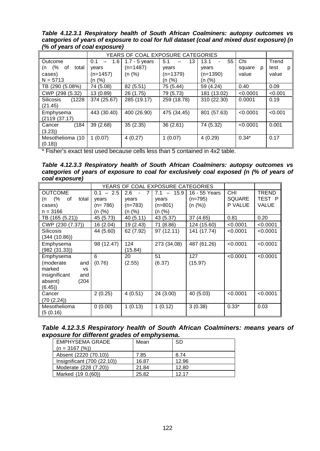*Table 4.12.3.1 Respiratory health of South African Coalminers: autopsy outcomes vs categories of years of exposure to coal for full dataset (coal and mixed dust exposure) (n (% of years of coal exposure)*

|                         | YEARS OF COAL EXPOSURE CATEGORIES |                 |             |             |             |           |
|-------------------------|-----------------------------------|-----------------|-------------|-------------|-------------|-----------|
| <b>Outcome</b>          | 1.6<br>0.1                        | $1.7 - 5$ years | 5.1<br>13   | 13.1<br>55  | Chi         | Trend     |
| (n $(%$<br>of<br>total  | vears                             | $(n=1487)$      | vears       | vears       | square<br>p | test<br>р |
| cases)                  | (n=1457)                          | (n (%)          | $(n=1379)$  | $(n=1390)$  | value       | value     |
| $N = 5713$              | (n (%)                            |                 | (n (%)      | (n (%)      |             |           |
| TB (290 (5.08%)         | 74 (5.08)                         | 82 (5.51)       | 75 (5.44)   | 59 (4.24)   | 0.40        | 0.09      |
| $\vert$ CWP (298 (5.32) | 13(0.89)                          | 26 (1.75)       | 79 (5.73)   | 181 (13.02) | < 0.0001    | < 0.001   |
| Silicosis<br>(1228)     | 374 (25.67)                       | 285 (19.17)     | 259 (18.78) | 310 (22.30) | 0.0001      | 0.19      |
| (21.45)                 |                                   |                 |             |             |             |           |
| Emphysema               | 443 (30.40)                       | 400 (26.90)     | 475 (34.45) | 801 (57.63) | < 0.0001    | < 0.001   |
| (2119(37.17))           |                                   |                 |             |             |             |           |
| (184)<br><b>Cancer</b>  | 39(2.68)                          | 35(2.35)        | 36(2.61)    | 74 (5.32)   | < 0.0001    | 0.001     |
| (3.23)                  |                                   |                 |             |             |             |           |
| Mesothelioma (10        | 1(0.07)                           | 4(0.27)         | 1(0.07)     | 4(0.29)     | $0.34*$     | 0.17      |
| (0.18)                  |                                   |                 |             |             |             |           |

\* Fisher's exact test used because cells less than 5 contained in 4x2 table.

*Table 4.12.3.3 Respiratory health of South African Coalminers: autopsy outcomes vs categories of years of exposure to coal for exclusively coal exposed (n (% of years of coal exposure)*

|                                                                                                           |                                            |                                        | YEARS OF COAL EXPOSURE CATEGORIES                                       |                                       |                                        |                                        |
|-----------------------------------------------------------------------------------------------------------|--------------------------------------------|----------------------------------------|-------------------------------------------------------------------------|---------------------------------------|----------------------------------------|----------------------------------------|
| <b>OUTCOME</b><br>(%<br>of<br>total<br>(n<br>cases)<br>$n = 3166$                                         | $0.1 - 2.5$<br>years<br>(n= 786)<br>(n (%) | 2.6<br>7<br>years<br>(n=783)<br>(n (%) | 15.9<br>7.1<br>$\overline{\phantom{a}}$<br>years<br>$(n=801)$<br>(n (%) | 16 - 55 Years<br>$(n=795)$<br>(n (%)) | <b>CHI</b><br><b>SQUARE</b><br>P VALUE | <b>TREND</b><br>TEST P<br><b>VALUE</b> |
| TB (165 (5.21))                                                                                           | 45 (5.73)                                  | 40 (5.11)                              | 43 (5.37)                                                               | 37 (4.65)                             | 0.81                                   | 0.20                                   |
| CWP (230 (7.37))                                                                                          | 16 (2.04)                                  | 19 (2.43)                              | 71 (8.86)                                                               | 124 (15.60)                           | < 0.0001                               | < 0.0001                               |
| <b>Silicosis</b><br>(344 (10.86))                                                                         | 44 (5.60)                                  | 62 (7.92)                              | 97 (12.11)                                                              | 141 (17.74)                           | < 0.0001                               | < 0.0001                               |
| Emphysema<br>(982 (31.33))                                                                                | 98 (12.47)                                 | 124<br>(15.84)                         | 273 (34.08)                                                             | 487 (61.26)                           | < 0.0001                               | < 0.0001                               |
| Emphysema<br>(moderate<br>and<br>marked<br><b>VS</b><br>insignificant<br>and<br>absent)<br>(204<br>(6.45) | 6<br>(0.76)                                | 20<br>(2.55)                           | 51<br>(6.37)                                                            | 127<br>(15.97)                        | < 0.0001                               | < 0.0001                               |
| Cancer<br>(70 (2.24))                                                                                     | 2(0.25)                                    | 4(0.51)                                | 24 (3.00)                                                               | 40 (5.03)                             | < 0.0001                               | < 0.0001                               |
| Mesothelioma<br>(5(0.16))                                                                                 | 0(0.00)                                    | 1(0.13)                                | 1(0.12)                                                                 | 3(0.38)                               | $0.33*$                                | 0.03                                   |

*Table 4.12.3.5 Respiratory health of South African Coalminers: means years of exposure for different grades of emphysema.*

| <b>EMPHYSEMA GRADE</b>      | Mean  | -SD   |
|-----------------------------|-------|-------|
| $(n = 3167 (%)$             |       |       |
| Absent (2220 (70.10))       | 7.85  | 8.74  |
| Insignificant (700 (22.10)) | 16.87 | 12.96 |
| Moderate (228 (7.20))       | 21.84 | 12.80 |
| Marked (19 0.(60))          | 25.82 | 12 17 |